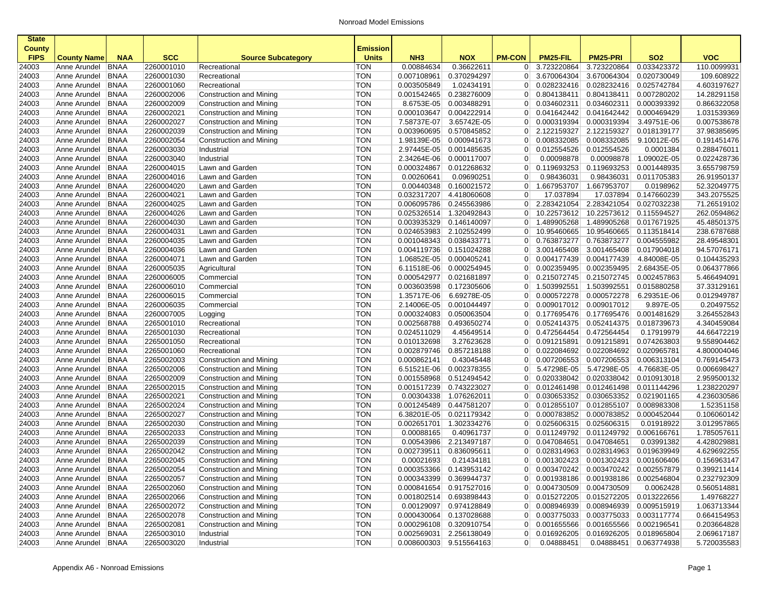| <b>State</b>                 |                                            |             |                          |                                                    |                                 |                 |                                                    |                |                                    |                                        |                                      |                            |
|------------------------------|--------------------------------------------|-------------|--------------------------|----------------------------------------------------|---------------------------------|-----------------|----------------------------------------------------|----------------|------------------------------------|----------------------------------------|--------------------------------------|----------------------------|
| <b>County</b><br><b>FIPS</b> | <b>County Name</b>                         | <b>NAA</b>  | <b>SCC</b>               | <b>Source Subcategory</b>                          | <b>Emission</b><br><b>Units</b> | NH <sub>3</sub> | <b>NOX</b>                                         | <b>PM-CON</b>  | PM25-FIL                           | <b>PM25-PRI</b>                        | <b>SO2</b>                           | <b>VOC</b>                 |
| 24003                        | Anne Arundel                               | <b>BNAA</b> | 2260001010               | Recreational                                       | <b>TON</b>                      | 0.00884634      | 0.36622611                                         | 0              | 3.723220864                        | 3.723220864                            | 0.033423372                          | 110.0099931                |
| 24003                        | Anne Arundel                               | <b>BNAA</b> | 2260001030               | Recreational                                       | <b>TON</b>                      | 0.007108961     | 0.370294297                                        | 0 <sup>1</sup> | 3.670064304                        | 3.670064304                            | 0.020730049                          | 109.608922                 |
| 24003                        | Anne Arundel                               | <b>BNAA</b> | 2260001060               | Recreational                                       | <b>TON</b>                      | 0.003505849     | 1.02434191                                         | $\overline{0}$ | 0.028232416                        | 0.028232416                            | 0.025742784                          | 4.603197627                |
| 24003                        | Anne Arundel                               | <b>BNAA</b> | 2260002006               | Construction and Mining                            | <b>TON</b>                      | 0.001542465     | 0.238276009                                        | 0 <sup>1</sup> | 0.804138411                        | 0.804138411                            | 0.007280202                          | 14.28291158                |
| 24003                        | Anne Arundel                               | <b>BNAA</b> | 2260002009               | Construction and Mining                            | TON                             | 8.6753E-05      | 0.003488291                                        | 0              | 0.034602311                        | 0.034602311                            | 0.000393392                          | 0.866322058                |
| 24003                        | Anne Arundel                               | <b>BNAA</b> | 2260002021               | Construction and Mining                            | <b>TON</b>                      | 0.000103647     | 0.004222914                                        | $\overline{0}$ | 0.041642442                        | 0.041642442                            | 0.000469429                          | 1.031539369                |
| 24003                        | Anne Arundel                               | <b>BNAA</b> | 2260002027               | Construction and Mining                            | <b>TON</b>                      | 7.58737E-07     | 3.65742E-05                                        | 0              | 0.000319394                        | 0.000319394                            | 3.49751E-06                          | 0.007538678                |
| 24003                        | Anne Arundel                               | BNAA        | 2260002039               | Construction and Mining                            | <b>TON</b>                      | 0.003960695     | 0.570845852                                        | 0              | 2.122159327                        | 2.122159327                            | 0.018139177                          | 37.98385695                |
| 24003                        | Anne Arundel                               | <b>BNAA</b> | 2260002054               | Construction and Mining                            | <b>TON</b>                      | 1.98139E-05     | 0.000941673                                        | $\overline{0}$ | 0.008332085                        | 0.008332085                            | 9.10012E-05                          | 0.191451476                |
| 24003                        | Anne Arundel                               | <b>BNAA</b> | 2260003030               | Industrial                                         | <b>TON</b>                      | 2.97445E-05     | 0.001485635                                        | 0              | 0.012554526                        | 0.012554526                            | 0.0001384                            | 0.288476011                |
| 24003                        | Anne Arundel                               | <b>BNAA</b> | 2260003040               | Industrial                                         | <b>TON</b>                      | 2.34264E-06     | 0.000117007                                        | $\overline{0}$ | 0.00098878                         | 0.00098878                             | 1.09002E-05                          | 0.022428736                |
| 24003                        | Anne Arundel                               | <b>BNAA</b> | 2260004015               | Lawn and Garden                                    | <b>TON</b>                      | 0.000324867     | 0.012268632                                        | 0              | 0.119693253                        | 0.119693253                            | 0.001448935                          | 3.655798759                |
| 24003                        | Anne Arundel                               | <b>BNAA</b> | 2260004016               | Lawn and Garden                                    | <b>TON</b>                      | 0.00260641      | 0.09690251                                         | $\overline{0}$ | 0.98436031                         | 0.98436031                             | 0.011705383                          | 26.91950137                |
| 24003                        | Anne Arundel                               | <b>BNAA</b> | 2260004020               | Lawn and Garden                                    | <b>TON</b>                      | 0.00440348      | 0.160021572                                        | $\overline{0}$ | 1.667953707                        | 1.667953707                            | 0.0198962                            | 52.32049775                |
| 24003                        | Anne Arundel                               | BNAA        | 2260004021               | Lawn and Garden                                    | <b>TON</b>                      | 0.032317207     | 4.418060608                                        | $\overline{0}$ | 17.037894                          | 17.037894                              | 0.147660239                          | 343.2075525                |
| 24003                        | Anne Arundel                               | <b>BNAA</b> | 2260004025               | Lawn and Garden                                    | <b>TON</b>                      | 0.006095786     | 0.245563986                                        | $\overline{0}$ | 2.283421054                        | 2.283421054                            | 0.027032238                          | 71.26519102                |
| 24003                        | Anne Arundel                               | <b>BNAA</b> | 2260004026               | Lawn and Garden                                    | <b>TON</b>                      | 0.025326514     | 1.320492843                                        | 0              | 10.22573612                        | 10.22573612                            | 0.115594527                          | 262.0594862                |
| 24003                        | Anne Arundel                               | <b>BNAA</b> | 2260004030               | Lawn and Garden                                    | <b>TON</b>                      | 0.003935329     | 0.146140097                                        | $\overline{0}$ | 1.489905268                        | 1.489905268                            | 0.017671925                          | 45.48501375                |
| 24003                        | Anne Arundel                               | <b>BNAA</b> | 2260004031               | Lawn and Garden                                    | <b>TON</b>                      | 0.024653983     | 2.102552499                                        | 0              | 10.95460665                        | 10.95460665                            | 0.113518414                          | 238.6787688                |
| 24003                        | Anne Arundel                               | BNAA        | 2260004035               | Lawn and Garden                                    | <b>TON</b>                      | 0.001048343     | 0.038433771                                        | $\overline{0}$ | 0.763873277                        | 0.763873277                            | 0.004555982                          | 28.49548301                |
| 24003                        | Anne Arundel                               | <b>BNAA</b> | 2260004036               | Lawn and Garden                                    | <b>TON</b>                      | 0.004119736     | 0.151024288                                        | 0 <sup>1</sup> | 3.001465408                        | 3.001465408                            | 0.017904018                          | 94.57076171                |
| 24003                        | Anne Arundel                               | <b>BNAA</b> | 2260004071               | Lawn and Garden                                    | <b>TON</b>                      | 1.06852E-05     | 0.000405241                                        | $\overline{0}$ | 0.004177439                        | 0.004177439                            | 4.84008E-05                          | 0.104435293                |
| 24003                        | Anne Arundel                               | <b>BNAA</b> | 2260005035               | Agricultural                                       | <b>TON</b>                      | 6.11518E-06     | 0.000254945                                        | 0 <sup>1</sup> | 0.002359495                        | 0.002359495                            | 2.68435E-05                          | 0.064377866                |
| 24003                        | Anne Arundel                               | <b>BNAA</b> | 2260006005               | Commercial                                         | <b>TON</b>                      | 0.000542977     | 0.021681897                                        | 0              | 0.215072745                        | 0.215072745                            | 0.002457863                          | 5.466494091                |
| 24003                        | Anne Arundel                               | <b>BNAA</b> | 2260006010               | Commercial                                         | <b>TON</b>                      | 0.003603598     | 0.172305606                                        | $\overline{0}$ | 1.503992551                        | 1.503992551                            | 0.015880258                          | 37.33129161                |
| 24003                        | Anne Arundel                               | <b>BNAA</b> | 2260006015               | Commercial                                         | <b>TON</b>                      | 1.35717E-06     | 6.69278E-05                                        | 0              | 0.000572278                        | 0.000572278                            | 6.29351E-06                          | 0.012949787                |
| 24003                        | Anne Arundel                               | <b>BNAA</b> | 2260006035               | Commercial                                         | <b>TON</b>                      | 2.14006E-05     | 0.001044497                                        | 0              | 0.009017012                        | 0.009017012                            | 9.897E-05                            | 0.20497552                 |
| 24003                        | Anne Arundel                               | <b>BNAA</b> | 2260007005               | Logging                                            | <b>TON</b>                      | 0.000324083     | 0.050063504                                        | $\overline{0}$ | 0.177695476                        | 0.177695476                            | 0.001481629                          | 3.264552843                |
| 24003                        | Anne Arundel                               | <b>BNAA</b> | 2265001010               | Recreational                                       | <b>TON</b>                      | 0.002568788     | 0.493650274                                        | 0              | 0.052414375                        | 0.052414375                            | 0.018739673                          | 4.340459084                |
| 24003                        | Anne Arundel                               | <b>BNAA</b> | 2265001030               | Recreational                                       | <b>TON</b>                      | 0.024511029     | 4.45649514                                         | 0 <sup>1</sup> | 0.472564454                        | 0.472564454                            | 0.17919979                           | 44.66472219                |
| 24003                        | Anne Arundel                               | <b>BNAA</b> | 2265001050               | Recreational                                       | <b>TON</b>                      | 0.010132698     | 3.27623628                                         | 0              | 0.091215891                        | 0.091215891                            | 0.074263803                          | 9.558904462                |
| 24003                        | Anne Arundel                               | <b>BNAA</b> | 2265001060               | Recreational                                       | <b>TON</b>                      | 0.002879746     | 0.857218188                                        | $\overline{0}$ | 0.022084692                        | 0.022084692                            | 0.020965781                          | 4.800004046                |
| 24003                        | Anne Arundel                               | <b>BNAA</b> | 2265002003               | Construction and Mining                            | TON                             | 0.000862141     | 0.43045448                                         | $\overline{0}$ | 0.007206553                        | 0.007206553                            | 0.006313104                          | 0.769145473                |
| 24003                        | Anne Arundel                               | BNAA        | 2265002006               | Construction and Mining                            | <b>TON</b>                      | 6.51521E-06     | 0.002378355                                        | $\overline{0}$ | 5.47298E-05                        | 5.47298E-05                            | 4.76683E-05                          | 0.006698427                |
| 24003                        | Anne Arundel                               | <b>BNAA</b> | 2265002009               | Construction and Mining                            | <b>TON</b>                      | 0.001558968     | 0.512494542                                        | 0 <sup>1</sup> | 0.020338042                        | 0.020338042                            | 0.010913018                          | 2.959500132                |
| 24003                        | Anne Arundel                               | <b>BNAA</b> | 2265002015               | Construction and Mining                            | TON                             | 0.001517239     | 0.743223027                                        | 0              | 0.012461498                        | 0.012461498                            | 0.011144296                          | 1.238220297                |
| 24003                        | Anne Arundel                               | <b>BNAA</b> | 2265002021               | Construction and Mining                            | <b>TON</b>                      | 0.00304338      | 1.076262011                                        | $\overline{0}$ | 0.030653352                        | 0.030653352                            | 0.021901165                          | 4.236030586                |
| 24003                        | Anne Arundel                               | <b>BNAA</b> | 2265002024               | Construction and Mining                            | <b>TON</b>                      | 0.001245489     | 0.447581207                                        | 0              | 0.012855107                        | 0.012855107                            | 0.008983308                          | 1.52351158                 |
| 24003                        | Anne Arundel                               | BNAA        | 2265002027               | Construction and Mining                            | TON                             | 6.38201E-05     | 0.021179342                                        | 0              | 0.000783852                        | 0.000783852                            | 0.000452044                          | 0.106060142                |
| 24003                        | Anne Arundel                               | <b>BNAA</b> | 2265002030               | Construction and Mining                            | TON                             | 0.002651701     | 1.302334276                                        | 0 <sup>1</sup> | 0.025606315                        | 0.025606315                            | 0.01918922                           | 3.012957865                |
| 24003                        | Anne Arundel                               | <b>BNAA</b> | 2265002033               | Construction and Mining                            | <b>TON</b>                      | 0.00088165      | 0.40961737                                         | 0              | 0.011249792                        | 0.011249792                            | 0.006166761                          | 1.785057611                |
| 24003                        | Anne Arundel                               | <b>BNAA</b> | 2265002039               | Construction and Mining                            | <b>TON</b>                      | 0.00543986      | 2.213497187                                        | 0 <sup>1</sup> | 0.047084651                        | 0.047084651                            | 0.03991382                           | 4.428029881                |
| 24003                        | Anne Arundel                               | BNAA        | 2265002042               | Construction and Mining                            | <b>TON</b><br><b>TON</b>        | 0.002739511     | 0.836095611                                        | 0 <sup>1</sup> | 0.028314963                        | 0.028314963                            | 0.019639949                          | 4.629692255                |
| 24003                        | Anne Arundel                               | BNAA        | 2265002045               | Construction and Mining                            |                                 | 0.00021693      | 0.21434181                                         | 0 <sup>1</sup> | 0.001302423                        | 0.001302423                            | 0.001606406                          | 0.156963147                |
| 24003                        | Anne Arundel BNAA                          |             | 2265002054               | Construction and Mining                            | TON                             |                 | 0.000353366 0.143953142                            |                | $0$ 0.003470242                    | 0.003470242 0.002557879                |                                      | 0.399211414<br>0.232792309 |
| 24003                        | Anne Arundel BNAA                          |             | 2265002057               | Construction and Mining                            | TON                             |                 | 0.000343399 0.369944737                            |                | 0 0.001938186                      | 0.001938186 0.002546804<br>0.004730509 |                                      |                            |
| 24003                        | Anne Arundel   BNAA                        |             | 2265002060               | Construction and Mining                            | TON                             |                 | 0.000841654 0.917527016                            |                | 0 0.004730509                      |                                        | 0.0062428<br>0.015272205 0.013222656 | 0.560514881                |
| 24003                        | Anne Arundel   BNAA<br>Anne Arundel        |             | 2265002066               | Construction and Mining                            | TON<br><b>TON</b>               |                 | 0.001802514 0.693898443<br>0.00129097 0.974128849  |                | $0$ 0.015272205<br>0   0.008946939 | 0.008946939                            | 0.009515919                          | 1.49768227<br>1.063713344  |
| 24003                        |                                            | BNAA        | 2265002072               | Construction and Mining<br>Construction and Mining |                                 |                 |                                                    |                |                                    |                                        |                                      |                            |
| 24003                        | Anne Arundel   BNAA<br>Anne Arundel   BNAA |             | 2265002078<br>2265002081 | Construction and Mining                            | <b>TON</b><br><b>TON</b>        |                 | 0.000430064 0.137028688<br>0.000296108 0.320910754 |                | $0$ 0.003775033<br>$0$ 0.001655566 | 0.003775033<br>0.001655566             | 0.003117774                          | 0.664154953<br>0.203664828 |
| 24003<br>24003               | Anne Arundel   BNAA                        |             | 2265003010               |                                                    | <b>TON</b>                      |                 | 0.002569031 2.256138049                            |                | $0$ 0.016926205                    | 0.016926205                            | 0.002196541<br>0.018965804           | 2.069617187                |
| 24003                        | Anne Arundel BNAA                          |             | 2265003020               | Industrial<br>Industrial                           | <b>TON</b>                      |                 | 0.008600303 9.515564163                            | $\overline{0}$ | 0.04888451                         |                                        | 0.04888451 0.063774938               | 5.720035583                |
|                              |                                            |             |                          |                                                    |                                 |                 |                                                    |                |                                    |                                        |                                      |                            |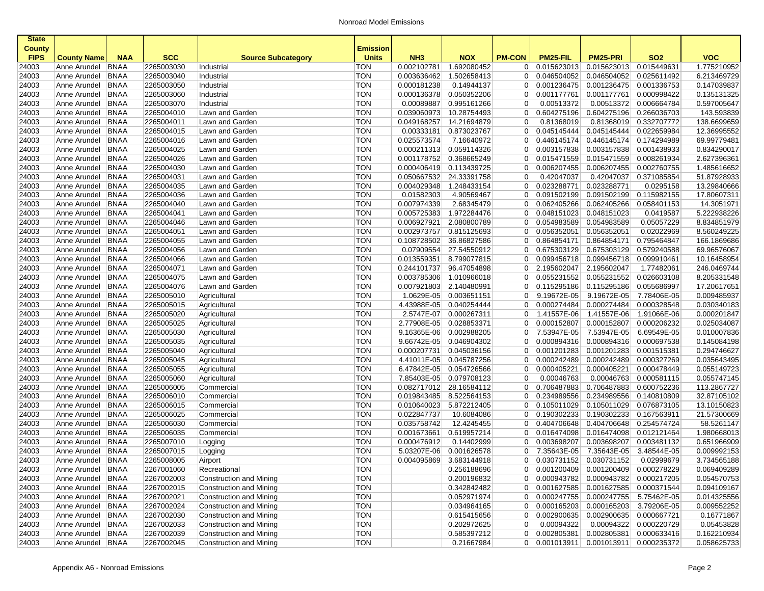| <b>State</b>   |                              |                            |                          |                                         |                          |                            |                            |                                  |                                         |                            |                            |                            |
|----------------|------------------------------|----------------------------|--------------------------|-----------------------------------------|--------------------------|----------------------------|----------------------------|----------------------------------|-----------------------------------------|----------------------------|----------------------------|----------------------------|
| <b>County</b>  |                              |                            |                          |                                         | <b>Emission</b>          |                            |                            |                                  |                                         |                            |                            |                            |
| <b>FIPS</b>    | <b>County Name</b>           | <b>NAA</b>                 | <b>SCC</b>               | <b>Source Subcategory</b>               | <b>Units</b>             | NH <sub>3</sub>            | <b>NOX</b>                 | <b>PM-CON</b>                    | PM25-FIL                                | <b>PM25-PRI</b>            | <b>SO2</b>                 | <b>VOC</b>                 |
| 24003          | Anne Arundel                 | <b>BNAA</b>                | 2265003030               | Industrial                              | TON                      | 0.002102781                | 1.692080452                | $\overline{0}$                   | 0.015623013                             | 0.015623013                | 0.015449631                | 1.775210952                |
| 24003          | Anne Arundel                 | <b>BNAA</b>                | 2265003040               | Industrial                              | <b>TON</b>               | 0.003636462                | 1.502658413                | $\overline{0}$                   | 0.046504052                             | 0.046504052                | 0.025611492                | 6.213469729                |
| 24003          | Anne Arundel                 | <b>BNAA</b>                | 2265003050               | Industrial                              | <b>TON</b>               | 0.000181238                | 0.14944137                 | $\overline{0}$                   | 0.001236475                             | 0.001236475                | 0.001336753                | 0.147039837                |
| 24003          | Anne Arundel                 | <b>BNAA</b>                | 2265003060               | Industrial                              | <b>TON</b>               | 0.000136378                | 0.050352206                | $\overline{0}$                   | 0.001177761                             | 0.001177761                | 0.000998422                | 0.135131325                |
| 24003          | Anne Arundel                 | <b>BNAA</b>                | 2265003070               | Industrial                              | <b>TON</b>               | 0.00089887                 | 0.995161266                | $\overline{0}$                   | 0.00513372                              | 0.00513372                 | 0.006664784                | 0.597005647                |
| 24003          | Anne Arundel                 | <b>BNAA</b>                | 2265004010               | Lawn and Garden                         | <b>TON</b>               | 0.039060973                | 10.28754493                | 0                                | 0.604275196                             | 0.604275196                | 0.266036703                | 143.593839                 |
| 24003          | Anne Arundel                 | <b>BNAA</b>                | 2265004011<br>2265004015 | Lawn and Garden                         | <b>TON</b><br><b>TON</b> | 0.049168257                | 14.21694879<br>0.873023767 | $\overline{0}$                   | 0.81368019                              | 0.81368019                 | 0.332707772<br>0.022659984 | 138.6699659                |
| 24003          | Anne Arundel                 | BNAA                       |                          | Lawn and Garden                         |                          | 0.00333181                 |                            | $\overline{0}$                   | 0.045145444                             | 0.045145444                |                            | 12.36995552                |
| 24003          | Anne Arundel                 | <b>BNAA</b><br><b>BNAA</b> | 2265004016<br>2265004025 | Lawn and Garden                         | <b>TON</b><br><b>TON</b> | 0.025573574                | 7.16640972                 | 0 <sup>1</sup>                   | 0.446145174                             | 0.446145174<br>0.003157838 | 0.174294989                | 69.99779481<br>0.834290017 |
| 24003          | Anne Arundel                 | <b>BNAA</b>                | 2265004026               | Lawn and Garden                         | <b>TON</b>               | 0.000211313<br>0.001178752 | 0.059114326<br>0.368665249 | 0<br>$\overline{0}$              | 0.003157838<br>0.015471559              | 0.015471559                | 0.001438933<br>0.008261934 | 2.627396361                |
| 24003          | Anne Arundel                 |                            | 2265004030               | Lawn and Garden                         | <b>TON</b>               |                            |                            | 0                                |                                         | 0.006207455                |                            |                            |
| 24003          | Anne Arundel                 | <b>BNAA</b>                | 2265004031               | Lawn and Garden                         | <b>TON</b>               | 0.000406419<br>0.050667532 | 0.113439725<br>24.33391758 |                                  | 0.006207455<br>0.42047037               | 0.42047037                 | 0.002760755<br>0.371085854 | 1.485616652<br>51.87928933 |
| 24003          | Anne Arundel                 | <b>BNAA</b>                | 2265004035               | Lawn and Garden                         | <b>TON</b>               |                            |                            | $\overline{0}$<br> 0             |                                         | 0.023288771                |                            | 13.29840666                |
| 24003          | Anne Arundel                 | <b>BNAA</b>                | 2265004036               | Lawn and Garden                         | <b>TON</b>               | 0.004029348<br>0.01582303  | 1.248433154<br>4.90569467  | $\overline{0}$                   | 0.023288771<br>0.091502199              | 0.091502199                | 0.0295158<br>0.115982155   | 17.80607311                |
| 24003          | Anne Arundel                 | <b>BNAA</b>                |                          | Lawn and Garden                         |                          |                            |                            |                                  |                                         |                            |                            |                            |
| 24003          | Anne Arundel                 | <b>BNAA</b>                | 2265004040               | Lawn and Garden                         | <b>TON</b>               | 0.007974339                | 2.68345479                 | $\overline{0}$                   | 0.062405266                             | 0.062405266                | 0.058401153                | 14.3051971                 |
| 24003          | Anne Arundel                 | <b>BNAA</b>                | 2265004041               | Lawn and Garden                         | <b>TON</b>               | 0.005725383                | 1.972284476                | 0                                | 0.048151023                             | 0.048151023                | 0.0419587                  | 5.222938226                |
| 24003          | Anne Arundel                 | <b>BNAA</b>                | 2265004046               | Lawn and Garden                         | <b>TON</b><br><b>TON</b> | 0.006927921                | 2.080800789                | $\overline{0}$                   | 0.054983589                             | 0.054983589                | 0.05057229                 | 8.834851979<br>8.560249225 |
| 24003          | Anne Arundel                 | <b>BNAA</b>                | 2265004051               | Lawn and Garden                         |                          | 0.002973757<br>0.108728502 | 0.815125693                | 0                                | 0.056352051<br>0.864854171              | 0.056352051                | 0.02022969                 |                            |
| 24003          | Anne Arundel                 | <b>BNAA</b>                | 2265004055               | Lawn and Garden                         | <b>TON</b>               |                            | 36.86827586                | $\overline{0}$                   |                                         | 0.864854171                | 0.795464847<br>0.579240588 | 166.1869686                |
| 24003          | Anne Arundel                 | <b>BNAA</b>                | 2265004056<br>2265004066 | Lawn and Garden                         | <b>TON</b><br><b>TON</b> | 0.07909554<br>0.013559351  | 27.54550912<br>8.799077815 | $\overline{0}$                   | 0.675303129                             | 0.675303129<br>0.099456718 |                            | 69.96576067<br>10.16458954 |
| 24003          | Anne Arundel                 | <b>BNAA</b>                | 2265004071               | Lawn and Garden<br>Lawn and Garden      | <b>TON</b>               | 0.244101737                |                            | $\overline{0}$<br>0 <sup>1</sup> | 0.099456718<br>2.195602047              | 2.195602047                | 0.099910461                | 246.0469744                |
| 24003          | Anne Arundel<br>Anne Arundel | <b>BNAA</b>                | 2265004075               |                                         | <b>TON</b>               |                            | 96.47054898<br>1.010966018 |                                  | 0.055231552                             | 0.055231552                | 1.77482061                 |                            |
| 24003          | Anne Arundel                 | <b>BNAA</b><br>BNAA        |                          | Lawn and Garden                         | <b>TON</b>               | 0.003785306                |                            | $\overline{0}$                   | 0.115295186                             |                            | 0.026603108                | 8.205331548<br>17.20617651 |
| 24003          |                              | <b>BNAA</b>                | 2265004076<br>2265005010 | Lawn and Garden<br>Agricultural         | <b>TON</b>               | 0.007921803<br>1.0629E-05  | 2.140480991<br>0.003651151 | 0 <br>$\overline{0}$             | 9.19672E-05                             | 0.115295186<br>9.19672E-05 | 0.055686997<br>7.78406E-05 | 0.009485937                |
| 24003          | Anne Arundel<br>Anne Arundel |                            | 2265005015               |                                         | <b>TON</b>               | 4.43988E-05                | 0.040254444                |                                  | 0.000274484                             | 0.000274484                | 0.000328548                | 0.030340183                |
| 24003          |                              | <b>BNAA</b>                | 2265005020               | Agricultural                            | <b>TON</b>               | 2.5747E-07                 | 0.000267311                | $\overline{0}$<br>0 <sup>1</sup> | 1.41557E-06                             | 1.41557E-06                |                            | 0.000201847                |
| 24003<br>24003 | Anne Arundel<br>Anne Arundel | <b>BNAA</b><br><b>BNAA</b> | 2265005025               | Agricultural<br>Agricultural            | <b>TON</b>               | 2.77908E-05                | 0.028853371                | 0                                | 0.000152807                             | 0.000152807                | 1.91066E-06<br>0.000206232 | 0.025034087                |
| 24003          | Anne Arundel                 | <b>BNAA</b>                | 2265005030               | Agricultural                            | <b>TON</b>               | 9.16365E-06                | 0.002988205                | $\overline{0}$                   | 7.53947E-05                             | 7.53947E-05                | 6.69549E-05                | 0.010007836                |
| 24003          | Anne Arundel                 | <b>BNAA</b>                | 2265005035               | Agricultural                            | <b>TON</b>               | 9.66742E-05                | 0.046904302                | $\overline{0}$                   | 0.000894316                             | 0.000894316                | 0.000697538                | 0.145084198                |
| 24003          | Anne Arundel                 | BNAA                       | 2265005040               | Agricultural                            | <b>TON</b>               | 0.000207731                | 0.045036156                | $\overline{0}$                   | 0.001201283                             | 0.001201283                | 0.001515381                | 0.294746627                |
| 24003          | Anne Arundel                 | <b>BNAA</b>                | 2265005045               | Agricultural                            | <b>TON</b>               | 4.41011E-05                | 0.045787256                | $\overline{0}$                   | 0.000242489                             | 0.000242489                | 0.000327269                | 0.035643495                |
| 24003          |                              | <b>BNAA</b>                | 2265005055               | Agricultural                            | <b>TON</b>               | 6.47842E-05                | 0.054726566                | 0                                | 0.000405221                             | 0.000405221                | 0.000478449                | 0.055149723                |
| 24003          | Anne Arundel<br>Anne Arundel | <b>BNAA</b>                | 2265005060               | Agricultural                            | <b>TON</b>               | 7.85403E-05                | 0.079708123                | $\overline{0}$                   | 0.00046763                              | 0.00046763                 | 0.000581115                | 0.055747145                |
| 24003          | Anne Arundel                 | <b>BNAA</b>                | 2265006005               | Commercial                              | <b>TON</b>               | 0.082717012                | 28.16584112                | 0                                | 0.706487883                             | 0.706487883                | 0.600752236                | 113.2867727                |
| 24003          | Anne Arundel                 | <b>BNAA</b>                | 2265006010               | Commercial                              | <b>TON</b>               | 0.019843485                | 8.522564153                | $\overline{0}$                   | 0.234989556                             | 0.234989556                | 0.140810809                | 32.87105102                |
| 24003          | Anne Arundel                 | BNAA                       | 2265006015               | Commercial                              | <b>TON</b>               | 0.010640023                | 5.872212405                | 0                                | 0.105011029                             | 0.105011029                | 0.076873105                | 13.10150823                |
| 24003          | Anne Arundel                 | BNAA                       | 2265006025               | Commercial                              | <b>TON</b>               | 0.022847737                | 10.6084086                 | $\overline{0}$                   | 0.190302233                             | 0.190302233                | 0.167563911                | 21.57300669                |
| 24003          | Anne Arundel                 | <b>BNAA</b>                | 2265006030               | Commercial                              | <b>TON</b>               | 0.035758742                | 12.4245455                 | 0 <sup>1</sup>                   | 0.404706648                             | 0.404706648                | 0.254574724                | 58.5261147                 |
| 24003          | Anne Arundel                 | <b>BNAA</b>                | 2265006035               | Commercial                              | <b>TON</b>               | 0.001673661                | 0.619957214                | $\overline{0}$                   | 0.016474098                             | 0.016474098                | 0.012121464                | 1.980668013                |
| 24003          | Anne Arundel                 | <b>BNAA</b>                | 2265007010               |                                         | <b>TON</b>               | 0.000476912                | 0.14402999                 | $\overline{0}$                   | 0.003698207                             | 0.003698207                | 0.003481132                | 0.651966909                |
| 24003          | Anne Arundel                 | <b>BNAA</b>                | 2265007015               | Logging                                 | <b>TON</b>               | 5.03207E-06                | 0.001626578                | 0 <sup>1</sup>                   | 7.35643E-05                             | 7.35643E-05                | 3.48544E-05                | 0.009992153                |
| 24003          | Anne Arundel                 | <b>BNAA</b>                | 2265008005               | Logging<br>Airport                      | <b>TON</b>               | 0.004095869                | 3.683144918                | 0 <sup>1</sup>                   | 0.030731152                             | 0.030731152                | 0.02999679                 | 3.734565188                |
| 24003          | Anne Arundel BNAA            |                            | 2267001060               |                                         | <b>TON</b>               |                            | 0.256188696                |                                  | $0$ 0.001200409                         | 0.001200409 0.000278229    |                            | 0.069409289                |
| 24003          | Anne Arundel BNAA            |                            | 2267002003               | Recreational<br>Construction and Mining | <b>TON</b>               |                            | 0.200196832                |                                  | 0 0.000943782                           |                            | 0.000943782 0.000217205    | 0.054570753                |
| 24003          | Anne Arundel   BNAA          |                            | 2267002015               | Construction and Mining                 | TON                      |                            | 0.342842482                |                                  | 0 0.001627585 0.001627585 0.000371544   |                            |                            | 0.094109167                |
| 24003          | Anne Arundel                 | BNAA                       | 2267002021               | Construction and Mining                 | <b>TON</b>               |                            | 0.052971974                |                                  | 0  0.000247755                          | 0.000247755                | 5.75462E-05                | 0.014325556                |
| 24003          | Anne Arundel                 | BNAA                       | 2267002024               | Construction and Mining                 | <b>TON</b>               |                            | 0.034964165                | 0                                | 0.000165203                             | 0.000165203                | 3.79206E-05                | 0.009552252                |
| 24003          | Anne Arundel   BNAA          |                            | 2267002030               | Construction and Mining                 | <b>TON</b>               |                            | 0.615415656                |                                  | $0$ 0.002900635                         |                            | 0.002900635 0.000667721    | 0.16771867                 |
| 24003          | Anne Arundel   BNAA          |                            | 2267002033               | Construction and Mining                 | <b>TON</b>               |                            | 0.202972625                | $\overline{0}$                   | 0.00094322                              | 0.00094322                 | 0.000220729                | 0.05453828                 |
| 24003          | Anne Arundel   BNAA          |                            | 2267002039               | Construction and Mining                 | TON                      |                            | 0.585397212                |                                  | $0$ 0.002805381                         | 0.002805381                | 0.000633416                | 0.162210934                |
| 24003          | Anne Arundel   BNAA          |                            | 2267002045               | Construction and Mining                 | <b>TON</b>               |                            | 0.21667984                 |                                  | $0$ 0.001013911 0.001013911 0.000235372 |                            |                            | 0.058625733                |
|                |                              |                            |                          |                                         |                          |                            |                            |                                  |                                         |                            |                            |                            |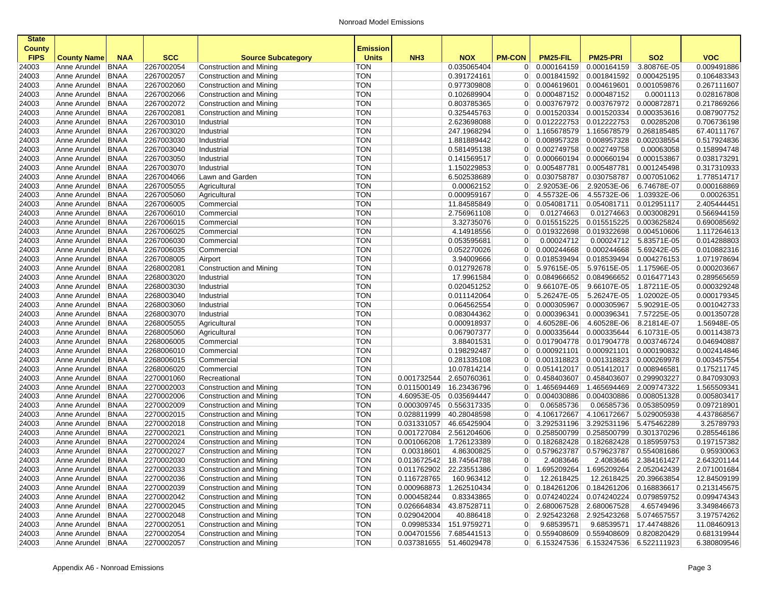| <b>State</b>   |                              |                            |                          |                                                    |                          |                 |                            |                                  |                                       |                            |                            |                            |
|----------------|------------------------------|----------------------------|--------------------------|----------------------------------------------------|--------------------------|-----------------|----------------------------|----------------------------------|---------------------------------------|----------------------------|----------------------------|----------------------------|
| <b>County</b>  |                              |                            |                          |                                                    | <b>Emission</b>          |                 |                            |                                  |                                       |                            |                            |                            |
| <b>FIPS</b>    | <b>County Name</b>           | <b>NAA</b>                 | <b>SCC</b>               | <b>Source Subcategory</b>                          | <b>Units</b>             | NH <sub>3</sub> | <b>NOX</b>                 | <b>PM-CON</b>                    | PM25-FIL                              | <b>PM25-PRI</b>            | <b>SO2</b>                 | <b>VOC</b>                 |
| 24003          | Anne Arundel                 | <b>BNAA</b>                | 2267002054               | Construction and Mining                            | <b>TON</b>               |                 | 0.035065404                | $\overline{0}$                   | 0.000164159                           | 0.000164159                | 3.80876E-05                | 0.009491886                |
| 24003<br>24003 | Anne Arundel                 | <b>BNAA</b><br><b>BNAA</b> | 2267002057<br>2267002060 | Construction and Mining<br>Construction and Mining | <b>TON</b><br><b>TON</b> |                 | 0.391724161<br>0.977309808 | $\overline{0}$<br>$\overline{0}$ | 0.001841592<br>0.004619601            | 0.001841592<br>0.004619601 | 0.000425195<br>0.001059876 | 0.106483343<br>0.267111607 |
| 24003          | Anne Arundel<br>Anne Arundel | <b>BNAA</b>                | 2267002066               | Construction and Mining                            | <b>TON</b>               |                 | 0.102689904                | $\overline{0}$                   | 0.000487152                           | 0.000487152                | 0.0001113                  | 0.028167808                |
| 24003          | Anne Arundel                 | <b>BNAA</b>                | 2267002072               | Construction and Mining                            | <b>TON</b>               |                 | 0.803785365                | $\overline{0}$                   | 0.003767972                           | 0.003767972                | 0.000872871                | 0.217869266                |
| 24003          | Anne Arundel                 | <b>BNAA</b>                | 2267002081               | Construction and Mining                            | <b>TON</b>               |                 | 0.325445763                | $\overline{0}$                   | 0.001520334                           | 0.001520334                | 0.000353616                | 0.087907752                |
| 24003          | Anne Arundel                 | <b>BNAA</b>                | 2267003010               | Industrial                                         | <b>TON</b>               |                 | 2.623698088                | $\overline{0}$                   | 0.012222753                           | 0.012222753                | 0.00285208                 | 0.706736198                |
| 24003          | Anne Arundel                 | <b>BNAA</b>                | 2267003020               | Industrial                                         | <b>TON</b>               |                 | 247.1968294                | 0                                | 1.165678579                           | 1.165678579                | 0.268185485                | 67.40111767                |
| 24003          | Anne Arundel                 | <b>BNAA</b>                | 2267003030               | Industrial                                         | <b>TON</b>               |                 | 1.881889442                | $\overline{0}$                   | 0.008957328                           | 0.008957328                | 0.002038554                | 0.517924836                |
| 24003          | Anne Arundel                 | <b>BNAA</b>                | 2267003040               | Industrial                                         | <b>TON</b>               |                 | 0.581495138                | 0                                | 0.002749758                           | 0.002749758                | 0.00063058                 | 0.158994748                |
| 24003          | Anne Arundel                 | <b>BNAA</b>                | 2267003050               | Industrial                                         | <b>TON</b>               |                 | 0.141569517                | $\overline{0}$                   | 0.000660194                           | 0.000660194                | 0.000153867                | 0.038173291                |
| 24003          | Anne Arundel                 | <b>BNAA</b>                | 2267003070               | Industrial                                         | <b>TON</b>               |                 | 1.150229853                | $\overline{0}$                   | 0.005487781                           | 0.005487781                | 0.001245498                | 0.317310933                |
| 24003          | Anne Arundel                 | <b>BNAA</b>                | 2267004066               | Lawn and Garden                                    | <b>TON</b>               |                 | 6.502538689                | $\overline{0}$                   | 0.030758787                           | 0.030758787                | 0.007051062                | 1.778514717                |
| 24003          | Anne Arundel                 | <b>BNAA</b>                | 2267005055               | Agricultural                                       | <b>TON</b>               |                 | 0.00062152                 | $\overline{0}$                   | 2.92053E-06                           | 2.92053E-06                | 6.74678E-07                | 0.000168869                |
| 24003          | Anne Arundel                 | <b>BNAA</b>                | 2267005060               | Agricultural                                       | <b>TON</b>               |                 | 0.000959167                | 0                                | 4.55732E-06                           | 4.55732E-06                | 1.03932E-06                | 0.00026351                 |
| 24003          | Anne Arundel                 | <b>BNAA</b>                | 2267006005               | Commercial                                         | <b>TON</b>               |                 | 11.84585849                | $\overline{0}$                   | 0.054081711                           | 0.054081711                | 0.012951117                | 2.405444451                |
| 24003          | Anne Arundel                 | <b>BNAA</b>                | 2267006010               | Commercial                                         | <b>TON</b>               |                 | 2.756961108                | 0                                | 0.01274663                            | 0.01274663                 | 0.003008291                | 0.566944159                |
| 24003          | Anne Arundel                 | <b>BNAA</b>                | 2267006015               | Commercial                                         | <b>TON</b>               |                 | 3.32735076                 | $\overline{0}$                   | 0.015515225                           | 0.015515225                | 0.003625824                | 0.690085692                |
| 24003          | Anne Arundel                 | <b>BNAA</b>                | 2267006025               | Commercial                                         | <b>TON</b>               |                 | 4.14918556                 | $\overline{0}$                   | 0.019322698                           | 0.019322698                | 0.004510606                | 1.117264613                |
| 24003          | Anne Arundel                 | <b>BNAA</b>                | 2267006030               | Commercial                                         | <b>TON</b>               |                 | 0.053595681                | 0                                | 0.00024712                            | 0.00024712                 | 5.83571E-05                | 0.014288803                |
| 24003          | Anne Arundel                 | <b>BNAA</b>                | 2267006035               | Commercial                                         | <b>TON</b>               |                 | 0.052270026                | $\overline{0}$                   | 0.000244668                           | 0.000244668                | 5.69242E-05                | 0.010882316                |
| 24003          | Anne Arundel                 | <b>BNAA</b>                | 2267008005               | Airport                                            | <b>TON</b>               |                 | 3.94009666                 | 0                                | 0.018539494                           | 0.018539494                | 0.004276153                | 1.071978694                |
| 24003          | Anne Arundel                 | <b>BNAA</b>                | 2268002081               | Construction and Mining                            | <b>TON</b>               |                 | 0.012792678                | $\overline{0}$                   | 5.97615E-05                           | 5.97615E-05                | 1.17596E-05                | 0.000203667                |
| 24003          | Anne Arundel                 | <b>BNAA</b>                | 2268003020               | Industrial                                         | <b>TON</b>               |                 | 17.9961584                 | 0                                | 0.084966652                           | 0.084966652                | 0.016477143                | 0.289565659                |
| 24003          | Anne Arundel                 | <b>BNAA</b>                | 2268003030               | Industrial                                         | <b>TON</b>               |                 | 0.020451252                | $\overline{0}$                   | 9.66107E-05                           | 9.66107E-05                | 1.87211E-05                | 0.000329248                |
| 24003          | Anne Arundel                 | <b>BNAA</b>                | 2268003040               | Industrial                                         | <b>TON</b>               |                 | 0.011142064                | $\overline{0}$                   | 5.26247E-05                           | 5.26247E-05                | 1.02002E-05                | 0.000179345                |
| 24003          | Anne Arundel                 | BNAA                       | 2268003060               | Industrial                                         | <b>TON</b>               |                 | 0.064562554                | $\overline{0}$                   | 0.000305967                           | 0.000305967                | 5.90291E-05                | 0.001042733                |
| 24003          | Anne Arundel                 | <b>BNAA</b>                | 2268003070               | Industrial                                         | <b>TON</b>               |                 | 0.083044362                | $\overline{0}$                   | 0.000396341                           | 0.000396341                | 7.57225E-05                | 0.001350728                |
| 24003          | Anne Arundel                 | <b>BNAA</b>                | 2268005055               | Agricultural                                       | <b>TON</b>               |                 | 0.000918937                | 0                                | 4.60528E-06                           | 4.60528E-06                | 8.21814E-07                | 1.56948E-05                |
| 24003          | Anne Arundel                 | <b>BNAA</b>                | 2268005060               | Agricultural                                       | <b>TON</b>               |                 | 0.067907377                | $\overline{0}$                   | 0.000335644                           | 0.000335644                | 6.10731E-05                | 0.001143873                |
| 24003          | Anne Arundel                 | <b>BNAA</b>                | 2268006005               | Commercial                                         | <b>TON</b>               |                 | 3.88401531                 | $\overline{0}$                   | 0.017904778                           | 0.017904778                | 0.003746724                | 0.046940887                |
| 24003          | Anne Arundel                 | <b>BNAA</b>                | 2268006010               | Commercial                                         | <b>TON</b>               |                 | 0.198292487                | $\overline{0}$                   | 0.000921101                           | 0.000921101                | 0.000190832                | 0.002414846                |
| 24003          | Anne Arundel                 | <b>BNAA</b>                | 2268006015               | Commercial                                         | <b>TON</b>               |                 | 0.281335108                | $\overline{0}$                   | 0.001318823                           | 0.001318823                | 0.000269978                | 0.003457554                |
| 24003          | Anne Arundel                 | <b>BNAA</b>                | 2268006020               | Commercial                                         | <b>TON</b>               |                 | 10.07814214                | $\overline{0}$                   | 0.051412017                           | 0.051412017                | 0.008946581                | 0.175211745                |
| 24003          | Anne Arundel                 | <b>BNAA</b>                | 2270001060               | Recreational                                       | <b>TON</b>               | 0.001732544     | 2.650760361                | $\overline{0}$                   | 0.458403607                           | 0.458403607                | 0.299903227                | 0.847093093                |
| 24003          | Anne Arundel                 | <b>BNAA</b>                | 2270002003               | Construction and Mining                            | <b>TON</b>               | 0.011500149     | 16.23436796                | $\overline{0}$                   | 1.465694469                           | 1.465694469                | 2.009747322                | 1.565509341                |
| 24003          | Anne Arundel                 | <b>BNAA</b>                | 2270002006               | Construction and Mining                            | <b>TON</b>               | 4.60953E-05     | 0.035694447                | $\overline{0}$                   | 0.004030886                           | 0.004030886                | 0.008051328                | 0.005803417                |
| 24003          | Anne Arundel                 | <b>BNAA</b>                | 2270002009               | Construction and Mining                            | <b>TON</b>               | 0.000309745     | 0.556317335                | 0                                | 0.06585736                            | 0.06585736                 | 0.053850959                | 0.097218901                |
| 24003          | Anne Arundel                 | <b>BNAA</b>                | 2270002015               | Construction and Mining                            | <b>TON</b>               | 0.028811999     | 40.28048598                | $\overline{0}$                   | 4.106172667                           | 4.106172667                | 5.029005938                | 4.437868567                |
| 24003          | Anne Arundel                 | <b>BNAA</b>                | 2270002018               | Construction and Mining                            | <b>TON</b>               | 0.031331057     | 46.65425904                | $\overline{0}$                   | 3.292531196                           | 3.292531196                | 5.475462289                | 3.25789793                 |
| 24003          | Anne Arundel                 | <b>BNAA</b>                | 2270002021               | Construction and Mining                            | <b>TON</b>               | 0.001727084     | 2.561204606                | 0                                | 0.258500799                           | 0.258500799                | 0.301370296                | 0.285546186                |
| 24003          | Anne Arundel                 | <b>BNAA</b>                | 2270002024               | Construction and Mining                            | <b>TON</b>               | 0.001066208     | 1.726123389                | $\overline{0}$                   | 0.182682428                           | 0.182682428                | 0.185959753                | 0.197157382                |
| 24003          | Anne Arundel                 | <b>BNAA</b>                | 2270002027               | Construction and Mining                            | <b>TON</b>               | 0.00318601      | 4.86300825                 | 0                                | 0.579623787                           | 0.579623787                | 0.554081686                | 0.95930063                 |
| 24003          | Anne Arundel                 | <b>BNAA</b>                | 2270002030               | Construction and Mining                            | <b>TON</b>               | 0.013672542     | 18.74564788                | 0                                | 2.4083646                             |                            | 2.4083646 2.384161427      | 2.643201144                |
| 24003          | Anne Arundel                 | BNAA                       | 2270002033               | Construction and Mining                            | <b>TON</b>               | 0.011762902     | 22.23551386                | 0 <sup>1</sup>                   | 1.695209264                           | 1.695209264 2.052042439    |                            | 2.071001684                |
| 24003          | Anne Arundel BNAA            |                            | 2270002036               | Construction and Mining                            | <b>TON</b>               | 0.116728765     | 160.963412                 | $\overline{0}$                   | 12.2618425                            |                            | 12.2618425 20.39663854     | 12.84509199                |
| 24003          | Anne Arundel   BNAA          |                            | 2270002039               | Construction and Mining                            | <b>TON</b>               | 0.000968873     | 1.262510434                | 0 <sup>1</sup>                   | 0.184261206                           | 0.184261206 0.168836617    |                            | 0.213145675                |
| 24003          | Anne Arundel BNAA            |                            | 2270002042               | Construction and Mining                            | <b>TON</b>               | 0.000458244     | 0.83343865                 | 0 <sup>1</sup>                   | 0.074240224                           | 0.074240224                | 0.079859752                | 0.099474343                |
| 24003          | Anne Arundel                 | <b>BNAA</b>                | 2270002045               | Construction and Mining                            | <b>TON</b>               | 0.026664834     | 43.87528711                | 0 <sup>1</sup>                   | 2.680067528                           | 2.680067528                | 4.65749496                 | 3.349846673                |
| 24003          | Anne Arundel                 | BNAA                       | 2270002048               | Construction and Mining                            | <b>TON</b>               | 0.029042004     | 40.886418                  | 0                                | 2.925423268                           | 2.925423268                | 5.074657557                | 3.197574262                |
| 24003          | Anne Arundel                 | <b>BNAA</b>                | 2270002051               | Construction and Mining                            | <b>TON</b>               | 0.09985334      | 151.9759271                | 0                                | 9.68539571                            | 9.68539571                 | 17.44748826                | 11.08460913                |
| 24003          | Anne Arundel   BNAA          |                            | 2270002054               | Construction and Mining                            | <b>TON</b>               | 0.004701556     | 7.685441513                | 0                                | 0.559408609                           | 0.559408609 0.820820429    |                            | 0.681319944                |
| 24003          | Anne Arundel BNAA            |                            | 2270002057               | Construction and Mining                            | <b>TON</b>               |                 | 0.037381655 51.46029478    |                                  | 0 6.153247536 6.153247536 6.522111923 |                            |                            | 6.380809546                |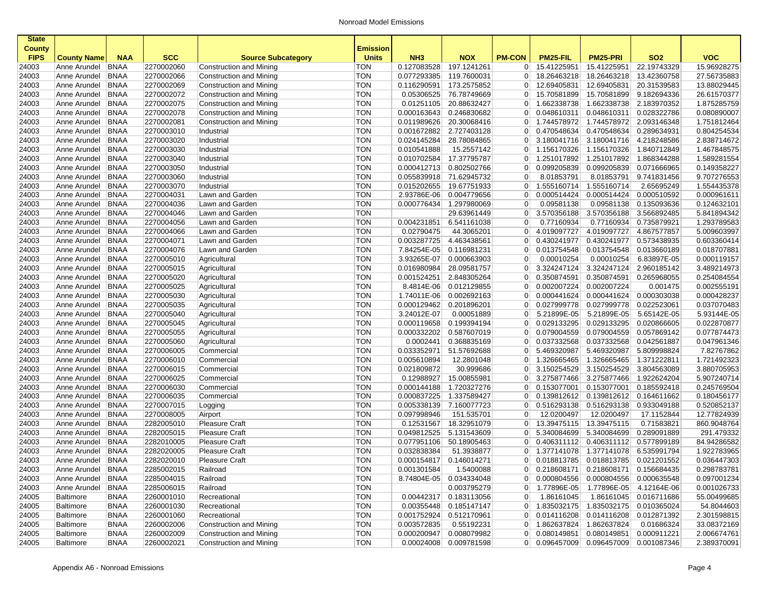| <b>State</b>                 |                     |             |            |                           |                                 |                 |                         |                |                 |                                       |                        |             |
|------------------------------|---------------------|-------------|------------|---------------------------|---------------------------------|-----------------|-------------------------|----------------|-----------------|---------------------------------------|------------------------|-------------|
| <b>County</b><br><b>FIPS</b> | <b>County Name</b>  | <b>NAA</b>  | <b>SCC</b> | <b>Source Subcategory</b> | <b>Emission</b><br><b>Units</b> | NH <sub>3</sub> | <b>NOX</b>              | <b>PM-CON</b>  | PM25-FIL        | <b>PM25-PRI</b>                       | <b>SO2</b>             | <b>VOC</b>  |
| 24003                        | Anne Arundel        | <b>BNAA</b> | 2270002060 | Construction and Mining   | TON                             | 0.127083528     | 197.1241261             | 0              | 15.41225951     | 15.41225951                           | 22.19743329            | 15.96928275 |
| 24003                        | Anne Arundel        | <b>BNAA</b> | 2270002066 | Construction and Mining   | <b>TON</b>                      | 0.077293385     | 119.7600031             | $\overline{0}$ | 18.26463218     | 18.26463218                           | 13.42360758            | 27.56735883 |
| 24003                        | Anne Arundel        | <b>BNAA</b> | 2270002069 | Construction and Mining   | <b>TON</b>                      | 0.116290591     | 173.2575852             | $\overline{0}$ | 12.69405831     | 12.69405831                           | 20.31539583            | 13.88029445 |
| 24003                        | Anne Arundel        | <b>BNAA</b> | 2270002072 | Construction and Mining   | <b>TON</b>                      | 0.05306525      | 76.78749669             | 0 <sup>1</sup> | 15.70581899     | 15.70581899                           | 9.182694336            | 26.61570377 |
| 24003                        | Anne Arundel        | <b>BNAA</b> | 2270002075 | Construction and Mining   | <b>TON</b>                      | 0.01251105      | 20.88632427             | $\overline{0}$ | 1.662338738     | 1.662338738                           | 2.183970352            | 1.875285759 |
| 24003                        | Anne Arundel        | <b>BNAA</b> | 2270002078 | Construction and Mining   | <b>TON</b>                      | 0.000163643     | 0.246830682             | $\overline{0}$ | 0.048610311     | 0.048610311                           | 0.028322786            | 0.080890007 |
| 24003                        | Anne Arundel        | <b>BNAA</b> | 2270002081 | Construction and Mining   | <b>TON</b>                      | 0.011989626     | 20.30068416             | 0 <sup>1</sup> | 1.744578972     | 1.744578972                           | 2.093146348            | 1.751812464 |
| 24003                        | Anne Arundel        | <b>BNAA</b> | 2270003010 | Industrial                | <b>TON</b>                      | 0.001672882     | 2.727403128             | $\overline{0}$ | 0.470548634     | 0.470548634                           | 0.289634931            | 0.804254534 |
| 24003                        | Anne Arundel        | <b>BNAA</b> | 2270003020 | Industrial                | <b>TON</b>                      | 0.024145284     | 28.78084865             | 0 <sup>1</sup> | 3.180041716     | 3.180041716                           | 4.218248586            | 2.838714672 |
| 24003                        | Anne Arundel        | <b>BNAA</b> | 2270003030 | Industrial                | <b>TON</b>                      | 0.010541888     | 15.2557142              | 0 <sup>1</sup> | 1.156170326     | 1.156170326                           | 1.840712849            | 1.467848575 |
| 24003                        | Anne Arundel        | <b>BNAA</b> | 2270003040 | Industrial                | <b>TON</b>                      | 0.010702584     | 17.37795787             | 0 <sup>1</sup> | 1.251017892     | 1.251017892                           | 1.868344288            | 1.589281554 |
| 24003                        | Anne Arundel        | <b>BNAA</b> | 2270003050 | Industrial                | <b>TON</b>                      | 0.000412713     | 0.802502766             | 0              | 0.099205839     | 0.099205839                           | 0.071666965            | 0.149358227 |
| 24003                        | Anne Arundel        | <b>BNAA</b> | 2270003060 | Industrial                | <b>TON</b>                      | 0.055839918     | 71.62945732             | $\overline{0}$ | 8.01853791      | 8.01853791                            | 9.741831456            | 9.707276553 |
| 24003                        | Anne Arundel        | <b>BNAA</b> | 2270003070 | Industrial                | <b>TON</b>                      | 0.015202655     | 19.67751933             | $\overline{0}$ | 1.555160714     | 1.555160714                           | 2.65695249             | 1.554435378 |
| 24003                        | Anne Arundel        | <b>BNAA</b> | 2270004031 | Lawn and Garden           | <b>TON</b>                      | 2.93786E-06     | 0.004779656             | $\overline{0}$ | 0.000514424     | 0.000514424                           | 0.000510592            | 0.000961611 |
| 24003                        | Anne Arundel        | <b>BNAA</b> | 2270004036 | Lawn and Garden           | <b>TON</b>                      | 0.000776434     | 1.297980069             | $\overline{0}$ | 0.09581138      | 0.09581138                            | 0.135093636            | 0.124632101 |
| 24003                        | Anne Arundel        | <b>BNAA</b> | 2270004046 | Lawn and Garden           | <b>TON</b>                      |                 | 29.63961449             | $\overline{0}$ | 3.570356188     | 3.570356188                           | 3.566892485            | 5.841894342 |
| 24003                        | Anne Arundel        | <b>BNAA</b> | 2270004056 | Lawn and Garden           | <b>TON</b>                      | 0.004231851     | 6.541161038             | $\overline{0}$ | 0.77160934      | 0.77160934                            | 0.735879921            | 1.293789583 |
| 24003                        | Anne Arundel        | <b>BNAA</b> | 2270004066 | Lawn and Garden           | <b>TON</b>                      | 0.02790475      | 44.3065201              | 0              | 4.019097727     | 4.019097727                           | 4.867577857            | 5.009603997 |
| 24003                        | Anne Arundel        | BNAA        | 2270004071 | Lawn and Garden           | <b>TON</b>                      | 0.003287725     | 4.463438561             | $\overline{0}$ | 0.430241977     | 0.430241977                           | 0.573438935            | 0.603360414 |
| 24003                        | Anne Arundel        | <b>BNAA</b> | 2270004076 | Lawn and Garden           | <b>TON</b>                      | 7.84254E-05     | 0.116981231             | $\overline{0}$ | 0.013754548     | 0.013754548                           | 0.013660189            | 0.018707881 |
| 24003                        | Anne Arundel        | <b>BNAA</b> | 2270005010 | Agricultural              | <b>TON</b>                      | 3.93265E-07     | 0.000663903             | $\overline{0}$ | 0.00010254      | 0.00010254                            | 6.83897E-05            | 0.000119157 |
| 24003                        | Anne Arundel        | <b>BNAA</b> | 2270005015 | Agricultural              | <b>TON</b>                      | 0.016980984     | 28.09581757             | $\overline{0}$ | 3.324247124     | 3.324247124                           | 2.960185142            | 3.489214973 |
| 24003                        | Anne Arundel        | <b>BNAA</b> | 2270005020 | Agricultural              | <b>TON</b>                      | 0.001524251     | 2.848305264             | 0              | 0.350874591     | 0.350874591                           | 0.265968055            | 0.254084554 |
| 24003                        | Anne Arundel        | <b>BNAA</b> | 2270005025 | Agricultural              | <b>TON</b>                      | 8.4814E-06      | 0.012129855             | $\overline{0}$ | 0.002007224     | 0.002007224                           | 0.001475               | 0.002555191 |
| 24003                        | Anne Arundel        | BNAA        | 2270005030 | Agricultural              | <b>TON</b>                      | 1.74011E-06     | 0.002692163             | $\overline{0}$ | 0.000441624     | 0.000441624                           | 0.000303038            | 0.000428237 |
| 24003                        | Anne Arundel        | <b>BNAA</b> | 2270005035 | Agricultural              | <b>TON</b>                      | 0.000129462     | 0.201896201             | 0              | 0.027999778     | 0.027999778                           | 0.022523061            | 0.037070483 |
| 24003                        | Anne Arundel        | BNAA        | 2270005040 | Agricultural              | <b>TON</b>                      | 3.24012E-07     | 0.00051889              | $\overline{0}$ | 5.21899E-05     | 5.21899E-05                           | 5.65142E-05            | 5.93144E-05 |
| 24003                        | Anne Arundel        | <b>BNAA</b> | 2270005045 | Agricultural              | <b>TON</b>                      | 0.000119658     | 0.199394194             | $\overline{0}$ | 0.029133295     | 0.029133295                           | 0.020866605            | 0.022870877 |
| 24003                        | Anne Arundel        | <b>BNAA</b> | 2270005055 | Agricultural              | <b>TON</b>                      | 0.000332202     | 0.587607019             | 0 <sup>1</sup> | 0.079004559     | 0.079004559                           | 0.057869142            | 0.077874473 |
| 24003                        | Anne Arundel        | <b>BNAA</b> | 2270005060 | Agricultural              | <b>TON</b>                      | 0.0002441       | 0.368835169             | $\overline{0}$ | 0.037332568     | 0.037332568                           | 0.042561887            | 0.047961346 |
| 24003                        | Anne Arundel        | <b>BNAA</b> | 2270006005 | Commercial                | <b>TON</b>                      | 0.033352971     | 51.57692688             | $\overline{0}$ | 5.469320987     | 5.469320987                           | 5.809998824            | 7.82767862  |
| 24003                        | Anne Arundel        | <b>BNAA</b> | 2270006010 | Commercial                | <b>TON</b>                      | 0.005610894     | 12.2801048              | 0 <sup>1</sup> | 1.326665465     | 1.326665465                           | 1.371222811            | 1.721492323 |
| 24003                        | Anne Arundel        | <b>BNAA</b> | 2270006015 | Commercial                | <b>TON</b>                      | 0.021809872     | 30.999686               | $\overline{0}$ | 3.150254529     | 3.150254529                           | 3.804563089            | 3.880705953 |
| 24003                        | Anne Arundel        | <b>BNAA</b> | 2270006025 | Commercial                | <b>TON</b>                      | 0.12988927      | 15.00855981             | 0 <sup>1</sup> | 3.275877466     | 3.275877466                           | 1.922624204            | 5.907240714 |
| 24003                        | Anne Arundel        | <b>BNAA</b> | 2270006030 | Commercial                | <b>TON</b>                      | 0.000144188     | 1.720327276             | 0              | 0.153077001     | 0.153077001                           | 0.185592418            | 0.245769504 |
| 24003                        | Anne Arundel        | <b>BNAA</b> | 2270006035 | Commercial                | <b>TON</b>                      | 0.000837225     | 1.337589427             | 0              | 0.139812612     | 0.139812612                           | 0.164611662            | 0.180456177 |
| 24003                        | Anne Arundel        | <b>BNAA</b> | 2270007015 | Logging                   | <b>TON</b>                      | 0.005338139     | 7.160077723             | 0              | 0.516293138     | 0.516293138                           | 0.933049188            | 0.520852137 |
| 24003                        | Anne Arundel        | BNAA        | 2270008005 | Airport                   | <b>TON</b>                      | 0.097998946     | 151.535701              | $\overline{0}$ | 12.0200497      | 12.0200497                            | 17.1152844             | 12.77824939 |
| 24003                        | Anne Arundel        | <b>BNAA</b> | 2282005010 | <b>Pleasure Craft</b>     | TON                             | 0.12531567      | 18.32951079             | $\overline{0}$ | 13.39475115     | 13.39475115                           | 0.71583821             | 860.9048764 |
| 24003                        | Anne Arundel        | <b>BNAA</b> | 2282005015 | <b>Pleasure Craft</b>     | <b>TON</b>                      | 0.049812525     | 5.131543609             | $\overline{0}$ | 5.340084699     | 5.340084699                           | 0.289091889            | 291.479332  |
| 24003                        | Anne Arundel        | <b>BNAA</b> | 2282010005 | Pleasure Craft            | <b>TON</b>                      | 0.077951106     | 50.18905463             | 0 <sup>1</sup> | 0.406311112     | 0.406311112                           | 0.577899189            | 84.94286582 |
| 24003                        | Anne Arundel        | BNAA        | 2282020005 | <b>Pleasure Craft</b>     | <b>TON</b>                      | 0.032838384     | 51.3938877              | 0 <sup>1</sup> | 1.377141078     | 1.377141078                           | 6.535991794            | 1.922783965 |
| 24003                        | Anne Arundel        | <b>BNAA</b> | 2282020010 | <b>Pleasure Craft</b>     | <b>TON</b>                      |                 | 0.000154817 0.146014271 | 0 <sup>1</sup> | 0.018813785     | 0.018813785                           | 0.021201552            | 0.036447303 |
| 24003                        | Anne Arundel   BNAA |             | 2285002015 | Railroad                  | TON                             | 0.001301584     | 1.5400088               |                |                 | 0 0.218608171 0.218608171 0.156684435 |                        | 0.298783781 |
| 24003                        | Anne Arundel        | BNAA        | 2285004015 | Railroad                  | TON                             |                 | 8.74804E-05 0.034334048 |                | 0 0.000804556   | 0.000804556 0.000635548               |                        | 0.097001234 |
| 24003                        | Anne Arundel        | BNAA        | 2285006015 |                           | TON                             |                 | 0.003795279             |                | 0 1.77896E-05   | 1.77896E-05                           | 4.12164E-06            | 0.001026733 |
| 24005                        | Baltimore           | <b>BNAA</b> | 2260001010 | Railroad<br>Recreational  | <b>TON</b>                      |                 | 0.00442317 0.183113056  | 0              | 1.86161045      |                                       | 1.86161045 0.016711686 | 55.00499685 |
|                              |                     |             |            |                           | <b>TON</b>                      |                 | 0.00355448 0.185147147  |                | $0$ 1.835032175 | 1.835032175                           | 0.010365024            | 54.8044603  |
| 24005                        | Baltimore           | <b>BNAA</b> | 2260001030 | Recreational              | <b>TON</b>                      |                 | 0.001752924 0.512170961 |                |                 | 0.014116208                           |                        |             |
| 24005                        | <b>Baltimore</b>    | <b>BNAA</b> | 2260001060 | Recreational              |                                 |                 |                         |                | $0$ 0.014116208 |                                       | 0.012871392            | 2.301598815 |
| 24005                        | <b>Baltimore</b>    | <b>BNAA</b> | 2260002006 | Construction and Mining   | <b>TON</b>                      | 0.003572835     | 0.55192231              |                | 0 1.862637824   | 1.862637824                           | 0.01686324             | 33.08372169 |
| 24005                        | Baltimore           | <b>BNAA</b> | 2260002009 | Construction and Mining   | <b>TON</b>                      |                 | 0.000200947 0.008079982 |                | 0 0.080149851   | 0.080149851                           | 0.000911221            | 2.006674761 |
| 24005                        | Baltimore           | <b>BNAA</b> | 2260002021 | Construction and Mining   | <b>TON</b>                      |                 | 0.00024008 0.009781598  |                |                 | 0 0.096457009 0.096457009 0.001087346 |                        | 2.389370091 |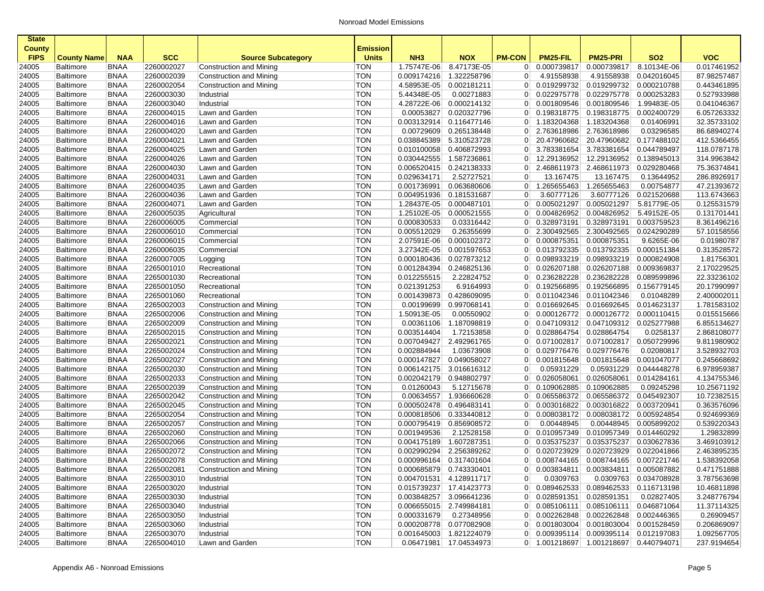| <b>State</b>         |                                      |                            |                          |                                                      |                            |                                |                                                    |                                 |                                         |                                     |                           |                            |
|----------------------|--------------------------------------|----------------------------|--------------------------|------------------------------------------------------|----------------------------|--------------------------------|----------------------------------------------------|---------------------------------|-----------------------------------------|-------------------------------------|---------------------------|----------------------------|
| <b>County</b>        |                                      |                            |                          |                                                      | <b>Emission</b>            |                                |                                                    |                                 |                                         |                                     |                           |                            |
| <b>FIPS</b><br>24005 | <b>County Name</b>                   | <b>NAA</b><br><b>BNAA</b>  | <b>SCC</b><br>2260002027 | <b>Source Subcategory</b><br>Construction and Mining | <b>Units</b><br><b>TON</b> | NH <sub>3</sub><br>1.75747E-06 | <b>NOX</b><br>8.47173E-05                          | <b>PM-CON</b><br>$\overline{0}$ | PM25-FIL<br>0.000739817                 | <b>PM25-PRI</b><br>0.000739817      | <b>SO2</b><br>8.10134E-06 | <b>VOC</b><br>0.017461952  |
| 24005                | <b>Baltimore</b>                     | <b>BNAA</b>                | 2260002039               | Construction and Mining                              | <b>TON</b>                 | 0.009174216                    | 1.322258796                                        | $\overline{0}$                  | 4.91558938                              | 4.91558938                          | 0.042016045               | 87.98257487                |
| 24005                | <b>Baltimore</b><br>Baltimore        | <b>BNAA</b>                | 2260002054               | Construction and Mining                              | <b>TON</b>                 | 4.58953E-05                    | 0.002181211                                        | $\overline{0}$                  | 0.019299732                             | 0.019299732                         | 0.000210788               | 0.443461895                |
| 24005                | <b>Baltimore</b>                     | <b>BNAA</b>                | 2260003030               | Industrial                                           | <b>TON</b>                 | 5.44348E-05                    | 0.00271883                                         | $\overline{0}$                  | 0.022975778                             | 0.022975778                         | 0.000253283               | 0.527933988                |
| 24005                | <b>Baltimore</b>                     | <b>BNAA</b>                | 2260003040               | Industrial                                           | <b>TON</b>                 | 4.28722E-06                    | 0.000214132                                        | $\overline{0}$                  | 0.001809546                             | 0.001809546                         | 1.99483E-05               | 0.041046367                |
| 24005                | <b>Baltimore</b>                     | <b>BNAA</b>                | 2260004015               | Lawn and Garden                                      | <b>TON</b>                 | 0.00053827                     | 0.020327796                                        | $\overline{0}$                  | 0.198318775                             | 0.198318775                         | 0.002400729               | 6.057263332                |
| 24005                | <b>Baltimore</b>                     | <b>BNAA</b>                | 2260004016               | Lawn and Garden                                      | <b>TON</b>                 | 0.003132914                    | 0.116477146                                        | 0                               | 1.183204368                             | 1.183204368                         | 0.01406991                | 32.35733102                |
| 24005                | <b>Baltimore</b>                     | <b>BNAA</b>                | 2260004020               | Lawn and Garden                                      | <b>TON</b>                 | 0.00729609                     | 0.265138448                                        | $\overline{0}$                  | 2.763618986                             | 2.763618986                         | 0.03296585                | 86.68940274                |
| 24005                | <b>Baltimore</b>                     | <b>BNAA</b>                | 2260004021               | Lawn and Garden                                      | <b>TON</b>                 | 0.038845389                    | 5.310523728                                        | $\overline{0}$                  | 20.47960682                             | 20.47960682                         | 0.177488102               | 412.5366455                |
| 24005                | <b>Baltimore</b>                     | <b>BNAA</b>                | 2260004025               | Lawn and Garden                                      | <b>TON</b>                 | 0.010100058                    | 0.406872993                                        | $\overline{0}$                  | 3.783381654                             | 3.783381654                         | 0.044789497               | 118.0787178                |
| 24005                | <b>Baltimore</b>                     | <b>BNAA</b>                | 2260004026               | Lawn and Garden                                      | <b>TON</b>                 | 0.030442555                    | 1.587236861                                        | $\overline{0}$                  | 12.29136952                             | 12.29136952                         | 0.138945013               | 314.9963842                |
| 24005                | <b>Baltimore</b>                     | <b>BNAA</b>                | 2260004030               | Lawn and Garden                                      | <b>TON</b>                 | 0.006520415                    | 0.242138333                                        | $\overline{0}$                  | 2.468611973                             | 2.468611973                         | 0.029280468               | 75.36374841                |
| 24005                | <b>Baltimore</b>                     | <b>BNAA</b>                | 2260004031               | Lawn and Garden                                      | <b>TON</b>                 | 0.029634171                    | 2.52727521                                         | $\mathbf 0$                     | 13.167475                               | 13.167475                           | 0.13644952                | 286.8926917                |
| 24005                | <b>Baltimore</b>                     | <b>BNAA</b>                | 2260004035               | Lawn and Garden                                      | <b>TON</b>                 | 0.001736991                    | 0.063680606                                        | $\overline{0}$                  | 1.265655463                             | 1.265655463                         | 0.00754877                | 47.21393672                |
| 24005                | Baltimore                            | <b>BNAA</b>                | 2260004036               | Lawn and Garden                                      | <b>TON</b>                 | 0.004951936                    | 0.181531687                                        | 0                               | 3.60777126                              | 3.60777126                          | 0.021520688               | 113.6743663                |
| 24005                | <b>Baltimore</b>                     | <b>BNAA</b>                | 2260004071               | Lawn and Garden                                      | <b>TON</b>                 | 1.28437E-05                    | 0.000487101                                        | $\Omega$                        | 0.005021297                             | 0.005021297                         | 5.81779E-05               | 0.125531579                |
| 24005                | <b>Baltimore</b>                     | <b>BNAA</b>                | 2260005035               | Agricultural                                         | <b>TON</b>                 | 1.25102E-05                    | 0.000521555                                        | $\overline{0}$                  | 0.004826952                             | 0.004826952                         | 5.49152E-05               | 0.131701441                |
| 24005                | <b>Baltimore</b>                     | <b>BNAA</b>                | 2260006005               | Commercial                                           | <b>TON</b>                 | 0.000830533                    | 0.03316442                                         | $\overline{0}$                  | 0.328973191                             | 0.328973191                         | 0.003759523               | 8.361496216                |
| 24005                | <b>Baltimore</b>                     | <b>BNAA</b>                | 2260006010               | Commercial                                           | <b>TON</b>                 | 0.005512029                    | 0.26355699                                         | $\overline{0}$                  | 2.300492565                             | 2.300492565                         | 0.024290289               | 57.10158556                |
| 24005                | <b>Baltimore</b>                     | <b>BNAA</b>                | 2260006015               | Commercial                                           | <b>TON</b>                 | 2.07591E-06                    | 0.000102372                                        | $\overline{0}$                  | 0.000875351                             | 0.000875351                         | 9.6265E-06                | 0.01980787                 |
| 24005                | Baltimore                            | <b>BNAA</b>                | 2260006035               | Commercial                                           | <b>TON</b>                 | 3.27342E-05                    | 0.001597653                                        | $\overline{0}$                  | 0.013792335                             | 0.013792335                         | 0.000151384               | 0.313528572                |
| 24005                | Baltimore                            | <b>BNAA</b>                | 2260007005               | Logging                                              | <b>TON</b>                 | 0.000180436                    | 0.027873212                                        | $\Omega$                        | 0.098933219                             | 0.098933219                         | 0.000824908               | 1.81756301                 |
| 24005                | <b>Baltimore</b>                     | <b>BNAA</b>                | 2265001010               | Recreational                                         | <b>TON</b>                 | 0.001284394                    | 0.246825136                                        | $\overline{0}$                  | 0.026207188                             | 0.026207188                         | 0.009369837               | 2.170229525                |
| 24005                | <b>Baltimore</b>                     | <b>BNAA</b>                | 2265001030               | Recreational                                         | <b>TON</b>                 | 0.012255515                    | 2.22824752                                         | $\overline{0}$                  | 0.236282228                             | 0.236282228                         | 0.089599896               | 22.33236102                |
| 24005                | <b>Baltimore</b>                     | <b>BNAA</b>                | 2265001050               | Recreational                                         | <b>TON</b>                 | 0.021391253                    | 6.9164993                                          | $\overline{0}$                  | 0.192566895                             | 0.192566895                         | 0.156779145               | 20.17990997                |
| 24005                | <b>Baltimore</b>                     | <b>BNAA</b>                | 2265001060               | Recreational                                         | <b>TON</b>                 | 0.001439873                    | 0.428609095                                        | $\overline{0}$                  | 0.011042346                             | 0.011042346                         | 0.01048289                | 2.400002011                |
| 24005                | <b>Baltimore</b>                     | <b>BNAA</b>                | 2265002003               | Construction and Mining                              | <b>TON</b>                 | 0.00199699                     | 0.997068141                                        | $\overline{0}$                  | 0.016692645                             | 0.016692645                         | 0.014623137               | 1.781583102                |
| 24005                | <b>Baltimore</b>                     | <b>BNAA</b>                | 2265002006               | Construction and Mining                              | <b>TON</b>                 | 1.50913E-05                    | 0.00550902                                         | $\overline{0}$                  | 0.000126772                             | 0.000126772                         | 0.000110415               | 0.015515666                |
| 24005                | <b>Baltimore</b>                     | <b>BNAA</b>                | 2265002009               | Construction and Mining                              | <b>TON</b>                 | 0.00361106                     | 1.187098819                                        | $\overline{0}$                  | 0.047109312                             | 0.047109312                         | 0.025277988               | 6.855134627                |
| 24005                | <b>Baltimore</b>                     | <b>BNAA</b>                | 2265002015               | Construction and Mining                              | <b>TON</b>                 | 0.003514404                    | 1.72153858                                         | $\overline{0}$                  | 0.028864754                             | 0.028864754                         | 0.0258137                 | 2.868108077                |
| 24005                | <b>Baltimore</b>                     | <b>BNAA</b>                | 2265002021               | Construction and Mining                              | <b>TON</b>                 | 0.007049427                    | 2.492961765                                        | $\overline{0}$                  | 0.071002817                             | 0.071002817                         | 0.050729996               | 9.811980902                |
| 24005                | <b>Baltimore</b>                     | <b>BNAA</b>                | 2265002024               | Construction and Mining                              | <b>TON</b>                 | 0.002884944                    | 1.03673908                                         | $\overline{0}$                  | 0.029776476                             | 0.029776476                         | 0.02080817                | 3.528932703                |
| 24005                | <b>Baltimore</b>                     | <b>BNAA</b>                | 2265002027               | Construction and Mining                              | <b>TON</b>                 | 0.000147827                    | 0.049058027                                        | $\overline{0}$                  | 0.001815648                             | 0.001815648                         | 0.001047077               | 0.245668692                |
| 24005                | <b>Baltimore</b>                     | <b>BNAA</b>                | 2265002030               | Construction and Mining                              | <b>TON</b>                 | 0.006142175                    | 3.016616312                                        | $\mathbf 0$                     | 0.05931229                              | 0.05931229                          | 0.044448278               | 6.978959387                |
| 24005                | <b>Baltimore</b>                     | <b>BNAA</b>                | 2265002033               | Construction and Mining                              | <b>TON</b>                 | 0.002042179                    | 0.948802797                                        | $\Omega$                        | 0.026058061                             | 0.026058061                         | 0.014284161               | 4.134755346                |
| 24005                | <b>Baltimore</b>                     | <b>BNAA</b>                | 2265002039               | Construction and Mining                              | <b>TON</b>                 | 0.01260043                     | 5.12715678                                         | $\overline{0}$                  | 0.109062885                             | 0.109062885                         | 0.09245298                | 10.25671192                |
| 24005                | <b>Baltimore</b>                     | <b>BNAA</b>                | 2265002042               | Construction and Mining                              | <b>TON</b>                 | 0.00634557                     | 1.936660628                                        | $\overline{0}$                  | 0.065586372                             | 0.065586372                         | 0.045492307               | 10.72382515                |
| 24005                | <b>Baltimore</b>                     | <b>BNAA</b>                | 2265002045               | Construction and Mining                              | <b>TON</b>                 | 0.000502478                    | 0.496483141                                        | $\overline{0}$                  | 0.003016822                             | 0.003016822                         | 0.003720941               | 0.363576096                |
| 24005                | <b>Baltimore</b>                     | <b>BNAA</b>                | 2265002054               | Construction and Mining                              | <b>TON</b>                 | 0.000818506                    | 0.333440812                                        | $\overline{0}$                  | 0.008038172                             | 0.008038172                         | 0.005924854               | 0.924699369                |
| 24005                | <b>Baltimore</b>                     | <b>BNAA</b>                | 2265002057               | Construction and Mining                              | <b>TON</b>                 | 0.000795419                    | 0.856908572                                        | 0                               | 0.00448945                              | 0.00448945                          | 0.005899202               | 0.539220343                |
| 24005                |                                      | <b>BNAA</b>                | 2265002060               | Construction and Mining                              | <b>TON</b>                 | 0.001949536                    | 2.12528158                                         | $\overline{0}$                  | 0.010957349                             | 0.010957349                         | 0.014460292               | 1.29832899                 |
| 24005                | <b>Baltimore</b>                     | <b>BNAA</b>                | 2265002066               | Construction and Mining                              | <b>TON</b>                 | 0.004175189                    | 1.607287351                                        | $\overline{0}$                  | 0.035375237                             | 0.035375237                         | 0.030627836               | 3.469103912                |
| 24005                | <b>Baltimore</b><br><b>Baltimore</b> | <b>BNAA</b>                | 2265002072               | <b>Construction and Mining</b>                       | <b>TON</b>                 | 0.002990294                    | 2.256389262                                        | $\overline{0}$                  | 0.020723929                             | 0.020723929                         | 0.022041866               | 2.463895235                |
| 24005                |                                      | <b>BNAA</b>                | 2265002078               | <b>Construction and Mining</b>                       | <b>TON</b>                 | 0.000996164                    | 0.317401604                                        | $\Omega$                        | 0.008744165                             | 0.008744165 0.007221746             |                           | 1.538392058                |
|                      | <b>Baltimore</b>                     |                            |                          |                                                      |                            |                                |                                                    |                                 |                                         |                                     |                           |                            |
| 24005                | <b>Baltimore</b>                     | BNAA                       | 2265002081               | Construction and Mining                              | <b>TON</b><br><b>TON</b>   |                                | 0.000685879 0.743330401<br>0.004701531 4.128911717 | 0                               | $0$ 0.003834811 0.003834811 0.005087882 |                                     | 0.0309763 0.034708928     | 0.471751888                |
| 24005<br>24005       | Baltimore<br><b>Baltimore</b>        | <b>BNAA</b><br><b>BNAA</b> | 2265003010<br>2265003020 | Industrial                                           | <b>TON</b>                 |                                | 0.015739237 17.41423773                            | 0 <sup>1</sup>                  | 0.0309763<br>0.089462533                | 0.089462533 0.116713198             |                           | 3.787563698<br>10.46811898 |
|                      |                                      |                            |                          | Industrial                                           | <b>TON</b>                 |                                | 0.003848257 3.096641236                            | 0                               | 0.028591351                             | 0.028591351                         | 0.02827405                |                            |
| 24005                | Baltimore                            | <b>BNAA</b>                | 2265003030<br>2265003040 | Industrial                                           | <b>TON</b>                 |                                | 0.006655015 2.749984181                            | 0 <sup>1</sup>                  | 0.085106111                             | 0.085106111 0.046871064             |                           | 3.248776794<br>11.37114325 |
| 24005                | <b>Baltimore</b>                     | <b>BNAA</b>                |                          | Industrial                                           |                            |                                | 0.27348956                                         |                                 | 0.002262848                             |                                     |                           |                            |
| 24005                | <b>Baltimore</b>                     | <b>BNAA</b>                | 2265003050               | Industrial                                           | <b>TON</b>                 | 0.000331679                    |                                                    | 0 <sup>1</sup><br> 0            |                                         | 0.002262848 0.002446365             |                           | 0.26909457                 |
| 24005                | <b>Baltimore</b>                     | <b>BNAA</b>                | 2265003060<br>2265003070 | Industrial                                           | <b>TON</b>                 |                                | 0.000208778 0.077082908                            |                                 | $0$ 0.009395114 0.009395114 0.012197083 | 0.001803004 0.001803004 0.001528459 |                           | 0.206869097<br>1.092567705 |
| 24005<br>24005       | <b>Baltimore</b>                     | <b>BNAA</b><br><b>BNAA</b> | 2265004010               | Industrial<br>Lawn and Garden                        | <b>TON</b><br><b>TON</b>   |                                | 0.001645003 1.821224079<br>0.06471981 17.04534973  |                                 | 0 1.001218697 1.001218697 0.440794071   |                                     |                           | 237.9194654                |
|                      | Baltimore                            |                            |                          |                                                      |                            |                                |                                                    |                                 |                                         |                                     |                           |                            |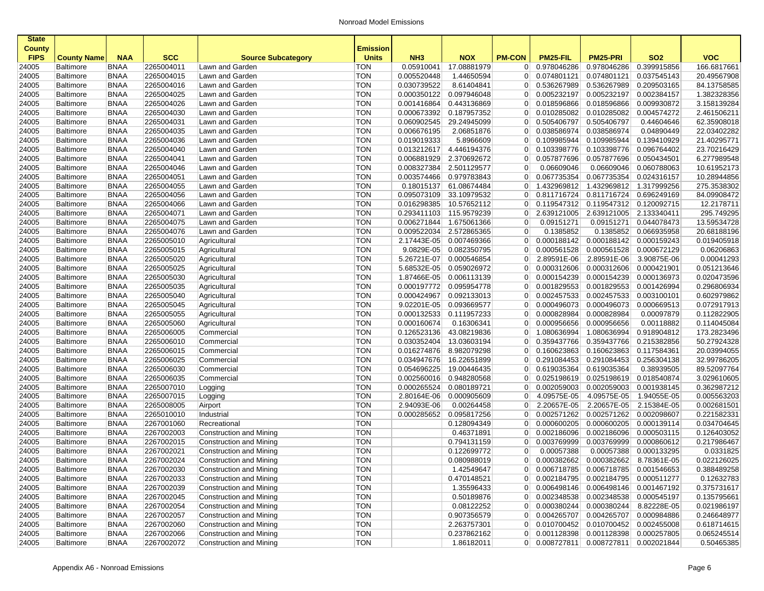| <b>State</b><br><b>County</b> |                                      |                            |                          |                                                    | <b>Emission</b>          |                            |                            |                                  |                                         |                                       |                            |                            |
|-------------------------------|--------------------------------------|----------------------------|--------------------------|----------------------------------------------------|--------------------------|----------------------------|----------------------------|----------------------------------|-----------------------------------------|---------------------------------------|----------------------------|----------------------------|
| <b>FIPS</b>                   | <b>County Name</b>                   | <b>NAA</b>                 | <b>SCC</b>               | <b>Source Subcategory</b>                          | <b>Units</b>             | NH <sub>3</sub>            | <b>NOX</b>                 | <b>PM-CON</b>                    | PM25-FIL                                | <b>PM25-PRI</b>                       | <b>SO2</b>                 | <b>VOC</b>                 |
| 24005                         | Baltimore                            | <b>BNAA</b>                | 2265004011               | Lawn and Garden                                    | <b>TON</b>               | 0.05910041                 | 17.08881979                | $\overline{0}$                   | 0.978046286                             | 0.978046286                           | 0.399915856                | 166.6817661                |
| 24005                         | Baltimore                            | <b>BNAA</b>                | 2265004015               | Lawn and Garden                                    | <b>TON</b>               | 0.005520448                | 1.44650594                 | $\overline{0}$                   | 0.074801121                             | 0.074801121                           | 0.037545143                | 20.49567908                |
| 24005                         | Baltimore                            | <b>BNAA</b>                | 2265004016               | Lawn and Garden                                    | <b>TON</b>               | 0.030739522                | 8.61404841                 | 0                                | 0.536267989                             | 0.536267989                           | 0.209503165                | 84.13758585                |
| 24005                         | <b>Baltimore</b>                     | <b>BNAA</b>                | 2265004025               | Lawn and Garden                                    | <b>TON</b>               | 0.000350122                | 0.097946048                | $\overline{0}$                   | 0.005232197                             | 0.005232197                           | 0.002384157                | 1.382328356                |
| 24005                         | <b>Baltimore</b>                     | <b>BNAA</b>                | 2265004026               | Lawn and Garden                                    | <b>TON</b>               | 0.001416864                | 0.443136869                | $\overline{0}$                   | 0.018596866                             | 0.018596866                           | 0.009930872                | 3.158139284                |
| 24005                         | Baltimore                            | <b>BNAA</b>                | 2265004030               | Lawn and Garden                                    | <b>TON</b>               | 0.000673392                | 0.187957352                | $\overline{0}$                   | 0.010285082                             | 0.010285082                           | 0.004574272                | 2.461506211                |
| 24005                         | Baltimore                            | <b>BNAA</b>                | 2265004031               | Lawn and Garden                                    | <b>TON</b>               | 0.060902545                | 29.24945099                | $\overline{0}$                   | 0.505406797                             | 0.505406797                           | 0.44604646                 | 62.35908018                |
| 24005                         | Baltimore                            | <b>BNAA</b>                | 2265004035               | Lawn and Garden                                    | <b>TON</b>               | 0.006676195                | 2.06851876                 | $\overline{0}$                   | 0.038586974                             | 0.038586974                           | 0.04890449                 | 22.03402282                |
| 24005                         | Baltimore                            | <b>BNAA</b>                | 2265004036               | Lawn and Garden                                    | <b>TON</b>               | 0.019019333                | 5.8966609                  | $\overline{0}$                   | 0.109985944                             | 0.109985944                           | 0.139410929                | 21.40295771                |
| 24005                         | Baltimore                            | <b>BNAA</b>                | 2265004040<br>2265004041 | Lawn and Garden                                    | <b>TON</b>               | 0.013212617                | 4.446194376                | $\overline{0}$                   | 0.103398776                             | 0.103398776                           | 0.096764402                | 23.70216429                |
| 24005                         | <b>Baltimore</b>                     | <b>BNAA</b>                |                          | Lawn and Garden                                    | <b>TON</b>               | 0.006881929                | 2.370692672                | $\overline{0}$                   | 0.057877696                             | 0.057877696                           | 0.050434501                | 6.277989548                |
| 24005                         | <b>Baltimore</b>                     | <b>BNAA</b>                | 2265004046               | Lawn and Garden                                    | <b>TON</b>               | 0.008327384                | 2.501129577                | 0                                | 0.06609046                              | 0.06609046                            | 0.060788063                | 10.61952173                |
| 24005                         | Baltimore                            | <b>BNAA</b>                | 2265004051               | Lawn and Garden                                    | <b>TON</b>               | 0.003574466                | 0.979783843                | $\overline{0}$                   | 0.067735354                             | 0.067735354                           | 0.024316157                | 10.28944856                |
| 24005                         | Baltimore                            | <b>BNAA</b>                | 2265004055               | Lawn and Garden                                    | <b>TON</b>               | 0.18015137                 | 61.08674484                | $\overline{0}$                   | 1.432969812                             | 1.432969812                           | 1.317999256                | 275.3538302                |
| 24005                         | Baltimore                            | <b>BNAA</b>                | 2265004056               | Lawn and Garden                                    | <b>TON</b>               | 0.095073109                | 33.10979532                | 0                                | 0.811716724                             | 0.811716724                           | 0.696249169                | 84.09908472                |
| 24005                         | Baltimore                            | <b>BNAA</b>                | 2265004066               | Lawn and Garden                                    | <b>TON</b>               | 0.016298385                | 10.57652112                | $\overline{0}$                   | 0.119547312                             | 0.119547312                           | 0.120092715                | 12.2178711                 |
| 24005                         | Baltimore                            | <b>BNAA</b>                | 2265004071               | Lawn and Garden                                    | <b>TON</b>               | 0.293411103                | 115.9579239                | $\overline{0}$                   | 2.639121005                             | 2.639121005                           | 2.133340411                | 295.749295<br>13.59534728  |
| 24005                         | <b>Baltimore</b>                     | <b>BNAA</b>                | 2265004075               | Lawn and Garden                                    | <b>TON</b>               | 0.006271844                | 1.675061366                | 0                                | 0.09151271                              | 0.09151271                            | 0.044078473                |                            |
| 24005                         | <b>Baltimore</b>                     | <b>BNAA</b>                | 2265004076               | Lawn and Garden                                    | <b>TON</b>               | 0.009522034                | 2.572865365                | $\mathbf 0$                      | 0.1385852                               | 0.1385852                             | 0.066935958                | 20.68188196                |
| 24005                         | Baltimore                            | <b>BNAA</b>                | 2265005010               | Agricultural                                       | <b>TON</b>               | 2.17443E-05                | 0.007469366                | $\overline{0}$                   | 0.000188142                             | 0.000188142                           | 0.000159243                | 0.019405918                |
| 24005                         | Baltimore                            | <b>BNAA</b>                | 2265005015               | Agricultural                                       | <b>TON</b>               | 9.0829E-05                 | 0.082350795                | $\overline{0}$                   | 0.000561528                             | 0.000561528                           | 0.000672129                | 0.06206863                 |
| 24005                         | Baltimore                            | <b>BNAA</b>                | 2265005020               | Agricultural                                       | <b>TON</b>               | 5.26721E-07                | 0.000546854<br>0.059026972 | 0                                | 2.89591E-06                             | 2.89591E-06                           | 3.90875E-06                | 0.00041293                 |
| 24005                         | <b>Baltimore</b>                     | <b>BNAA</b>                | 2265005025               | Agricultural                                       | <b>TON</b>               | 5.68532E-05                |                            | $\overline{0}$                   | 0.000312606                             | 0.000312606                           | 0.000421901                | 0.051213646                |
| 24005                         | <b>Baltimore</b>                     | <b>BNAA</b>                | 2265005030               | Agricultural                                       | <b>TON</b><br><b>TON</b> | 1.87466E-05                | 0.006113139                | $\overline{0}$                   | 0.000154239                             | 0.000154239                           | 0.000136973                | 0.020473596                |
| 24005                         | Baltimore                            | <b>BNAA</b>                | 2265005035               | Agricultural                                       |                          | 0.000197772                | 0.095954778                | $\overline{0}$                   | 0.001829553                             | 0.001829553                           | 0.001426994                | 0.296806934                |
| 24005                         | Baltimore                            | <b>BNAA</b>                | 2265005040               | Agricultural                                       | <b>TON</b>               | 0.000424967                | 0.092133013                | $\overline{0}$                   | 0.002457533                             | 0.002457533                           | 0.003100101                | 0.602979862                |
| 24005                         | Baltimore                            | <b>BNAA</b>                | 2265005045               | Agricultural                                       | <b>TON</b>               | 9.02201E-05                | 0.093669577                | $\overline{0}$                   | 0.000496073                             | 0.000496073                           | 0.000669513                | 0.072917913                |
| 24005                         | Baltimore                            | <b>BNAA</b>                | 2265005055               | Agricultural                                       | <b>TON</b>               | 0.000132533                | 0.111957233                | $\overline{0}$                   | 0.000828984                             | 0.000828984                           | 0.00097879                 | 0.112822905                |
| 24005                         | Baltimore                            | <b>BNAA</b>                | 2265005060               | Agricultural                                       | <b>TON</b>               | 0.000160674                | 0.16306341                 | $\overline{0}$                   | 0.000956656                             | 0.000956656                           | 0.00118882                 | 0.114045084                |
| 24005                         | Baltimore                            | <b>BNAA</b>                | 2265006005               | Commercial                                         | <b>TON</b>               | 0.126523136                | 43.08219836                | $\overline{0}$                   | 1.080636994                             | 1.080636994                           | 0.918904812                | 173.2823496                |
| 24005                         | <b>Baltimore</b>                     | <b>BNAA</b>                | 2265006010               | Commercial                                         | <b>TON</b>               | 0.030352404                | 13.03603194                | $\overline{0}$                   | 0.359437766                             | 0.359437766                           | 0.215382856                | 50.27924328                |
| 24005                         | Baltimore                            | <b>BNAA</b>                | 2265006015               | Commercial                                         | <b>TON</b><br><b>TON</b> | 0.016274876                | 8.982079298                | $\overline{0}$                   | 0.160623863                             | 0.160623863                           | 0.117584361                | 20.03994055<br>32.99786205 |
| 24005                         | Baltimore                            | <b>BNAA</b>                | 2265006025               | Commercial                                         |                          | 0.034947676                | 16.22651899                | $\overline{0}$                   | 0.291084453                             | 0.291084453                           | 0.256304138                |                            |
| 24005                         | Baltimore                            | <b>BNAA</b>                | 2265006030               | Commercial                                         | <b>TON</b>               | 0.054696225                | 19.00446435                | 0                                | 0.619035364                             | 0.619035364                           | 0.38939505                 | 89.52097764                |
| 24005                         | Baltimore                            | <b>BNAA</b>                | 2265006035               | Commercial                                         | <b>TON</b>               | 0.002560016                | 0.948280568                | $\overline{0}$                   | 0.025198619                             | 0.025198619                           | 0.018540874                | 3.029610605                |
| 24005                         | Baltimore                            | <b>BNAA</b><br><b>BNAA</b> | 2265007010<br>2265007015 | Logging                                            | <b>TON</b><br><b>TON</b> | 0.000265524<br>2.80164E-06 | 0.080189721<br>0.000905609 | $\overline{0}$<br>$\overline{0}$ | 0.002059003<br>4.09575E-05              | 0.002059003<br>4.09575E-05            | 0.001938145<br>1.94055E-05 | 0.362987212<br>0.005563203 |
| 24005                         | <b>Baltimore</b>                     |                            |                          | Logging                                            |                          |                            |                            |                                  |                                         |                                       |                            |                            |
| 24005                         | <b>Baltimore</b><br>Baltimore        | <b>BNAA</b><br><b>BNAA</b> | 2265008005               | Airport                                            | <b>TON</b><br><b>TON</b> | 2.94093E-06<br>0.000285652 | 0.00264458<br>0.095817256  | $\overline{0}$<br>0              | 2.20657E-05<br>0.002571262              | 2.20657E-05<br>0.002571262            | 2.15384E-05<br>0.002098607 | 0.002681501<br>0.221582331 |
| 24005                         |                                      |                            | 2265010010<br>2267001060 | Industrial                                         | <b>TON</b>               |                            |                            | $\overline{0}$                   |                                         |                                       | 0.000139114                | 0.034704645                |
| 24005                         | Baltimore                            | <b>BNAA</b>                |                          | Recreational                                       | <b>TON</b>               |                            | 0.128094349                |                                  | 0.000600205                             | 0.000600205                           |                            |                            |
| 24005                         | Baltimore                            | <b>BNAA</b>                | 2267002003<br>2267002015 | Construction and Mining                            | <b>TON</b>               |                            | 0.46371891<br>0.794131159  | $\overline{0}$<br>$\overline{0}$ | 0.002186096<br>0.003769999              | 0.002186096<br>0.003769999            | 0.000503115                | 0.126403052<br>0.217986467 |
| 24005                         | <b>Baltimore</b><br>Baltimore        | <b>BNAA</b>                |                          | Construction and Mining                            | <b>TON</b>               |                            | 0.122699772                | 0                                | 0.00057388                              |                                       | 0.000860612                |                            |
| 24005                         |                                      | <b>BNAA</b><br><b>BNAA</b> | 2267002021<br>2267002024 | Construction and Mining                            | <b>TON</b>               |                            |                            | $\overline{0}$                   | 0.000382662                             | 0.00057388                            | 0.000133295                | 0.0331825<br>0.022126025   |
| 24005                         | <b>Baltimore</b>                     |                            |                          | Construction and Mining                            |                          |                            | 0.080988019                |                                  |                                         | 0.000382662                           | 8.78361E-05                |                            |
| 24005                         | Baltimore                            | BNAA                       | 2267002030               | Construction and Mining                            | TON<br><b>TON</b>        |                            | 1.42549647                 |                                  | $0$ 0.006718785                         | 0.006718785 0.001546653               |                            | 0.388489258                |
| 24005<br>24005                | Baltimore                            | <b>BNAA</b><br><b>BNAA</b> | 2267002033<br>2267002039 | Construction and Mining<br>Construction and Mining | <b>TON</b>               |                            | 0.470148521<br>1.35596433  | 0 <sup>1</sup>                   | 0.002184795<br>0 0.006498146            | 0.002184795 0.000511277               | 0.006498146 0.001467192    | 0.12632783<br>0.375731617  |
|                               | Baltimore                            |                            | 2267002045               | Construction and Mining                            | <b>TON</b>               |                            | 0.50189876                 |                                  | 0.002348538                             | 0.002348538 0.000545197               |                            |                            |
| 24005<br>24005                | Baltimore                            | <b>BNAA</b><br><b>BNAA</b> | 2267002054               | Construction and Mining                            | <b>TON</b>               |                            | 0.08122252                 | 0 <sup>1</sup><br>0 <sup>1</sup> | 0.000380244                             | 0.000380244                           | 8.82228E-05                | 0.135795661<br>0.021986197 |
| 24005                         | <b>Baltimore</b><br><b>Baltimore</b> | <b>BNAA</b>                | 2267002057               | Construction and Mining                            | <b>TON</b>               |                            | 0.907356579                | 0 <sup>1</sup>                   | 0.004265707                             | 0.004265707 0.000984886               |                            | 0.246648977                |
|                               | <b>Baltimore</b>                     | <b>BNAA</b>                | 2267002060               | Construction and Mining                            | <b>TON</b>               |                            | 2.263757301                | 0                                |                                         | $0.010700452$ 0.010700452 0.002455008 |                            | 0.618714615                |
| 24005<br>24005                | Baltimore                            | <b>BNAA</b>                | 2267002066               | Construction and Mining                            | <b>TON</b>               |                            | 0.237862162                |                                  | 0 0.001128398 0.001128398 0.000257805   |                                       |                            | 0.065245514                |
| 24005                         | Baltimore                            | <b>BNAA</b>                | 2267002072               | Construction and Mining                            | <b>TON</b>               |                            | 1.86182011                 |                                  | $0$ 0.008727811 0.008727811 0.002021844 |                                       |                            | 0.50465385                 |
|                               |                                      |                            |                          |                                                    |                          |                            |                            |                                  |                                         |                                       |                            |                            |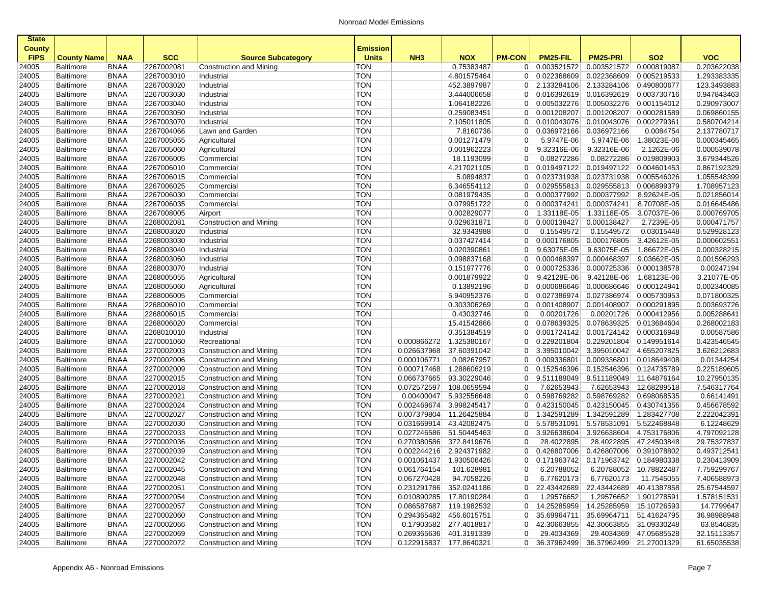| <b>State</b>  |                    |             |            |                           |                 |                 |                         |                 |             |                         |                         |             |
|---------------|--------------------|-------------|------------|---------------------------|-----------------|-----------------|-------------------------|-----------------|-------------|-------------------------|-------------------------|-------------|
| <b>County</b> |                    |             |            |                           | <b>Emission</b> |                 |                         |                 |             |                         |                         |             |
| <b>FIPS</b>   | <b>County Name</b> | <b>NAA</b>  | <b>SCC</b> | <b>Source Subcategory</b> | <b>Units</b>    | NH <sub>3</sub> | <b>NOX</b>              | <b>PM-CON</b>   | PM25-FIL    | <b>PM25-PRI</b>         | <b>SO2</b>              | <b>VOC</b>  |
| 24005         | <b>Baltimore</b>   | <b>BNAA</b> | 2267002081 | Construction and Mining   | <b>TON</b>      |                 | 0.75383487              | $\overline{0}$  | 0.003521572 | 0.003521572             | 0.000819087             | 0.203622038 |
| 24005         | <b>Baltimore</b>   | <b>BNAA</b> | 2267003010 | Industrial                | <b>TON</b>      |                 | 4.801575464             | $\overline{0}$  | 0.022368609 | 0.022368609             | 0.005219533             | 1.293383335 |
| 24005         | <b>Baltimore</b>   | <b>BNAA</b> | 2267003020 | Industrial                | <b>TON</b>      |                 | 452.3897987             | $\overline{0}$  | 2.133284106 | 2.133284106             | 0.490800677             | 123.3493883 |
| 24005         | <b>Baltimore</b>   | <b>BNAA</b> | 2267003030 | Industrial                | <b>TON</b>      |                 | 3.444006658             | $\overline{0}$  | 0.016392619 | 0.016392619 0.003730716 |                         | 0.947843463 |
| 24005         | <b>Baltimore</b>   | <b>BNAA</b> | 2267003040 | Industrial                | <b>TON</b>      |                 | 1.064182226             | $\overline{0}$  | 0.005032276 | 0.005032276             | 0.001154012             | 0.290973007 |
| 24005         | <b>Baltimore</b>   | <b>BNAA</b> | 2267003050 | Industrial                | <b>TON</b>      |                 | 0.259083451             | $\overline{0}$  | 0.001208207 | 0.001208207             | 0.000281589             | 0.069860155 |
| 24005         | <b>Baltimore</b>   | <b>BNAA</b> | 2267003070 | Industrial                | <b>TON</b>      |                 | 2.105011805             | $\overline{0}$  | 0.010043076 | 0.010043076             | 0.002279361             | 0.580704214 |
| 24005         | <b>Baltimore</b>   | <b>BNAA</b> | 2267004066 | Lawn and Garden           | <b>TON</b>      |                 | 7.8160736               | $\overline{0}$  | 0.036972166 | 0.036972166             | 0.0084754               | 2.137780717 |
| 24005         | <b>Baltimore</b>   | <b>BNAA</b> | 2267005055 | Agricultural              | <b>TON</b>      |                 | 0.001271479             | 0               | 5.9747E-06  | 5.9747E-06              | 1.38023E-06             | 0.000345465 |
| 24005         | <b>Baltimore</b>   | <b>BNAA</b> | 2267005060 | Agricultural              | <b>TON</b>      |                 | 0.001962223             | $\overline{0}$  | 9.32316E-06 | 9.32316E-06             | 2.1262E-06              | 0.000539078 |
| 24005         | <b>Baltimore</b>   | <b>BNAA</b> | 2267006005 | Commercial                | <b>TON</b>      |                 | 18.1193099              | 0               | 0.08272286  | 0.08272286              | 0.019809903             | 3.679344526 |
| 24005         | <b>Baltimore</b>   | <b>BNAA</b> | 2267006010 | Commercial                | <b>TON</b>      |                 | 4.217021105             | $\overline{0}$  | 0.019497122 | 0.019497122             | 0.004601453             | 0.867192329 |
| 24005         | <b>Baltimore</b>   | <b>BNAA</b> | 2267006015 | Commercial                | <b>TON</b>      |                 | 5.0894837               | $\overline{0}$  | 0.023731938 | 0.023731938             | 0.005546026             | 1.055548399 |
| 24005         | <b>Baltimore</b>   | <b>BNAA</b> | 2267006025 | Commercial                | <b>TON</b>      |                 | 6.346554112             | $\overline{0}$  | 0.029555813 | 0.029555813             | 0.006899379             | 1.708957123 |
| 24005         | <b>Baltimore</b>   | <b>BNAA</b> | 2267006030 | Commercial                | <b>TON</b>      |                 | 0.081979435             | $\overline{0}$  | 0.000377992 | 0.000377992             | 8.92624E-05             | 0.021856014 |
| 24005         | <b>Baltimore</b>   | <b>BNAA</b> | 2267006035 | Commercial                | <b>TON</b>      |                 | 0.079951722             | $\overline{0}$  | 0.000374241 | 0.000374241             | 8.70708E-05             | 0.016645486 |
| 24005         | Baltimore          | <b>BNAA</b> | 2267008005 | Airport                   | <b>TON</b>      |                 | 0.002829077             | $\overline{0}$  | 1.33118E-05 | 1.33118E-05             | 3.07037E-06             | 0.000769705 |
| 24005         | <b>Baltimore</b>   | <b>BNAA</b> | 2268002081 | Construction and Mining   | <b>TON</b>      |                 | 0.029631871             | $\overline{0}$  | 0.000138427 | 0.000138427             | 2.7239E-05              | 0.000471757 |
| 24005         | <b>Baltimore</b>   | <b>BNAA</b> | 2268003020 | Industrial                | <b>TON</b>      |                 | 32.9343988              | $\overline{0}$  | 0.15549572  | 0.15549572              | 0.03015448              | 0.529928123 |
| 24005         | <b>Baltimore</b>   | <b>BNAA</b> | 2268003030 | Industrial                | <b>TON</b>      |                 | 0.037427414             | $\overline{0}$  | 0.000176805 | 0.000176805             | 3.42612E-05             | 0.000602551 |
| 24005         | <b>Baltimore</b>   | <b>BNAA</b> | 2268003040 | Industrial                | <b>TON</b>      |                 | 0.020390861             | $\overline{0}$  | 9.63075E-05 | 9.63075E-05             | 1.86672E-05             | 0.000328215 |
| 24005         | <b>Baltimore</b>   | <b>BNAA</b> | 2268003060 | Industrial                | <b>TON</b>      |                 | 0.098837168             | $\overline{0}$  | 0.000468397 | 0.000468397             | 9.03662E-05             | 0.001596293 |
| 24005         | <b>Baltimore</b>   | <b>BNAA</b> | 2268003070 | Industrial                | <b>TON</b>      |                 | 0.151977776             | $\overline{0}$  | 0.000725336 | 0.000725336             | 0.000138578             | 0.00247194  |
| 24005         | <b>Baltimore</b>   | <b>BNAA</b> | 2268005055 | Agricultural              | <b>TON</b>      |                 | 0.001879922             | $\overline{0}$  | 9.42128E-06 | 9.42128E-06             | 1.68123E-06             | 3.21077E-05 |
| 24005         | <b>Baltimore</b>   | <b>BNAA</b> | 2268005060 | Agricultural              | <b>TON</b>      |                 | 0.13892196              | $\overline{0}$  | 0.000686646 | 0.000686646             | 0.000124941             | 0.002340085 |
| 24005         | <b>Baltimore</b>   | <b>BNAA</b> | 2268006005 | Commercial                | <b>TON</b>      |                 | 5.940952376             | $\overline{0}$  | 0.027386974 | 0.027386974             | 0.005730953             | 0.071800325 |
| 24005         | <b>Baltimore</b>   | <b>BNAA</b> | 2268006010 | Commercial                | <b>TON</b>      |                 | 0.303306269             | $\overline{0}$  | 0.001408907 | 0.001408907             | 0.000291895             | 0.003693726 |
| 24005         | <b>Baltimore</b>   | <b>BNAA</b> | 2268006015 | Commercial                | <b>TON</b>      |                 | 0.43032746              | 0               | 0.00201726  | 0.00201726              | 0.000412956             | 0.005288641 |
| 24005         | <b>Baltimore</b>   | <b>BNAA</b> | 2268006020 | Commercial                | <b>TON</b>      |                 | 15.41542866             | $\overline{0}$  | 0.078639325 | 0.078639325             | 0.013684604             | 0.268002183 |
| 24005         | <b>Baltimore</b>   | <b>BNAA</b> | 2268010010 | Industrial                | <b>TON</b>      |                 | 0.351384519             | $\Omega$        | 0.001724142 |                         | 0.001724142 0.000316948 | 0.00587586  |
| 24005         | <b>Baltimore</b>   | <b>BNAA</b> | 2270001060 | Recreational              | <b>TON</b>      | 0.000866272     | 1.325380167             | $\overline{0}$  | 0.229201804 | 0.229201804             | 0.149951614             | 0.423546545 |
| 24005         | <b>Baltimore</b>   | <b>BNAA</b> | 2270002003 | Construction and Mining   | <b>TON</b>      | 0.026637968     | 37.60391042             | $\overline{0}$  | 3.395010042 | 3.395010042             | 4.655207825             | 3.626212683 |
| 24005         | <b>Baltimore</b>   | <b>BNAA</b> | 2270002006 | Construction and Mining   | <b>TON</b>      | 0.000106771     | 0.08267957              | $\overline{0}$  | 0.009336801 | 0.009336801             | 0.018649408             | 0.01344254  |
| 24005         | <b>Baltimore</b>   | <b>BNAA</b> | 2270002009 | Construction and Mining   | <b>TON</b>      | 0.000717468     | 1.288606219             | $\overline{0}$  | 0.152546396 | 0.152546396             | 0.124735789             | 0.225189605 |
| 24005         | <b>Baltimore</b>   | <b>BNAA</b> | 2270002015 | Construction and Mining   | <b>TON</b>      | 0.066737665     | 93.30229046             | $\overline{0}$  | 9.511189049 | 9.511189049 11.64876164 |                         | 10.27950135 |
| 24005         | Baltimore          | <b>BNAA</b> | 2270002018 | Construction and Mining   | <b>TON</b>      | 0.072572597     | 108.0659594             | $\mathbf 0$     | 7.62653943  | 7.62653943              | 12.68289518             | 7.546317764 |
| 24005         | <b>Baltimore</b>   | <b>BNAA</b> | 2270002021 | Construction and Mining   | <b>TON</b>      | 0.00400047      | 5.932556648             | $\overline{0}$  | 0.598769282 |                         | 0.598769282 0.698068535 | 0.66141491  |
| 24005         | <b>Baltimore</b>   | <b>BNAA</b> | 2270002024 | Construction and Mining   | <b>TON</b>      | 0.002469674     | 3.998245417             | $\overline{0}$  | 0.423150045 | 0.423150045             | 0.430741356             | 0.456678592 |
| 24005         | <b>Baltimore</b>   | <b>BNAA</b> | 2270002027 | Construction and Mining   | <b>TON</b>      | 0.007379804     | 11.26425884             | $\overline{0}$  | 1.342591289 | 1.342591289             | 1.283427708             | 2.222042391 |
| 24005         | <b>Baltimore</b>   | <b>BNAA</b> | 2270002030 | Construction and Mining   | <b>TON</b>      | 0.031669914     | 43.42082475             | $\overline{0}$  | 5.578531091 | 5.578531091             | 5.522468848             | 6.12248629  |
| 24005         | <b>Baltimore</b>   | <b>BNAA</b> | 2270002033 | Construction and Mining   | <b>TON</b>      | 0.027246586     | 51.50445463             | $\overline{0}$  | 3.926638604 | 3.926638604             | 4.753176806             | 4.797092128 |
| 24005         | <b>Baltimore</b>   | <b>BNAA</b> | 2270002036 | Construction and Mining   | <b>TON</b>      | 0.270380586     | 372.8419676             | 0               | 28.4022895  | 28.4022895              | 47.24503848             | 29.75327837 |
| 24005         | <b>Baltimore</b>   | <b>BNAA</b> | 2270002039 | Construction and Mining   | <b>TON</b>      | 0.002244216     | 2.924371982             | $\overline{0}$  | 0.426807006 | 0.426807006             | 0.391078802             | 0.493712541 |
| 24005         | <b>Baltimore</b>   | <b>BNAA</b> | 2270002042 | Construction and Mining   | <b>TON</b>      |                 | 0.001061437 1.930506426 | $\overline{0}$  | 0.171963742 | 0.171963742 0.184980338 |                         | 0.230413909 |
| 24005         | <b>Baltimore</b>   | BNAA        | 2270002045 | Construction and Mining   | <b>TON</b>      | 0.061764154     | 101.628981              | $\vert 0 \vert$ | 6.20788052  |                         | 6.20788052 10.78822487  | 7.759299767 |
| 24005         | <b>Baltimore</b>   | <b>BNAA</b> | 2270002048 | Construction and Mining   | <b>TON</b>      | 0.067270428     | 94.7058226              | $\overline{0}$  | 6.77620173  | 6.77620173              | 11.7545055              | 7.406588973 |
| 24005         | <b>Baltimore</b>   | <b>BNAA</b> | 2270002051 | Construction and Mining   | <b>TON</b>      | 0.231291786     | 352.0241186             | 0               | 22.43442689 | 22.43442689             | 40.41387858             | 25.67544597 |
| 24005         | <b>Baltimore</b>   | <b>BNAA</b> | 2270002054 | Construction and Mining   | <b>TON</b>      |                 | 0.010890285 17.80190284 | 0               | 1.29576652  |                         | 1.29576652 1.901278591  | 1.578151531 |
| 24005         | <b>Baltimore</b>   | <b>BNAA</b> | 2270002057 | Construction and Mining   | <b>TON</b>      | 0.086587687     | 119.1982532             | $\overline{0}$  | 14.25285959 |                         | 14.25285959 15.10726593 | 14.7799647  |
| 24005         | <b>Baltimore</b>   | <b>BNAA</b> | 2270002060 | Construction and Mining   | <b>TON</b>      | 0.294365482     | 456.6015751             | 0               | 35.69964711 | 35.69964711             | 51.41624795             | 36.98988948 |
| 24005         | <b>Baltimore</b>   | <b>BNAA</b> | 2270002066 | Construction and Mining   | <b>TON</b>      |                 | 0.17903582 277.4018817  | 0               | 42.30663855 |                         | 42.30663855 31.09330248 | 63.8546835  |
| 24005         | <b>Baltimore</b>   | <b>BNAA</b> | 2270002069 | Construction and Mining   | <b>TON</b>      | 0.269365636     | 401.3191339             | $\overline{0}$  | 29.4034369  |                         | 29.4034369 47.05685528  | 32.15113357 |
| 24005         | <b>Baltimore</b>   | <b>BNAA</b> | 2270002072 | Construction and Mining   | <b>TON</b>      |                 | 0.122915837 177.8640321 | 0               | 36.37962499 |                         | 36.37962499 21.27001329 | 61.65035538 |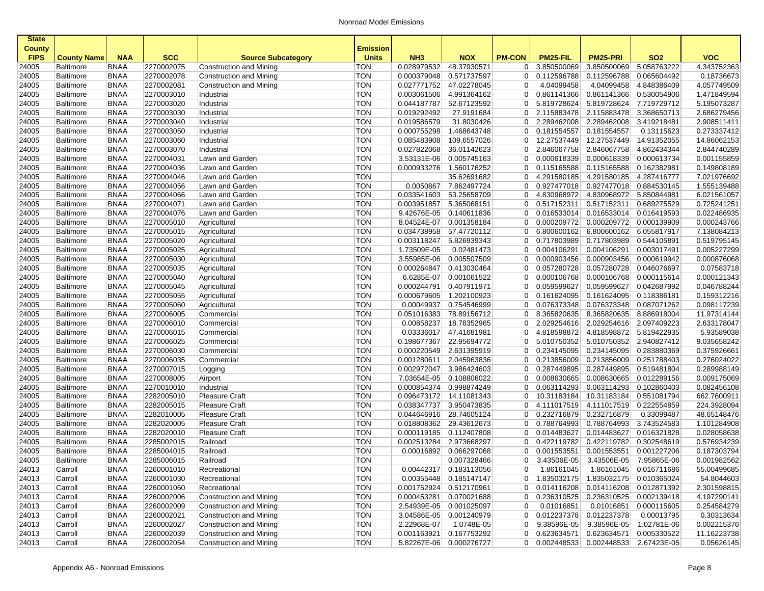| <b>State</b>                 |                    |             |            |                           |                                 |                 |                         |                |                                       |                         |                         |             |
|------------------------------|--------------------|-------------|------------|---------------------------|---------------------------------|-----------------|-------------------------|----------------|---------------------------------------|-------------------------|-------------------------|-------------|
| <b>County</b><br><b>FIPS</b> | <b>County Name</b> | <b>NAA</b>  | <b>SCC</b> | <b>Source Subcategory</b> | <b>Emission</b><br><b>Units</b> | NH <sub>3</sub> | <b>NOX</b>              | <b>PM-CON</b>  | PM25-FIL                              | <b>PM25-PRI</b>         | <b>SO2</b>              | <b>VOC</b>  |
| 24005                        | Baltimore          | <b>BNAA</b> | 2270002075 | Construction and Mining   | <b>TON</b>                      | 0.028979532     | 48.37930571             | $\overline{0}$ | 3.850500069                           | 3.850500069             | 5.058763222             | 4.343752363 |
| 24005                        | Baltimore          | <b>BNAA</b> | 2270002078 | Construction and Mining   | <b>TON</b>                      | 0.000379048     | 0.571737597             | $\overline{0}$ | 0.112596788                           | 0.112596788             | 0.065604492             | 0.18736673  |
| 24005                        | Baltimore          | <b>BNAA</b> | 2270002081 | Construction and Mining   | <b>TON</b>                      | 0.027771752     | 47.02278045             | $\mathbf 0$    | 4.04099458                            | 4.04099458              | 4.848386409             | 4.057749509 |
| 24005                        | Baltimore          | <b>BNAA</b> | 2270003010 | Industrial                | <b>TON</b>                      | 0.003061506     | 4.991364162             | $\overline{0}$ | 0.861141366                           | 0.861141366             | 0.530054906             | 1.471849594 |
| 24005                        | <b>Baltimore</b>   | <b>BNAA</b> | 2270003020 | Industrial                | <b>TON</b>                      | 0.044187787     | 52.67123592             | $\overline{0}$ | 5.819728624                           | 5.819728624             | 7.719729712             | 5.195073287 |
| 24005                        | <b>Baltimore</b>   | <b>BNAA</b> | 2270003030 | Industrial                | <b>TON</b>                      | 0.019292492     | 27.9191684              | $\overline{0}$ | 2.115883478                           | 2.115883478             | 3.368650713             | 2.686279456 |
| 24005                        | <b>Baltimore</b>   | <b>BNAA</b> | 2270003040 | Industrial                | <b>TON</b>                      | 0.019586579     | 31.8030426              | $\overline{0}$ | 2.289462008                           | 2.289462008 3.419218481 |                         | 2.908511411 |
| 24005                        | <b>Baltimore</b>   | <b>BNAA</b> | 2270003050 | Industrial                | <b>TON</b>                      | 0.000755298     | 1.468643748             | $\overline{0}$ | 0.181554557                           | 0.181554557             | 0.13115623              | 0.273337412 |
| 24005                        | Baltimore          | <b>BNAA</b> | 2270003060 | Industrial                | <b>TON</b>                      | 0.085483908     | 109.6557026             | $\overline{0}$ | 12.27537449                           | 12.27537449             | 14.91352055             | 14.86062153 |
| 24005                        | Baltimore          | <b>BNAA</b> | 2270003070 | Industrial                | <b>TON</b>                      | 0.027822068     | 36.01142623             | $\overline{0}$ | 2.846067758                           | 2.846067758             | 4.862434344             | 2.844740289 |
| 24005                        | <b>Baltimore</b>   | <b>BNAA</b> | 2270004031 | Lawn and Garden           | <b>TON</b>                      | 3.53131E-06     | 0.005745163             | $\overline{0}$ | 0.000618339                           | 0.000618339             | 0.000613734             | 0.001155859 |
| 24005                        | <b>Baltimore</b>   | <b>BNAA</b> | 2270004036 | Lawn and Garden           | <b>TON</b>                      | 0.000933276     | 1.560176252             | $\overline{0}$ | 0.115165588                           | 0.115165588             | 0.162382981             | 0.149808189 |
| 24005                        | <b>Baltimore</b>   | <b>BNAA</b> | 2270004046 | Lawn and Garden           | <b>TON</b>                      |                 | 35.62691682             | $\overline{0}$ | 4.291580185                           | 4.291580185 4.287416777 |                         | 7.021976692 |
| 24005                        | <b>Baltimore</b>   | <b>BNAA</b> | 2270004056 | Lawn and Garden           | <b>TON</b>                      | 0.0050867       | 7.862497724             | $\overline{0}$ | 0.927477018                           | 0.927477018 0.884530145 |                         | 1.555139488 |
| 24005                        | <b>Baltimore</b>   | <b>BNAA</b> | 2270004066 | Lawn and Garden           | <b>TON</b>                      | 0.033541603     | 53.25658709             | $\overline{0}$ | 4.830968972                           | 4.830968972 5.850844981 |                         | 6.021561057 |
| 24005                        | Baltimore          | <b>BNAA</b> | 2270004071 | Lawn and Garden           | <b>TON</b>                      | 0.003951857     | 5.365068151             | $\overline{0}$ | 0.517152311                           | 0.517152311             | 0.689275529             | 0.725241251 |
| 24005                        | <b>Baltimore</b>   | <b>BNAA</b> | 2270004076 | Lawn and Garden           | <b>TON</b>                      | 9.42676E-05     | 0.140611836             | $\overline{0}$ | 0.016533014                           | 0.016533014             | 0.016419593             | 0.022486935 |
| 24005                        | <b>Baltimore</b>   | <b>BNAA</b> | 2270005010 | Agricultural              | <b>TON</b>                      | 8.04524E-07     | 0.001358184             | $\overline{0}$ | 0.000209772                           | 0.000209772 0.000139909 |                         | 0.000243766 |
| 24005                        | <b>Baltimore</b>   | <b>BNAA</b> | 2270005015 | Agricultural              | <b>TON</b>                      | 0.034738958     | 57.47720112             | $\overline{0}$ | 6.800600162                           | 6.800600162             | 6.055817917             | 7.138084213 |
| 24005                        | <b>Baltimore</b>   | <b>BNAA</b> | 2270005020 | Agricultural              | <b>TON</b>                      | 0.003118247     | 5.826939343             | $\overline{0}$ | 0.717803989                           | 0.717803989             | 0.544105891             | 0.519795145 |
| 24005                        | <b>Baltimore</b>   | <b>BNAA</b> | 2270005025 | Agricultural              | <b>TON</b>                      | 1.73509E-05     | 0.02481473              | $\overline{0}$ | 0.004106291                           | 0.004106291             | 0.003017491             | 0.005227299 |
| 24005                        | <b>Baltimore</b>   | <b>BNAA</b> | 2270005030 | Agricultural              | <b>TON</b>                      | 3.55985E-06     | 0.005507509             | 0              | 0.000903456                           | 0.000903456             | 0.000619942             | 0.000876068 |
| 24005                        | Baltimore          | <b>BNAA</b> | 2270005035 | Agricultural              | <b>TON</b>                      | 0.000264847     | 0.413030464             | $\Omega$       | 0.057280728                           | 0.057280728             | 0.046076697             | 0.07583718  |
| 24005                        | <b>Baltimore</b>   | <b>BNAA</b> | 2270005040 | Agricultural              | <b>TON</b>                      | 6.6285E-07      | 0.001061522             | $\overline{0}$ | 0.000106768                           | 0.000106768             | 0.000115614             | 0.000121343 |
| 24005                        | <b>Baltimore</b>   | <b>BNAA</b> | 2270005045 | Agricultural              | <b>TON</b>                      | 0.000244791     | 0.407911971             | $\overline{0}$ | 0.059599627                           | 0.059599627             | 0.042687992             | 0.046788244 |
| 24005                        | <b>Baltimore</b>   | <b>BNAA</b> | 2270005055 | Agricultural              | <b>TON</b>                      | 0.000679605     | 1.202100923             | $\overline{0}$ | 0.161624095                           | 0.161624095 0.118386181 |                         | 0.159312216 |
| 24005                        | <b>Baltimore</b>   | <b>BNAA</b> | 2270005060 | Agricultural              | <b>TON</b>                      | 0.00049937      | 0.754546999             | $\overline{0}$ | 0.076373348                           | 0.076373348             | 0.087071262             | 0.098117239 |
| 24005                        | Baltimore          | <b>BNAA</b> | 2270006005 | Commercial                | <b>TON</b>                      | 0.051016383     | 78.89156712             | $\Omega$       | 8.365820635                           | 8.365820635 8.886918004 |                         | 11.97314144 |
| 24005                        | <b>Baltimore</b>   | <b>BNAA</b> | 2270006010 | Commercial                | <b>TON</b>                      | 0.00858237      | 18.78352965             | $\overline{0}$ | 2.029254616                           | 2.029254616 2.097409223 |                         | 2.633178047 |
| 24005                        | <b>Baltimore</b>   | <b>BNAA</b> | 2270006015 | Commercial                | <b>TON</b>                      | 0.03336017      | 47.41681981             | $\overline{0}$ | 4.818598872                           | 4.818598872 5.819422935 |                         | 5.93589038  |
| 24005                        | <b>Baltimore</b>   | <b>BNAA</b> | 2270006025 | Commercial                | <b>TON</b>                      | 0.198677367     | 22.95694772             | $\overline{0}$ | 5.010750352                           | 5.010750352 2.940827412 |                         | 9.035658242 |
| 24005                        | <b>Baltimore</b>   | <b>BNAA</b> | 2270006030 | Commercial                | <b>TON</b>                      | 0.000220549     | 2.631395919             | $\overline{0}$ | 0.234145095                           | 0.234145095             | 0.283880369             | 0.375926661 |
| 24005                        | <b>Baltimore</b>   | <b>BNAA</b> | 2270006035 | Commercial                | <b>TON</b>                      | 0.001280611     | 2.045963836             | $\overline{0}$ | 0.213856009                           | 0.213856009             | 0.251788403             | 0.276024022 |
| 24005                        | <b>Baltimore</b>   | <b>BNAA</b> | 2270007015 | Logging                   | <b>TON</b>                      | 0.002972047     | 3.986424603             | $\overline{0}$ | 0.287449895                           | 0.287449895             | 0.519481804             | 0.289988149 |
| 24005                        | Baltimore          | <b>BNAA</b> | 2270008005 | Airport                   | <b>TON</b>                      | 7.03654E-05     | 0.108806022             | $\Omega$       | 0.008630665                           | 0.008630665             | 0.012289156             | 0.009175069 |
| 24005                        | <b>Baltimore</b>   | <b>BNAA</b> | 2270010010 | Industrial                | <b>TON</b>                      | 0.000854374     | 0.998874249             | $\overline{0}$ | 0.063114293                           | 0.063114293             | 0.102860403             | 0.082456108 |
| 24005                        | <b>Baltimore</b>   | <b>BNAA</b> | 2282005010 | <b>Pleasure Craft</b>     | <b>TON</b>                      | 0.096473172     | 14.11081343             | $\overline{0}$ | 10.31183184                           | 10.31183184             | 0.551081794             | 662.7600911 |
| 24005                        | <b>Baltimore</b>   | <b>BNAA</b> | 2282005015 | Pleasure Craft            | <b>TON</b>                      | 0.038347737     | 3.950473835             | $\overline{0}$ | 4.111017519                           | 4.111017519 0.222554859 |                         | 224.3928094 |
| 24005                        | <b>Baltimore</b>   | <b>BNAA</b> | 2282010005 | <b>Pleasure Craft</b>     | <b>TON</b>                      | 0.044646916     | 28.74605124             | $\overline{0}$ | 0.232716879                           | 0.232716879             | 0.33099487              | 48.65148476 |
| 24005                        | Baltimore          | <b>BNAA</b> | 2282020005 | <b>Pleasure Craft</b>     | <b>TON</b>                      | 0.018808362     | 29.43612673             | $\overline{0}$ | 0.788764993                           | 0.788764993             | 3.743524583             | 1.101284908 |
| 24005                        | Baltimore          | <b>BNAA</b> | 2282020010 | <b>Pleasure Craft</b>     | <b>TON</b>                      | 0.000119185     | 0.112407808             | $\overline{0}$ | 0.014483627                           | 0.014483627             | 0.016321828             | 0.028058638 |
| 24005                        | <b>Baltimore</b>   | <b>BNAA</b> | 2285002015 | Railroad                  | <b>TON</b>                      | 0.002513284     | 2.973668297             | $\overline{0}$ | 0.422119782                           | 0.422119782             | 0.302548619             | 0.576934239 |
| 24005                        | <b>Baltimore</b>   | <b>BNAA</b> | 2285004015 | Railroad                  | <b>TON</b>                      | 0.00016892      | 0.066297068             | $\overline{0}$ | 0.001553551                           | 0.001553551             | 0.001227206             | 0.187303794 |
| 24005                        | <b>Baltimore</b>   | <b>BNAA</b> | 2285006015 | Railroad                  | <b>TON</b>                      |                 | 0.007328466             | $\overline{0}$ | 3.43506E-05                           | 3.43506E-05             | 7.95865E-06             | 0.001982562 |
| 24013                        | Carroll            | BNAA        | 2260001010 | Recreational              | TON                             |                 | 0.00442317 0.183113056  | 0              | 1.86161045                            |                         | 1.86161045 0.016711686  | 55.00499685 |
| 24013                        | Carroll            | <b>BNAA</b> | 2260001030 | Recreational              | <b>TON</b>                      |                 | 0.00355448 0.185147147  | 0 <sup>1</sup> | 1.835032175                           | 1.835032175 0.010365024 |                         | 54.8044603  |
| 24013                        | Carroll            | <b>BNAA</b> | 2260001060 | Recreational              | <b>TON</b>                      |                 | 0.001752924 0.512170961 | 0 <sup>1</sup> | 0.014116208                           |                         | 0.014116208 0.012871392 | 2.301598815 |
| 24013                        | Carroll            | <b>BNAA</b> | 2260002006 | Construction and Mining   | <b>TON</b>                      |                 | 0.000453281 0.070021688 | 0              | 0.236310525                           |                         | 0.236310525 0.002139418 | 4.197290141 |
| 24013                        | Carroll            | <b>BNAA</b> | 2260002009 | Construction and Mining   | <b>TON</b>                      |                 | 2.54939E-05 0.001025097 | $\overline{0}$ | 0.01016851                            | 0.01016851              | 0.000115605             | 0.254584279 |
| 24013                        | Carroll            | <b>BNAA</b> | 2260002021 | Construction and Mining   | <b>TON</b>                      |                 | 3.04586E-05 0.001240979 | 0              | 0.012237378                           | 0.012237378             | 0.00013795              | 0.30313634  |
| 24013                        | Carroll            | <b>BNAA</b> | 2260002027 | Construction and Mining   | <b>TON</b>                      | 2.22968E-07     | 1.0748E-05              | 0              | 9.38596E-05                           |                         | 9.38596E-05 1.02781E-06 | 0.002215376 |
| 24013                        | Carroll            | <b>BNAA</b> | 2260002039 | Construction and Mining   | <b>TON</b>                      |                 | 0.001163921 0.167753292 | 0 <sup>1</sup> | 0.623634571                           | 0.623634571 0.005330522 |                         | 11.16223738 |
| 24013                        | Carroll            | <b>BNAA</b> | 2260002054 | Construction and Mining   | TON                             |                 | 5.82267E-06 0.000276727 |                | 0 0.002448533 0.002448533 2.67423E-05 |                         |                         | 0.05626145  |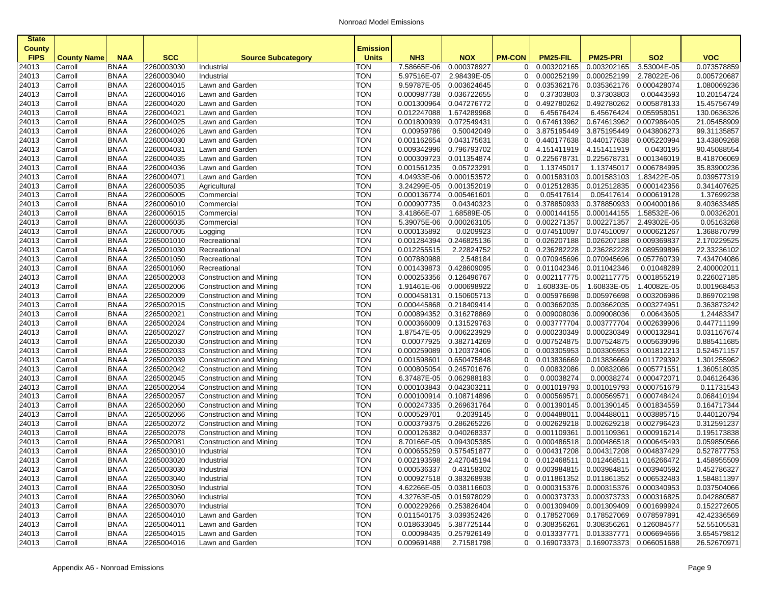| <b>BNAA</b><br>2260003030<br>7.58665E-06<br>0.000378927<br>0.003202165<br>0.003202165<br>3.53004E-05<br>0.073578859<br>24013<br>Carroll<br>Industrial<br><b>TON</b><br>$\overline{0}$<br><b>TON</b><br>5.97516E-07<br>2.98439E-05<br>0.000252199<br>2.78022E-06<br>0.005720687<br>24013<br><b>BNAA</b><br>2260003040<br>$\overline{0}$<br>0.000252199<br>Carroll<br>Industrial<br><b>BNAA</b><br>2260004015<br><b>TON</b><br>9.59787E-05<br>0.003624645<br>0.035362176<br>0.035362176<br>0.000428074<br>1.080069236<br>24013<br>Carroll<br>Lawn and Garden<br>0<br>2260004016<br><b>TON</b><br>0.000987738<br>0.036722655<br>0.37303803<br>0.37303803<br>0.00443593<br>10.20154724<br>Carroll<br><b>BNAA</b><br>Lawn and Garden<br>$\overline{0}$<br><b>BNAA</b><br>2260004020<br><b>TON</b><br>0.001300964<br>0.005878133<br>15.45756749<br>Carroll<br>Lawn and Garden<br>0.047276772<br>$\overline{0}$<br>0.492780262<br>0.492780262<br><b>TON</b><br>130.0636326<br><b>BNAA</b><br>2260004021<br>Lawn and Garden<br>0.012247088<br>1.674289968<br>$\overline{0}$<br>6.45676424<br>6.45676424<br>0.055958051<br>Carroll<br><b>TON</b><br><b>BNAA</b><br>2260004025<br>0.674613962<br>0.674613962<br>21.05458909<br>Carroll<br>Lawn and Garden<br>0.001800939<br>0.072549431<br>$\overline{0}$<br>0.007986405<br><b>TON</b><br>0.00959786<br>3.875195449<br>3.875195449<br>99.31135857<br>Carroll<br><b>BNAA</b><br>2260004026<br>Lawn and Garden<br>0.50042049<br>$\overline{0}$<br>0.043806273<br>2260004030<br><b>TON</b><br>0.001162654<br>0.043175631<br>0.440177638<br>0.440177638<br>0.005220994<br>13.43809268<br>24013<br>Carroll<br><b>BNAA</b><br>Lawn and Garden<br>$\overline{0}$<br><b>BNAA</b><br>2260004031<br><b>TON</b><br>0.009342996<br>90.45088554<br>Carroll<br>Lawn and Garden<br>0.796793702<br>$\overline{0}$<br>4.151411919<br>4.151411919<br>0.0430195<br><b>BNAA</b><br>2260004035<br><b>TON</b><br>0.000309723<br>0.011354874<br>0.225678731<br>0.225678731<br>0.001346019<br>8.418706069<br>Carroll<br>Lawn and Garden<br>$\overline{0}$<br><b>BNAA</b><br>2260004036<br><b>TON</b><br>1.13745017<br>35.83900236<br>Carroll<br>Lawn and Garden<br>0.001561235<br>0.05723291<br>$\overline{0}$<br>1.13745017<br>0.006784995<br><b>TON</b><br><b>BNAA</b><br>2260004071<br>Lawn and Garden<br>4.04933E-06<br>0.000153572<br>0.001583103<br>0.001583103<br>1.83422E-05<br>0.039577319<br>Carroll<br>$\overline{0}$<br><b>TON</b><br>0.341407625<br>Carroll<br><b>BNAA</b><br>2260005035<br>Agricultural<br>3.24299E-05<br>0.001352019<br>$\overline{0}$<br>0.012512835<br>0.012512835<br>0.000142356<br><b>TON</b><br>1.37699238<br>24013<br>Carroll<br><b>BNAA</b><br>2260006005<br>Commercial<br>0.000136774<br>0.005461601<br>$\overline{0}$<br>0.05417614<br>0.05417614<br>0.000619128<br><b>BNAA</b><br>2260006010<br><b>TON</b><br>0.000907735<br>0.378850933<br>0.378850933<br>0.004000186<br>9.403633485<br>24013<br>Carroll<br>Commercial<br>0.04340323<br>$\overline{0}$<br><b>BNAA</b><br>2260006015<br><b>TON</b><br>3.41866E-07<br>1.68589E-05<br>0.000144155<br>1.58532E-06<br>0.00326201<br>24013<br>Carroll<br>Commercial<br>$\overline{0}$<br>0.000144155<br><b>BNAA</b><br>2260006035<br><b>TON</b><br>5.39075E-06<br>0.000263105<br>0.002271357<br>0.002271357<br>2.49302E-05<br>0.05163268<br>24013<br>Carroll<br>Commercial<br>$\overline{0}$<br><b>TON</b><br><b>BNAA</b><br>2260007005<br>0.000135892<br>0.0209923<br>0.074510097<br>0.000621267<br>1.368870799<br>24013<br>Carroll<br>$\overline{0}$<br>0.074510097<br>Logging<br>2.170229525<br><b>BNAA</b><br>2265001010<br><b>TON</b><br>0.001284394<br>0.246825136<br>0.026207188<br>0.026207188<br>0.009369837<br>24013<br>Carroll<br>Recreational<br>$\overline{0}$<br>2265001030<br><b>TON</b><br>2.22824752<br>0.236282228<br>0.236282228<br>22.33236102<br>24013<br>Carroll<br><b>BNAA</b><br>0.012255515<br>$\overline{0}$<br>0.089599896<br>Recreational<br><b>BNAA</b><br>2265001050<br><b>TON</b><br>0.007880988<br>2.548184<br>0.070945696<br>0.070945696<br>0.057760739<br>7.434704086<br>24013<br>Carroll<br>Recreational<br>$\overline{0}$<br>2265001060<br><b>TON</b><br>0.428609095<br>0.011042346<br>0.011042346<br>2.400002011<br>24013<br>Carroll<br><b>BNAA</b><br>Recreational<br>0.001439873<br>0<br>0.01048289<br><b>BNAA</b><br>2265002003<br><b>TON</b><br>0.126496767<br>0.002117775<br>0.226027185<br>24013<br>Carroll<br>Construction and Mining<br>0.000253356<br>$\overline{0}$<br>0.002117775<br>0.001855219<br><b>TON</b><br><b>BNAA</b><br>2265002006<br>1.91461E-06<br>0.000698922<br>1.60833E-05<br>1.60833E-05<br>0.001968453<br>24013<br>Carroll<br>Construction and Mining<br>$\overline{0}$<br>1.40082E-05<br>Construction and Mining<br><b>TON</b><br>24013<br>Carroll<br><b>BNAA</b><br>2265002009<br>0.000458131<br>0.150605713<br>$\overline{0}$<br>0.005976698<br>0.005976698<br>0.003206986<br>0.869702198<br>0.363873242<br><b>BNAA</b><br>2265002015<br><b>TON</b><br>0.000445868<br>0.218409414<br>0.003662035<br>0.003662035<br>0.003274951<br>24013<br>Carroll<br>Construction and Mining<br>$\overline{0}$<br>2265002021<br><b>TON</b><br>0.000894352<br>0.316278869<br>$\boxed{0.009008036}$<br>0.009008036<br>1.24483347<br>24013<br>Carroll<br><b>BNAA</b><br>Construction and Mining<br>$\overline{0}$<br>0.00643605<br>2265002024<br><b>TON</b><br>0.000366009<br>0.003777704<br>0.003777704<br>0.447711199<br>24013<br>Carroll<br><b>BNAA</b><br><b>Construction and Mining</b><br>0.131529763<br>$\overline{0}$<br>0.002639906<br><b>BNAA</b><br>2265002027<br><b>TON</b><br>1.87547E-05<br>0.006223929<br>0.000230349<br>0.000230349<br>0.031167674<br>24013<br>Carroll<br>Construction and Mining<br>$\overline{0}$<br>0.000132841<br><b>TON</b><br><b>BNAA</b><br>2265002030<br>Construction and Mining<br>0.00077925<br>0.382714269<br>0.007524875<br>0.007524875<br>0.005639096<br>0.885411685<br>24013<br>Carroll<br>$\overline{0}$<br><b>TON</b><br><b>BNAA</b><br>0.000259089<br>0.003305953<br>0.524571157<br>24013<br>Carroll<br>2265002033<br>Construction and Mining<br>0.120373406<br>$\overline{0}$<br>0.003305953<br>0.001812213<br><b>TON</b><br>Carroll<br><b>BNAA</b><br>2265002039<br>Construction and Mining<br>0.001598601<br>0.650475848<br>$\overline{0}$<br>0.013836669<br>0.013836669<br>0.011729392<br>1.301255962<br>24013<br><b>BNAA</b><br>2265002042<br><b>TON</b><br>0.000805054<br>0.245701676<br>0.00832086<br>0.00832086<br>0.005771551<br>1.360518035<br>24013<br>Carroll<br>Construction and Mining<br>$\overline{0}$<br><b>BNAA</b><br>2265002045<br><b>TON</b><br>6.37487E-05<br>0.062988183<br>$\overline{0}$<br>0.00038274<br>0.00038274<br>0.000472071<br>0.046126436<br>24013<br>Carroll<br>Construction and Mining<br><b>BNAA</b><br>2265002054<br><b>TON</b><br>0.000103843<br>0.001019793<br>0.001019793<br>0.000751679<br>0.11731543<br>24013<br>Carroll<br>Construction and Mining<br>0.042303211<br>$\overline{0}$<br><b>BNAA</b><br>2265002057<br><b>TON</b><br>0.000100914<br>0.108714896<br>0.000569571<br>0.000569571<br>0.068410194<br>24013<br>Carroll<br>Construction and Mining<br>$\overline{0}$<br>0.000748424<br><b>TON</b><br><b>BNAA</b><br>2265002060<br>Construction and Mining<br>0.269631764<br>0.164717344<br>24013<br>Carroll<br>0.000247335<br>$\overline{0}$<br>0.001390145<br>0.001390145<br>0.001834559<br><b>BNAA</b><br><b>TON</b><br>0.004488011<br>0.440120794<br>24013<br>Carroll<br>2265002066<br><b>Construction and Mining</b><br>0.000529701<br>0.2039145<br>$\overline{0}$<br>0.004488011<br>0.003885715<br>2265002072<br>0.286265226<br>0.002796423<br>0.312591237<br>24013<br>Carroll<br><b>BNAA</b><br>Construction and Mining<br><b>TON</b><br>0.000379375<br>$\overline{0}$<br>0.002629218<br>0.002629218<br><b>BNAA</b><br>2265002078<br><b>TON</b><br>0.000126382<br>0.040268337<br>0.001109361<br>0.000916214<br>0.195173838<br>24013<br>Carroll<br>Construction and Mining<br>$\overline{0}$<br>0.001109361<br><b>BNAA</b><br>2265002081<br><b>TON</b><br>8.70166E-05<br>0.000486518<br>0.059850566<br>24013<br>Carroll<br>Construction and Mining<br>0.094305385<br>$\overline{0}$<br>0.000486518<br>0.000645493<br><b>TON</b><br>24013<br>Carroll<br><b>BNAA</b><br>2265003010<br>Industrial<br>0.000655259<br>0.575451877<br>0.004317208<br>0.004317208<br>0.004837429<br>0.527877753<br>$\overline{0}$<br><b>TON</b><br><b>BNAA</b><br>0.012468511<br>1.458955509<br>24013<br>2265003020<br>0.002193598<br>2.427045194<br>0<br>0.012468511<br>0.016266472<br>Carroll<br>Industrial<br>24013<br>Carroll<br>BNAA<br>2265003030<br>Industrial<br>TON<br>0.000536337<br>0.43158302<br>0 0.003984815 0.003984815 0.003940592<br>0.452786327<br>24013<br><b>BNAA</b><br>2265003040<br><b>TON</b><br>0.000927518 0.383268938<br>0 0.011861352 0.011861352 0.006532483<br>1.584811397<br>Carroll<br>Industrial<br>2265003050<br>0.037504066<br>24013<br><b>BNAA</b><br><b>TON</b><br>4.62266E-05 0.038116603<br>0 0.000315376 0.000315376 0.000340953<br>Carroll<br>Industrial<br>2265003060<br>4.32763E-05 0.015978029<br>0 0.000373733 <br>0.000373733 0.000316825<br>24013<br>Carroll<br><b>BNAA</b><br>Industrial<br><b>TON</b><br>0.042880587<br><b>TON</b><br>0.000229266 0.253826404<br>0   0.001309409  <br>0.001309409 0.001699924<br>0.152272605<br>24013<br><b>BNAA</b><br>2265003070<br>Industrial<br>Carroll<br><b>TON</b><br>$0$ 0.178527069<br>42.42336569<br>24013<br>Carroll<br><b>BNAA</b><br>2265004010<br>Lawn and Garden<br>0.011540175 3.039352426<br>0.178527069 0.078597891<br><b>BNAA</b><br>2265004011<br>Lawn and Garden<br><b>TON</b><br>0.018633045 5.387725144<br>0 0.308356261 0.308356261 0.126084577<br>52.55105531<br>24013<br>Carroll<br>$\boxed{0}$ 0.013337771 0.013337771 0.006694666<br>3.654579812<br>24013<br>Carroll<br><b>BNAA</b><br>2265004015<br>Lawn and Garden<br><b>TON</b><br>0.00098435 0.257926149<br>2265004016<br>$0$ 0.169073373 0.169073373 0.066051688<br>26.52670971<br>24013<br>Carroll<br><b>BNAA</b><br>Lawn and Garden<br><b>TON</b><br>0.009691488<br>2.71581798 | <b>State</b><br><b>County</b><br><b>FIPS</b> | <b>County Name</b> | <b>NAA</b> | <b>SCC</b> | <b>Source Subcategory</b> | <b>Emission</b><br><b>Units</b> | NH <sub>3</sub> | <b>NOX</b> | <b>PM-CON</b> | <b>PM25-FIL</b> | <b>PM25-PRI</b> | <b>SO2</b> | <b>VOC</b> |
|----------------------------------------------------------------------------------------------------------------------------------------------------------------------------------------------------------------------------------------------------------------------------------------------------------------------------------------------------------------------------------------------------------------------------------------------------------------------------------------------------------------------------------------------------------------------------------------------------------------------------------------------------------------------------------------------------------------------------------------------------------------------------------------------------------------------------------------------------------------------------------------------------------------------------------------------------------------------------------------------------------------------------------------------------------------------------------------------------------------------------------------------------------------------------------------------------------------------------------------------------------------------------------------------------------------------------------------------------------------------------------------------------------------------------------------------------------------------------------------------------------------------------------------------------------------------------------------------------------------------------------------------------------------------------------------------------------------------------------------------------------------------------------------------------------------------------------------------------------------------------------------------------------------------------------------------------------------------------------------------------------------------------------------------------------------------------------------------------------------------------------------------------------------------------------------------------------------------------------------------------------------------------------------------------------------------------------------------------------------------------------------------------------------------------------------------------------------------------------------------------------------------------------------------------------------------------------------------------------------------------------------------------------------------------------------------------------------------------------------------------------------------------------------------------------------------------------------------------------------------------------------------------------------------------------------------------------------------------------------------------------------------------------------------------------------------------------------------------------------------------------------------------------------------------------------------------------------------------------------------------------------------------------------------------------------------------------------------------------------------------------------------------------------------------------------------------------------------------------------------------------------------------------------------------------------------------------------------------------------------------------------------------------------------------------------------------------------------------------------------------------------------------------------------------------------------------------------------------------------------------------------------------------------------------------------------------------------------------------------------------------------------------------------------------------------------------------------------------------------------------------------------------------------------------------------------------------------------------------------------------------------------------------------------------------------------------------------------------------------------------------------------------------------------------------------------------------------------------------------------------------------------------------------------------------------------------------------------------------------------------------------------------------------------------------------------------------------------------------------------------------------------------------------------------------------------------------------------------------------------------------------------------------------------------------------------------------------------------------------------------------------------------------------------------------------------------------------------------------------------------------------------------------------------------------------------------------------------------------------------------------------------------------------------------------------------------------------------------------------------------------------------------------------------------------------------------------------------------------------------------------------------------------------------------------------------------------------------------------------------------------------------------------------------------------------------------------------------------------------------------------------------------------------------------------------------------------------------------------------------------------------------------------------------------------------------------------------------------------------------------------------------------------------------------------------------------------------------------------------------------------------------------------------------------------------------------------------------------------------------------------------------------------------------------------------------------------------------------------------------------------------------------------------------------------------------------------------------------------------------------------------------------------------------------------------------------------------------------------------------------------------------------------------------------------------------------------------------------------------------------------------------------------------------------------------------------------------------------------------------------------------------------------------------------------------------------------------------------------------------------------------------------------------------------------------------------------------------------------------------------------------------------------------------------------------------------------------------------------------------------------------------------------------------------------------------------------------------------------------------------------------------------------------------------------------------------------------------------------------------------------------------------------------------------------------------------------------------------------------------------------------------------------------------------------------------------------------------------------------------------------------------------------------------------------------------------------------------------------------------------------------------------------------------------------------------------------------------------------------------------------------------------------------------------------------------------------------------------------------------------------------------------------------------------------------------------------------------------------------------------------------------------------------------------------------------------------------------------------------------------------------------------------------------------------------------------------------------------------------------------------------------------------------------------------------------------------------------------------------------------------------------------------------------------------------------------------------------------------------------------------------------------------------------------------------------------------------------------------------------------------------------------------------------------------------------------------------------------------------------------------------------------------------------------------------------------------------------------------------------------------------------------------------------------------------------------------------------------------------------------------------------------------------------------------------------------------------------------------------------------------------------------------------------------------------------------------------------------------------------------------------------------------------------------------------------------------------------------------------------------------------------------------------------------------------------------------------------------------------------------------------------------------------------------------------------------------------------------------------------------------------------------------------------------------------------------------------------------------------------------------------------------------------------------------------------------------------------------------------------------------------------------------------------------------------|----------------------------------------------|--------------------|------------|------------|---------------------------|---------------------------------|-----------------|------------|---------------|-----------------|-----------------|------------|------------|
|                                                                                                                                                                                                                                                                                                                                                                                                                                                                                                                                                                                                                                                                                                                                                                                                                                                                                                                                                                                                                                                                                                                                                                                                                                                                                                                                                                                                                                                                                                                                                                                                                                                                                                                                                                                                                                                                                                                                                                                                                                                                                                                                                                                                                                                                                                                                                                                                                                                                                                                                                                                                                                                                                                                                                                                                                                                                                                                                                                                                                                                                                                                                                                                                                                                                                                                                                                                                                                                                                                                                                                                                                                                                                                                                                                                                                                                                                                                                                                                                                                                                                                                                                                                                                                                                                                                                                                                                                                                                                                                                                                                                                                                                                                                                                                                                                                                                                                                                                                                                                                                                                                                                                                                                                                                                                                                                                                                                                                                                                                                                                                                                                                                                                                                                                                                                                                                                                                                                                                                                                                                                                                                                                                                                                                                                                                                                                                                                                                                                                                                                                                                                                                                                                                                                                                                                                                                                                                                                                                                                                                                                                                                                                                                                                                                                                                                                                                                                                                                                                                                                                                                                                                                                                                                                                                                                                                                                                                                                                                                                                                                                                                                                                                                                                                                                                                                                                                                                                                                                                                                                                                                                                                                                                                                                                                                                                                                                                                                                                                                                                                                                                                                                                                                                                                                                                                                                                                                                                                                                                                                                                                                                                                                                                                                                                                                                                                                                                                                                                                                                                                                                                                                                                                                        |                                              |                    |            |            |                           |                                 |                 |            |               |                 |                 |            |            |
|                                                                                                                                                                                                                                                                                                                                                                                                                                                                                                                                                                                                                                                                                                                                                                                                                                                                                                                                                                                                                                                                                                                                                                                                                                                                                                                                                                                                                                                                                                                                                                                                                                                                                                                                                                                                                                                                                                                                                                                                                                                                                                                                                                                                                                                                                                                                                                                                                                                                                                                                                                                                                                                                                                                                                                                                                                                                                                                                                                                                                                                                                                                                                                                                                                                                                                                                                                                                                                                                                                                                                                                                                                                                                                                                                                                                                                                                                                                                                                                                                                                                                                                                                                                                                                                                                                                                                                                                                                                                                                                                                                                                                                                                                                                                                                                                                                                                                                                                                                                                                                                                                                                                                                                                                                                                                                                                                                                                                                                                                                                                                                                                                                                                                                                                                                                                                                                                                                                                                                                                                                                                                                                                                                                                                                                                                                                                                                                                                                                                                                                                                                                                                                                                                                                                                                                                                                                                                                                                                                                                                                                                                                                                                                                                                                                                                                                                                                                                                                                                                                                                                                                                                                                                                                                                                                                                                                                                                                                                                                                                                                                                                                                                                                                                                                                                                                                                                                                                                                                                                                                                                                                                                                                                                                                                                                                                                                                                                                                                                                                                                                                                                                                                                                                                                                                                                                                                                                                                                                                                                                                                                                                                                                                                                                                                                                                                                                                                                                                                                                                                                                                                                                                                                                                        |                                              |                    |            |            |                           |                                 |                 |            |               |                 |                 |            |            |
|                                                                                                                                                                                                                                                                                                                                                                                                                                                                                                                                                                                                                                                                                                                                                                                                                                                                                                                                                                                                                                                                                                                                                                                                                                                                                                                                                                                                                                                                                                                                                                                                                                                                                                                                                                                                                                                                                                                                                                                                                                                                                                                                                                                                                                                                                                                                                                                                                                                                                                                                                                                                                                                                                                                                                                                                                                                                                                                                                                                                                                                                                                                                                                                                                                                                                                                                                                                                                                                                                                                                                                                                                                                                                                                                                                                                                                                                                                                                                                                                                                                                                                                                                                                                                                                                                                                                                                                                                                                                                                                                                                                                                                                                                                                                                                                                                                                                                                                                                                                                                                                                                                                                                                                                                                                                                                                                                                                                                                                                                                                                                                                                                                                                                                                                                                                                                                                                                                                                                                                                                                                                                                                                                                                                                                                                                                                                                                                                                                                                                                                                                                                                                                                                                                                                                                                                                                                                                                                                                                                                                                                                                                                                                                                                                                                                                                                                                                                                                                                                                                                                                                                                                                                                                                                                                                                                                                                                                                                                                                                                                                                                                                                                                                                                                                                                                                                                                                                                                                                                                                                                                                                                                                                                                                                                                                                                                                                                                                                                                                                                                                                                                                                                                                                                                                                                                                                                                                                                                                                                                                                                                                                                                                                                                                                                                                                                                                                                                                                                                                                                                                                                                                                                                                                        |                                              |                    |            |            |                           |                                 |                 |            |               |                 |                 |            |            |
|                                                                                                                                                                                                                                                                                                                                                                                                                                                                                                                                                                                                                                                                                                                                                                                                                                                                                                                                                                                                                                                                                                                                                                                                                                                                                                                                                                                                                                                                                                                                                                                                                                                                                                                                                                                                                                                                                                                                                                                                                                                                                                                                                                                                                                                                                                                                                                                                                                                                                                                                                                                                                                                                                                                                                                                                                                                                                                                                                                                                                                                                                                                                                                                                                                                                                                                                                                                                                                                                                                                                                                                                                                                                                                                                                                                                                                                                                                                                                                                                                                                                                                                                                                                                                                                                                                                                                                                                                                                                                                                                                                                                                                                                                                                                                                                                                                                                                                                                                                                                                                                                                                                                                                                                                                                                                                                                                                                                                                                                                                                                                                                                                                                                                                                                                                                                                                                                                                                                                                                                                                                                                                                                                                                                                                                                                                                                                                                                                                                                                                                                                                                                                                                                                                                                                                                                                                                                                                                                                                                                                                                                                                                                                                                                                                                                                                                                                                                                                                                                                                                                                                                                                                                                                                                                                                                                                                                                                                                                                                                                                                                                                                                                                                                                                                                                                                                                                                                                                                                                                                                                                                                                                                                                                                                                                                                                                                                                                                                                                                                                                                                                                                                                                                                                                                                                                                                                                                                                                                                                                                                                                                                                                                                                                                                                                                                                                                                                                                                                                                                                                                                                                                                                                                                        | 24013                                        |                    |            |            |                           |                                 |                 |            |               |                 |                 |            |            |
|                                                                                                                                                                                                                                                                                                                                                                                                                                                                                                                                                                                                                                                                                                                                                                                                                                                                                                                                                                                                                                                                                                                                                                                                                                                                                                                                                                                                                                                                                                                                                                                                                                                                                                                                                                                                                                                                                                                                                                                                                                                                                                                                                                                                                                                                                                                                                                                                                                                                                                                                                                                                                                                                                                                                                                                                                                                                                                                                                                                                                                                                                                                                                                                                                                                                                                                                                                                                                                                                                                                                                                                                                                                                                                                                                                                                                                                                                                                                                                                                                                                                                                                                                                                                                                                                                                                                                                                                                                                                                                                                                                                                                                                                                                                                                                                                                                                                                                                                                                                                                                                                                                                                                                                                                                                                                                                                                                                                                                                                                                                                                                                                                                                                                                                                                                                                                                                                                                                                                                                                                                                                                                                                                                                                                                                                                                                                                                                                                                                                                                                                                                                                                                                                                                                                                                                                                                                                                                                                                                                                                                                                                                                                                                                                                                                                                                                                                                                                                                                                                                                                                                                                                                                                                                                                                                                                                                                                                                                                                                                                                                                                                                                                                                                                                                                                                                                                                                                                                                                                                                                                                                                                                                                                                                                                                                                                                                                                                                                                                                                                                                                                                                                                                                                                                                                                                                                                                                                                                                                                                                                                                                                                                                                                                                                                                                                                                                                                                                                                                                                                                                                                                                                                                                                        | 24013                                        |                    |            |            |                           |                                 |                 |            |               |                 |                 |            |            |
|                                                                                                                                                                                                                                                                                                                                                                                                                                                                                                                                                                                                                                                                                                                                                                                                                                                                                                                                                                                                                                                                                                                                                                                                                                                                                                                                                                                                                                                                                                                                                                                                                                                                                                                                                                                                                                                                                                                                                                                                                                                                                                                                                                                                                                                                                                                                                                                                                                                                                                                                                                                                                                                                                                                                                                                                                                                                                                                                                                                                                                                                                                                                                                                                                                                                                                                                                                                                                                                                                                                                                                                                                                                                                                                                                                                                                                                                                                                                                                                                                                                                                                                                                                                                                                                                                                                                                                                                                                                                                                                                                                                                                                                                                                                                                                                                                                                                                                                                                                                                                                                                                                                                                                                                                                                                                                                                                                                                                                                                                                                                                                                                                                                                                                                                                                                                                                                                                                                                                                                                                                                                                                                                                                                                                                                                                                                                                                                                                                                                                                                                                                                                                                                                                                                                                                                                                                                                                                                                                                                                                                                                                                                                                                                                                                                                                                                                                                                                                                                                                                                                                                                                                                                                                                                                                                                                                                                                                                                                                                                                                                                                                                                                                                                                                                                                                                                                                                                                                                                                                                                                                                                                                                                                                                                                                                                                                                                                                                                                                                                                                                                                                                                                                                                                                                                                                                                                                                                                                                                                                                                                                                                                                                                                                                                                                                                                                                                                                                                                                                                                                                                                                                                                                                                        | 24013                                        |                    |            |            |                           |                                 |                 |            |               |                 |                 |            |            |
|                                                                                                                                                                                                                                                                                                                                                                                                                                                                                                                                                                                                                                                                                                                                                                                                                                                                                                                                                                                                                                                                                                                                                                                                                                                                                                                                                                                                                                                                                                                                                                                                                                                                                                                                                                                                                                                                                                                                                                                                                                                                                                                                                                                                                                                                                                                                                                                                                                                                                                                                                                                                                                                                                                                                                                                                                                                                                                                                                                                                                                                                                                                                                                                                                                                                                                                                                                                                                                                                                                                                                                                                                                                                                                                                                                                                                                                                                                                                                                                                                                                                                                                                                                                                                                                                                                                                                                                                                                                                                                                                                                                                                                                                                                                                                                                                                                                                                                                                                                                                                                                                                                                                                                                                                                                                                                                                                                                                                                                                                                                                                                                                                                                                                                                                                                                                                                                                                                                                                                                                                                                                                                                                                                                                                                                                                                                                                                                                                                                                                                                                                                                                                                                                                                                                                                                                                                                                                                                                                                                                                                                                                                                                                                                                                                                                                                                                                                                                                                                                                                                                                                                                                                                                                                                                                                                                                                                                                                                                                                                                                                                                                                                                                                                                                                                                                                                                                                                                                                                                                                                                                                                                                                                                                                                                                                                                                                                                                                                                                                                                                                                                                                                                                                                                                                                                                                                                                                                                                                                                                                                                                                                                                                                                                                                                                                                                                                                                                                                                                                                                                                                                                                                                                                                        | 24013                                        |                    |            |            |                           |                                 |                 |            |               |                 |                 |            |            |
|                                                                                                                                                                                                                                                                                                                                                                                                                                                                                                                                                                                                                                                                                                                                                                                                                                                                                                                                                                                                                                                                                                                                                                                                                                                                                                                                                                                                                                                                                                                                                                                                                                                                                                                                                                                                                                                                                                                                                                                                                                                                                                                                                                                                                                                                                                                                                                                                                                                                                                                                                                                                                                                                                                                                                                                                                                                                                                                                                                                                                                                                                                                                                                                                                                                                                                                                                                                                                                                                                                                                                                                                                                                                                                                                                                                                                                                                                                                                                                                                                                                                                                                                                                                                                                                                                                                                                                                                                                                                                                                                                                                                                                                                                                                                                                                                                                                                                                                                                                                                                                                                                                                                                                                                                                                                                                                                                                                                                                                                                                                                                                                                                                                                                                                                                                                                                                                                                                                                                                                                                                                                                                                                                                                                                                                                                                                                                                                                                                                                                                                                                                                                                                                                                                                                                                                                                                                                                                                                                                                                                                                                                                                                                                                                                                                                                                                                                                                                                                                                                                                                                                                                                                                                                                                                                                                                                                                                                                                                                                                                                                                                                                                                                                                                                                                                                                                                                                                                                                                                                                                                                                                                                                                                                                                                                                                                                                                                                                                                                                                                                                                                                                                                                                                                                                                                                                                                                                                                                                                                                                                                                                                                                                                                                                                                                                                                                                                                                                                                                                                                                                                                                                                                                                                        | 24013                                        |                    |            |            |                           |                                 |                 |            |               |                 |                 |            |            |
|                                                                                                                                                                                                                                                                                                                                                                                                                                                                                                                                                                                                                                                                                                                                                                                                                                                                                                                                                                                                                                                                                                                                                                                                                                                                                                                                                                                                                                                                                                                                                                                                                                                                                                                                                                                                                                                                                                                                                                                                                                                                                                                                                                                                                                                                                                                                                                                                                                                                                                                                                                                                                                                                                                                                                                                                                                                                                                                                                                                                                                                                                                                                                                                                                                                                                                                                                                                                                                                                                                                                                                                                                                                                                                                                                                                                                                                                                                                                                                                                                                                                                                                                                                                                                                                                                                                                                                                                                                                                                                                                                                                                                                                                                                                                                                                                                                                                                                                                                                                                                                                                                                                                                                                                                                                                                                                                                                                                                                                                                                                                                                                                                                                                                                                                                                                                                                                                                                                                                                                                                                                                                                                                                                                                                                                                                                                                                                                                                                                                                                                                                                                                                                                                                                                                                                                                                                                                                                                                                                                                                                                                                                                                                                                                                                                                                                                                                                                                                                                                                                                                                                                                                                                                                                                                                                                                                                                                                                                                                                                                                                                                                                                                                                                                                                                                                                                                                                                                                                                                                                                                                                                                                                                                                                                                                                                                                                                                                                                                                                                                                                                                                                                                                                                                                                                                                                                                                                                                                                                                                                                                                                                                                                                                                                                                                                                                                                                                                                                                                                                                                                                                                                                                                                                        |                                              |                    |            |            |                           |                                 |                 |            |               |                 |                 |            |            |
|                                                                                                                                                                                                                                                                                                                                                                                                                                                                                                                                                                                                                                                                                                                                                                                                                                                                                                                                                                                                                                                                                                                                                                                                                                                                                                                                                                                                                                                                                                                                                                                                                                                                                                                                                                                                                                                                                                                                                                                                                                                                                                                                                                                                                                                                                                                                                                                                                                                                                                                                                                                                                                                                                                                                                                                                                                                                                                                                                                                                                                                                                                                                                                                                                                                                                                                                                                                                                                                                                                                                                                                                                                                                                                                                                                                                                                                                                                                                                                                                                                                                                                                                                                                                                                                                                                                                                                                                                                                                                                                                                                                                                                                                                                                                                                                                                                                                                                                                                                                                                                                                                                                                                                                                                                                                                                                                                                                                                                                                                                                                                                                                                                                                                                                                                                                                                                                                                                                                                                                                                                                                                                                                                                                                                                                                                                                                                                                                                                                                                                                                                                                                                                                                                                                                                                                                                                                                                                                                                                                                                                                                                                                                                                                                                                                                                                                                                                                                                                                                                                                                                                                                                                                                                                                                                                                                                                                                                                                                                                                                                                                                                                                                                                                                                                                                                                                                                                                                                                                                                                                                                                                                                                                                                                                                                                                                                                                                                                                                                                                                                                                                                                                                                                                                                                                                                                                                                                                                                                                                                                                                                                                                                                                                                                                                                                                                                                                                                                                                                                                                                                                                                                                                                                                        | 24013                                        |                    |            |            |                           |                                 |                 |            |               |                 |                 |            |            |
|                                                                                                                                                                                                                                                                                                                                                                                                                                                                                                                                                                                                                                                                                                                                                                                                                                                                                                                                                                                                                                                                                                                                                                                                                                                                                                                                                                                                                                                                                                                                                                                                                                                                                                                                                                                                                                                                                                                                                                                                                                                                                                                                                                                                                                                                                                                                                                                                                                                                                                                                                                                                                                                                                                                                                                                                                                                                                                                                                                                                                                                                                                                                                                                                                                                                                                                                                                                                                                                                                                                                                                                                                                                                                                                                                                                                                                                                                                                                                                                                                                                                                                                                                                                                                                                                                                                                                                                                                                                                                                                                                                                                                                                                                                                                                                                                                                                                                                                                                                                                                                                                                                                                                                                                                                                                                                                                                                                                                                                                                                                                                                                                                                                                                                                                                                                                                                                                                                                                                                                                                                                                                                                                                                                                                                                                                                                                                                                                                                                                                                                                                                                                                                                                                                                                                                                                                                                                                                                                                                                                                                                                                                                                                                                                                                                                                                                                                                                                                                                                                                                                                                                                                                                                                                                                                                                                                                                                                                                                                                                                                                                                                                                                                                                                                                                                                                                                                                                                                                                                                                                                                                                                                                                                                                                                                                                                                                                                                                                                                                                                                                                                                                                                                                                                                                                                                                                                                                                                                                                                                                                                                                                                                                                                                                                                                                                                                                                                                                                                                                                                                                                                                                                                                                                        | 24013                                        |                    |            |            |                           |                                 |                 |            |               |                 |                 |            |            |
|                                                                                                                                                                                                                                                                                                                                                                                                                                                                                                                                                                                                                                                                                                                                                                                                                                                                                                                                                                                                                                                                                                                                                                                                                                                                                                                                                                                                                                                                                                                                                                                                                                                                                                                                                                                                                                                                                                                                                                                                                                                                                                                                                                                                                                                                                                                                                                                                                                                                                                                                                                                                                                                                                                                                                                                                                                                                                                                                                                                                                                                                                                                                                                                                                                                                                                                                                                                                                                                                                                                                                                                                                                                                                                                                                                                                                                                                                                                                                                                                                                                                                                                                                                                                                                                                                                                                                                                                                                                                                                                                                                                                                                                                                                                                                                                                                                                                                                                                                                                                                                                                                                                                                                                                                                                                                                                                                                                                                                                                                                                                                                                                                                                                                                                                                                                                                                                                                                                                                                                                                                                                                                                                                                                                                                                                                                                                                                                                                                                                                                                                                                                                                                                                                                                                                                                                                                                                                                                                                                                                                                                                                                                                                                                                                                                                                                                                                                                                                                                                                                                                                                                                                                                                                                                                                                                                                                                                                                                                                                                                                                                                                                                                                                                                                                                                                                                                                                                                                                                                                                                                                                                                                                                                                                                                                                                                                                                                                                                                                                                                                                                                                                                                                                                                                                                                                                                                                                                                                                                                                                                                                                                                                                                                                                                                                                                                                                                                                                                                                                                                                                                                                                                                                                                        | 24013                                        |                    |            |            |                           |                                 |                 |            |               |                 |                 |            |            |
|                                                                                                                                                                                                                                                                                                                                                                                                                                                                                                                                                                                                                                                                                                                                                                                                                                                                                                                                                                                                                                                                                                                                                                                                                                                                                                                                                                                                                                                                                                                                                                                                                                                                                                                                                                                                                                                                                                                                                                                                                                                                                                                                                                                                                                                                                                                                                                                                                                                                                                                                                                                                                                                                                                                                                                                                                                                                                                                                                                                                                                                                                                                                                                                                                                                                                                                                                                                                                                                                                                                                                                                                                                                                                                                                                                                                                                                                                                                                                                                                                                                                                                                                                                                                                                                                                                                                                                                                                                                                                                                                                                                                                                                                                                                                                                                                                                                                                                                                                                                                                                                                                                                                                                                                                                                                                                                                                                                                                                                                                                                                                                                                                                                                                                                                                                                                                                                                                                                                                                                                                                                                                                                                                                                                                                                                                                                                                                                                                                                                                                                                                                                                                                                                                                                                                                                                                                                                                                                                                                                                                                                                                                                                                                                                                                                                                                                                                                                                                                                                                                                                                                                                                                                                                                                                                                                                                                                                                                                                                                                                                                                                                                                                                                                                                                                                                                                                                                                                                                                                                                                                                                                                                                                                                                                                                                                                                                                                                                                                                                                                                                                                                                                                                                                                                                                                                                                                                                                                                                                                                                                                                                                                                                                                                                                                                                                                                                                                                                                                                                                                                                                                                                                                                                                        | 24013                                        |                    |            |            |                           |                                 |                 |            |               |                 |                 |            |            |
|                                                                                                                                                                                                                                                                                                                                                                                                                                                                                                                                                                                                                                                                                                                                                                                                                                                                                                                                                                                                                                                                                                                                                                                                                                                                                                                                                                                                                                                                                                                                                                                                                                                                                                                                                                                                                                                                                                                                                                                                                                                                                                                                                                                                                                                                                                                                                                                                                                                                                                                                                                                                                                                                                                                                                                                                                                                                                                                                                                                                                                                                                                                                                                                                                                                                                                                                                                                                                                                                                                                                                                                                                                                                                                                                                                                                                                                                                                                                                                                                                                                                                                                                                                                                                                                                                                                                                                                                                                                                                                                                                                                                                                                                                                                                                                                                                                                                                                                                                                                                                                                                                                                                                                                                                                                                                                                                                                                                                                                                                                                                                                                                                                                                                                                                                                                                                                                                                                                                                                                                                                                                                                                                                                                                                                                                                                                                                                                                                                                                                                                                                                                                                                                                                                                                                                                                                                                                                                                                                                                                                                                                                                                                                                                                                                                                                                                                                                                                                                                                                                                                                                                                                                                                                                                                                                                                                                                                                                                                                                                                                                                                                                                                                                                                                                                                                                                                                                                                                                                                                                                                                                                                                                                                                                                                                                                                                                                                                                                                                                                                                                                                                                                                                                                                                                                                                                                                                                                                                                                                                                                                                                                                                                                                                                                                                                                                                                                                                                                                                                                                                                                                                                                                                                                        | 24013                                        |                    |            |            |                           |                                 |                 |            |               |                 |                 |            |            |
|                                                                                                                                                                                                                                                                                                                                                                                                                                                                                                                                                                                                                                                                                                                                                                                                                                                                                                                                                                                                                                                                                                                                                                                                                                                                                                                                                                                                                                                                                                                                                                                                                                                                                                                                                                                                                                                                                                                                                                                                                                                                                                                                                                                                                                                                                                                                                                                                                                                                                                                                                                                                                                                                                                                                                                                                                                                                                                                                                                                                                                                                                                                                                                                                                                                                                                                                                                                                                                                                                                                                                                                                                                                                                                                                                                                                                                                                                                                                                                                                                                                                                                                                                                                                                                                                                                                                                                                                                                                                                                                                                                                                                                                                                                                                                                                                                                                                                                                                                                                                                                                                                                                                                                                                                                                                                                                                                                                                                                                                                                                                                                                                                                                                                                                                                                                                                                                                                                                                                                                                                                                                                                                                                                                                                                                                                                                                                                                                                                                                                                                                                                                                                                                                                                                                                                                                                                                                                                                                                                                                                                                                                                                                                                                                                                                                                                                                                                                                                                                                                                                                                                                                                                                                                                                                                                                                                                                                                                                                                                                                                                                                                                                                                                                                                                                                                                                                                                                                                                                                                                                                                                                                                                                                                                                                                                                                                                                                                                                                                                                                                                                                                                                                                                                                                                                                                                                                                                                                                                                                                                                                                                                                                                                                                                                                                                                                                                                                                                                                                                                                                                                                                                                                                                                        |                                              |                    |            |            |                           |                                 |                 |            |               |                 |                 |            |            |
|                                                                                                                                                                                                                                                                                                                                                                                                                                                                                                                                                                                                                                                                                                                                                                                                                                                                                                                                                                                                                                                                                                                                                                                                                                                                                                                                                                                                                                                                                                                                                                                                                                                                                                                                                                                                                                                                                                                                                                                                                                                                                                                                                                                                                                                                                                                                                                                                                                                                                                                                                                                                                                                                                                                                                                                                                                                                                                                                                                                                                                                                                                                                                                                                                                                                                                                                                                                                                                                                                                                                                                                                                                                                                                                                                                                                                                                                                                                                                                                                                                                                                                                                                                                                                                                                                                                                                                                                                                                                                                                                                                                                                                                                                                                                                                                                                                                                                                                                                                                                                                                                                                                                                                                                                                                                                                                                                                                                                                                                                                                                                                                                                                                                                                                                                                                                                                                                                                                                                                                                                                                                                                                                                                                                                                                                                                                                                                                                                                                                                                                                                                                                                                                                                                                                                                                                                                                                                                                                                                                                                                                                                                                                                                                                                                                                                                                                                                                                                                                                                                                                                                                                                                                                                                                                                                                                                                                                                                                                                                                                                                                                                                                                                                                                                                                                                                                                                                                                                                                                                                                                                                                                                                                                                                                                                                                                                                                                                                                                                                                                                                                                                                                                                                                                                                                                                                                                                                                                                                                                                                                                                                                                                                                                                                                                                                                                                                                                                                                                                                                                                                                                                                                                                                                        |                                              |                    |            |            |                           |                                 |                 |            |               |                 |                 |            |            |
|                                                                                                                                                                                                                                                                                                                                                                                                                                                                                                                                                                                                                                                                                                                                                                                                                                                                                                                                                                                                                                                                                                                                                                                                                                                                                                                                                                                                                                                                                                                                                                                                                                                                                                                                                                                                                                                                                                                                                                                                                                                                                                                                                                                                                                                                                                                                                                                                                                                                                                                                                                                                                                                                                                                                                                                                                                                                                                                                                                                                                                                                                                                                                                                                                                                                                                                                                                                                                                                                                                                                                                                                                                                                                                                                                                                                                                                                                                                                                                                                                                                                                                                                                                                                                                                                                                                                                                                                                                                                                                                                                                                                                                                                                                                                                                                                                                                                                                                                                                                                                                                                                                                                                                                                                                                                                                                                                                                                                                                                                                                                                                                                                                                                                                                                                                                                                                                                                                                                                                                                                                                                                                                                                                                                                                                                                                                                                                                                                                                                                                                                                                                                                                                                                                                                                                                                                                                                                                                                                                                                                                                                                                                                                                                                                                                                                                                                                                                                                                                                                                                                                                                                                                                                                                                                                                                                                                                                                                                                                                                                                                                                                                                                                                                                                                                                                                                                                                                                                                                                                                                                                                                                                                                                                                                                                                                                                                                                                                                                                                                                                                                                                                                                                                                                                                                                                                                                                                                                                                                                                                                                                                                                                                                                                                                                                                                                                                                                                                                                                                                                                                                                                                                                                                                        |                                              |                    |            |            |                           |                                 |                 |            |               |                 |                 |            |            |
|                                                                                                                                                                                                                                                                                                                                                                                                                                                                                                                                                                                                                                                                                                                                                                                                                                                                                                                                                                                                                                                                                                                                                                                                                                                                                                                                                                                                                                                                                                                                                                                                                                                                                                                                                                                                                                                                                                                                                                                                                                                                                                                                                                                                                                                                                                                                                                                                                                                                                                                                                                                                                                                                                                                                                                                                                                                                                                                                                                                                                                                                                                                                                                                                                                                                                                                                                                                                                                                                                                                                                                                                                                                                                                                                                                                                                                                                                                                                                                                                                                                                                                                                                                                                                                                                                                                                                                                                                                                                                                                                                                                                                                                                                                                                                                                                                                                                                                                                                                                                                                                                                                                                                                                                                                                                                                                                                                                                                                                                                                                                                                                                                                                                                                                                                                                                                                                                                                                                                                                                                                                                                                                                                                                                                                                                                                                                                                                                                                                                                                                                                                                                                                                                                                                                                                                                                                                                                                                                                                                                                                                                                                                                                                                                                                                                                                                                                                                                                                                                                                                                                                                                                                                                                                                                                                                                                                                                                                                                                                                                                                                                                                                                                                                                                                                                                                                                                                                                                                                                                                                                                                                                                                                                                                                                                                                                                                                                                                                                                                                                                                                                                                                                                                                                                                                                                                                                                                                                                                                                                                                                                                                                                                                                                                                                                                                                                                                                                                                                                                                                                                                                                                                                                                                        |                                              |                    |            |            |                           |                                 |                 |            |               |                 |                 |            |            |
|                                                                                                                                                                                                                                                                                                                                                                                                                                                                                                                                                                                                                                                                                                                                                                                                                                                                                                                                                                                                                                                                                                                                                                                                                                                                                                                                                                                                                                                                                                                                                                                                                                                                                                                                                                                                                                                                                                                                                                                                                                                                                                                                                                                                                                                                                                                                                                                                                                                                                                                                                                                                                                                                                                                                                                                                                                                                                                                                                                                                                                                                                                                                                                                                                                                                                                                                                                                                                                                                                                                                                                                                                                                                                                                                                                                                                                                                                                                                                                                                                                                                                                                                                                                                                                                                                                                                                                                                                                                                                                                                                                                                                                                                                                                                                                                                                                                                                                                                                                                                                                                                                                                                                                                                                                                                                                                                                                                                                                                                                                                                                                                                                                                                                                                                                                                                                                                                                                                                                                                                                                                                                                                                                                                                                                                                                                                                                                                                                                                                                                                                                                                                                                                                                                                                                                                                                                                                                                                                                                                                                                                                                                                                                                                                                                                                                                                                                                                                                                                                                                                                                                                                                                                                                                                                                                                                                                                                                                                                                                                                                                                                                                                                                                                                                                                                                                                                                                                                                                                                                                                                                                                                                                                                                                                                                                                                                                                                                                                                                                                                                                                                                                                                                                                                                                                                                                                                                                                                                                                                                                                                                                                                                                                                                                                                                                                                                                                                                                                                                                                                                                                                                                                                                                                        |                                              |                    |            |            |                           |                                 |                 |            |               |                 |                 |            |            |
|                                                                                                                                                                                                                                                                                                                                                                                                                                                                                                                                                                                                                                                                                                                                                                                                                                                                                                                                                                                                                                                                                                                                                                                                                                                                                                                                                                                                                                                                                                                                                                                                                                                                                                                                                                                                                                                                                                                                                                                                                                                                                                                                                                                                                                                                                                                                                                                                                                                                                                                                                                                                                                                                                                                                                                                                                                                                                                                                                                                                                                                                                                                                                                                                                                                                                                                                                                                                                                                                                                                                                                                                                                                                                                                                                                                                                                                                                                                                                                                                                                                                                                                                                                                                                                                                                                                                                                                                                                                                                                                                                                                                                                                                                                                                                                                                                                                                                                                                                                                                                                                                                                                                                                                                                                                                                                                                                                                                                                                                                                                                                                                                                                                                                                                                                                                                                                                                                                                                                                                                                                                                                                                                                                                                                                                                                                                                                                                                                                                                                                                                                                                                                                                                                                                                                                                                                                                                                                                                                                                                                                                                                                                                                                                                                                                                                                                                                                                                                                                                                                                                                                                                                                                                                                                                                                                                                                                                                                                                                                                                                                                                                                                                                                                                                                                                                                                                                                                                                                                                                                                                                                                                                                                                                                                                                                                                                                                                                                                                                                                                                                                                                                                                                                                                                                                                                                                                                                                                                                                                                                                                                                                                                                                                                                                                                                                                                                                                                                                                                                                                                                                                                                                                                                                        |                                              |                    |            |            |                           |                                 |                 |            |               |                 |                 |            |            |
|                                                                                                                                                                                                                                                                                                                                                                                                                                                                                                                                                                                                                                                                                                                                                                                                                                                                                                                                                                                                                                                                                                                                                                                                                                                                                                                                                                                                                                                                                                                                                                                                                                                                                                                                                                                                                                                                                                                                                                                                                                                                                                                                                                                                                                                                                                                                                                                                                                                                                                                                                                                                                                                                                                                                                                                                                                                                                                                                                                                                                                                                                                                                                                                                                                                                                                                                                                                                                                                                                                                                                                                                                                                                                                                                                                                                                                                                                                                                                                                                                                                                                                                                                                                                                                                                                                                                                                                                                                                                                                                                                                                                                                                                                                                                                                                                                                                                                                                                                                                                                                                                                                                                                                                                                                                                                                                                                                                                                                                                                                                                                                                                                                                                                                                                                                                                                                                                                                                                                                                                                                                                                                                                                                                                                                                                                                                                                                                                                                                                                                                                                                                                                                                                                                                                                                                                                                                                                                                                                                                                                                                                                                                                                                                                                                                                                                                                                                                                                                                                                                                                                                                                                                                                                                                                                                                                                                                                                                                                                                                                                                                                                                                                                                                                                                                                                                                                                                                                                                                                                                                                                                                                                                                                                                                                                                                                                                                                                                                                                                                                                                                                                                                                                                                                                                                                                                                                                                                                                                                                                                                                                                                                                                                                                                                                                                                                                                                                                                                                                                                                                                                                                                                                                                                        |                                              |                    |            |            |                           |                                 |                 |            |               |                 |                 |            |            |
|                                                                                                                                                                                                                                                                                                                                                                                                                                                                                                                                                                                                                                                                                                                                                                                                                                                                                                                                                                                                                                                                                                                                                                                                                                                                                                                                                                                                                                                                                                                                                                                                                                                                                                                                                                                                                                                                                                                                                                                                                                                                                                                                                                                                                                                                                                                                                                                                                                                                                                                                                                                                                                                                                                                                                                                                                                                                                                                                                                                                                                                                                                                                                                                                                                                                                                                                                                                                                                                                                                                                                                                                                                                                                                                                                                                                                                                                                                                                                                                                                                                                                                                                                                                                                                                                                                                                                                                                                                                                                                                                                                                                                                                                                                                                                                                                                                                                                                                                                                                                                                                                                                                                                                                                                                                                                                                                                                                                                                                                                                                                                                                                                                                                                                                                                                                                                                                                                                                                                                                                                                                                                                                                                                                                                                                                                                                                                                                                                                                                                                                                                                                                                                                                                                                                                                                                                                                                                                                                                                                                                                                                                                                                                                                                                                                                                                                                                                                                                                                                                                                                                                                                                                                                                                                                                                                                                                                                                                                                                                                                                                                                                                                                                                                                                                                                                                                                                                                                                                                                                                                                                                                                                                                                                                                                                                                                                                                                                                                                                                                                                                                                                                                                                                                                                                                                                                                                                                                                                                                                                                                                                                                                                                                                                                                                                                                                                                                                                                                                                                                                                                                                                                                                                                                        |                                              |                    |            |            |                           |                                 |                 |            |               |                 |                 |            |            |
|                                                                                                                                                                                                                                                                                                                                                                                                                                                                                                                                                                                                                                                                                                                                                                                                                                                                                                                                                                                                                                                                                                                                                                                                                                                                                                                                                                                                                                                                                                                                                                                                                                                                                                                                                                                                                                                                                                                                                                                                                                                                                                                                                                                                                                                                                                                                                                                                                                                                                                                                                                                                                                                                                                                                                                                                                                                                                                                                                                                                                                                                                                                                                                                                                                                                                                                                                                                                                                                                                                                                                                                                                                                                                                                                                                                                                                                                                                                                                                                                                                                                                                                                                                                                                                                                                                                                                                                                                                                                                                                                                                                                                                                                                                                                                                                                                                                                                                                                                                                                                                                                                                                                                                                                                                                                                                                                                                                                                                                                                                                                                                                                                                                                                                                                                                                                                                                                                                                                                                                                                                                                                                                                                                                                                                                                                                                                                                                                                                                                                                                                                                                                                                                                                                                                                                                                                                                                                                                                                                                                                                                                                                                                                                                                                                                                                                                                                                                                                                                                                                                                                                                                                                                                                                                                                                                                                                                                                                                                                                                                                                                                                                                                                                                                                                                                                                                                                                                                                                                                                                                                                                                                                                                                                                                                                                                                                                                                                                                                                                                                                                                                                                                                                                                                                                                                                                                                                                                                                                                                                                                                                                                                                                                                                                                                                                                                                                                                                                                                                                                                                                                                                                                                                                                        |                                              |                    |            |            |                           |                                 |                 |            |               |                 |                 |            |            |
|                                                                                                                                                                                                                                                                                                                                                                                                                                                                                                                                                                                                                                                                                                                                                                                                                                                                                                                                                                                                                                                                                                                                                                                                                                                                                                                                                                                                                                                                                                                                                                                                                                                                                                                                                                                                                                                                                                                                                                                                                                                                                                                                                                                                                                                                                                                                                                                                                                                                                                                                                                                                                                                                                                                                                                                                                                                                                                                                                                                                                                                                                                                                                                                                                                                                                                                                                                                                                                                                                                                                                                                                                                                                                                                                                                                                                                                                                                                                                                                                                                                                                                                                                                                                                                                                                                                                                                                                                                                                                                                                                                                                                                                                                                                                                                                                                                                                                                                                                                                                                                                                                                                                                                                                                                                                                                                                                                                                                                                                                                                                                                                                                                                                                                                                                                                                                                                                                                                                                                                                                                                                                                                                                                                                                                                                                                                                                                                                                                                                                                                                                                                                                                                                                                                                                                                                                                                                                                                                                                                                                                                                                                                                                                                                                                                                                                                                                                                                                                                                                                                                                                                                                                                                                                                                                                                                                                                                                                                                                                                                                                                                                                                                                                                                                                                                                                                                                                                                                                                                                                                                                                                                                                                                                                                                                                                                                                                                                                                                                                                                                                                                                                                                                                                                                                                                                                                                                                                                                                                                                                                                                                                                                                                                                                                                                                                                                                                                                                                                                                                                                                                                                                                                                                                        |                                              |                    |            |            |                           |                                 |                 |            |               |                 |                 |            |            |
|                                                                                                                                                                                                                                                                                                                                                                                                                                                                                                                                                                                                                                                                                                                                                                                                                                                                                                                                                                                                                                                                                                                                                                                                                                                                                                                                                                                                                                                                                                                                                                                                                                                                                                                                                                                                                                                                                                                                                                                                                                                                                                                                                                                                                                                                                                                                                                                                                                                                                                                                                                                                                                                                                                                                                                                                                                                                                                                                                                                                                                                                                                                                                                                                                                                                                                                                                                                                                                                                                                                                                                                                                                                                                                                                                                                                                                                                                                                                                                                                                                                                                                                                                                                                                                                                                                                                                                                                                                                                                                                                                                                                                                                                                                                                                                                                                                                                                                                                                                                                                                                                                                                                                                                                                                                                                                                                                                                                                                                                                                                                                                                                                                                                                                                                                                                                                                                                                                                                                                                                                                                                                                                                                                                                                                                                                                                                                                                                                                                                                                                                                                                                                                                                                                                                                                                                                                                                                                                                                                                                                                                                                                                                                                                                                                                                                                                                                                                                                                                                                                                                                                                                                                                                                                                                                                                                                                                                                                                                                                                                                                                                                                                                                                                                                                                                                                                                                                                                                                                                                                                                                                                                                                                                                                                                                                                                                                                                                                                                                                                                                                                                                                                                                                                                                                                                                                                                                                                                                                                                                                                                                                                                                                                                                                                                                                                                                                                                                                                                                                                                                                                                                                                                                                                        |                                              |                    |            |            |                           |                                 |                 |            |               |                 |                 |            |            |
|                                                                                                                                                                                                                                                                                                                                                                                                                                                                                                                                                                                                                                                                                                                                                                                                                                                                                                                                                                                                                                                                                                                                                                                                                                                                                                                                                                                                                                                                                                                                                                                                                                                                                                                                                                                                                                                                                                                                                                                                                                                                                                                                                                                                                                                                                                                                                                                                                                                                                                                                                                                                                                                                                                                                                                                                                                                                                                                                                                                                                                                                                                                                                                                                                                                                                                                                                                                                                                                                                                                                                                                                                                                                                                                                                                                                                                                                                                                                                                                                                                                                                                                                                                                                                                                                                                                                                                                                                                                                                                                                                                                                                                                                                                                                                                                                                                                                                                                                                                                                                                                                                                                                                                                                                                                                                                                                                                                                                                                                                                                                                                                                                                                                                                                                                                                                                                                                                                                                                                                                                                                                                                                                                                                                                                                                                                                                                                                                                                                                                                                                                                                                                                                                                                                                                                                                                                                                                                                                                                                                                                                                                                                                                                                                                                                                                                                                                                                                                                                                                                                                                                                                                                                                                                                                                                                                                                                                                                                                                                                                                                                                                                                                                                                                                                                                                                                                                                                                                                                                                                                                                                                                                                                                                                                                                                                                                                                                                                                                                                                                                                                                                                                                                                                                                                                                                                                                                                                                                                                                                                                                                                                                                                                                                                                                                                                                                                                                                                                                                                                                                                                                                                                                                                                        |                                              |                    |            |            |                           |                                 |                 |            |               |                 |                 |            |            |
|                                                                                                                                                                                                                                                                                                                                                                                                                                                                                                                                                                                                                                                                                                                                                                                                                                                                                                                                                                                                                                                                                                                                                                                                                                                                                                                                                                                                                                                                                                                                                                                                                                                                                                                                                                                                                                                                                                                                                                                                                                                                                                                                                                                                                                                                                                                                                                                                                                                                                                                                                                                                                                                                                                                                                                                                                                                                                                                                                                                                                                                                                                                                                                                                                                                                                                                                                                                                                                                                                                                                                                                                                                                                                                                                                                                                                                                                                                                                                                                                                                                                                                                                                                                                                                                                                                                                                                                                                                                                                                                                                                                                                                                                                                                                                                                                                                                                                                                                                                                                                                                                                                                                                                                                                                                                                                                                                                                                                                                                                                                                                                                                                                                                                                                                                                                                                                                                                                                                                                                                                                                                                                                                                                                                                                                                                                                                                                                                                                                                                                                                                                                                                                                                                                                                                                                                                                                                                                                                                                                                                                                                                                                                                                                                                                                                                                                                                                                                                                                                                                                                                                                                                                                                                                                                                                                                                                                                                                                                                                                                                                                                                                                                                                                                                                                                                                                                                                                                                                                                                                                                                                                                                                                                                                                                                                                                                                                                                                                                                                                                                                                                                                                                                                                                                                                                                                                                                                                                                                                                                                                                                                                                                                                                                                                                                                                                                                                                                                                                                                                                                                                                                                                                                                                        |                                              |                    |            |            |                           |                                 |                 |            |               |                 |                 |            |            |
|                                                                                                                                                                                                                                                                                                                                                                                                                                                                                                                                                                                                                                                                                                                                                                                                                                                                                                                                                                                                                                                                                                                                                                                                                                                                                                                                                                                                                                                                                                                                                                                                                                                                                                                                                                                                                                                                                                                                                                                                                                                                                                                                                                                                                                                                                                                                                                                                                                                                                                                                                                                                                                                                                                                                                                                                                                                                                                                                                                                                                                                                                                                                                                                                                                                                                                                                                                                                                                                                                                                                                                                                                                                                                                                                                                                                                                                                                                                                                                                                                                                                                                                                                                                                                                                                                                                                                                                                                                                                                                                                                                                                                                                                                                                                                                                                                                                                                                                                                                                                                                                                                                                                                                                                                                                                                                                                                                                                                                                                                                                                                                                                                                                                                                                                                                                                                                                                                                                                                                                                                                                                                                                                                                                                                                                                                                                                                                                                                                                                                                                                                                                                                                                                                                                                                                                                                                                                                                                                                                                                                                                                                                                                                                                                                                                                                                                                                                                                                                                                                                                                                                                                                                                                                                                                                                                                                                                                                                                                                                                                                                                                                                                                                                                                                                                                                                                                                                                                                                                                                                                                                                                                                                                                                                                                                                                                                                                                                                                                                                                                                                                                                                                                                                                                                                                                                                                                                                                                                                                                                                                                                                                                                                                                                                                                                                                                                                                                                                                                                                                                                                                                                                                                                                                        |                                              |                    |            |            |                           |                                 |                 |            |               |                 |                 |            |            |
|                                                                                                                                                                                                                                                                                                                                                                                                                                                                                                                                                                                                                                                                                                                                                                                                                                                                                                                                                                                                                                                                                                                                                                                                                                                                                                                                                                                                                                                                                                                                                                                                                                                                                                                                                                                                                                                                                                                                                                                                                                                                                                                                                                                                                                                                                                                                                                                                                                                                                                                                                                                                                                                                                                                                                                                                                                                                                                                                                                                                                                                                                                                                                                                                                                                                                                                                                                                                                                                                                                                                                                                                                                                                                                                                                                                                                                                                                                                                                                                                                                                                                                                                                                                                                                                                                                                                                                                                                                                                                                                                                                                                                                                                                                                                                                                                                                                                                                                                                                                                                                                                                                                                                                                                                                                                                                                                                                                                                                                                                                                                                                                                                                                                                                                                                                                                                                                                                                                                                                                                                                                                                                                                                                                                                                                                                                                                                                                                                                                                                                                                                                                                                                                                                                                                                                                                                                                                                                                                                                                                                                                                                                                                                                                                                                                                                                                                                                                                                                                                                                                                                                                                                                                                                                                                                                                                                                                                                                                                                                                                                                                                                                                                                                                                                                                                                                                                                                                                                                                                                                                                                                                                                                                                                                                                                                                                                                                                                                                                                                                                                                                                                                                                                                                                                                                                                                                                                                                                                                                                                                                                                                                                                                                                                                                                                                                                                                                                                                                                                                                                                                                                                                                                                                                        |                                              |                    |            |            |                           |                                 |                 |            |               |                 |                 |            |            |
|                                                                                                                                                                                                                                                                                                                                                                                                                                                                                                                                                                                                                                                                                                                                                                                                                                                                                                                                                                                                                                                                                                                                                                                                                                                                                                                                                                                                                                                                                                                                                                                                                                                                                                                                                                                                                                                                                                                                                                                                                                                                                                                                                                                                                                                                                                                                                                                                                                                                                                                                                                                                                                                                                                                                                                                                                                                                                                                                                                                                                                                                                                                                                                                                                                                                                                                                                                                                                                                                                                                                                                                                                                                                                                                                                                                                                                                                                                                                                                                                                                                                                                                                                                                                                                                                                                                                                                                                                                                                                                                                                                                                                                                                                                                                                                                                                                                                                                                                                                                                                                                                                                                                                                                                                                                                                                                                                                                                                                                                                                                                                                                                                                                                                                                                                                                                                                                                                                                                                                                                                                                                                                                                                                                                                                                                                                                                                                                                                                                                                                                                                                                                                                                                                                                                                                                                                                                                                                                                                                                                                                                                                                                                                                                                                                                                                                                                                                                                                                                                                                                                                                                                                                                                                                                                                                                                                                                                                                                                                                                                                                                                                                                                                                                                                                                                                                                                                                                                                                                                                                                                                                                                                                                                                                                                                                                                                                                                                                                                                                                                                                                                                                                                                                                                                                                                                                                                                                                                                                                                                                                                                                                                                                                                                                                                                                                                                                                                                                                                                                                                                                                                                                                                                                                        |                                              |                    |            |            |                           |                                 |                 |            |               |                 |                 |            |            |
|                                                                                                                                                                                                                                                                                                                                                                                                                                                                                                                                                                                                                                                                                                                                                                                                                                                                                                                                                                                                                                                                                                                                                                                                                                                                                                                                                                                                                                                                                                                                                                                                                                                                                                                                                                                                                                                                                                                                                                                                                                                                                                                                                                                                                                                                                                                                                                                                                                                                                                                                                                                                                                                                                                                                                                                                                                                                                                                                                                                                                                                                                                                                                                                                                                                                                                                                                                                                                                                                                                                                                                                                                                                                                                                                                                                                                                                                                                                                                                                                                                                                                                                                                                                                                                                                                                                                                                                                                                                                                                                                                                                                                                                                                                                                                                                                                                                                                                                                                                                                                                                                                                                                                                                                                                                                                                                                                                                                                                                                                                                                                                                                                                                                                                                                                                                                                                                                                                                                                                                                                                                                                                                                                                                                                                                                                                                                                                                                                                                                                                                                                                                                                                                                                                                                                                                                                                                                                                                                                                                                                                                                                                                                                                                                                                                                                                                                                                                                                                                                                                                                                                                                                                                                                                                                                                                                                                                                                                                                                                                                                                                                                                                                                                                                                                                                                                                                                                                                                                                                                                                                                                                                                                                                                                                                                                                                                                                                                                                                                                                                                                                                                                                                                                                                                                                                                                                                                                                                                                                                                                                                                                                                                                                                                                                                                                                                                                                                                                                                                                                                                                                                                                                                                                                        |                                              |                    |            |            |                           |                                 |                 |            |               |                 |                 |            |            |
|                                                                                                                                                                                                                                                                                                                                                                                                                                                                                                                                                                                                                                                                                                                                                                                                                                                                                                                                                                                                                                                                                                                                                                                                                                                                                                                                                                                                                                                                                                                                                                                                                                                                                                                                                                                                                                                                                                                                                                                                                                                                                                                                                                                                                                                                                                                                                                                                                                                                                                                                                                                                                                                                                                                                                                                                                                                                                                                                                                                                                                                                                                                                                                                                                                                                                                                                                                                                                                                                                                                                                                                                                                                                                                                                                                                                                                                                                                                                                                                                                                                                                                                                                                                                                                                                                                                                                                                                                                                                                                                                                                                                                                                                                                                                                                                                                                                                                                                                                                                                                                                                                                                                                                                                                                                                                                                                                                                                                                                                                                                                                                                                                                                                                                                                                                                                                                                                                                                                                                                                                                                                                                                                                                                                                                                                                                                                                                                                                                                                                                                                                                                                                                                                                                                                                                                                                                                                                                                                                                                                                                                                                                                                                                                                                                                                                                                                                                                                                                                                                                                                                                                                                                                                                                                                                                                                                                                                                                                                                                                                                                                                                                                                                                                                                                                                                                                                                                                                                                                                                                                                                                                                                                                                                                                                                                                                                                                                                                                                                                                                                                                                                                                                                                                                                                                                                                                                                                                                                                                                                                                                                                                                                                                                                                                                                                                                                                                                                                                                                                                                                                                                                                                                                                                        |                                              |                    |            |            |                           |                                 |                 |            |               |                 |                 |            |            |
|                                                                                                                                                                                                                                                                                                                                                                                                                                                                                                                                                                                                                                                                                                                                                                                                                                                                                                                                                                                                                                                                                                                                                                                                                                                                                                                                                                                                                                                                                                                                                                                                                                                                                                                                                                                                                                                                                                                                                                                                                                                                                                                                                                                                                                                                                                                                                                                                                                                                                                                                                                                                                                                                                                                                                                                                                                                                                                                                                                                                                                                                                                                                                                                                                                                                                                                                                                                                                                                                                                                                                                                                                                                                                                                                                                                                                                                                                                                                                                                                                                                                                                                                                                                                                                                                                                                                                                                                                                                                                                                                                                                                                                                                                                                                                                                                                                                                                                                                                                                                                                                                                                                                                                                                                                                                                                                                                                                                                                                                                                                                                                                                                                                                                                                                                                                                                                                                                                                                                                                                                                                                                                                                                                                                                                                                                                                                                                                                                                                                                                                                                                                                                                                                                                                                                                                                                                                                                                                                                                                                                                                                                                                                                                                                                                                                                                                                                                                                                                                                                                                                                                                                                                                                                                                                                                                                                                                                                                                                                                                                                                                                                                                                                                                                                                                                                                                                                                                                                                                                                                                                                                                                                                                                                                                                                                                                                                                                                                                                                                                                                                                                                                                                                                                                                                                                                                                                                                                                                                                                                                                                                                                                                                                                                                                                                                                                                                                                                                                                                                                                                                                                                                                                                                                        |                                              |                    |            |            |                           |                                 |                 |            |               |                 |                 |            |            |
|                                                                                                                                                                                                                                                                                                                                                                                                                                                                                                                                                                                                                                                                                                                                                                                                                                                                                                                                                                                                                                                                                                                                                                                                                                                                                                                                                                                                                                                                                                                                                                                                                                                                                                                                                                                                                                                                                                                                                                                                                                                                                                                                                                                                                                                                                                                                                                                                                                                                                                                                                                                                                                                                                                                                                                                                                                                                                                                                                                                                                                                                                                                                                                                                                                                                                                                                                                                                                                                                                                                                                                                                                                                                                                                                                                                                                                                                                                                                                                                                                                                                                                                                                                                                                                                                                                                                                                                                                                                                                                                                                                                                                                                                                                                                                                                                                                                                                                                                                                                                                                                                                                                                                                                                                                                                                                                                                                                                                                                                                                                                                                                                                                                                                                                                                                                                                                                                                                                                                                                                                                                                                                                                                                                                                                                                                                                                                                                                                                                                                                                                                                                                                                                                                                                                                                                                                                                                                                                                                                                                                                                                                                                                                                                                                                                                                                                                                                                                                                                                                                                                                                                                                                                                                                                                                                                                                                                                                                                                                                                                                                                                                                                                                                                                                                                                                                                                                                                                                                                                                                                                                                                                                                                                                                                                                                                                                                                                                                                                                                                                                                                                                                                                                                                                                                                                                                                                                                                                                                                                                                                                                                                                                                                                                                                                                                                                                                                                                                                                                                                                                                                                                                                                                                                        |                                              |                    |            |            |                           |                                 |                 |            |               |                 |                 |            |            |
|                                                                                                                                                                                                                                                                                                                                                                                                                                                                                                                                                                                                                                                                                                                                                                                                                                                                                                                                                                                                                                                                                                                                                                                                                                                                                                                                                                                                                                                                                                                                                                                                                                                                                                                                                                                                                                                                                                                                                                                                                                                                                                                                                                                                                                                                                                                                                                                                                                                                                                                                                                                                                                                                                                                                                                                                                                                                                                                                                                                                                                                                                                                                                                                                                                                                                                                                                                                                                                                                                                                                                                                                                                                                                                                                                                                                                                                                                                                                                                                                                                                                                                                                                                                                                                                                                                                                                                                                                                                                                                                                                                                                                                                                                                                                                                                                                                                                                                                                                                                                                                                                                                                                                                                                                                                                                                                                                                                                                                                                                                                                                                                                                                                                                                                                                                                                                                                                                                                                                                                                                                                                                                                                                                                                                                                                                                                                                                                                                                                                                                                                                                                                                                                                                                                                                                                                                                                                                                                                                                                                                                                                                                                                                                                                                                                                                                                                                                                                                                                                                                                                                                                                                                                                                                                                                                                                                                                                                                                                                                                                                                                                                                                                                                                                                                                                                                                                                                                                                                                                                                                                                                                                                                                                                                                                                                                                                                                                                                                                                                                                                                                                                                                                                                                                                                                                                                                                                                                                                                                                                                                                                                                                                                                                                                                                                                                                                                                                                                                                                                                                                                                                                                                                                                                        |                                              |                    |            |            |                           |                                 |                 |            |               |                 |                 |            |            |
|                                                                                                                                                                                                                                                                                                                                                                                                                                                                                                                                                                                                                                                                                                                                                                                                                                                                                                                                                                                                                                                                                                                                                                                                                                                                                                                                                                                                                                                                                                                                                                                                                                                                                                                                                                                                                                                                                                                                                                                                                                                                                                                                                                                                                                                                                                                                                                                                                                                                                                                                                                                                                                                                                                                                                                                                                                                                                                                                                                                                                                                                                                                                                                                                                                                                                                                                                                                                                                                                                                                                                                                                                                                                                                                                                                                                                                                                                                                                                                                                                                                                                                                                                                                                                                                                                                                                                                                                                                                                                                                                                                                                                                                                                                                                                                                                                                                                                                                                                                                                                                                                                                                                                                                                                                                                                                                                                                                                                                                                                                                                                                                                                                                                                                                                                                                                                                                                                                                                                                                                                                                                                                                                                                                                                                                                                                                                                                                                                                                                                                                                                                                                                                                                                                                                                                                                                                                                                                                                                                                                                                                                                                                                                                                                                                                                                                                                                                                                                                                                                                                                                                                                                                                                                                                                                                                                                                                                                                                                                                                                                                                                                                                                                                                                                                                                                                                                                                                                                                                                                                                                                                                                                                                                                                                                                                                                                                                                                                                                                                                                                                                                                                                                                                                                                                                                                                                                                                                                                                                                                                                                                                                                                                                                                                                                                                                                                                                                                                                                                                                                                                                                                                                                                                                        |                                              |                    |            |            |                           |                                 |                 |            |               |                 |                 |            |            |
|                                                                                                                                                                                                                                                                                                                                                                                                                                                                                                                                                                                                                                                                                                                                                                                                                                                                                                                                                                                                                                                                                                                                                                                                                                                                                                                                                                                                                                                                                                                                                                                                                                                                                                                                                                                                                                                                                                                                                                                                                                                                                                                                                                                                                                                                                                                                                                                                                                                                                                                                                                                                                                                                                                                                                                                                                                                                                                                                                                                                                                                                                                                                                                                                                                                                                                                                                                                                                                                                                                                                                                                                                                                                                                                                                                                                                                                                                                                                                                                                                                                                                                                                                                                                                                                                                                                                                                                                                                                                                                                                                                                                                                                                                                                                                                                                                                                                                                                                                                                                                                                                                                                                                                                                                                                                                                                                                                                                                                                                                                                                                                                                                                                                                                                                                                                                                                                                                                                                                                                                                                                                                                                                                                                                                                                                                                                                                                                                                                                                                                                                                                                                                                                                                                                                                                                                                                                                                                                                                                                                                                                                                                                                                                                                                                                                                                                                                                                                                                                                                                                                                                                                                                                                                                                                                                                                                                                                                                                                                                                                                                                                                                                                                                                                                                                                                                                                                                                                                                                                                                                                                                                                                                                                                                                                                                                                                                                                                                                                                                                                                                                                                                                                                                                                                                                                                                                                                                                                                                                                                                                                                                                                                                                                                                                                                                                                                                                                                                                                                                                                                                                                                                                                                                                        |                                              |                    |            |            |                           |                                 |                 |            |               |                 |                 |            |            |
|                                                                                                                                                                                                                                                                                                                                                                                                                                                                                                                                                                                                                                                                                                                                                                                                                                                                                                                                                                                                                                                                                                                                                                                                                                                                                                                                                                                                                                                                                                                                                                                                                                                                                                                                                                                                                                                                                                                                                                                                                                                                                                                                                                                                                                                                                                                                                                                                                                                                                                                                                                                                                                                                                                                                                                                                                                                                                                                                                                                                                                                                                                                                                                                                                                                                                                                                                                                                                                                                                                                                                                                                                                                                                                                                                                                                                                                                                                                                                                                                                                                                                                                                                                                                                                                                                                                                                                                                                                                                                                                                                                                                                                                                                                                                                                                                                                                                                                                                                                                                                                                                                                                                                                                                                                                                                                                                                                                                                                                                                                                                                                                                                                                                                                                                                                                                                                                                                                                                                                                                                                                                                                                                                                                                                                                                                                                                                                                                                                                                                                                                                                                                                                                                                                                                                                                                                                                                                                                                                                                                                                                                                                                                                                                                                                                                                                                                                                                                                                                                                                                                                                                                                                                                                                                                                                                                                                                                                                                                                                                                                                                                                                                                                                                                                                                                                                                                                                                                                                                                                                                                                                                                                                                                                                                                                                                                                                                                                                                                                                                                                                                                                                                                                                                                                                                                                                                                                                                                                                                                                                                                                                                                                                                                                                                                                                                                                                                                                                                                                                                                                                                                                                                                                                                        |                                              |                    |            |            |                           |                                 |                 |            |               |                 |                 |            |            |
|                                                                                                                                                                                                                                                                                                                                                                                                                                                                                                                                                                                                                                                                                                                                                                                                                                                                                                                                                                                                                                                                                                                                                                                                                                                                                                                                                                                                                                                                                                                                                                                                                                                                                                                                                                                                                                                                                                                                                                                                                                                                                                                                                                                                                                                                                                                                                                                                                                                                                                                                                                                                                                                                                                                                                                                                                                                                                                                                                                                                                                                                                                                                                                                                                                                                                                                                                                                                                                                                                                                                                                                                                                                                                                                                                                                                                                                                                                                                                                                                                                                                                                                                                                                                                                                                                                                                                                                                                                                                                                                                                                                                                                                                                                                                                                                                                                                                                                                                                                                                                                                                                                                                                                                                                                                                                                                                                                                                                                                                                                                                                                                                                                                                                                                                                                                                                                                                                                                                                                                                                                                                                                                                                                                                                                                                                                                                                                                                                                                                                                                                                                                                                                                                                                                                                                                                                                                                                                                                                                                                                                                                                                                                                                                                                                                                                                                                                                                                                                                                                                                                                                                                                                                                                                                                                                                                                                                                                                                                                                                                                                                                                                                                                                                                                                                                                                                                                                                                                                                                                                                                                                                                                                                                                                                                                                                                                                                                                                                                                                                                                                                                                                                                                                                                                                                                                                                                                                                                                                                                                                                                                                                                                                                                                                                                                                                                                                                                                                                                                                                                                                                                                                                                                                                        |                                              |                    |            |            |                           |                                 |                 |            |               |                 |                 |            |            |
|                                                                                                                                                                                                                                                                                                                                                                                                                                                                                                                                                                                                                                                                                                                                                                                                                                                                                                                                                                                                                                                                                                                                                                                                                                                                                                                                                                                                                                                                                                                                                                                                                                                                                                                                                                                                                                                                                                                                                                                                                                                                                                                                                                                                                                                                                                                                                                                                                                                                                                                                                                                                                                                                                                                                                                                                                                                                                                                                                                                                                                                                                                                                                                                                                                                                                                                                                                                                                                                                                                                                                                                                                                                                                                                                                                                                                                                                                                                                                                                                                                                                                                                                                                                                                                                                                                                                                                                                                                                                                                                                                                                                                                                                                                                                                                                                                                                                                                                                                                                                                                                                                                                                                                                                                                                                                                                                                                                                                                                                                                                                                                                                                                                                                                                                                                                                                                                                                                                                                                                                                                                                                                                                                                                                                                                                                                                                                                                                                                                                                                                                                                                                                                                                                                                                                                                                                                                                                                                                                                                                                                                                                                                                                                                                                                                                                                                                                                                                                                                                                                                                                                                                                                                                                                                                                                                                                                                                                                                                                                                                                                                                                                                                                                                                                                                                                                                                                                                                                                                                                                                                                                                                                                                                                                                                                                                                                                                                                                                                                                                                                                                                                                                                                                                                                                                                                                                                                                                                                                                                                                                                                                                                                                                                                                                                                                                                                                                                                                                                                                                                                                                                                                                                                                                        |                                              |                    |            |            |                           |                                 |                 |            |               |                 |                 |            |            |
|                                                                                                                                                                                                                                                                                                                                                                                                                                                                                                                                                                                                                                                                                                                                                                                                                                                                                                                                                                                                                                                                                                                                                                                                                                                                                                                                                                                                                                                                                                                                                                                                                                                                                                                                                                                                                                                                                                                                                                                                                                                                                                                                                                                                                                                                                                                                                                                                                                                                                                                                                                                                                                                                                                                                                                                                                                                                                                                                                                                                                                                                                                                                                                                                                                                                                                                                                                                                                                                                                                                                                                                                                                                                                                                                                                                                                                                                                                                                                                                                                                                                                                                                                                                                                                                                                                                                                                                                                                                                                                                                                                                                                                                                                                                                                                                                                                                                                                                                                                                                                                                                                                                                                                                                                                                                                                                                                                                                                                                                                                                                                                                                                                                                                                                                                                                                                                                                                                                                                                                                                                                                                                                                                                                                                                                                                                                                                                                                                                                                                                                                                                                                                                                                                                                                                                                                                                                                                                                                                                                                                                                                                                                                                                                                                                                                                                                                                                                                                                                                                                                                                                                                                                                                                                                                                                                                                                                                                                                                                                                                                                                                                                                                                                                                                                                                                                                                                                                                                                                                                                                                                                                                                                                                                                                                                                                                                                                                                                                                                                                                                                                                                                                                                                                                                                                                                                                                                                                                                                                                                                                                                                                                                                                                                                                                                                                                                                                                                                                                                                                                                                                                                                                                                                                        |                                              |                    |            |            |                           |                                 |                 |            |               |                 |                 |            |            |
|                                                                                                                                                                                                                                                                                                                                                                                                                                                                                                                                                                                                                                                                                                                                                                                                                                                                                                                                                                                                                                                                                                                                                                                                                                                                                                                                                                                                                                                                                                                                                                                                                                                                                                                                                                                                                                                                                                                                                                                                                                                                                                                                                                                                                                                                                                                                                                                                                                                                                                                                                                                                                                                                                                                                                                                                                                                                                                                                                                                                                                                                                                                                                                                                                                                                                                                                                                                                                                                                                                                                                                                                                                                                                                                                                                                                                                                                                                                                                                                                                                                                                                                                                                                                                                                                                                                                                                                                                                                                                                                                                                                                                                                                                                                                                                                                                                                                                                                                                                                                                                                                                                                                                                                                                                                                                                                                                                                                                                                                                                                                                                                                                                                                                                                                                                                                                                                                                                                                                                                                                                                                                                                                                                                                                                                                                                                                                                                                                                                                                                                                                                                                                                                                                                                                                                                                                                                                                                                                                                                                                                                                                                                                                                                                                                                                                                                                                                                                                                                                                                                                                                                                                                                                                                                                                                                                                                                                                                                                                                                                                                                                                                                                                                                                                                                                                                                                                                                                                                                                                                                                                                                                                                                                                                                                                                                                                                                                                                                                                                                                                                                                                                                                                                                                                                                                                                                                                                                                                                                                                                                                                                                                                                                                                                                                                                                                                                                                                                                                                                                                                                                                                                                                                                                        |                                              |                    |            |            |                           |                                 |                 |            |               |                 |                 |            |            |
|                                                                                                                                                                                                                                                                                                                                                                                                                                                                                                                                                                                                                                                                                                                                                                                                                                                                                                                                                                                                                                                                                                                                                                                                                                                                                                                                                                                                                                                                                                                                                                                                                                                                                                                                                                                                                                                                                                                                                                                                                                                                                                                                                                                                                                                                                                                                                                                                                                                                                                                                                                                                                                                                                                                                                                                                                                                                                                                                                                                                                                                                                                                                                                                                                                                                                                                                                                                                                                                                                                                                                                                                                                                                                                                                                                                                                                                                                                                                                                                                                                                                                                                                                                                                                                                                                                                                                                                                                                                                                                                                                                                                                                                                                                                                                                                                                                                                                                                                                                                                                                                                                                                                                                                                                                                                                                                                                                                                                                                                                                                                                                                                                                                                                                                                                                                                                                                                                                                                                                                                                                                                                                                                                                                                                                                                                                                                                                                                                                                                                                                                                                                                                                                                                                                                                                                                                                                                                                                                                                                                                                                                                                                                                                                                                                                                                                                                                                                                                                                                                                                                                                                                                                                                                                                                                                                                                                                                                                                                                                                                                                                                                                                                                                                                                                                                                                                                                                                                                                                                                                                                                                                                                                                                                                                                                                                                                                                                                                                                                                                                                                                                                                                                                                                                                                                                                                                                                                                                                                                                                                                                                                                                                                                                                                                                                                                                                                                                                                                                                                                                                                                                                                                                                                                        |                                              |                    |            |            |                           |                                 |                 |            |               |                 |                 |            |            |
|                                                                                                                                                                                                                                                                                                                                                                                                                                                                                                                                                                                                                                                                                                                                                                                                                                                                                                                                                                                                                                                                                                                                                                                                                                                                                                                                                                                                                                                                                                                                                                                                                                                                                                                                                                                                                                                                                                                                                                                                                                                                                                                                                                                                                                                                                                                                                                                                                                                                                                                                                                                                                                                                                                                                                                                                                                                                                                                                                                                                                                                                                                                                                                                                                                                                                                                                                                                                                                                                                                                                                                                                                                                                                                                                                                                                                                                                                                                                                                                                                                                                                                                                                                                                                                                                                                                                                                                                                                                                                                                                                                                                                                                                                                                                                                                                                                                                                                                                                                                                                                                                                                                                                                                                                                                                                                                                                                                                                                                                                                                                                                                                                                                                                                                                                                                                                                                                                                                                                                                                                                                                                                                                                                                                                                                                                                                                                                                                                                                                                                                                                                                                                                                                                                                                                                                                                                                                                                                                                                                                                                                                                                                                                                                                                                                                                                                                                                                                                                                                                                                                                                                                                                                                                                                                                                                                                                                                                                                                                                                                                                                                                                                                                                                                                                                                                                                                                                                                                                                                                                                                                                                                                                                                                                                                                                                                                                                                                                                                                                                                                                                                                                                                                                                                                                                                                                                                                                                                                                                                                                                                                                                                                                                                                                                                                                                                                                                                                                                                                                                                                                                                                                                                                                                        |                                              |                    |            |            |                           |                                 |                 |            |               |                 |                 |            |            |
|                                                                                                                                                                                                                                                                                                                                                                                                                                                                                                                                                                                                                                                                                                                                                                                                                                                                                                                                                                                                                                                                                                                                                                                                                                                                                                                                                                                                                                                                                                                                                                                                                                                                                                                                                                                                                                                                                                                                                                                                                                                                                                                                                                                                                                                                                                                                                                                                                                                                                                                                                                                                                                                                                                                                                                                                                                                                                                                                                                                                                                                                                                                                                                                                                                                                                                                                                                                                                                                                                                                                                                                                                                                                                                                                                                                                                                                                                                                                                                                                                                                                                                                                                                                                                                                                                                                                                                                                                                                                                                                                                                                                                                                                                                                                                                                                                                                                                                                                                                                                                                                                                                                                                                                                                                                                                                                                                                                                                                                                                                                                                                                                                                                                                                                                                                                                                                                                                                                                                                                                                                                                                                                                                                                                                                                                                                                                                                                                                                                                                                                                                                                                                                                                                                                                                                                                                                                                                                                                                                                                                                                                                                                                                                                                                                                                                                                                                                                                                                                                                                                                                                                                                                                                                                                                                                                                                                                                                                                                                                                                                                                                                                                                                                                                                                                                                                                                                                                                                                                                                                                                                                                                                                                                                                                                                                                                                                                                                                                                                                                                                                                                                                                                                                                                                                                                                                                                                                                                                                                                                                                                                                                                                                                                                                                                                                                                                                                                                                                                                                                                                                                                                                                                                                                        |                                              |                    |            |            |                           |                                 |                 |            |               |                 |                 |            |            |
|                                                                                                                                                                                                                                                                                                                                                                                                                                                                                                                                                                                                                                                                                                                                                                                                                                                                                                                                                                                                                                                                                                                                                                                                                                                                                                                                                                                                                                                                                                                                                                                                                                                                                                                                                                                                                                                                                                                                                                                                                                                                                                                                                                                                                                                                                                                                                                                                                                                                                                                                                                                                                                                                                                                                                                                                                                                                                                                                                                                                                                                                                                                                                                                                                                                                                                                                                                                                                                                                                                                                                                                                                                                                                                                                                                                                                                                                                                                                                                                                                                                                                                                                                                                                                                                                                                                                                                                                                                                                                                                                                                                                                                                                                                                                                                                                                                                                                                                                                                                                                                                                                                                                                                                                                                                                                                                                                                                                                                                                                                                                                                                                                                                                                                                                                                                                                                                                                                                                                                                                                                                                                                                                                                                                                                                                                                                                                                                                                                                                                                                                                                                                                                                                                                                                                                                                                                                                                                                                                                                                                                                                                                                                                                                                                                                                                                                                                                                                                                                                                                                                                                                                                                                                                                                                                                                                                                                                                                                                                                                                                                                                                                                                                                                                                                                                                                                                                                                                                                                                                                                                                                                                                                                                                                                                                                                                                                                                                                                                                                                                                                                                                                                                                                                                                                                                                                                                                                                                                                                                                                                                                                                                                                                                                                                                                                                                                                                                                                                                                                                                                                                                                                                                                                                        |                                              |                    |            |            |                           |                                 |                 |            |               |                 |                 |            |            |
|                                                                                                                                                                                                                                                                                                                                                                                                                                                                                                                                                                                                                                                                                                                                                                                                                                                                                                                                                                                                                                                                                                                                                                                                                                                                                                                                                                                                                                                                                                                                                                                                                                                                                                                                                                                                                                                                                                                                                                                                                                                                                                                                                                                                                                                                                                                                                                                                                                                                                                                                                                                                                                                                                                                                                                                                                                                                                                                                                                                                                                                                                                                                                                                                                                                                                                                                                                                                                                                                                                                                                                                                                                                                                                                                                                                                                                                                                                                                                                                                                                                                                                                                                                                                                                                                                                                                                                                                                                                                                                                                                                                                                                                                                                                                                                                                                                                                                                                                                                                                                                                                                                                                                                                                                                                                                                                                                                                                                                                                                                                                                                                                                                                                                                                                                                                                                                                                                                                                                                                                                                                                                                                                                                                                                                                                                                                                                                                                                                                                                                                                                                                                                                                                                                                                                                                                                                                                                                                                                                                                                                                                                                                                                                                                                                                                                                                                                                                                                                                                                                                                                                                                                                                                                                                                                                                                                                                                                                                                                                                                                                                                                                                                                                                                                                                                                                                                                                                                                                                                                                                                                                                                                                                                                                                                                                                                                                                                                                                                                                                                                                                                                                                                                                                                                                                                                                                                                                                                                                                                                                                                                                                                                                                                                                                                                                                                                                                                                                                                                                                                                                                                                                                                                                                        |                                              |                    |            |            |                           |                                 |                 |            |               |                 |                 |            |            |
|                                                                                                                                                                                                                                                                                                                                                                                                                                                                                                                                                                                                                                                                                                                                                                                                                                                                                                                                                                                                                                                                                                                                                                                                                                                                                                                                                                                                                                                                                                                                                                                                                                                                                                                                                                                                                                                                                                                                                                                                                                                                                                                                                                                                                                                                                                                                                                                                                                                                                                                                                                                                                                                                                                                                                                                                                                                                                                                                                                                                                                                                                                                                                                                                                                                                                                                                                                                                                                                                                                                                                                                                                                                                                                                                                                                                                                                                                                                                                                                                                                                                                                                                                                                                                                                                                                                                                                                                                                                                                                                                                                                                                                                                                                                                                                                                                                                                                                                                                                                                                                                                                                                                                                                                                                                                                                                                                                                                                                                                                                                                                                                                                                                                                                                                                                                                                                                                                                                                                                                                                                                                                                                                                                                                                                                                                                                                                                                                                                                                                                                                                                                                                                                                                                                                                                                                                                                                                                                                                                                                                                                                                                                                                                                                                                                                                                                                                                                                                                                                                                                                                                                                                                                                                                                                                                                                                                                                                                                                                                                                                                                                                                                                                                                                                                                                                                                                                                                                                                                                                                                                                                                                                                                                                                                                                                                                                                                                                                                                                                                                                                                                                                                                                                                                                                                                                                                                                                                                                                                                                                                                                                                                                                                                                                                                                                                                                                                                                                                                                                                                                                                                                                                                                                                        |                                              |                    |            |            |                           |                                 |                 |            |               |                 |                 |            |            |
|                                                                                                                                                                                                                                                                                                                                                                                                                                                                                                                                                                                                                                                                                                                                                                                                                                                                                                                                                                                                                                                                                                                                                                                                                                                                                                                                                                                                                                                                                                                                                                                                                                                                                                                                                                                                                                                                                                                                                                                                                                                                                                                                                                                                                                                                                                                                                                                                                                                                                                                                                                                                                                                                                                                                                                                                                                                                                                                                                                                                                                                                                                                                                                                                                                                                                                                                                                                                                                                                                                                                                                                                                                                                                                                                                                                                                                                                                                                                                                                                                                                                                                                                                                                                                                                                                                                                                                                                                                                                                                                                                                                                                                                                                                                                                                                                                                                                                                                                                                                                                                                                                                                                                                                                                                                                                                                                                                                                                                                                                                                                                                                                                                                                                                                                                                                                                                                                                                                                                                                                                                                                                                                                                                                                                                                                                                                                                                                                                                                                                                                                                                                                                                                                                                                                                                                                                                                                                                                                                                                                                                                                                                                                                                                                                                                                                                                                                                                                                                                                                                                                                                                                                                                                                                                                                                                                                                                                                                                                                                                                                                                                                                                                                                                                                                                                                                                                                                                                                                                                                                                                                                                                                                                                                                                                                                                                                                                                                                                                                                                                                                                                                                                                                                                                                                                                                                                                                                                                                                                                                                                                                                                                                                                                                                                                                                                                                                                                                                                                                                                                                                                                                                                                                                                        |                                              |                    |            |            |                           |                                 |                 |            |               |                 |                 |            |            |
|                                                                                                                                                                                                                                                                                                                                                                                                                                                                                                                                                                                                                                                                                                                                                                                                                                                                                                                                                                                                                                                                                                                                                                                                                                                                                                                                                                                                                                                                                                                                                                                                                                                                                                                                                                                                                                                                                                                                                                                                                                                                                                                                                                                                                                                                                                                                                                                                                                                                                                                                                                                                                                                                                                                                                                                                                                                                                                                                                                                                                                                                                                                                                                                                                                                                                                                                                                                                                                                                                                                                                                                                                                                                                                                                                                                                                                                                                                                                                                                                                                                                                                                                                                                                                                                                                                                                                                                                                                                                                                                                                                                                                                                                                                                                                                                                                                                                                                                                                                                                                                                                                                                                                                                                                                                                                                                                                                                                                                                                                                                                                                                                                                                                                                                                                                                                                                                                                                                                                                                                                                                                                                                                                                                                                                                                                                                                                                                                                                                                                                                                                                                                                                                                                                                                                                                                                                                                                                                                                                                                                                                                                                                                                                                                                                                                                                                                                                                                                                                                                                                                                                                                                                                                                                                                                                                                                                                                                                                                                                                                                                                                                                                                                                                                                                                                                                                                                                                                                                                                                                                                                                                                                                                                                                                                                                                                                                                                                                                                                                                                                                                                                                                                                                                                                                                                                                                                                                                                                                                                                                                                                                                                                                                                                                                                                                                                                                                                                                                                                                                                                                                                                                                                                                                        |                                              |                    |            |            |                           |                                 |                 |            |               |                 |                 |            |            |
|                                                                                                                                                                                                                                                                                                                                                                                                                                                                                                                                                                                                                                                                                                                                                                                                                                                                                                                                                                                                                                                                                                                                                                                                                                                                                                                                                                                                                                                                                                                                                                                                                                                                                                                                                                                                                                                                                                                                                                                                                                                                                                                                                                                                                                                                                                                                                                                                                                                                                                                                                                                                                                                                                                                                                                                                                                                                                                                                                                                                                                                                                                                                                                                                                                                                                                                                                                                                                                                                                                                                                                                                                                                                                                                                                                                                                                                                                                                                                                                                                                                                                                                                                                                                                                                                                                                                                                                                                                                                                                                                                                                                                                                                                                                                                                                                                                                                                                                                                                                                                                                                                                                                                                                                                                                                                                                                                                                                                                                                                                                                                                                                                                                                                                                                                                                                                                                                                                                                                                                                                                                                                                                                                                                                                                                                                                                                                                                                                                                                                                                                                                                                                                                                                                                                                                                                                                                                                                                                                                                                                                                                                                                                                                                                                                                                                                                                                                                                                                                                                                                                                                                                                                                                                                                                                                                                                                                                                                                                                                                                                                                                                                                                                                                                                                                                                                                                                                                                                                                                                                                                                                                                                                                                                                                                                                                                                                                                                                                                                                                                                                                                                                                                                                                                                                                                                                                                                                                                                                                                                                                                                                                                                                                                                                                                                                                                                                                                                                                                                                                                                                                                                                                                                                                        |                                              |                    |            |            |                           |                                 |                 |            |               |                 |                 |            |            |
|                                                                                                                                                                                                                                                                                                                                                                                                                                                                                                                                                                                                                                                                                                                                                                                                                                                                                                                                                                                                                                                                                                                                                                                                                                                                                                                                                                                                                                                                                                                                                                                                                                                                                                                                                                                                                                                                                                                                                                                                                                                                                                                                                                                                                                                                                                                                                                                                                                                                                                                                                                                                                                                                                                                                                                                                                                                                                                                                                                                                                                                                                                                                                                                                                                                                                                                                                                                                                                                                                                                                                                                                                                                                                                                                                                                                                                                                                                                                                                                                                                                                                                                                                                                                                                                                                                                                                                                                                                                                                                                                                                                                                                                                                                                                                                                                                                                                                                                                                                                                                                                                                                                                                                                                                                                                                                                                                                                                                                                                                                                                                                                                                                                                                                                                                                                                                                                                                                                                                                                                                                                                                                                                                                                                                                                                                                                                                                                                                                                                                                                                                                                                                                                                                                                                                                                                                                                                                                                                                                                                                                                                                                                                                                                                                                                                                                                                                                                                                                                                                                                                                                                                                                                                                                                                                                                                                                                                                                                                                                                                                                                                                                                                                                                                                                                                                                                                                                                                                                                                                                                                                                                                                                                                                                                                                                                                                                                                                                                                                                                                                                                                                                                                                                                                                                                                                                                                                                                                                                                                                                                                                                                                                                                                                                                                                                                                                                                                                                                                                                                                                                                                                                                                                                                        |                                              |                    |            |            |                           |                                 |                 |            |               |                 |                 |            |            |
|                                                                                                                                                                                                                                                                                                                                                                                                                                                                                                                                                                                                                                                                                                                                                                                                                                                                                                                                                                                                                                                                                                                                                                                                                                                                                                                                                                                                                                                                                                                                                                                                                                                                                                                                                                                                                                                                                                                                                                                                                                                                                                                                                                                                                                                                                                                                                                                                                                                                                                                                                                                                                                                                                                                                                                                                                                                                                                                                                                                                                                                                                                                                                                                                                                                                                                                                                                                                                                                                                                                                                                                                                                                                                                                                                                                                                                                                                                                                                                                                                                                                                                                                                                                                                                                                                                                                                                                                                                                                                                                                                                                                                                                                                                                                                                                                                                                                                                                                                                                                                                                                                                                                                                                                                                                                                                                                                                                                                                                                                                                                                                                                                                                                                                                                                                                                                                                                                                                                                                                                                                                                                                                                                                                                                                                                                                                                                                                                                                                                                                                                                                                                                                                                                                                                                                                                                                                                                                                                                                                                                                                                                                                                                                                                                                                                                                                                                                                                                                                                                                                                                                                                                                                                                                                                                                                                                                                                                                                                                                                                                                                                                                                                                                                                                                                                                                                                                                                                                                                                                                                                                                                                                                                                                                                                                                                                                                                                                                                                                                                                                                                                                                                                                                                                                                                                                                                                                                                                                                                                                                                                                                                                                                                                                                                                                                                                                                                                                                                                                                                                                                                                                                                                                                                        |                                              |                    |            |            |                           |                                 |                 |            |               |                 |                 |            |            |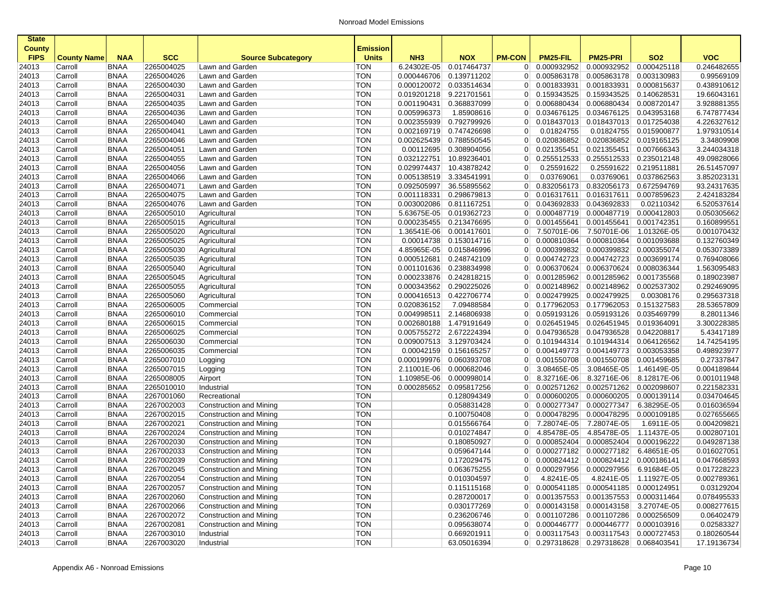| <b>State</b>                 |                    |             |            |                           |                                 |                         |                         |                |                |                                       |                        |             |
|------------------------------|--------------------|-------------|------------|---------------------------|---------------------------------|-------------------------|-------------------------|----------------|----------------|---------------------------------------|------------------------|-------------|
| <b>County</b><br><b>FIPS</b> | <b>County Name</b> | <b>NAA</b>  | <b>SCC</b> | <b>Source Subcategory</b> | <b>Emission</b><br><b>Units</b> | NH <sub>3</sub>         | <b>NOX</b>              | <b>PM-CON</b>  | PM25-FIL       | <b>PM25-PRI</b>                       | <b>SO2</b>             | <b>VOC</b>  |
| 24013                        | Carroll            | <b>BNAA</b> | 2265004025 | Lawn and Garden           | TON                             | 6.24302E-05             | 0.017464737             | 0              | 0.000932952    | 0.000932952                           | 0.000425118            | 0.246482655 |
| 24013                        | Carroll            | <b>BNAA</b> | 2265004026 | Lawn and Garden           | <b>TON</b>                      | 0.000446706             | 0.139711202             | $\overline{0}$ | 0.005863178    | 0.005863178                           | 0.003130983            | 0.99569109  |
| 24013                        | Carroll            | <b>BNAA</b> | 2265004030 | Lawn and Garden           | <b>TON</b>                      | 0.000120072             | 0.033514634             | $\overline{0}$ | 0.001833931    | 0.001833931                           | 0.000815637            | 0.438910612 |
| 24013                        | Carroll            | <b>BNAA</b> | 2265004031 | Lawn and Garden           | <b>TON</b>                      | 0.019201218 9.221701561 |                         | 0 <sup>1</sup> | 0.159343525    | 0.159343525                           | 0.140628531            | 19.66043161 |
| 24013                        | Carroll            | <b>BNAA</b> | 2265004035 | Lawn and Garden           | <b>TON</b>                      | 0.001190431             | 0.368837099             | 0              | 0.006880434    | 0.006880434                           | 0.008720147            | 3.928881355 |
| 24013                        | Carroll            | <b>BNAA</b> | 2265004036 | Lawn and Garden           | <b>TON</b>                      | 0.005996373             | 1.85908616              | $\overline{0}$ | 0.034676125    | 0.034676125                           | 0.043953168            | 6.747877434 |
| 24013                        | Carroll            | <b>BNAA</b> | 2265004040 | Lawn and Garden           | <b>TON</b>                      | 0.002355939             | 0.792799926             | $\overline{0}$ | 0.018437013    | 0.018437013                           | 0.017254038            | 4.226327612 |
| 24013                        | Carroll            | <b>BNAA</b> | 2265004041 | Lawn and Garden           | <b>TON</b>                      | 0.002169719             | 0.747426698             | $\overline{0}$ | 0.01824755     | 0.01824755                            | 0.015900877            | 1.979310514 |
| 24013                        | Carroll            | <b>BNAA</b> | 2265004046 | Lawn and Garden           | <b>TON</b>                      | 0.002625439             | 0.788550545             | $\overline{0}$ | 0.020836852    | 0.020836852                           | 0.019165125            | 3.34809908  |
| 24013                        | Carroll            | <b>BNAA</b> | 2265004051 | Lawn and Garden           | <b>TON</b>                      | 0.00112695              | 0.308904056             | $\overline{0}$ | 0.021355451    | 0.021355451                           | 0.007666343            | 3.244034318 |
| 24013                        | Carroll            | <b>BNAA</b> | 2265004055 | Lawn and Garden           | <b>TON</b>                      | 0.032122751             | 10.89236401             | $\overline{0}$ | 0.255512533    | 0.255512533                           | 0.235012148            | 49.09828066 |
| 24013                        | Carroll            | <b>BNAA</b> | 2265004056 | Lawn and Garden           | <b>TON</b>                      | 0.029974437             | 10.43878242             | $\overline{0}$ | 0.25591622     | 0.25591622                            | 0.219511881            | 26.51457097 |
| 24013                        | Carroll            | <b>BNAA</b> | 2265004066 | Lawn and Garden           | <b>TON</b>                      | 0.005138519             | 3.334541991             | $\overline{0}$ | 0.03769061     | 0.03769061                            | 0.037862563            | 3.852023131 |
| 24013                        | Carroll            | <b>BNAA</b> | 2265004071 | Lawn and Garden           | <b>TON</b>                      | 0.092505997             | 36.55895562             | $\overline{0}$ | 0.832056173    | 0.832056173                           | 0.672594769            | 93.24317635 |
| 24013                        | Carroll            | <b>BNAA</b> | 2265004075 | Lawn and Garden           | <b>TON</b>                      | 0.001118331             | 0.298679813             | $\overline{0}$ | 0.016317611    | 0.016317611                           | 0.007859623            | 2.424183284 |
| 24013                        | Carroll            | <b>BNAA</b> | 2265004076 | Lawn and Garden           | <b>TON</b>                      | 0.003002086             | 0.811167251             | $\overline{0}$ | 0.043692833    | 0.043692833                           | 0.02110342             | 6.520537614 |
| 24013                        | Carroll            | <b>BNAA</b> | 2265005010 | Agricultural              | <b>TON</b>                      | 5.63675E-05             | 0.019362723             | $\overline{0}$ | 0.000487719    | 0.000487719                           | 0.000412803            | 0.050305662 |
| 24013                        | Carroll            | <b>BNAA</b> | 2265005015 | Agricultural              | <b>TON</b>                      | 0.000235455             | 0.213476695             | $\overline{0}$ | 0.001455641    | 0.001455641                           | 0.001742351            | 0.160899551 |
| 24013                        | Carroll            | <b>BNAA</b> | 2265005020 | Agricultural              | <b>TON</b>                      | 1.36541E-06             | 0.001417601             | $\overline{0}$ | 7.50701E-06    | 7.50701E-06                           | 1.01326E-05            | 0.001070432 |
| 24013                        | Carroll            | <b>BNAA</b> | 2265005025 | Agricultural              | <b>TON</b>                      |                         | 0.00014738 0.153014716  | $\overline{0}$ | 0.000810364    | 0.000810364                           | 0.001093688            | 0.132760349 |
| 24013                        | Carroll            | <b>BNAA</b> | 2265005030 | Agricultural              | <b>TON</b>                      | 4.85965E-05             | 0.015846996             | $\overline{0}$ | 0.000399832    | 0.000399832                           | 0.000355074            | 0.053073389 |
| 24013                        | Carroll            | <b>BNAA</b> | 2265005035 | Agricultural              | <b>TON</b>                      | 0.000512681             | 0.248742109             | $\overline{0}$ | 0.004742723    | 0.004742723                           | 0.003699174            | 0.769408066 |
| 24013                        | Carroll            | <b>BNAA</b> | 2265005040 | Agricultural              | <b>TON</b>                      | 0.001101636             | 0.238834998             | $\overline{0}$ | 0.006370624    | 0.006370624                           | 0.008036344            | 1.563095483 |
| 24013                        | Carroll            | <b>BNAA</b> | 2265005045 | Agricultural              | <b>TON</b>                      | 0.000233876             | 0.242818215             | $\overline{0}$ | 0.001285962    | 0.001285962                           | 0.001735568            | 0.189023987 |
| 24013                        | Carroll            | <b>BNAA</b> | 2265005055 | Agricultural              | <b>TON</b>                      | 0.000343562             | 0.290225026             | $\overline{0}$ | 0.002148962    | 0.002148962                           | 0.002537302            | 0.292469095 |
| 24013                        | Carroll            | <b>BNAA</b> | 2265005060 | Agricultural              | <b>TON</b>                      | 0.000416513 0.422706774 |                         | $\overline{0}$ | 0.002479925    | 0.002479925                           | 0.00308176             | 0.295637318 |
| 24013                        | Carroll            | <b>BNAA</b> | 2265006005 | Commercial                | <b>TON</b>                      | 0.020836152             | 7.09488584              | $\overline{0}$ | 0.177962053    | 0.177962053                           | 0.151327583            | 28.53657809 |
| 24013                        | Carroll            | <b>BNAA</b> | 2265006010 | Commercial                | <b>TON</b>                      | 0.004998511             | 2.146806938             | $\overline{0}$ | 0.059193126    | 0.059193126                           | 0.035469799            | 8.28011346  |
| 24013                        | Carroll            | <b>BNAA</b> | 2265006015 | Commercial                | <b>TON</b>                      | 0.002680188             | 1.479191649             | $\overline{0}$ | 0.026451945    | 0.026451945                           | 0.019364091            | 3.300228385 |
| 24013                        | Carroll            | <b>BNAA</b> | 2265006025 | Commercial                | <b>TON</b>                      | 0.005755272 2.672224394 |                         | $\overline{0}$ | 0.047936528    | 0.047936528                           | 0.042208817            | 5.43417189  |
| 24013                        | Carroll            | <b>BNAA</b> | 2265006030 | Commercial                | <b>TON</b>                      |                         | 0.009007513 3.129703424 | $\overline{0}$ | 0.101944314    | 0.101944314                           | 0.064126562            | 14.74254195 |
| 24013                        | Carroll            | <b>BNAA</b> | 2265006035 | Commercial                | <b>TON</b>                      | 0.00042159              | 0.156165257             | $\overline{0}$ | 0.004149773    | 0.004149773                           | 0.003053358            | 0.498923977 |
| 24013                        | Carroll            | <b>BNAA</b> | 2265007010 | Logging                   | <b>TON</b>                      | 0.000199976             | 0.060393708             | $\overline{0}$ | 0.001550708    | 0.001550708                           | 0.001459685            | 0.27337847  |
| 24013                        | Carroll            | <b>BNAA</b> | 2265007015 | Logging                   | <b>TON</b>                      | 2.11001E-06             | 0.000682046             | $\overline{0}$ | 3.08465E-05    | 3.08465E-05                           | 1.46149E-05            | 0.004189844 |
| 24013                        | Carroll            | <b>BNAA</b> | 2265008005 | Airport                   | <b>TON</b>                      | 1.10985E-06             | 0.000998014             | $\overline{0}$ | 8.32716E-06    | 8.32716E-06                           | 8.12817E-06            | 0.001011948 |
| 24013                        | Carroll            | <b>BNAA</b> | 2265010010 | Industrial                | <b>TON</b>                      | 0.000285652             | 0.095817256             | 0              | 0.002571262    | 0.002571262                           | 0.002098607            | 0.221582331 |
| 24013                        | Carroll            | <b>BNAA</b> | 2267001060 | Recreational              | <b>TON</b>                      |                         | 0.128094349             | $\overline{0}$ | 0.000600205    | 0.000600205                           | 0.000139114            | 0.034704645 |
| 24013                        | Carroll            | <b>BNAA</b> | 2267002003 | Construction and Mining   | <b>TON</b>                      |                         | 0.058831428             | $\overline{0}$ | 0.000277347    | 0.000277347                           | 6.38295E-05            | 0.016036594 |
| 24013                        | Carroll            | <b>BNAA</b> | 2267002015 | Construction and Mining   | <b>TON</b>                      |                         | 0.100750408             | $\overline{0}$ | 0.000478295    | 0.000478295                           | 0.000109185            | 0.027655665 |
| 24013                        | Carroll            | <b>BNAA</b> | 2267002021 | Construction and Mining   | TON                             |                         | 0.015566764             | $\overline{0}$ | 7.28074E-05    | 7.28074E-05                           | 1.6911E-05             | 0.004209821 |
| 24013                        | Carroll            | <b>BNAA</b> | 2267002024 | Construction and Mining   | <b>TON</b>                      |                         | 0.010274847             | $\overline{0}$ | 4.85478E-05    | 4.85478E-05                           | 1.11437E-05            | 0.002807101 |
| 24013                        | Carroll            | <b>BNAA</b> | 2267002030 | Construction and Mining   | <b>TON</b>                      |                         | 0.180850927             | $\overline{0}$ | 0.000852404    | 0.000852404                           | 0.000196222            | 0.049287138 |
| 24013                        | Carroll            | <b>BNAA</b> | 2267002033 | Construction and Mining   | <b>TON</b>                      |                         | 0.059647144             | $\overline{0}$ | 0.000277182    | 0.000277182                           | 6.48651E-05            | 0.016027051 |
| 24013                        | Carroll            | <b>BNAA</b> | 2267002039 | Construction and Mining   | <b>TON</b>                      |                         | 0.172029475             | 01             | 0.000824412    | 0.000824412 0.000186141               |                        | 0.047668593 |
| 24013                        | Carroll            | BNAA        | 2267002045 | Construction and Mining   | TON                             |                         | 0.063675255             |                | 0  0.000297956 | 0.000297956 6.91684E-05               |                        | 0.017228223 |
| 24013                        | Carroll            | <b>BNAA</b> | 2267002054 | Construction and Mining   | TON                             |                         | 0.010304597             | 0              | 4.8241E-05     |                                       | 4.8241E-05 1.11927E-05 | 0.002789361 |
| 24013                        | Carroll            | <b>BNAA</b> | 2267002057 | Construction and Mining   | TON                             |                         | 0.115115168             |                |                | 0 0.000541185 0.000541185 0.000124951 |                        | 0.03129204  |
| 24013                        | Carroll            | <b>BNAA</b> | 2267002060 | Construction and Mining   | TON                             |                         | 0.287200017             |                |                | 0 0.001357553 0.001357553 0.000311464 |                        | 0.078495533 |
| 24013                        | Carroll            | <b>BNAA</b> | 2267002066 | Construction and Mining   | <b>TON</b>                      |                         | 0.030177269             |                |                | $0$ 0.000143158 0.000143158           | 3.27074E-05            | 0.008277615 |
| 24013                        | Carroll            | <b>BNAA</b> | 2267002072 | Construction and Mining   | <b>TON</b>                      |                         | 0.236206746             |                |                | 0 0.001107286 0.001107286 0.000256509 |                        | 0.06402479  |
| 24013                        | Carroll            | <b>BNAA</b> | 2267002081 | Construction and Mining   | <b>TON</b>                      |                         | 0.095638074             |                |                | 0 0.000446777 0.000446777 0.000103916 |                        | 0.02583327  |
| 24013                        | Carroll            | <b>BNAA</b> | 2267003010 | Industrial                | <b>TON</b>                      |                         | 0.669201911             |                |                | 0 0.003117543 0.003117543 0.000727453 |                        | 0.180260544 |
| 24013                        | Carroll            | <b>BNAA</b> | 2267003020 | Industrial                | <b>TON</b>                      |                         | 63.05016394             |                |                | 0 0.297318628 0.297318628 0.068403541 |                        | 17.19136734 |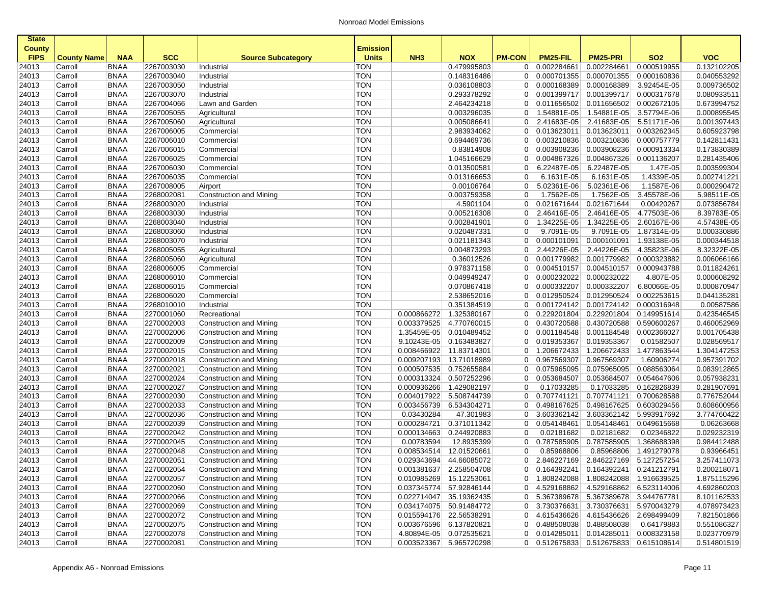| <b>State</b>   |                    |                     |                          |                                                    |                   |                                                    |             |                |                                       |                           |                         |                            |
|----------------|--------------------|---------------------|--------------------------|----------------------------------------------------|-------------------|----------------------------------------------------|-------------|----------------|---------------------------------------|---------------------------|-------------------------|----------------------------|
| <b>County</b>  |                    |                     |                          |                                                    | Emission          |                                                    |             |                |                                       |                           |                         |                            |
| <b>FIPS</b>    | <b>County Name</b> | <b>NAA</b>          | <b>SCC</b>               | <b>Source Subcategory</b>                          | <b>Units</b>      | NH <sub>3</sub>                                    | <b>NOX</b>  | <b>PM-CON</b>  | PM25-FIL                              | <b>PM25-PRI</b>           | SO <sub>2</sub>         | <b>VOC</b>                 |
| 24013          | Carroll            | <b>BNAA</b>         | 2267003030               | Industrial                                         | <b>TON</b>        |                                                    | 0.479995803 | $\overline{0}$ | 0.002284661                           | 0.002284661               | 0.000519955             | 0.132102205                |
| 24013          | Carroll            | <b>BNAA</b>         | 2267003040               | Industrial                                         | <b>TON</b>        |                                                    | 0.148316486 | $\overline{0}$ | 0.000701355                           | 0.000701355               | 0.000160836             | 0.040553292                |
| 24013          | Carroll            | <b>BNAA</b>         | 2267003050               | Industrial                                         | <b>TON</b>        |                                                    | 0.036108803 | $\overline{0}$ | 0.000168389                           | 0.000168389               | 3.92454E-05             | 0.009736502                |
| 24013          | Carroll            | <b>BNAA</b>         | 2267003070               | Industrial                                         | <b>TON</b>        |                                                    | 0.293378292 | $\overline{0}$ | 0.001399717                           | 0.001399717               | 0.000317678             | 0.080933511                |
| 24013          | Carroll            | <b>BNAA</b>         | 2267004066               | Lawn and Garden                                    | <b>TON</b>        |                                                    | 2.464234218 | $\overline{0}$ | 0.011656502                           | 0.011656502               | 0.002672105             | 0.673994752                |
| 24013          | Carroll            | <b>BNAA</b>         | 2267005055               | Agricultural                                       | <b>TON</b>        |                                                    | 0.003296035 | $\overline{0}$ | 1.54881E-05                           | 1.54881E-05               | 3.57794E-06             | 0.000895545                |
| 24013          | Carroll            | <b>BNAA</b>         | 2267005060               | Agricultural                                       | <b>TON</b>        |                                                    | 0.005086641 | $\overline{0}$ | 2.41683E-05                           | 2.41683E-05               | 5.51171E-06             | 0.001397443                |
| 24013          | Carroll            | <b>BNAA</b>         | 2267006005               | Commercial                                         | <b>TON</b>        |                                                    | 2.983934062 | $\overline{0}$ | 0.013623011                           | 0.013623011               | 0.003262345             | 0.605923798                |
| 24013          | Carroll            | <b>BNAA</b>         | 2267006010               | Commercial                                         | <b>TON</b>        |                                                    | 0.694469736 | $\overline{0}$ | 0.003210836                           | 0.003210836               | 0.000757779             | 0.142811431                |
| 24013          | Carroll            | <b>BNAA</b>         | 2267006015               | Commercial                                         | <b>TON</b>        |                                                    | 0.83814908  | $\overline{0}$ | 0.003908236                           | 0.003908236               | 0.000913334             | 0.173830389                |
| 24013          | Carroll            | <b>BNAA</b>         | 2267006025               | Commercial                                         | <b>TON</b>        |                                                    | 1.045166629 | $\overline{0}$ | 0.004867326                           | 0.004867326               | 0.001136207             | 0.281435406                |
| 24013          | Carroll            | <b>BNAA</b>         | 2267006030               | Commercial                                         | <b>TON</b>        |                                                    | 0.013500581 | $\overline{0}$ | 6.22487E-05                           | 6.22487E-05               | 1.47E-05                | 0.003599304                |
| 24013          | Carroll            | <b>BNAA</b>         | 2267006035               | Commercial                                         | <b>TON</b>        |                                                    | 0.013166653 | $\overline{0}$ | 6.1631E-05                            | 6.1631E-05                | 1.4339E-05              | 0.002741221                |
| 24013          | Carroll            | <b>BNAA</b>         | 2267008005               | Airport                                            | <b>TON</b>        |                                                    | 0.00106764  | $\overline{0}$ | 5.02361E-06                           | 5.02361E-06               | 1.1587E-06              | 0.000290472                |
| 24013          | Carroll            | <b>BNAA</b>         | 2268002081               | Construction and Mining                            | <b>TON</b>        |                                                    | 0.003759358 | $\overline{0}$ | 1.7562E-05                            | 1.7562E-05                | 3.45578E-06             | 5.98511E-05                |
| 24013          | Carroll            | <b>BNAA</b>         | 2268003020               | Industrial                                         | <b>TON</b>        |                                                    | 4.5901104   | $\overline{0}$ | 0.021671644                           | 0.021671644               | 0.00420267              | 0.073856784                |
| 24013          | Carroll            | <b>BNAA</b>         | 2268003030               | Industrial                                         | <b>TON</b>        |                                                    | 0.005216308 | $\overline{0}$ | 2.46416E-05                           | 2.46416E-05               | 4.77503E-06             | 8.39783E-05                |
| 24013          | Carroll            | <b>BNAA</b>         | 2268003040               | Industrial                                         | <b>TON</b>        |                                                    | 0.002841901 | $\overline{0}$ | 1.34225E-05                           | 1.34225E-05               | 2.60167E-06             | 4.57438E-05                |
| 24013          | Carroll            | <b>BNAA</b>         | 2268003060               | Industrial                                         | <b>TON</b>        |                                                    | 0.020487331 | $\overline{0}$ | 9.7091E-05                            | 9.7091E-05                | 1.87314E-05             | 0.000330886                |
| 24013          | Carroll            | <b>BNAA</b>         | 2268003070               | Industrial                                         | <b>TON</b>        |                                                    | 0.021181343 | $\overline{0}$ | 0.000101091                           | 0.000101091               | 1.93138E-05             | 0.000344518                |
| 24013          | Carroll            | <b>BNAA</b>         | 2268005055               | Agricultural                                       | <b>TON</b>        |                                                    | 0.004873293 | $\overline{0}$ | 2.44226E-05                           | 2.44226E-05               | 4.35823E-06             | 8.32322E-05                |
| 24013          | Carroll            | <b>BNAA</b>         | 2268005060               | Agricultural                                       | <b>TON</b>        |                                                    | 0.36012526  | $\overline{0}$ | 0.001779982                           | 0.001779982               | 0.000323882             | 0.006066166                |
| 24013          | Carroll            | <b>BNAA</b>         | 2268006005               | Commercial                                         | <b>TON</b>        |                                                    | 0.978371158 | $\overline{0}$ | 0.004510157                           | 0.004510157               | 0.000943788             | 0.011824261                |
| 24013          | Carroll            | <b>BNAA</b>         | 2268006010               | Commercial                                         | <b>TON</b>        |                                                    | 0.049949247 | $\overline{0}$ | 0.000232022                           | 0.000232022               | 4.807E-05               | 0.000608292                |
| 24013          | Carroll            | <b>BNAA</b>         | 2268006015               | Commercial                                         | <b>TON</b>        |                                                    | 0.070867418 | $\overline{0}$ | 0.000332207                           | 0.000332207               | 6.80066E-05             | 0.000870947                |
| 24013          | Carroll            | <b>BNAA</b>         | 2268006020               | Commercial                                         | <b>TON</b>        |                                                    | 2.538652016 | $\overline{0}$ | 0.012950524                           | 0.012950524               | 0.002253615             | 0.044135281                |
| 24013          | Carroll            | <b>BNAA</b>         | 2268010010               | Industrial                                         | <b>TON</b>        |                                                    | 0.351384519 | $\overline{0}$ | 0.001724142                           | 0.001724142               | 0.000316948             | 0.00587586                 |
| 24013          | Carroll            | <b>BNAA</b>         | 2270001060               | Recreational                                       | <b>TON</b>        | 0.000866272                                        | 1.325380167 | $\overline{0}$ | 0.229201804                           | 0.229201804               | 0.149951614             | 0.423546545                |
| 24013          | Carroll            | <b>BNAA</b>         | 2270002003               | Construction and Mining                            | <b>TON</b>        | 0.003379525                                        | 4.770760015 | $\overline{0}$ | 0.430720588                           | 0.430720588               | 0.590600267             | 0.460052969                |
| 24013          | Carroll            | <b>BNAA</b>         | 2270002006               | Construction and Mining                            | <b>TON</b>        | 1.35459E-05                                        | 0.010489452 | $\overline{0}$ | 0.001184548                           | 0.001184548               | 0.002366027             | 0.001705438                |
| 24013          | Carroll            | <b>BNAA</b>         | 2270002009               | <b>Construction and Mining</b>                     | <b>TON</b>        | 9.10243E-05                                        | 0.163483827 | $\overline{0}$ | 0.019353367                           | 0.019353367               | 0.01582507              | 0.028569517                |
| 24013          | Carroll            | <b>BNAA</b>         | 2270002015               | Construction and Mining                            | <b>TON</b>        | 0.008466922                                        | 11.83714301 | $\overline{0}$ | 1.206672433                           | 1.206672433               | 1.477863544             | 1.304147253                |
| 24013          | Carroll            | <b>BNAA</b>         | 2270002018               | Construction and Mining                            | <b>TON</b>        | 0.009207193                                        | 13.71018989 | $\overline{0}$ | 0.967569307                           | 0.967569307               | 1.60906274              | 0.957391702                |
| 24013          | Carroll            | <b>BNAA</b>         | 2270002021               | Construction and Mining                            | <b>TON</b>        | 0.000507535                                        | 0.752655884 | $\overline{0}$ | 0.075965095                           | 0.075965095               | 0.088563064             | 0.083912865                |
| 24013          | Carroll            | <b>BNAA</b>         | 2270002024               | Construction and Mining                            | <b>TON</b>        | 0.000313324                                        | 0.507252296 | $\overline{0}$ | 0.053684507                           | 0.053684507               | 0.054647606             | 0.057938231                |
| 24013          | Carroll            | <b>BNAA</b>         | 2270002027               | Construction and Mining                            | <b>TON</b>        | 0.000936266                                        | 1.429082197 | $\overline{0}$ | 0.17033285                            | 0.17033285                | 0.162826839             | 0.281907691                |
| 24013          | Carroll            | <b>BNAA</b>         | 2270002030               | Construction and Mining                            | <b>TON</b>        | 0.004017922                                        | 5.508744739 | $\overline{0}$ | 0.707741121                           | 0.707741121               | 0.700628588             | 0.776752044                |
| 24013          | Carroll            | <b>BNAA</b>         | 2270002033               | Construction and Mining                            | <b>TON</b>        | 0.003456739                                        | 6.534304271 | $\overline{0}$ | 0.498167625                           | 0.498167625               | 0.603029456             | 0.608600956                |
| 24013          | Carroll            | <b>BNAA</b>         | 2270002036               | Construction and Mining                            | <b>TON</b>        | 0.03430284                                         | 47.301983   | $\overline{0}$ | 3.603362142                           | 3.603362142               | 5.993917692             | 3.774760422                |
| 24013          | Carroll            | <b>BNAA</b>         | 2270002039               | Construction and Mining                            | <b>TON</b>        | 0.000284721                                        | 0.371011342 | $\overline{0}$ | 0.054148461                           | 0.054148461               | 0.049615668             | 0.06263668                 |
| 24013          | Carroll            | <b>BNAA</b>         | 2270002042               | Construction and Mining                            | <b>TON</b>        | 0.000134663                                        | 0.244920883 | $\overline{0}$ | 0.02181682                            | 0.02181682                | 0.02346822              | 0.029232319                |
| 24013          | Carroll            | <b>BNAA</b>         | 2270002045               | Construction and Mining                            | <b>TON</b>        | 0.00783594                                         | 12.8935399  | $\overline{0}$ | 0.787585905                           | 0.787585905               | 1.368688398             | 0.984412488                |
| 24013          | Carroll            | <b>BNAA</b>         | 2270002048               | <b>Construction and Mining</b>                     | <b>TON</b>        | 0.008534514                                        | 12.01520661 | $\overline{0}$ | 0.85968806                            | 0.85968806                | 1.491279078             | 0.93966451                 |
| 24013          | Carroll            | <b>BNAA</b>         | 2270002051               | Construction and Mining                            | <b>TON</b>        | 0.029343694                                        | 44.66085072 | 0              | 2.846227169                           | 2.846227169 5.127257254   |                         | 3.257411073                |
|                |                    |                     |                          |                                                    |                   |                                                    |             |                |                                       |                           |                         |                            |
| 24013<br>24013 | Carroll<br>Carroll | BNAA<br><b>BNAA</b> | 2270002054<br>2270002057 | Construction and Mining<br>Construction and Mining | TON<br><b>TON</b> | 0.001381637 2.258504708<br>0.010985269 15.12253061 |             | 0 <sup>1</sup> | $0$ 0.164392241                       | $0.164392241$ 0.241212791 |                         | 0.200218071<br>1.875115296 |
| 24013          | Carroll            | <b>BNAA</b>         | 2270002060               | Construction and Mining                            | <b>TON</b>        | 0.037345774 57.92846144                            |             |                | 0 4.529168862                         | 4.529168862 6.523114006   |                         | 4.692860203                |
| 24013          | Carroll            | <b>BNAA</b>         | 2270002066               | Construction and Mining                            | <b>TON</b>        | 0.022714047                                        | 35.19362435 | $\overline{0}$ | 5.367389678                           | 5.367389678 3.944767781   |                         | 8.101162533                |
|                | Carroll            | <b>BNAA</b>         | 2270002069               | Construction and Mining                            | <b>TON</b>        | 0.034174075 50.91484772                            |             |                | 0 3.730376631                         |                           | 3.730376631 5.970043279 | 4.078973423                |
| 24013<br>24013 | Carroll            | <b>BNAA</b>         | 2270002072               | Construction and Mining                            | <b>TON</b>        | 0.015594176 22.56538291                            |             | 0 <sup>1</sup> | 4.615436626                           |                           | 4.615436626 2.698499409 | 7.821501866                |
| 24013          | Carroll            | <b>BNAA</b>         | 2270002075               | Construction and Mining                            | <b>TON</b>        | 0.003676596 6.137820821                            |             | 0 <sup>1</sup> | 0.488508038                           | 0.488508038               | 0.64179883              | 0.551086327                |
|                |                    |                     | 2270002078               | Construction and Mining                            | <b>TON</b>        | 4.80894E-05 0.072535621                            |             |                | $0$ 0.014285011                       |                           | 0.008323158             | 0.023770979                |
| 24013          | Carroll            | <b>BNAA</b>         |                          |                                                    |                   |                                                    |             |                |                                       | 0.014285011               |                         |                            |
| 24013          | Carroll            | <b>BNAA</b>         | 2270002081               | Construction and Mining                            | <b>TON</b>        | 0.003523367 5.965720298                            |             |                | 0 0.512675833 0.512675833 0.615108614 |                           |                         | 0.514801519                |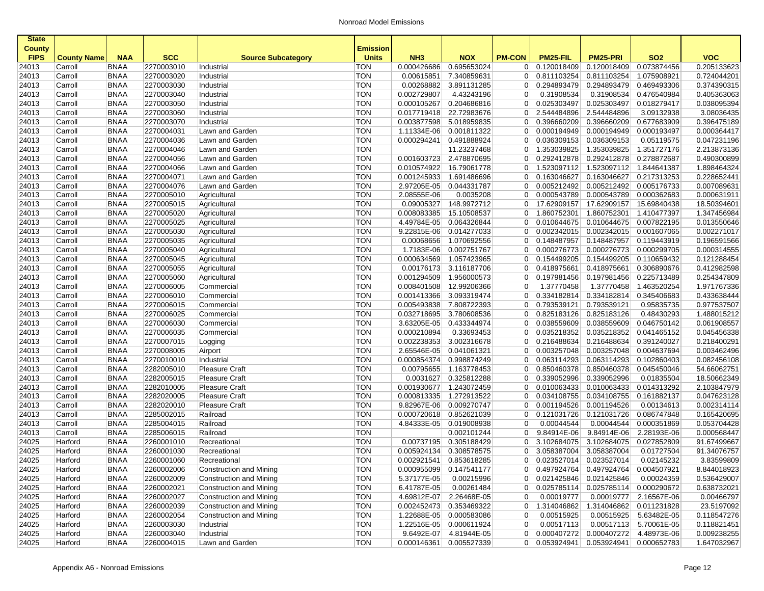| <b>State</b>                 |                    |             |            |                           |                                 |                 |                         |                |                                         |                         |                         |             |
|------------------------------|--------------------|-------------|------------|---------------------------|---------------------------------|-----------------|-------------------------|----------------|-----------------------------------------|-------------------------|-------------------------|-------------|
| <b>County</b><br><b>FIPS</b> | <b>County Name</b> | <b>NAA</b>  | <b>SCC</b> | <b>Source Subcategory</b> | <b>Emission</b><br><b>Units</b> | NH <sub>3</sub> | <b>NOX</b>              | <b>PM-CON</b>  | PM25-FIL                                | <b>PM25-PRI</b>         | <b>SO2</b>              | <b>VOC</b>  |
| 24013                        | Carroll            | <b>BNAA</b> | 2270003010 | Industrial                | TON                             | 0.000426686     | 0.695653024             | 0 <sup>1</sup> | 0.120018409                             | 0.120018409             | 0.073874456             | 0.205133623 |
| 24013                        | Carroll            | <b>BNAA</b> | 2270003020 | Industrial                | <b>TON</b>                      | 0.00615851      | 7.340859631             | 0 <sup>1</sup> | 0.811103254                             | 0.811103254             | 1.075908921             | 0.724044201 |
| 24013                        | Carroll            | <b>BNAA</b> | 2270003030 | Industrial                | <b>TON</b>                      | 0.00268882      | 3.891131285             | 0              | 0.294893479                             | 0.294893479             | 0.469493306             | 0.374390315 |
| 24013                        | Carroll            | <b>BNAA</b> | 2270003040 | Industrial                | <b>TON</b>                      | 0.002729807     | 4.43243196              | $\overline{0}$ | 0.31908534                              | 0.31908534              | 0.476540984             | 0.405363063 |
| 24013                        | Carroll            | <b>BNAA</b> | 2270003050 | Industrial                | <b>TON</b>                      | 0.000105267     | 0.204686816             | $\overline{0}$ | 0.025303497                             | 0.025303497             | 0.018279417             | 0.038095394 |
| 24013                        | Carroll            | <b>BNAA</b> | 2270003060 | Industrial                | <b>TON</b>                      | 0.017719418     | 22.72983676             | $\overline{0}$ | 2.544484896                             | 2.544484896             | 3.09132938              | 3.08036435  |
| 24013                        | Carroll            | <b>BNAA</b> | 2270003070 | Industrial                | <b>TON</b>                      |                 | 0.003877598 5.018959835 | 0 <sup>1</sup> | 0.396660209                             | 0.396660209             | 0.677683909             | 0.396475189 |
| 24013                        | Carroll            | <b>BNAA</b> | 2270004031 | Lawn and Garden           | <b>TON</b>                      | 1.11334E-06     | 0.001811322             | $\overline{0}$ | 0.000194949                             | 0.000194949             | 0.000193497             | 0.000364417 |
| 24013                        | Carroll            | <b>BNAA</b> | 2270004036 | Lawn and Garden           | <b>TON</b>                      | 0.000294241     | 0.491888924             |                | $0$ 0.036309153                         | 0.036309153             | 0.05119575              | 0.047231196 |
| 24013                        | Carroll            | <b>BNAA</b> | 2270004046 | Lawn and Garden           | <b>TON</b>                      |                 | 11.23237468             | 0 <sup>1</sup> | 1.353039825                             | 1.353039825             | 1.351727176             | 2.213873136 |
| 24013                        | Carroll            | <b>BNAA</b> | 2270004056 | Lawn and Garden           | <b>TON</b>                      | 0.001603723     | 2.478870695             | 0 <sup>1</sup> | 0.292412878                             | 0.292412878             | 0.278872687             | 0.490300899 |
| 24013                        | Carroll            | <b>BNAA</b> | 2270004066 | Lawn and Garden           | <b>TON</b>                      | 0.010574922     | 16.79061778             | 0              | 1.523097112                             | 1.523097112             | 1.844641387             | 1.898464324 |
| 24013                        | Carroll            | <b>BNAA</b> | 2270004071 | Lawn and Garden           | <b>TON</b>                      | 0.001245933     | 1.691486696             | $\overline{0}$ | 0.163046627                             | 0.163046627             | 0.217313253             | 0.228652441 |
| 24013                        | Carroll            | <b>BNAA</b> | 2270004076 | Lawn and Garden           | <b>TON</b>                      | 2.97205E-05     | 0.044331787             | 0 <sup>1</sup> | 0.005212492                             | 0.005212492             | 0.005176733             | 0.007089631 |
| 24013                        | Carroll            | <b>BNAA</b> | 2270005010 | Agricultural              | <b>TON</b>                      | 2.08555E-06     | 0.0035208               | $\overline{0}$ | 0.000543789                             | 0.000543789             | 0.000362683             | 0.000631911 |
| 24013                        | Carroll            | <b>BNAA</b> | 2270005015 | Agricultural              | <b>TON</b>                      | 0.09005327      | 148.9972712             | $\Omega$       | 17.62909157                             | 17.62909157             | 15.69840438             | 18.50394601 |
| 24013                        | Carroll            | <b>BNAA</b> | 2270005020 | Agricultural              | <b>TON</b>                      | 0.008083385     | 15.10508537             | $\overline{0}$ | 1.860752301                             | 1.860752301             | 1.410477397             | 1.347456984 |
| 24013                        | Carroll            | <b>BNAA</b> | 2270005025 | Agricultural              | <b>TON</b>                      | 4.49784E-05     | 0.064326844             | $\overline{0}$ | 0.010644675                             | 0.010644675             | 0.007822195             | 0.013550646 |
| 24013                        | Carroll            | <b>BNAA</b> | 2270005030 | Agricultural              | <b>TON</b>                      | 9.22815E-06     | 0.014277033             | 0              | 0.002342015                             | 0.002342015             | 0.001607065             | 0.002271017 |
| 24013                        | Carroll            | <b>BNAA</b> | 2270005035 | Agricultural              | <b>TON</b>                      | 0.00068656      | 1.070692556             | $\overline{0}$ | 0.148487957                             | 0.148487957             | 0.119443919             | 0.196591566 |
| 24013                        | Carroll            | <b>BNAA</b> | 2270005040 | Agricultural              | <b>TON</b>                      |                 | 1.7183E-06 0.002751767  | 0 <sup>1</sup> | 0.000276773                             | 0.000276773             | 0.000299705             | 0.000314555 |
| 24013                        | Carroll            | <b>BNAA</b> | 2270005045 | Agricultural              | <b>TON</b>                      |                 | 0.000634569 1.057423965 | $\overline{0}$ | 0.154499205                             | 0.154499205             | 0.110659432             | 0.121288454 |
| 24013                        | Carroll            | <b>BNAA</b> | 2270005055 | Agricultural              | <b>TON</b>                      |                 | 0.00176173 3.116187706  |                | 0 0.418975661                           | 0.418975661             | 0.306890676             | 0.412982598 |
| 24013                        | Carroll            | <b>BNAA</b> | 2270005060 | Agricultural              | <b>TON</b>                      |                 | 0.001294509 1.956000573 | $\overline{0}$ | 0.197981456                             | 0.197981456             | 0.225713489             | 0.254347809 |
| 24013                        | Carroll            | <b>BNAA</b> | 2270006005 | Commercial                | <b>TON</b>                      | 0.008401508     | 12.99206366             | $\overline{0}$ | 1.37770458                              | 1.37770458              | 1.463520254             | 1.971767336 |
| 24013                        | Carroll            | <b>BNAA</b> | 2270006010 | Commercial                | <b>TON</b>                      | 0.001413366     | 3.093319474             | $\overline{0}$ | 0.334182814                             | 0.334182814             | 0.345406683             | 0.433638444 |
| 24013                        | Carroll            | <b>BNAA</b> | 2270006015 | Commercial                | <b>TON</b>                      | 0.005493838     | 7.808722393             | $\overline{0}$ | 0.793539121                             | 0.793539121             | 0.95835735              | 0.977537507 |
| 24013                        | Carroll            | <b>BNAA</b> | 2270006025 | Commercial                | <b>TON</b>                      |                 | 0.032718695 3.780608536 | 0 <sup>1</sup> | 0.825183126                             | 0.825183126             | 0.48430293              | 1.488015212 |
| 24013                        | Carroll            | <b>BNAA</b> | 2270006030 | Commercial                | <b>TON</b>                      | 3.63205E-05     | 0.433344974             | 0 <sup>1</sup> | 0.038559609                             | 0.038559609             | 0.046750142             | 0.061908557 |
| 24013                        | Carroll            | <b>BNAA</b> | 2270006035 | Commercial                | <b>TON</b>                      | 0.000210894     | 0.33693453              | 0 <sup>1</sup> | 0.035218352                             | 0.035218352             | 0.041465152             | 0.045456338 |
| 24013                        | Carroll            | <b>BNAA</b> | 2270007015 | Logging                   | <b>TON</b>                      | 0.002238353     | 3.002316678             | $\overline{0}$ | 0.216488634                             | 0.216488634             | 0.391240027             | 0.218400291 |
| 24013                        | Carroll            | <b>BNAA</b> | 2270008005 | Airport                   | <b>TON</b>                      | 2.65546E-05     | 0.041061321             | $\overline{0}$ | 0.003257048                             | 0.003257048             | 0.004637694             | 0.003462496 |
| 24013                        | Carroll            | <b>BNAA</b> | 2270010010 | Industrial                | TON                             |                 | 0.000854374 0.998874249 | 0              | 0.063114293                             | 0.063114293             | 0.102860403             | 0.082456108 |
| 24013                        | Carroll            | <b>BNAA</b> | 2282005010 | <b>Pleasure Craft</b>     | <b>TON</b>                      |                 | 0.00795655 1.163778453  | $\overline{0}$ | 0.850460378                             | 0.850460378             | 0.045450046             | 54.66062751 |
| 24013                        | Carroll            | <b>BNAA</b> | 2282005015 | <b>Pleasure Craft</b>     | <b>TON</b>                      |                 | 0.0031627 0.325812288   | $\Omega$       | 0.339052996                             | 0.339052996             | 0.01835504              | 18.50662349 |
| 24013                        | Carroll            | <b>BNAA</b> | 2282010005 | <b>Pleasure Craft</b>     | <b>TON</b>                      | 0.001930677     | 1.243072459             | $\overline{0}$ | 0.010063433                             | 0.010063433             | 0.014313292             | 2.103847979 |
| 24013                        | Carroll            | <b>BNAA</b> | 2282020005 | <b>Pleasure Craft</b>     | <b>TON</b>                      | 0.000813335     | 1.272913522             | $\overline{0}$ | 0.034108755                             | 0.034108755             | 0.161882137             | 0.047623128 |
| 24013                        | Carroll            | <b>BNAA</b> | 2282020010 | <b>Pleasure Craft</b>     | <b>TON</b>                      | 9.82967E-06     | 0.009270747             | $\overline{0}$ | 0.001194526                             | 0.001194526             | 0.00134613              | 0.002314114 |
| 24013                        | Carroll            | <b>BNAA</b> | 2285002015 | Railroad                  | <b>TON</b>                      | 0.000720618     | 0.852621039             | 0 <sup>1</sup> | 0.121031726                             | 0.121031726             | 0.086747848             | 0.165420695 |
| 24013                        | Carroll            | <b>BNAA</b> | 2285004015 | Railroad                  | TON                             |                 | 4.84333E-05 0.019008938 | $\overline{0}$ | 0.00044544                              | 0.00044544              | 0.000351869             | 0.053704428 |
| 24013                        | Carroll            | <b>BNAA</b> | 2285006015 | Railroad                  | <b>TON</b>                      |                 | 0.002101244             | 0 <sup>1</sup> | 9.84914E-06                             | 9.84914E-06             | 2.28193E-06             | 0.000568447 |
| 24025                        | Harford            | <b>BNAA</b> | 2260001010 | Recreational              | <b>TON</b>                      | 0.00737195      | 0.305188429             | 0              | 3.102684075                             | 3.102684075             | 0.027852809             | 91.67499667 |
| 24025                        | Harford            | <b>BNAA</b> | 2260001030 | Recreational              | <b>TON</b>                      | 0.005924134     | 0.308578575             | 0 <sup>1</sup> | 3.058387004                             | 3.058387004             | 0.01727504              | 91.34076757 |
| 24025                        | Harford            | <b>BNAA</b> | 2260001060 | Recreational              | <b>TON</b>                      | 0.002921541     | 0.853618285             | 0              | 0.023527014                             | 0.023527014             | 0.02145232              | 3.83599809  |
| 24025                        | Harford            | BNAA        | 2260002006 | Construction and Mining   | TON                             | 0.000955099     | 0.147541177             |                | $0$ 0.497924764                         | 0.497924764 0.004507921 |                         | 8.844018923 |
| 24025                        | Harford            | <b>BNAA</b> | 2260002009 | Construction and Mining   | TON                             | 5.37177E-05     | 0.00215996              |                | $0$ 0.021425846                         | 0.021425846             | 0.00024359              | 0.536429007 |
| 24025                        | Harford            | <b>BNAA</b> | 2260002021 | Construction and Mining   | TON                             | 6.41787E-05     | 0.00261484              |                | $0$ 0.025785114                         |                         | 0.025785114 0.000290672 | 0.638732021 |
| 24025                        | Harford            | <b>BNAA</b> | 2260002027 | Construction and Mining   | TON                             |                 | 4.69812E-07 2.26468E-05 | 0              | 0.00019777                              | 0.00019777              | 2.16567E-06             | 0.00466797  |
| 24025                        | Harford            | <b>BNAA</b> | 2260002039 | Construction and Mining   | <b>TON</b>                      |                 | 0.002452473 0.353469322 |                | 0 1.314046862                           |                         | 1.314046862 0.011231828 | 23.5197092  |
| 24025                        | Harford            | <b>BNAA</b> | 2260002054 | Construction and Mining   | <b>TON</b>                      |                 | 1.22688E-05 0.000583086 | 0              | 0.00515925                              | 0.00515925              | 5.63482E-05             | 0.118547276 |
| 24025                        | Harford            | <b>BNAA</b> | 2260003030 | Industrial                | <b>TON</b>                      |                 | 1.22516E-05 0.000611924 | 0              | 0.00517113                              | 0.00517113              | 5.70061E-05             | 0.118821451 |
| 24025                        | Harford            | <b>BNAA</b> | 2260003040 | Industrial                | <b>TON</b>                      |                 | 9.6492E-07 4.81944E-05  |                | 0  0.000407272                          | 0.000407272 4.48973E-06 |                         | 0.009238255 |
| 24025                        | Harford            | <b>BNAA</b> | 2260004015 | Lawn and Garden           | <b>TON</b>                      |                 | 0.000146361 0.005527339 |                | $0$ 0.053924941 0.053924941 0.000652783 |                         |                         | 1.647032967 |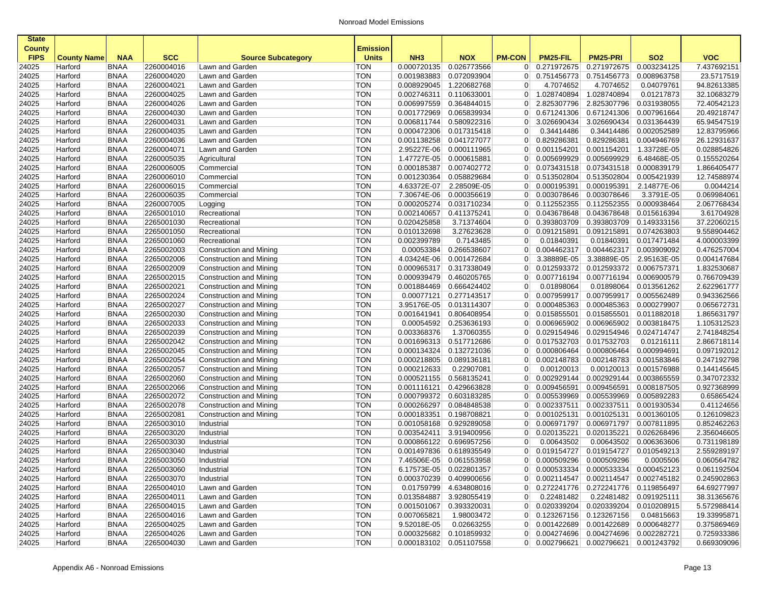| <b>State</b>                 |                    |                            |                          |                                                    |                                 |                           |                           |                     |                                      |                                              |                           |                            |
|------------------------------|--------------------|----------------------------|--------------------------|----------------------------------------------------|---------------------------------|---------------------------|---------------------------|---------------------|--------------------------------------|----------------------------------------------|---------------------------|----------------------------|
| <b>County</b><br><b>FIPS</b> | <b>County Name</b> | <b>NAA</b>                 | <b>SCC</b>               | <b>Source Subcategory</b>                          | <b>Emission</b><br><b>Units</b> | NH <sub>3</sub>           | <b>NOX</b>                | <b>PM-CON</b>       | PM25-FIL                             | <b>PM25-PRI</b>                              | <b>SO2</b>                | <b>VOC</b>                 |
| 24025                        | Harford            | <b>BNAA</b>                | 2260004016               | Lawn and Garden                                    | TON                             | 0.000720135               | 0.026773566               | 0                   | 0.271972675                          | 0.271972675                                  | 0.003234125               | 7.437692151                |
| 24025                        | Harford            | <b>BNAA</b>                | 2260004020               | Lawn and Garden                                    | <b>TON</b>                      | 0.001983883               | 0.072093904               | 0 <sup>1</sup>      | 0.751456773                          | 0.751456773                                  | 0.008963758               | 23.5717519                 |
| 24025                        | Harford            | <b>BNAA</b>                | 2260004021               | Lawn and Garden                                    | <b>TON</b>                      | 0.008929045               | 1.220682768               | $\overline{0}$      | 4.7074652                            | 4.7074652                                    | 0.04079761                | 94.82613385                |
| 24025                        | Harford            | <b>BNAA</b>                | 2260004025               | Lawn and Garden                                    | <b>TON</b>                      | 0.002746311               | 0.110633001               | $\overline{0}$      | 1.028740894                          | 1.028740894                                  | 0.01217873                | 32.10683279                |
| 24025                        | Harford            | <b>BNAA</b>                | 2260004026               | Lawn and Garden                                    | <b>TON</b>                      | 0.006997559               | 0.364844015               | 0                   | 2.825307796                          | 2.825307796                                  | 0.031938055               | 72.40542123                |
| 24025                        | Harford            | <b>BNAA</b>                | 2260004030               | Lawn and Garden                                    | <b>TON</b>                      | 0.001772969               | 0.065839934               | $\overline{0}$      | 0.671241306                          | 0.671241306                                  | 0.007961664               | 20.49218747                |
| 24025                        | Harford            | <b>BNAA</b>                | 2260004031               | Lawn and Garden                                    | <b>TON</b>                      | 0.006811744               | 0.580922316               | 0                   | 3.026690434                          | 3.026690434                                  | 0.031364439               | 65.94547519                |
| 24025                        | Harford            | <b>BNAA</b>                | 2260004035               | Lawn and Garden                                    | <b>TON</b>                      | 0.000472306               | 0.017315418               | $\overline{0}$      | 0.34414486                           | 0.34414486                                   | 0.002052589               | 12.83795966                |
| 24025                        | Harford            | <b>BNAA</b>                | 2260004036               | Lawn and Garden                                    | <b>TON</b>                      | 0.001138258               | 0.041727077               | $\overline{0}$      | 0.829286381                          | 0.829286381                                  | 0.004946769               | 26.12931637                |
| 24025                        | Harford            | <b>BNAA</b>                | 2260004071               | Lawn and Garden                                    | <b>TON</b>                      | 2.95227E-06               | 0.000111965               | 0                   | 0.001154201                          | 0.001154201                                  | 1.33728E-05               | 0.028854826                |
| 24025                        | Harford            | <b>BNAA</b>                | 2260005035               | Agricultural                                       | <b>TON</b>                      | 1.47727E-05               | 0.000615881               | $\overline{0}$      | 0.005699929                          | 0.005699929                                  | 6.48468E-05               | 0.155520264                |
| 24025                        | Harford            | <b>BNAA</b>                | 2260006005               | Commercial                                         | <b>TON</b>                      | 0.000185387               | 0.007402772               | $\overline{0}$      | 0.073431518                          | 0.073431518                                  | 0.000839179               | 1.866405477                |
| 24025                        | Harford            | <b>BNAA</b>                | 2260006010               | Commercial                                         | <b>TON</b>                      | 0.001230364               | 0.058829684               | $\overline{0}$      | 0.513502804                          | 0.513502804                                  | 0.005421939               | 12.74588974                |
| 24025                        | Harford            | <b>BNAA</b>                | 2260006015               | Commercial                                         | <b>TON</b>                      | 4.63372E-07               | 2.28509E-05               | $\overline{0}$      | 0.000195391                          | 0.000195391                                  | 2.14877E-06               | 0.0044214                  |
| 24025                        | Harford            | <b>BNAA</b>                | 2260006035               | Commercial                                         | <b>TON</b>                      | 7.30674E-06               | 0.000356619               | $\overline{0}$      | 0.003078646                          | 0.003078646                                  | 3.3791E-05                | 0.069984061                |
| 24025                        | Harford            | <b>BNAA</b>                | 2260007005               | Logging                                            | <b>TON</b>                      | 0.000205274               | 0.031710234               | $\overline{0}$      | 0.112552355                          | 0.112552355                                  | 0.000938464               | 2.067768434                |
| 24025                        | Harford            | <b>BNAA</b>                | 2265001010               | Recreational                                       | <b>TON</b>                      | 0.002140657               | 0.411375241               | $\overline{0}$      | 0.043678648                          | 0.043678648                                  | 0.015616394               | 3.61704928                 |
| 24025                        | Harford            | <b>BNAA</b>                | 2265001030               | Recreational                                       | <b>TON</b>                      | 0.020425858               | 3.71374604                | $\overline{0}$      | 0.393803709                          | 0.393803709                                  | 0.149333156               | 37.22060215                |
| 24025                        | Harford            | <b>BNAA</b>                | 2265001050               | Recreational                                       | <b>TON</b>                      | 0.010132698               | 3.27623628                | $\overline{0}$      | 0.091215891                          | 0.091215891                                  | 0.074263803               | 9.558904462                |
| 24025                        | Harford            | <b>BNAA</b>                | 2265001060               | Recreational                                       | <b>TON</b>                      | 0.002399789               | 0.7143485                 | $\overline{0}$      | 0.01840391                           | 0.01840391                                   | 0.017471484               | 4.000003399                |
| 24025                        | Harford            | <b>BNAA</b>                | 2265002003               | Construction and Mining                            | <b>TON</b>                      | 0.00053384                | 0.266538607               | $\overline{0}$      | 0.004462317                          | 0.004462317                                  | 0.003909092               | 0.476257004                |
| 24025                        | Harford            | <b>BNAA</b>                | 2265002006               | Construction and Mining                            | <b>TON</b>                      | 4.03424E-06               | 0.001472684               | $\overline{0}$      | 3.38889E-05                          | 3.38889E-05                                  | 2.95163E-05               | 0.004147684                |
| 24025                        | Harford            | <b>BNAA</b>                | 2265002009               | Construction and Mining                            | <b>TON</b>                      | 0.000965317               | 0.317338049               | $\overline{0}$      | 0.012593372                          | 0.012593372                                  | 0.006757371               | 1.832530687                |
| 24025                        | Harford            | <b>BNAA</b>                | 2265002015               | Construction and Mining                            | <b>TON</b>                      | 0.000939479               | 0.460205765               | $\overline{0}$      | 0.007716194                          | 0.007716194                                  | 0.006900579               | 0.766709439                |
| 24025                        | Harford            | <b>BNAA</b>                | 2265002021               | Construction and Mining                            | <b>TON</b>                      | 0.001884469               | 0.666424402               | $\overline{0}$      | 0.01898064                           | 0.01898064                                   | 0.013561262               | 2.622961777                |
| 24025                        | Harford            | <b>BNAA</b>                | 2265002024               | Construction and Mining                            | <b>TON</b>                      | 0.00077121                | 0.277143517               | $\overline{0}$      | 0.007959917                          | 0.007959917                                  | 0.005562489               | 0.943362566                |
| 24025                        | Harford            | <b>BNAA</b>                | 2265002027<br>2265002030 | Construction and Mining                            | <b>TON</b>                      | 3.95176E-05               | 0.013114307               | $\overline{0}$      | 0.000485363                          | 0.000485363<br>0.015855501                   | 0.000279907               | 0.065672731                |
| 24025                        | Harford            | <b>BNAA</b>                |                          | Construction and Mining                            | <b>TON</b>                      | 0.001641941               | 0.806408954               | $\overline{0}$      | 0.015855501                          |                                              | 0.011882018               | 1.865631797                |
| 24025                        | Harford            | <b>BNAA</b><br><b>BNAA</b> | 2265002033<br>2265002039 | <b>Construction and Mining</b>                     | <b>TON</b><br><b>TON</b>        | 0.00054592<br>0.003368376 | 0.253636193               | 0<br>$\overline{0}$ | 0.006965902<br>$\boxed{0.029154946}$ | 0.006965902<br>0.029154946                   | 0.003818475               | 1.105312523<br>2.741848254 |
| 24025                        | Harford            | <b>BNAA</b>                | 2265002042               | Construction and Mining<br>Construction and Mining | <b>TON</b>                      | 0.001696313               | 1.37060355<br>0.517712686 | $\overline{0}$      | 0.017532703                          | 0.017532703                                  | 0.024714747<br>0.01216111 | 2.866718114                |
| 24025<br>24025               | Harford<br>Harford | <b>BNAA</b>                | 2265002045               | Construction and Mining                            | <b>TON</b>                      | 0.000134324               | 0.132721036               | $\overline{0}$      | 0.000806464                          | 0.000806464                                  | 0.000994691               | 0.097192012                |
| 24025                        | Harford            | <b>BNAA</b>                | 2265002054               | Construction and Mining                            | <b>TON</b>                      | 0.000218805               | 0.089136181               | $\overline{0}$      | 0.002148783                          | 0.002148783                                  | 0.001583846               | 0.247192798                |
| 24025                        | Harford            | <b>BNAA</b>                | 2265002057               | Construction and Mining                            | <b>TON</b>                      | 0.000212633               | 0.22907081                | $\overline{0}$      | 0.00120013                           | 0.00120013                                   | 0.001576988               | 0.144145645                |
| 24025                        | Harford            | <b>BNAA</b>                | 2265002060               | Construction and Mining                            | <b>TON</b>                      | 0.000521155               | 0.568135241               | $\Omega$            | 0.002929144                          | 0.002929144                                  | 0.003865559               | 0.347072332                |
| 24025                        | Harford            | <b>BNAA</b>                | 2265002066               | Construction and Mining                            | <b>TON</b>                      | 0.001116121               | 0.429663828               | $\overline{0}$      | 0.009456591                          | 0.009456591                                  | 0.008187505               | 0.927368999                |
| 24025                        | Harford            | <b>BNAA</b>                | 2265002072               | Construction and Mining                            | <b>TON</b>                      | 0.000799372               | 0.603183285               | $\overline{0}$      | 0.005539969                          | 0.005539969                                  | 0.005892283               | 0.65865424                 |
| 24025                        | Harford            | <b>BNAA</b>                | 2265002078               | Construction and Mining                            | <b>TON</b>                      | 0.000266297               | 0.084848538               | $\overline{0}$      | 0.002337511                          | 0.002337511                                  | 0.001930534               | 0.41124656                 |
| 24025                        | Harford            | <b>BNAA</b>                | 2265002081               | Construction and Mining                            | <b>TON</b>                      | 0.000183351               | 0.198708821               | $\overline{0}$      | 0.001025131                          | 0.001025131                                  | 0.001360105               | 0.126109823                |
| 24025                        | Harford            | <b>BNAA</b>                | 2265003010               | Industrial                                         | TON                             | 0.001058168               | 0.929289058               | $\overline{0}$      | 0.006971797                          | 0.006971797                                  | 0.007811895               | 0.852462263                |
| 24025                        | Harford            | <b>BNAA</b>                | 2265003020               | Industrial                                         | <b>TON</b>                      | 0.003542411               | 3.919400956               | $\overline{0}$      | 0.020135221                          | 0.020135221                                  | 0.026268496               | 2.356046605                |
| 24025                        | Harford            | <b>BNAA</b>                | 2265003030               | Industrial                                         | <b>TON</b>                      | 0.000866122               | 0.696957256               | $\overline{0}$      | 0.00643502                           | 0.00643502                                   | 0.006363606               | 0.731198189                |
| 24025                        | Harford            | <b>BNAA</b>                | 2265003040               | Industrial                                         | <b>TON</b>                      | 0.001497836               | 0.618935549               | $\overline{0}$      | 0.019154727                          | 0.019154727                                  | 0.010549213               | 2.559289197                |
| 24025                        | Harford            | <b>BNAA</b>                | 2265003050               | Industrial                                         | <b>TON</b>                      |                           | 7.46506E-05 0.061553958   | 0                   | 0.000509296                          | 0.000509296                                  | 0.0005506                 | 0.060564782                |
| 24025                        | Harford            | BNAA                       | 2265003060               | Industrial                                         | TON                             |                           | 6.17573E-05 0.022801357   |                     |                                      | $0  0.000533334   0.000533334   0.000452123$ |                           | 0.061192504                |
| 24025                        | Harford            | <b>BNAA</b>                | 2265003070               | Industrial                                         | <b>TON</b>                      |                           | 0.000370239 0.409900656   |                     |                                      | $0$ 0.002114547 0.002114547 0.002745182      |                           | 0.245902863                |
| 24025                        | Harford            | <b>BNAA</b>                | 2265004010               | Lawn and Garden                                    | TON                             |                           | 0.01759799 4.634808016    |                     | 0 0.272241776                        | 0.272241776 0.119856497                      |                           | 64.69277997                |
| 24025                        | Harford            | <b>BNAA</b>                | 2265004011               | Lawn and Garden                                    | <b>TON</b>                      |                           | 0.013584887 3.928055419   | $\overline{0}$      | 0.22481482                           |                                              | 0.22481482 0.091925111    | 38.31365676                |
| 24025                        | Harford            | <b>BNAA</b>                | 2265004015               | Lawn and Garden                                    | <b>TON</b>                      | 0.001501067               | 0.393320031               |                     | $0$ 0.020339204                      | 0.020339204                                  | 0.010208915               | 5.572988414                |
| 24025                        | Harford            | <b>BNAA</b>                | 2265004016               | Lawn and Garden                                    | <b>TON</b>                      | 0.007065821               | 1.98003472                |                     | $0$ 0.123267156                      | 0.123267156                                  | 0.04815663                | 19.33995871                |
| 24025                        | Harford            | <b>BNAA</b>                | 2265004025               | Lawn and Garden                                    | <b>TON</b>                      | 9.52018E-05               | 0.02663255                |                     | 0 0.001422689                        | 0.001422689 0.000648277                      |                           | 0.375869469                |
| 24025                        | Harford            | BNAA                       | 2265004026               | Lawn and Garden                                    | <b>TON</b>                      |                           | 0.000325682 0.101859932   |                     | 0 0.004274696                        | 0.004274696 0.002282721                      |                           | 0.725933386                |
| 24025                        | Harford            | <b>BNAA</b>                | 2265004030               | Lawn and Garden                                    | <b>TON</b>                      |                           | 0.000183102 0.051107558   |                     |                                      | 0 0.002796621 0.002796621 0.001243792        |                           | 0.669309096                |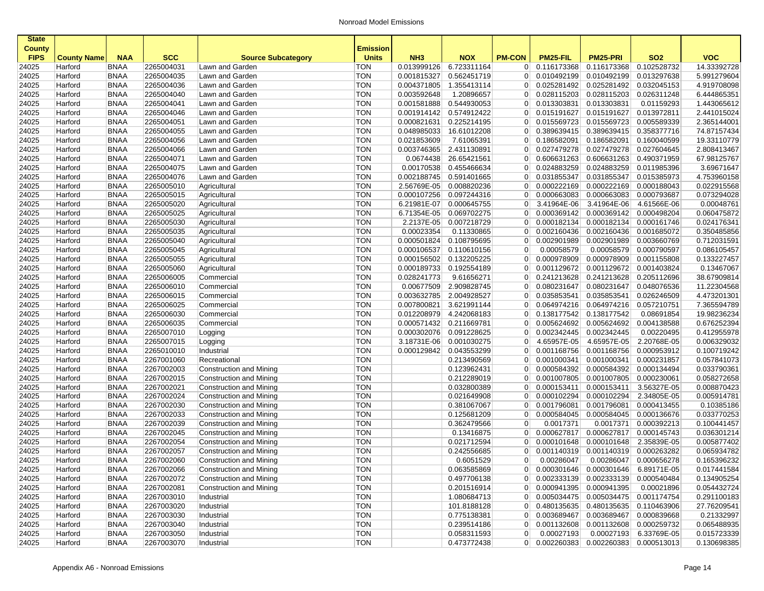| <b>State</b><br><b>County</b> |                    |             |            |                                | <b>Emission</b> |                 |             |                |                                         |                         |                        |             |
|-------------------------------|--------------------|-------------|------------|--------------------------------|-----------------|-----------------|-------------|----------------|-----------------------------------------|-------------------------|------------------------|-------------|
| <b>FIPS</b>                   | <b>County Name</b> | <b>NAA</b>  | <b>SCC</b> | <b>Source Subcategory</b>      | <b>Units</b>    | NH <sub>3</sub> | <b>NOX</b>  | <b>PM-CON</b>  | <b>PM25-FIL</b>                         | <b>PM25-PRI</b>         | <b>SO2</b>             | <b>VOC</b>  |
| 24025                         | Harford            | <b>BNAA</b> | 2265004031 | Lawn and Garden                | <b>TON</b>      | 0.013999126     | 6.723311164 | $\overline{0}$ | 0.116173368                             | 0.116173368             | 0.102528732            | 14.33392728 |
| 24025                         | Harford            | <b>BNAA</b> | 2265004035 | Lawn and Garden                | <b>TON</b>      | 0.001815327     | 0.562451719 | $\overline{0}$ | 0.010492199                             | 0.010492199             | 0.013297638            | 5.991279604 |
| 24025                         | Harford            | <b>BNAA</b> | 2265004036 | Lawn and Garden                | <b>TON</b>      | 0.004371805     | 1.355413114 | $\overline{0}$ | 0.025281492                             | 0.025281492             | 0.032045153            | 4.919708098 |
| 24025                         | Harford            | <b>BNAA</b> | 2265004040 | Lawn and Garden                | <b>TON</b>      | 0.003592648     | 1.20896657  | $\overline{0}$ | 0.028115203                             | 0.028115203             | 0.026311248            | 6.444865351 |
| 24025                         | Harford            | <b>BNAA</b> | 2265004041 | Lawn and Garden                | <b>TON</b>      | 0.001581888     | 0.544930053 | $\overline{0}$ | 0.013303831                             | 0.013303831             | 0.01159293             | 1.443065612 |
| 24025                         | Harford            | <b>BNAA</b> | 2265004046 | Lawn and Garden                | <b>TON</b>      | 0.001914142     | 0.574912422 | $\overline{0}$ | 0.015191627                             | 0.015191627             | 0.013972811            | 2.441015024 |
| 24025                         | Harford            | <b>BNAA</b> | 2265004051 | Lawn and Garden                | <b>TON</b>      | 0.000821631     | 0.225214195 | $\overline{0}$ | 0.015569723                             | 0.015569723             | 0.005589339            | 2.365144001 |
| 24025                         | Harford            | <b>BNAA</b> | 2265004055 | Lawn and Garden                | <b>TON</b>      | 0.048985033     | 16.61012208 | $\overline{0}$ | 0.389639415                             | 0.389639415             | 0.358377716            | 74.87157434 |
| 24025                         | Harford            | <b>BNAA</b> | 2265004056 | Lawn and Garden                | <b>TON</b>      | 0.021853609     | 7.61065391  | $\overline{0}$ | 0.186582091                             | 0.186582091             | 0.160040599            | 19.33110779 |
| 24025                         | Harford            | <b>BNAA</b> | 2265004066 | Lawn and Garden                | <b>TON</b>      | 0.003746365     | 2.431130891 | $\overline{0}$ | 0.027479278                             | 0.027479278             | 0.027604645            | 2.808413467 |
| 24025                         | Harford            | <b>BNAA</b> | 2265004071 | Lawn and Garden                | <b>TON</b>      | 0.0674438       | 26.65421561 | $\overline{0}$ | 0.606631263                             | 0.606631263             | 0.490371959            | 67.98125767 |
| 24025                         | Harford            | <b>BNAA</b> | 2265004075 | Lawn and Garden                | <b>TON</b>      | 0.00170538      | 0.455466634 | $\overline{0}$ | 0.024883259                             | 0.024883259             | 0.011985396            | 3.69671647  |
| 24025                         | Harford            | <b>BNAA</b> | 2265004076 | Lawn and Garden                | <b>TON</b>      | 0.002188745     | 0.591401665 | $\overline{0}$ | 0.031855347                             | 0.031855347             | 0.015385973            | 4.753960158 |
| 24025                         | Harford            | <b>BNAA</b> | 2265005010 | Agricultural                   | <b>TON</b>      | 2.56769E-05     | 0.008820236 | $\overline{0}$ | 0.000222169                             | 0.000222169             | 0.000188043            | 0.022915568 |
| 24025                         | Harford            | <b>BNAA</b> | 2265005015 | Agricultural                   | <b>TON</b>      | 0.000107256     | 0.097244316 | $\overline{0}$ | 0.000663083                             | 0.000663083             | 0.000793687            | 0.073294028 |
| 24025                         | Harford            | <b>BNAA</b> | 2265005020 | Agricultural                   | <b>TON</b>      | 6.21981E-07     | 0.000645755 | $\overline{0}$ | 3.41964E-06                             | 3.41964E-06             | 4.61566E-06            | 0.00048761  |
| 24025                         | Harford            | <b>BNAA</b> | 2265005025 | Agricultural                   | <b>TON</b>      | 6.71354E-05     | 0.069702275 | $\overline{0}$ | 0.000369142                             | 0.000369142             | 0.000498204            | 0.060475872 |
| 24025                         | Harford            | <b>BNAA</b> | 2265005030 | Agricultural                   | <b>TON</b>      | 2.2137E-05      | 0.007218729 | $\overline{0}$ | 0.000182134                             | 0.000182134             | 0.000161746            | 0.024176341 |
| 24025                         | Harford            | <b>BNAA</b> | 2265005035 | Agricultural                   | <b>TON</b>      | 0.00023354      | 0.11330865  | $\overline{0}$ | 0.002160436                             | 0.002160436             | 0.001685072            | 0.350485856 |
| 24025                         | Harford            | <b>BNAA</b> | 2265005040 | Agricultural                   | <b>TON</b>      | 0.000501824     | 0.108795695 | $\overline{0}$ | 0.002901989                             | 0.002901989             | 0.003660769            | 0.712031591 |
| 24025                         | Harford            | <b>BNAA</b> | 2265005045 | Agricultural                   | <b>TON</b>      | 0.000106537     | 0.110610156 | $\overline{0}$ | 0.00058579                              | 0.00058579              | 0.000790597            | 0.086105457 |
| 24025                         | Harford            | <b>BNAA</b> | 2265005055 | Agricultural                   | <b>TON</b>      | 0.000156502     | 0.132205225 | $\overline{0}$ | 0.000978909                             | 0.000978909             | 0.001155808            | 0.133227457 |
| 24025                         | Harford            | <b>BNAA</b> | 2265005060 | Agricultural                   | <b>TON</b>      | 0.000189733     | 0.192554189 | $\overline{0}$ | 0.001129672                             | 0.001129672             | 0.001403824            | 0.13467067  |
| 24025                         | Harford            | <b>BNAA</b> | 2265006005 | Commercial                     | <b>TON</b>      | 0.028241773     | 9.61656271  | $\overline{0}$ | 0.241213628                             | 0.241213628             | 0.205112696            | 38.67909814 |
| 24025                         | Harford            | <b>BNAA</b> | 2265006010 | Commercial                     | <b>TON</b>      | 0.00677509      | 2.909828745 | $\overline{0}$ | 0.080231647                             | 0.080231647             | 0.048076536            | 11.22304568 |
| 24025                         | Harford            | <b>BNAA</b> | 2265006015 | Commercial                     | <b>TON</b>      | 0.003632785     | 2.004928527 | $\overline{0}$ | 0.035853541                             | 0.035853541             | 0.026246509            | 4.473201301 |
| 24025                         | Harford            | <b>BNAA</b> | 2265006025 | Commercial                     | <b>TON</b>      | 0.007800821     | 3.621991144 | $\overline{0}$ | 0.064974216                             | 0.064974216             | 0.057210751            | 7.365594789 |
| 24025                         | Harford            | <b>BNAA</b> | 2265006030 | Commercial                     | <b>TON</b>      | 0.012208979     | 4.242068183 | $\overline{0}$ | 0.138177542                             | 0.138177542             | 0.08691854             | 19.98236234 |
| 24025                         | Harford            | <b>BNAA</b> | 2265006035 | Commercial                     | <b>TON</b>      | 0.000571432     | 0.211669781 | $\overline{0}$ | 0.005624692                             | 0.005624692             | 0.004138588            | 0.676252394 |
| 24025                         | Harford            | <b>BNAA</b> | 2265007010 | Logging                        | <b>TON</b>      | 0.000302076     | 0.091228625 | $\overline{0}$ | 0.002342445                             | 0.002342445             | 0.00220495             | 0.412955978 |
| 24025                         | Harford            | <b>BNAA</b> | 2265007015 | Logging                        | <b>TON</b>      | 3.18731E-06     | 0.001030275 | $\overline{0}$ | 4.65957E-05                             | 4.65957E-05             | 2.20768E-05            | 0.006329032 |
| 24025                         | Harford            | <b>BNAA</b> | 2265010010 | Industrial                     | <b>TON</b>      | 0.000129842     | 0.043553299 | $\overline{0}$ | 0.001168756                             | 0.001168756             | 0.000953912            | 0.100719242 |
| 24025                         | Harford            | <b>BNAA</b> | 2267001060 | Recreational                   | <b>TON</b>      |                 | 0.213490569 | $\overline{0}$ | 0.001000341                             | 0.001000341             | 0.000231857            | 0.057841073 |
| 24025                         | Harford            | <b>BNAA</b> | 2267002003 | Construction and Mining        | <b>TON</b>      |                 | 0.123962431 | $\overline{0}$ | 0.000584392                             | 0.000584392             | 0.000134494            | 0.033790361 |
| 24025                         | Harford            | <b>BNAA</b> | 2267002015 | Construction and Mining        | <b>TON</b>      |                 | 0.212289019 | $\overline{0}$ | 0.001007805                             | 0.001007805             | 0.000230061            | 0.058272658 |
| 24025                         | Harford            | <b>BNAA</b> | 2267002021 | Construction and Mining        | <b>TON</b>      |                 | 0.032800389 | $\overline{0}$ | 0.000153411                             | 0.000153411             | 3.56327E-05            | 0.008870423 |
| 24025                         | Harford            | <b>BNAA</b> | 2267002024 | Construction and Mining        | <b>TON</b>      |                 | 0.021649908 | $\overline{0}$ | 0.000102294                             | 0.000102294             | 2.34805E-05            | 0.005914781 |
| 24025                         | Harford            | <b>BNAA</b> | 2267002030 | Construction and Mining        | <b>TON</b>      |                 | 0.381067067 | $\overline{0}$ | 0.001796081                             | 0.001796081             | 0.000413455            | 0.10385186  |
| 24025                         | Harford            | <b>BNAA</b> | 2267002033 | Construction and Mining        | <b>TON</b>      |                 | 0.125681209 | $\overline{0}$ | 0.000584045                             | 0.000584045             | 0.000136676            | 0.033770253 |
| 24025                         | Harford            | <b>BNAA</b> | 2267002039 | Construction and Mining        | <b>TON</b>      |                 | 0.362479566 | $\overline{0}$ | 0.0017371                               | 0.0017371               | 0.000392213            | 0.100441457 |
| 24025                         | Harford            | <b>BNAA</b> | 2267002045 | <b>Construction and Mining</b> | <b>TON</b>      |                 | 0.13416875  | $\overline{0}$ | 0.000627817                             | 0.000627817             | 0.000145743            | 0.036301214 |
| 24025                         | Harford            | <b>BNAA</b> | 2267002054 | Construction and Mining        | <b>TON</b>      |                 | 0.021712594 | $\overline{0}$ | 0.000101648                             | 0.000101648             | 2.35839E-05            | 0.005877402 |
| 24025                         | Harford            | <b>BNAA</b> | 2267002057 | Construction and Mining        | <b>TON</b>      |                 | 0.242556685 | $\overline{0}$ | 0.001140319                             | 0.001140319             | 0.000263282            | 0.065934782 |
| 24025                         | Harford            | <b>BNAA</b> | 2267002060 | Construction and Mining        | <b>TON</b>      |                 | 0.6051529   | 0              | 0.00286047                              | 0.00286047              | 0.000656278            | 0.165396232 |
| 24025                         | Harford            | BNAA        | 2267002066 | Construction and Mining        | TON             |                 | 0.063585869 |                | 0  0.000301646                          | 0.000301646 6.89171E-05 |                        | 0.017441584 |
| 24025                         | Harford            | <b>BNAA</b> | 2267002072 | Construction and Mining        | <b>TON</b>      |                 | 0.497706138 |                | 0   0.002333139                         | 0.002333139 0.000540484 |                        | 0.134905254 |
| 24025                         | Harford            | <b>BNAA</b> | 2267002081 | Construction and Mining        | <b>TON</b>      |                 | 0.201516914 |                | 0   0.000941395                         | 0.000941395             | 0.00021896             | 0.054432724 |
| 24025                         | Harford            | <b>BNAA</b> | 2267003010 | Industrial                     | <b>TON</b>      |                 | 1.080684713 |                | 0 0.005034475                           | 0.005034475 0.001174754 |                        | 0.291100183 |
| 24025                         | Harford            | <b>BNAA</b> | 2267003020 | Industrial                     | <b>TON</b>      |                 | 101.8188128 |                | 0 0.480135635                           | 0.480135635 0.110463906 |                        | 27.76209541 |
| 24025                         | Harford            | <b>BNAA</b> | 2267003030 | Industrial                     | <b>TON</b>      |                 | 0.775138381 |                | 0 0.003689467                           | 0.003689467 0.000839668 |                        | 0.21332997  |
| 24025                         | Harford            | <b>BNAA</b> | 2267003040 | Industrial                     | <b>TON</b>      |                 | 0.239514186 |                | $0$ 0.001132608                         | 0.001132608 0.000259732 |                        | 0.065488935 |
| 24025                         | Harford            | <b>BNAA</b> | 2267003050 | Industrial                     | <b>TON</b>      |                 | 0.058311593 | $\overline{0}$ | 0.00027193                              |                         | 0.00027193 6.33769E-05 | 0.015723339 |
| 24025                         | Harford            | <b>BNAA</b> | 2267003070 | Industrial                     | <b>TON</b>      |                 | 0.473772438 |                | $0$ 0.002260383 0.002260383 0.000513013 |                         |                        | 0.130698385 |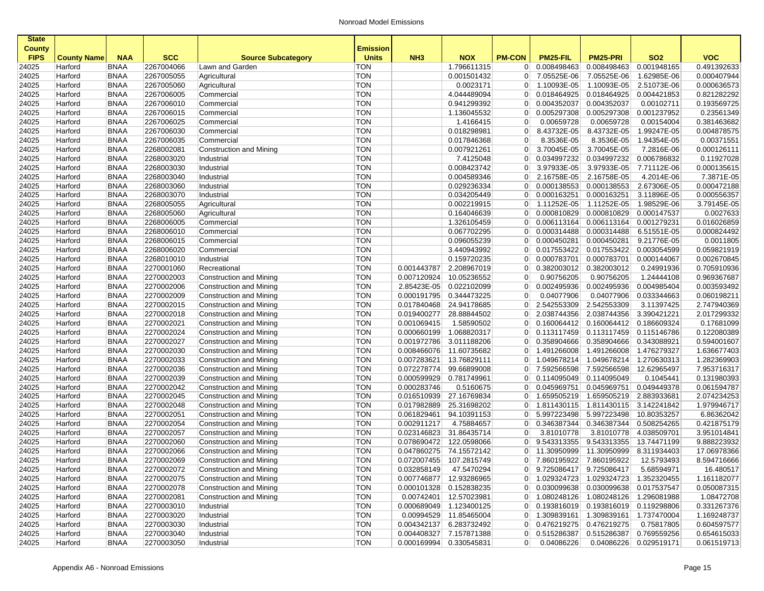| <b>State</b>  |                    |             |                          |                                |                   |                         |                         |                |                                       |                         |                         |             |
|---------------|--------------------|-------------|--------------------------|--------------------------------|-------------------|-------------------------|-------------------------|----------------|---------------------------------------|-------------------------|-------------------------|-------------|
| <b>County</b> |                    |             |                          |                                | Emission          |                         |                         |                |                                       |                         |                         |             |
| <b>FIPS</b>   | <b>County Name</b> | <b>NAA</b>  | <b>SCC</b>               | <b>Source Subcategory</b>      | <b>Units</b>      | NH <sub>3</sub>         | <b>NOX</b>              | <b>PM-CON</b>  | PM25-FIL                              | <b>PM25-PRI</b>         | SO <sub>2</sub>         | <b>VOC</b>  |
| 24025         | Harford            | <b>BNAA</b> | 2267004066               | Lawn and Garden                | TON               |                         | 1.796611315             | $\overline{0}$ | 0.008498463                           | 0.008498463             | 0.001948165             | 0.491392633 |
| 24025         | Harford            | <b>BNAA</b> | 2267005055               | Agricultural                   | <b>TON</b>        |                         | 0.001501432             | $\overline{0}$ | 7.05525E-06                           | 7.05525E-06             | 1.62985E-06             | 0.000407944 |
| 24025         | Harford            | <b>BNAA</b> | 2267005060               | Agricultural                   | <b>TON</b>        |                         | 0.0023171               | $\overline{0}$ | 1.10093E-05                           | 1.10093E-05             | 2.51073E-06             | 0.000636573 |
| 24025         | Harford            | <b>BNAA</b> | 2267006005               | Commercial                     | <b>TON</b>        |                         | 4.044489094             | $\overline{0}$ | 0.018464925                           | 0.018464925             | 0.004421853             | 0.821282292 |
| 24025         | Harford            | <b>BNAA</b> | 2267006010               | Commercial                     | <b>TON</b>        |                         | 0.941299392             | $\overline{0}$ | 0.004352037                           | 0.004352037             | 0.00102711              | 0.193569725 |
| 24025         | Harford            | <b>BNAA</b> | 2267006015               | Commercial                     | <b>TON</b>        |                         | 1.136045532             | $\overline{0}$ | 0.005297308                           | 0.005297308             | 0.001237952             | 0.23561349  |
| 24025         | Harford            | <b>BNAA</b> | 2267006025               | Commercial                     | <b>TON</b>        |                         | 1.4166415               | $\overline{0}$ | 0.00659728                            | 0.00659728              | 0.00154004              | 0.381463682 |
| 24025         | Harford            | <b>BNAA</b> | 2267006030               | Commercial                     | <b>TON</b>        |                         | 0.018298981             | $\overline{0}$ | 8.43732E-05                           | 8.43732E-05             | 1.99247E-05             | 0.004878575 |
| 24025         | Harford            | <b>BNAA</b> | 2267006035               | Commercial                     | <b>TON</b>        |                         | 0.017846368             | $\overline{0}$ | 8.3536E-05                            | 8.3536E-05              | 1.94354E-05             | 0.00371551  |
| 24025         | Harford            | <b>BNAA</b> | 2268002081               | Construction and Mining        | <b>TON</b>        |                         | 0.007921261             | $\overline{0}$ | 3.70045E-05                           | 3.70045E-05             | 7.2816E-06              | 0.000126111 |
| 24025         | Harford            | <b>BNAA</b> | 2268003020               | Industrial                     | <b>TON</b>        |                         | 7.4125048               | $\overline{0}$ | 0.034997232                           | 0.034997232             | 0.006786832             | 0.11927028  |
| 24025         | Harford            | <b>BNAA</b> | 2268003030               | Industrial                     | <b>TON</b>        |                         | 0.008423742             | $\overline{0}$ | 3.97933E-05                           | 3.97933E-05             | 7.71112E-06             | 0.000135615 |
| 24025         | Harford            | <b>BNAA</b> | 2268003040               | Industrial                     | <b>TON</b>        |                         | 0.004589346             | $\overline{0}$ | 2.16758E-05                           | 2.16758E-05             | 4.2014E-06              | 7.3871E-05  |
| 24025         | Harford            | <b>BNAA</b> | 2268003060               | Industrial                     | <b>TON</b>        |                         | 0.029236334             | $\overline{0}$ | 0.000138553                           | 0.000138553             | 2.67306E-05             | 0.000472188 |
| 24025         | Harford            | <b>BNAA</b> | 2268003070               | Industrial                     | <b>TON</b>        |                         | 0.034205449             | $\overline{0}$ | 0.000163251                           | 0.000163251             | 3.11896E-05             | 0.000556357 |
| 24025         | Harford            | <b>BNAA</b> | 2268005055               | Agricultural                   | <b>TON</b>        |                         | 0.002219915             | $\overline{0}$ | 1.11252E-05                           | 1.11252E-05             | 1.98529E-06             | 3.79145E-05 |
| 24025         | Harford            | <b>BNAA</b> | 2268005060               | Agricultural                   | <b>TON</b>        |                         | 0.164046639             | $\overline{0}$ | 0.000810829                           | 0.000810829             | 0.000147537             | 0.0027633   |
| 24025         | Harford            | <b>BNAA</b> | 2268006005               | Commercial                     | <b>TON</b>        |                         | 1.326105459             | $\overline{0}$ | 0.006113164                           | 0.006113164             | 0.001279231             | 0.016026859 |
| 24025         | Harford            | <b>BNAA</b> | 2268006010               | Commercial                     | <b>TON</b>        |                         | 0.067702295             | $\overline{0}$ | 0.000314488                           | 0.000314488             | 6.51551E-05             | 0.000824492 |
| 24025         | Harford            | <b>BNAA</b> | 2268006015               | Commercial                     | <b>TON</b>        |                         | 0.096055239             | $\overline{0}$ | 0.000450281                           | 0.000450281             | 9.21776E-05             | 0.0011805   |
| 24025         | Harford            | <b>BNAA</b> | 2268006020               | Commercial                     | <b>TON</b>        |                         | 3.440943992             | $\overline{0}$ | 0.017553422                           | 0.017553422             | 0.003054599             | 0.059821919 |
| 24025         | Harford            | <b>BNAA</b> | 2268010010               | Industrial                     | <b>TON</b>        |                         | 0.159720235             | $\overline{0}$ | 0.000783701                           | 0.000783701             | 0.000144067             | 0.002670845 |
| 24025         | Harford            | <b>BNAA</b> | 2270001060               | Recreational                   | <b>TON</b>        | 0.001443787             | 2.208967019             | $\overline{0}$ | 0.382003012                           | 0.382003012             | 0.24991936              | 0.705910936 |
| 24025         | Harford            | <b>BNAA</b> | 2270002003               | Construction and Mining        | <b>TON</b>        | 0.007120924             | 10.05236552             | $\overline{0}$ | 0.90756205                            | 0.90756205              | 1.24444108              | 0.969367687 |
| 24025         | Harford            | <b>BNAA</b> | 2270002006               | <b>Construction and Mining</b> | <b>TON</b>        | 2.85423E-05             | 0.022102099             | $\overline{0}$ | 0.002495936                           | 0.002495936             | 0.004985404             | 0.003593492 |
| 24025         | Harford            | <b>BNAA</b> | 2270002009               | Construction and Mining        | <b>TON</b>        | 0.000191795             | 0.344473225             | $\overline{0}$ | 0.04077906                            | 0.04077906              | 0.033344663             | 0.060198211 |
| 24025         | Harford            | <b>BNAA</b> | 2270002015               | Construction and Mining        | <b>TON</b>        | 0.017840468             | 24.94178685             | $\overline{0}$ | 2.542553309                           | 2.542553309             | 3.11397425              | 2.747940369 |
| 24025         | Harford            | <b>BNAA</b> | 2270002018               | Construction and Mining        | <b>TON</b>        | 0.019400277             | 28.88844502             | $\overline{0}$ | 2.038744356                           | 2.038744356             | 3.390421221             | 2.017299332 |
| 24025         | Harford            | <b>BNAA</b> | 2270002021               | Construction and Mining        | <b>TON</b>        | 0.001069415             | 1.58590502              | $\overline{0}$ | 0.160064412                           | 0.160064412             | 0.186609324             | 0.17681099  |
| 24025         | Harford            | <b>BNAA</b> | 2270002024               | Construction and Mining        | <b>TON</b>        | 0.000660199             | 1.068820317             | $\overline{0}$ | 0.113117459                           | 0.113117459             | 0.115146786             | 0.122080389 |
| 24025         | Harford            | <b>BNAA</b> | 2270002027               | <b>Construction and Mining</b> | <b>TON</b>        | 0.001972786             | 3.011188206             | $\overline{0}$ | 0.358904666                           | 0.358904666             | 0.343088921             | 0.594001607 |
| 24025         | Harford            | <b>BNAA</b> | 2270002030               | Construction and Mining        | <b>TON</b>        | 0.008466076             | 11.60735682             | $\overline{0}$ | 1.491266008                           | 1.491266008             | 1.476279327             | 1.636677403 |
| 24025         | Harford            | <b>BNAA</b> | 2270002033               | Construction and Mining        | <b>TON</b>        | 0.007283621             | 13.76829111             | $\overline{0}$ | 1.049678214                           | 1.049678214             | 1.270630313             | 1.282369903 |
| 24025         | Harford            | <b>BNAA</b> | 2270002036               | Construction and Mining        | <b>TON</b>        | 0.072278774             | 99.66899008             | $\overline{0}$ | 7.592566598                           | 7.592566598             | 12.62965497             | 7.953716317 |
| 24025         | Harford            | <b>BNAA</b> | 2270002039               | Construction and Mining        | <b>TON</b>        | 0.000599929             | 0.781749961             | $\overline{0}$ | 0.114095049                           | 0.114095049             | 0.1045441               | 0.131980393 |
| 24025         | Harford            | <b>BNAA</b> | 2270002042               | Construction and Mining        | <b>TON</b>        | 0.000283746             | 0.5160675               | $\overline{0}$ | 0.045969751                           | 0.045969751             | 0.049449378             | 0.061594787 |
| 24025         | Harford            | <b>BNAA</b> | 2270002045               | Construction and Mining        | <b>TON</b>        | 0.016510939             | 27.16769834             | 0 <sup>1</sup> | 1.659505219                           | 1.659505219             | 2.883933681             | 2.074234253 |
| 24025         | Harford            | <b>BNAA</b> | 2270002048               | Construction and Mining        | <b>TON</b>        | 0.017982889             | 25.31698202             | $\overline{0}$ | 1.811430115                           | 1.811430115             | 3.142241842             | 1.979946717 |
| 24025         | Harford            | <b>BNAA</b> | 2270002051               | Construction and Mining        | <b>TON</b>        | 0.061829461             | 94.10391153             | $\overline{0}$ | 5.997223498                           | 5.997223498             | 10.80353257             | 6.86362042  |
| 24025         | Harford            | <b>BNAA</b> | 2270002054               | Construction and Mining        | <b>TON</b>        | 0.002911217             | 4.75884657              | $\overline{0}$ | 0.346387344                           | 0.346387344             | 0.508254265             | 0.421875179 |
| 24025         | Harford            | <b>BNAA</b> | 2270002057               | Construction and Mining        | <b>TON</b>        | 0.023146823             | 31.86435714             | $\overline{0}$ | 3.81010778                            | 3.81010778              | 4.038509701             | 3.951014841 |
| 24025         | Harford            | <b>BNAA</b> | 2270002060               | Construction and Mining        | <b>TON</b>        | 0.078690472             | 122.0598066             | $\overline{0}$ | 9.543313355                           | 9.543313355             | 13.74471199             | 9.888223932 |
| 24025         | Harford            | <b>BNAA</b> | 2270002066               | <b>Construction and Mining</b> | <b>TON</b>        | 0.047860275             | 74.15572142             | $\overline{0}$ | 11.30950999                           | 11.30950999             | 8.311934403             | 17.06978366 |
| 24025         | Harford            | <b>BNAA</b> | 2270002069               | Construction and Mining        | <b>TON</b>        | 0.072007455 107.2815749 |                         | $\Omega$       | 7.860195922                           | 7.860195922             | 12.5793493              | 8.594716666 |
| 24025         | Harford            |             |                          |                                |                   |                         |                         |                | 0 9.725086417                         |                         |                         |             |
|               |                    | BNAA        | 2270002072               | Construction and Mining        | TON<br><b>TON</b> | 0.032858149             | 47.5470294              |                |                                       | 9.725086417             | 5.68594971              | 16.480517   |
| 24025         | Harford            | <b>BNAA</b> | 2270002075<br>2270002078 | Construction and Mining        |                   | 0.000101328 0.152838235 | 0.007746877 12.93286965 |                | 0 1.029324723 1.029324723 1.352320455 | 0.030099638 0.017537547 |                         | 1.161182077 |
| 24025         | Harford            | <b>BNAA</b> |                          | Construction and Mining        | <b>TON</b>        |                         | 0.00742401 12.57023981  |                | $0$ 0.030099638                       |                         |                         | 0.050087315 |
| 24025         | Harford            | <b>BNAA</b> | 2270002081               | Construction and Mining        | <b>TON</b>        |                         |                         |                | 0 1.080248126                         | 1.080248126 1.296081988 |                         | 1.08472708  |
| 24025         | Harford            | <b>BNAA</b> | 2270003010               | Industrial                     | <b>TON</b>        |                         | 0.000689049 1.123400125 |                | $0$ 0.193816019                       |                         | 0.193816019 0.119298806 | 0.331267376 |
| 24025         | Harford            | <b>BNAA</b> | 2270003020               | Industrial                     | <b>TON</b>        |                         | 0.00994529 11.85465004  |                | $0$ 1.309839161                       | 1.309839161 1.737470004 |                         | 1.169248737 |
| 24025         | Harford            | <b>BNAA</b> | 2270003030               | Industrial                     | <b>TON</b>        | 0.004342137 6.283732492 |                         |                | 0 0.476219275                         | 0.476219275             | 0.75817805              | 0.604597577 |
| 24025         | Harford            | <b>BNAA</b> | 2270003040               | Industrial                     | <b>TON</b>        | 0.004408327 7.157871388 |                         |                | 0 0.515286387                         |                         | 0.515286387 0.769559256 | 0.654615033 |
| 24025         | Harford            | <b>BNAA</b> | 2270003050               | Industrial                     | <b>TON</b>        | 0.000169994 0.330545831 |                         | 0 <sup>1</sup> | 0.04086226                            |                         | 0.04086226 0.029519171  | 0.061519713 |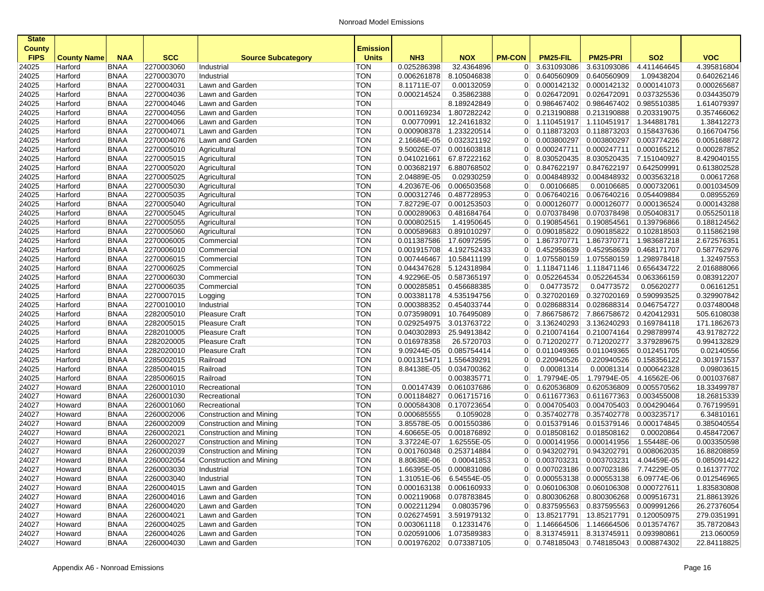| <b>State</b>   |                    |                            |                          |                           |                          |                 |                                        |                                  |                            |                                       |                            |                           |
|----------------|--------------------|----------------------------|--------------------------|---------------------------|--------------------------|-----------------|----------------------------------------|----------------------------------|----------------------------|---------------------------------------|----------------------------|---------------------------|
| <b>County</b>  |                    |                            |                          |                           | <b>Emission</b>          |                 |                                        |                                  |                            |                                       |                            |                           |
| <b>FIPS</b>    | <b>County Name</b> | <b>NAA</b>                 | <b>SCC</b>               | <b>Source Subcategory</b> | <b>Units</b>             | NH <sub>3</sub> | <b>NOX</b>                             | <b>PM-CON</b>                    | PM25-FIL                   | <b>PM25-PRI</b>                       | <b>SO2</b>                 | <b>VOC</b>                |
| 24025          | Harford            | <b>BNAA</b>                | 2270003060               | Industrial                | TON                      | 0.025286398     | 32.4364896                             | 0                                | 3.631093086                | 3.631093086                           | 4.411464645                | 4.395816804               |
| 24025          | Harford            | <b>BNAA</b>                | 2270003070               | Industrial                | <b>TON</b>               | 0.006261878     | 8.105046838                            | 0 <sup>1</sup>                   | 0.640560909                | 0.640560909                           | 1.09438204                 | 0.640262146               |
| 24025          | Harford            | <b>BNAA</b>                | 2270004031               | Lawn and Garden           | <b>TON</b>               | 8.11711E-07     | 0.00132059                             | $\overline{0}$                   | 0.000142132                | 0.000142132                           | 0.000141073                | 0.000265687               |
| 24025          | Harford            | <b>BNAA</b>                | 2270004036               | Lawn and Garden           | <b>TON</b>               | 0.000214524     | 0.35862388                             | $\overline{0}$                   | 0.026472091                | 0.026472091                           | 0.037325536                | 0.034435079               |
| 24025          | Harford            | <b>BNAA</b>                | 2270004046               | Lawn and Garden           | <b>TON</b>               |                 | 8.189242849                            | 0                                | 0.986467402                | 0.986467402                           | 0.985510385                | 1.614079397               |
| 24025          | Harford            | <b>BNAA</b>                | 2270004056               | Lawn and Garden           | <b>TON</b>               | 0.001169234     | 1.807282242                            | $\overline{0}$                   | 0.213190888                | 0.213190888                           | 0.203319075                | 0.357466062               |
| 24025          | Harford            | <b>BNAA</b>                | 2270004066               | Lawn and Garden           | <b>TON</b>               | 0.00770991      | 12.24161832                            | 0 <sup>1</sup>                   | 1.110451917                | 1.110451917                           | 1.344881781                | 1.38412273                |
| 24025          | Harford            | <b>BNAA</b>                | 2270004071               | Lawn and Garden           | <b>TON</b>               | 0.000908378     | 1.233220514                            | $\overline{0}$                   | 0.118873203                | 0.118873203                           | 0.158437636                | 0.166704756               |
| 24025          | Harford            | <b>BNAA</b>                | 2270004076               | Lawn and Garden           | <b>TON</b>               | 2.16684E-05     | 0.032321192                            | $\overline{0}$                   | 0.003800297                | 0.003800297                           | 0.003774226                | 0.005168872               |
| 24025          | Harford            | <b>BNAA</b>                | 2270005010               | Agricultural              | <b>TON</b>               | 9.50026E-07     | 0.001603818                            | 0                                | 0.000247711                | 0.000247711                           | 0.000165212                | 0.000287852               |
| 24025          | Harford            | <b>BNAA</b>                | 2270005015               | Agricultural              | <b>TON</b>               | 0.041021661     | 67.87222162                            | $\overline{0}$                   | 8.030520435                | 8.030520435                           | 7.151040927                | 8.429040155               |
| 24025          | Harford            | <b>BNAA</b>                | 2270005020               | Agricultural              | <b>TON</b>               | 0.003682197     | 6.880768502                            | 0                                | 0.847622197                | 0.847622197                           | 0.642509991                | 0.613802528               |
| 24025          | Harford            | <b>BNAA</b>                | 2270005025               | Agricultural              | <b>TON</b>               | 2.04889E-05     | 0.02930259                             | $\overline{0}$                   | 0.004848932                | 0.004848932                           | 0.003563218                | 0.00617268                |
| 24025          | Harford            | <b>BNAA</b>                | 2270005030               | Agricultural              | <b>TON</b>               | 4.20367E-06     | 0.006503568                            | $\overline{0}$                   | 0.00106685                 | 0.00106685                            | 0.000732061                | 0.001034509               |
| 24025          | Harford            | <b>BNAA</b>                | 2270005035               | Agricultural              | <b>TON</b>               | 0.000312746     | 0.487728953                            | $\overline{0}$                   | 0.067640216                | 0.067640216                           | 0.054409884                | 0.08955269                |
| 24025          | Harford            | <b>BNAA</b>                | 2270005040               | Agricultural              | <b>TON</b>               | 7.82729E-07     | 0.001253503                            | $\overline{0}$                   | 0.000126077                | 0.000126077                           | 0.000136524                | 0.000143288               |
| 24025          | Harford            | <b>BNAA</b>                | 2270005045               | Agricultural              | <b>TON</b><br><b>TON</b> | 0.000289063     | 0.481684764                            | 0                                | 0.070378498                | 0.070378498                           | 0.050408317                | 0.055250118               |
| 24025          | Harford            | <b>BNAA</b>                | 2270005055               | Agricultural              |                          | 0.000802515     | 1.41950645                             | $\overline{0}$                   | 0.190854561                | 0.190854561                           | 0.139796866                | 0.188124562               |
| 24025          | Harford            | <b>BNAA</b>                | 2270005060               | Agricultural              | <b>TON</b>               | 0.000589683     | 0.891010297                            | 0                                | 0.090185822                | 0.090185822                           | 0.102818503                | 0.115862198               |
| 24025          | Harford            | <b>BNAA</b>                | 2270006005               | Commercial                | <b>TON</b>               | 0.011387586     | 17.60972595<br>4.192752433             | $\overline{0}$                   | 1.867370771                | 1.867370771                           | 1.983687218                | 2.672576351               |
| 24025          | Harford            | <b>BNAA</b>                | 2270006010<br>2270006015 | Commercial                | <b>TON</b><br><b>TON</b> | 0.001915708     |                                        | $\overline{0}$                   | 0.452958639                | 0.452958639<br>1.075580159            | 0.468171707<br>1.298978418 | 0.587762976<br>1.32497553 |
| 24025<br>24025 | Harford<br>Harford | <b>BNAA</b><br><b>BNAA</b> | 2270006025               | Commercial<br>Commercial  | <b>TON</b>               | 0.007446467     | 10.58411199<br>0.044347628 5.124318984 | $\overline{0}$<br>0 <sup>1</sup> | 1.075580159<br>1.118471146 | 1.118471146                           | 0.656434722                | 2.016888066               |
| 24025          |                    | <b>BNAA</b>                | 2270006030               |                           | <b>TON</b>               | 4.92296E-05     | 0.587365197                            | $\overline{0}$                   | 0.052264534                | 0.052264534                           | 0.063366159                |                           |
| 24025          | Harford<br>Harford | <b>BNAA</b>                | 2270006035               | Commercial<br>Commercial  | <b>TON</b>               | 0.000285851     | 0.456688385                            | $\overline{0}$                   | 0.04773572                 | 0.04773572                            | 0.05620277                 | 0.083912207<br>0.06161251 |
| 24025          | Harford            | <b>BNAA</b>                | 2270007015               | Logging                   | <b>TON</b>               | 0.003381178     | 4.535194756                            | $\overline{0}$                   | 0.327020169                | 0.327020169                           | 0.590993525                | 0.329907842               |
| 24025          | Harford            | <b>BNAA</b>                | 2270010010               | Industrial                | <b>TON</b>               | 0.000388352     | 0.454033744                            | $\overline{0}$                   | 0.028688314                | 0.028688314                           | 0.046754727                | 0.037480048               |
| 24025          | Harford            | <b>BNAA</b>                | 2282005010               | <b>Pleasure Craft</b>     | <b>TON</b>               | 0.073598091     | 10.76495089                            | 0 <sup>1</sup>                   | 7.866758672                | 7.866758672                           | 0.420412931                | 505.6108038               |
| 24025          | Harford            | <b>BNAA</b>                | 2282005015               | <b>Pleasure Craft</b>     | <b>TON</b>               | 0.029254975     | 3.013763722                            | 0                                | 3.136240293                | 3.136240293                           | 0.169784118                | 171.1862673               |
| 24025          | Harford            | <b>BNAA</b>                | 2282010005               | <b>Pleasure Craft</b>     | <b>TON</b>               | 0.040302893     | 25.94913842                            | $\overline{0}$                   | 0.210074164                | 0.210074164                           | 0.298789974                | 43.91782722               |
| 24025          | Harford            | <b>BNAA</b>                | 2282020005               | <b>Pleasure Craft</b>     | <b>TON</b>               | 0.016978358     | 26.5720703                             | 0                                | 0.712020277                | 0.712020277                           | 3.379289675                | 0.994132829               |
| 24025          | Harford            | <b>BNAA</b>                | 2282020010               | <b>Pleasure Craft</b>     | <b>TON</b>               | 9.09244E-05     | 0.085754414                            | $\overline{0}$                   | 0.011049365                | 0.011049365                           | 0.012451705                | 0.02140556                |
| 24025          | Harford            | <b>BNAA</b>                | 2285002015               | Railroad                  | <b>TON</b>               | 0.001315471     | 1.556439291                            | $\overline{0}$                   | 0.220940526                | 0.220940526                           | 0.158356122                | 0.301971537               |
| 24025          | Harford            | <b>BNAA</b>                | 2285004015               | Railroad                  | <b>TON</b>               | 8.84138E-05     | 0.034700362                            | $\overline{0}$                   | 0.00081314                 | 0.00081314                            | 0.000642328                | 0.09803615                |
| 24025          | Harford            | <b>BNAA</b>                | 2285006015               | Railroad                  | <b>TON</b>               |                 | 0.003835771                            | $\overline{0}$                   | 1.79794E-05                | 1.79794E-05                           | 4.16562E-06                | 0.001037687               |
| 24027          | Howard             | <b>BNAA</b>                | 2260001010               | Recreational              | <b>TON</b>               | 0.00147439      | 0.061037686                            | 0                                | 0.620536809                | 0.620536809                           | 0.005570562                | 18.33499787               |
| 24027          | Howard             | <b>BNAA</b>                | 2260001030               | Recreational              | <b>TON</b>               | 0.001184827     | 0.061715716                            | $\overline{0}$                   | 0.611677363                | 0.611677363                           | 0.003455008                | 18.26815339               |
| 24027          | Howard             | <b>BNAA</b>                | 2260001060               | Recreational              | <b>TON</b>               | 0.000584308     | 0.170723654                            | 0                                | 0.004705403                | 0.004705403                           | 0.004290464                | 0.767199591               |
| 24027          | Howard             | <b>BNAA</b>                | 2260002006               | Construction and Mining   | <b>TON</b>               | 0.000685555     | 0.1059028                              | $\overline{0}$                   | 0.357402778                | 0.357402778                           | 0.003235717                | 6.34810161                |
| 24027          | Howard             | <b>BNAA</b>                | 2260002009               | Construction and Mining   | <b>TON</b>               | 3.85578E-05     | 0.001550386                            | 0 <sup>1</sup>                   | 0.015379146                | 0.015379146                           | 0.000174845                | 0.385040554               |
| 24027          | Howard             | <b>BNAA</b>                | 2260002021               | Construction and Mining   | <b>TON</b>               | 4.60665E-05     | 0.001876892                            | $\overline{0}$                   | 0.018508162                | 0.018508162                           | 0.00020864                 | 0.458472067               |
| 24027          | Howard             | <b>BNAA</b>                | 2260002027               | Construction and Mining   | <b>TON</b>               | 3.37224E-07     | 1.62555E-05                            | $\overline{0}$                   | 0.000141956                | 0.000141956                           | 1.55448E-06                | 0.003350598               |
| 24027          | Howard             | <b>BNAA</b>                | 2260002039               | Construction and Mining   | <b>TON</b>               | 0.001760348     | 0.253714884                            | $\overline{0}$                   | 0.943202791                | 0.943202791                           | 0.008062035                | 16.88208859               |
| 24027          | Howard             | <b>BNAA</b>                | 2260002054               | Construction and Mining   | <b>TON</b>               | 8.80638E-06     | 0.00041853                             |                                  | $0$ 0.003703231            | 0.003703231                           | 4.04459E-05                | 0.085091422               |
| 24027          | Howard             | <b>BNAA</b>                | 2260003030               | Industrial                | <b>TON</b>               |                 | 1.66395E-05 0.000831086                |                                  | $0$ 0.007023186            | 0.007023186 7.74229E-05               |                            | 0.161377702               |
| 24027          | Howard             | <b>BNAA</b>                | 2260003040               | Industrial                | TON                      |                 | 1.31051E-06 6.54554E-05                |                                  | $0$ 0.000553138            | 0.000553138 6.09774E-06               |                            | 0.012546965               |
| 24027          | Howard             | <b>BNAA</b>                | 2260004015               | Lawn and Garden           | <b>TON</b>               |                 | 0.000163138 0.006160933                |                                  | $0$ 0.060106308            | 0.060106308 0.000727611               |                            | 1.835830808               |
| 24027          | Howard             | <b>BNAA</b>                | 2260004016               | Lawn and Garden           | <b>TON</b>               |                 | 0.002119068 0.078783845                |                                  | $0$ 0.800306268            | 0.800306268                           | 0.009516731                | 21.88613926               |
| 24027          | Howard             | <b>BNAA</b>                | 2260004020               | Lawn and Garden           | <b>TON</b>               | 0.002211294     | 0.08035796                             |                                  | 0 0.837595563              | 0.837595563                           | 0.009991266                | 26.27376054               |
| 24027          | Howard             | BNAA                       | 2260004021               | Lawn and Garden           | <b>TON</b>               | 0.026274591     | 3.591979132                            |                                  | 0 13.85217791              | 13.85217791                           | 0.120050975                | 279.0351991               |
| 24027          | Howard             | BNAA                       | 2260004025               | Lawn and Garden           | <b>TON</b>               | 0.003061118     | 0.12331476                             |                                  | 0 1.146664506              | 1.146664506                           | 0.013574767                | 35.78720843               |
| 24027          | Howard             | BNAA                       | 2260004026               | Lawn and Garden           | <b>TON</b>               |                 | 0.020591006 1.073589383                |                                  | $0$ 8.313745911            | 8.313745911                           | 0.093980861                | 213.060059                |
| 24027          | Howard             | <b>BNAA</b>                | 2260004030               | Lawn and Garden           | <b>TON</b>               |                 | 0.001976202 0.073387105                |                                  |                            | 0 0.748185043 0.748185043 0.008874302 |                            | 22.84118825               |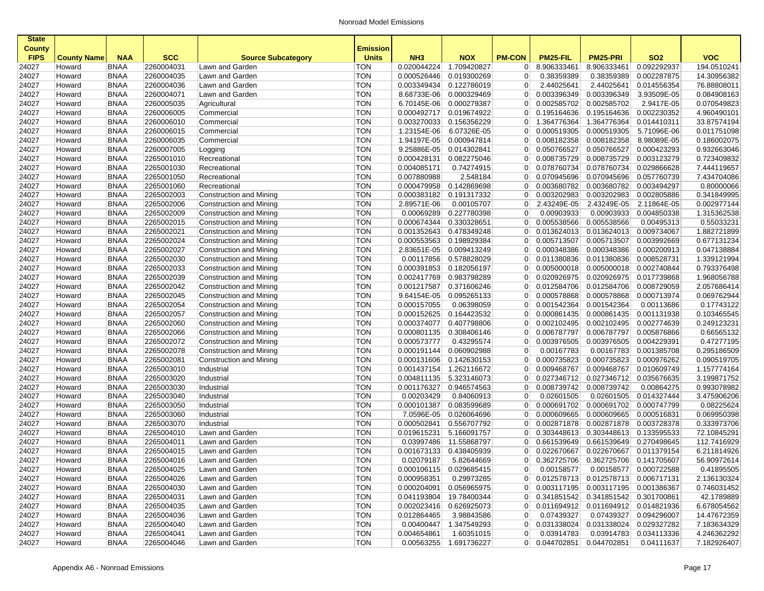| <b>State</b><br><b>County</b><br><b>FIPS</b> | <b>County Name</b> | <b>NAA</b>  | <b>SCC</b> | <b>Source Subcategory</b>      | <b>Emission</b><br><b>Units</b> | NH <sub>3</sub> | <b>NOX</b>             | <b>PM-CON</b>  | PM25-FIL        | <b>PM25-PRI</b>                       | <b>SO2</b>             | <b>VOC</b>  |
|----------------------------------------------|--------------------|-------------|------------|--------------------------------|---------------------------------|-----------------|------------------------|----------------|-----------------|---------------------------------------|------------------------|-------------|
| 24027                                        | Howard             | <b>BNAA</b> | 2260004031 | Lawn and Garden                | TON                             | 0.020044224     | 1.709420827            | 0              | 8.906333461     | 8.906333461                           | 0.092292937            | 194.0510241 |
| 24027                                        | Howard             | <b>BNAA</b> | 2260004035 | Lawn and Garden                | <b>TON</b>                      | 0.000526446     | 0.019300269            | $\overline{0}$ | 0.38359389      | 0.38359389                            | 0.002287875            | 14.30956382 |
| 24027                                        | Howard             | <b>BNAA</b> | 2260004036 | Lawn and Garden                | <b>TON</b>                      | 0.003349434     | 0.122786019            | $\overline{0}$ | 2.44025641      | 2.44025641                            | 0.014556354            | 76.88808011 |
| 24027                                        | Howard             | <b>BNAA</b> | 2260004071 | Lawn and Garden                | <b>TON</b>                      | 8.68733E-06     | 0.000329469            | $\overline{0}$ | 0.003396349     | 0.003396349                           | 3.93509E-05            | 0.084908163 |
| 24027                                        | Howard             | <b>BNAA</b> | 2260005035 | Agricultural                   | <b>TON</b>                      | 6.70145E-06     | 0.000279387            | $\overline{0}$ | 0.002585702     | 0.002585702                           | 2.9417E-05             | 0.070549823 |
| 24027                                        | Howard             | <b>BNAA</b> | 2260006005 | Commercial                     | <b>TON</b>                      | 0.000492717     | 0.019674922            | $\overline{0}$ | 0.195164636     | 0.195164636                           | 0.002230352            | 4.96049010  |
| 24027                                        | Howard             | <b>BNAA</b> | 2260006010 | Commercial                     | <b>TON</b>                      | 0.003270033     | 0.156356229            | 0              | 1.364776364     | 1.364776364                           | 0.014410311            | 33.87574194 |
| 24027                                        | Howard             | <b>BNAA</b> | 2260006015 | Commercial                     | <b>TON</b>                      | 1.23154E-06     | 6.07326E-05            | $\overline{0}$ | 0.000519305     | 0.000519305                           | 5.71096E-06            | 0.011751098 |
| 24027                                        | Howard             | <b>BNAA</b> | 2260006035 | Commercial                     | <b>TON</b>                      | 1.94197E-05     | 0.000947814            | $\overline{0}$ | 0.008182358     | 0.008182358                           | 8.98089E-05            | 0.186002075 |
| 24027                                        | Howard             | <b>BNAA</b> | 2260007005 | Logging                        | <b>TON</b>                      | 9.25886E-05     | 0.014302841            | 0              | 0.050766527     | 0.050766527                           | 0.000423293            | 0.932663046 |
| 24027                                        | Howard             | <b>BNAA</b> | 2265001010 | Recreational                   | <b>TON</b>                      | 0.000428131     | 0.082275046            | $\overline{0}$ | 0.008735729     | 0.008735729                           | 0.003123279            | 0.723409832 |
| 24027                                        | Howard             | <b>BNAA</b> | 2265001030 | Recreational                   | <b>TON</b>                      | 0.004085171     | 0.74274915             | $\overline{0}$ | 0.078760734     | 0.078760734                           | 0.029866628            | 7.444119657 |
| 24027                                        | Howard             | <b>BNAA</b> | 2265001050 | Recreational                   | <b>TON</b>                      | 0.007880988     | 2.548184               | $\overline{0}$ | 0.070945696     | 0.070945696                           | 0.057760739            | 7.434704086 |
| 24027                                        | Howard             | <b>BNAA</b> | 2265001060 | Recreational                   | <b>TON</b>                      | 0.000479958     | 0.142869698            | $\overline{0}$ | 0.003680782     | 0.003680782                           | 0.003494297            | 0.80000066  |
| 24027                                        | Howard             | <b>BNAA</b> | 2265002003 | <b>Construction and Mining</b> | <b>TON</b>                      | 0.000383182     | 0.191317332            | $\overline{0}$ | 0.003202983     | 0.003202983                           | 0.002805886            | 0.341849995 |
| 24027                                        | Howard             | <b>BNAA</b> | 2265002006 | Construction and Mining        | <b>TON</b>                      | 2.89571E-06     | 0.00105707             | $\overline{0}$ | 2.43249E-05     | 2.43249E-05                           | 2.11864E-05            | 0.002977144 |
| 24027                                        | Howard             | <b>BNAA</b> | 2265002009 | Construction and Mining        | <b>TON</b>                      | 0.00069289      | 0.227780398            | $\overline{0}$ | 0.00903933      | 0.00903933                            | 0.004850338            | 1.315362538 |
| 24027                                        | Howard             | <b>BNAA</b> | 2265002015 | Construction and Mining        | <b>TON</b>                      | 0.000674344     | 0.330328651            | $\overline{0}$ | 0.005538566     | 0.005538566                           | 0.00495313             | 0.55033231  |
| 24027                                        | Howard             | <b>BNAA</b> | 2265002021 | Construction and Mining        | <b>TON</b>                      | 0.001352643     | 0.478349248            | $\overline{0}$ | 0.013624013     | 0.013624013                           | 0.009734067            | 1.882721899 |
| 24027                                        | Howard             | <b>BNAA</b> | 2265002024 | Construction and Mining        | <b>TON</b>                      | 0.000553563     | 0.198929384            | $\overline{0}$ | 0.005713507     | 0.005713507                           | 0.003992669            | 0.677131234 |
| 24027                                        | Howard             | <b>BNAA</b> | 2265002027 | Construction and Mining        | <b>TON</b>                      | 2.83651E-05     | 0.009413249            | $\overline{0}$ | 0.000348386     | 0.000348386                           | 0.000200913            | 0.047138884 |
| 24027                                        | Howard             | <b>BNAA</b> | 2265002030 | Construction and Mining        | <b>TON</b>                      | 0.00117856      | 0.578828029            | $\overline{0}$ | 0.011380836     | 0.011380836                           | 0.008528731            | 1.339121994 |
| 24027                                        | Howard             | <b>BNAA</b> | 2265002033 | Construction and Mining        | <b>TON</b>                      | 0.000391853     | 0.182056197            | $\overline{0}$ | 0.005000018     | 0.005000018                           | 0.002740844            | 0.793376498 |
| 24027                                        | Howard             | <b>BNAA</b> | 2265002039 | Construction and Mining        | <b>TON</b>                      | 0.002417769     | 0.983798289            | $\overline{0}$ | 0.020926975     | 0.020926975                           | 0.017739868            | 1.968056788 |
| 24027                                        | Howard             | <b>BNAA</b> | 2265002042 | Construction and Mining        | <b>TON</b>                      | 0.001217587     | 0.371606246            | $\overline{0}$ | 0.012584706     | 0.012584706                           | 0.008729059            | 2.057686414 |
| 24027                                        | Howard             | <b>BNAA</b> | 2265002045 | Construction and Mining        | <b>TON</b>                      | 9.64154E-05     | 0.095265133            | $\overline{0}$ | 0.000578868     | 0.000578868                           | 0.000713974            | 0.069762944 |
| 24027                                        | Howard             | <b>BNAA</b> | 2265002054 | Construction and Mining        | <b>TON</b>                      | 0.000157055     | 0.06398059             | $\overline{0}$ | 0.001542364     | 0.001542364                           | 0.00113686             | 0.17743122  |
| 24027                                        | Howard             | <b>BNAA</b> | 2265002057 | Construction and Mining        | <b>TON</b>                      | 0.000152625     | 0.164423532            | $\overline{0}$ | 0.000861435     | 0.000861435                           | 0.001131938            | 0.103465545 |
| 24027                                        | Howard             | <b>BNAA</b> | 2265002060 | Construction and Mining        | <b>TON</b>                      | 0.000374077     | 0.407798806            | $\overline{0}$ | 0.002102495     | 0.002102495                           | 0.002774639            | 0.249123231 |
| 24027                                        | Howard             | <b>BNAA</b> | 2265002066 | Construction and Mining        | <b>TON</b>                      | 0.000801135     | 0.308406146            | $\overline{0}$ | 0.006787797     | 0.006787797                           | 0.005876866            | 0.66565132  |
| 24027                                        | Howard             | <b>BNAA</b> | 2265002072 | Construction and Mining        | <b>TON</b>                      | 0.000573777     | 0.43295574             | $\overline{0}$ | 0.003976505     | 0.003976505                           | 0.004229391            | 0.47277195  |
| 24027                                        | Howard             | <b>BNAA</b> | 2265002078 | Construction and Mining        | <b>TON</b>                      | 0.000191144     | 0.060902988            | $\overline{0}$ | 0.00167783      | 0.00167783                            | 0.001385708            | 0.295186509 |
| 24027                                        | Howard             | <b>BNAA</b> | 2265002081 | Construction and Mining        | <b>TON</b>                      | 0.000131606     | 0.142630153            | $\overline{0}$ | 0.000735823     | 0.000735823                           | 0.000976262            | 0.090519705 |
| 24027                                        | Howard             | <b>BNAA</b> | 2265003010 | Industrial                     | <b>TON</b>                      | 0.001437154     | 1.262116672            | $\overline{0}$ | 0.009468767     | 0.009468767                           | 0.010609749            | 1.157774164 |
| 24027                                        | Howard             | <b>BNAA</b> | 2265003020 | Industrial                     | <b>TON</b>                      | 0.004811135     | 5.323146073            | $\overline{0}$ | 0.027346712     | 0.027346712                           | 0.035676635            | 3.199871752 |
| 24027                                        | Howard             | <b>BNAA</b> | 2265003030 | Industrial                     | <b>TON</b>                      | 0.001176327     | 0.946574563            | $\overline{0}$ | 0.008739742     | 0.008739742                           | 0.00864275             | 0.993078982 |
| 24027                                        | Howard             | <b>BNAA</b> | 2265003040 | Industrial                     | <b>TON</b>                      | 0.00203429      | 0.84060913             | $\overline{0}$ | 0.02601505      | 0.02601505                            | 0.014327444            | 3.475906206 |
| 24027                                        | Howard             | <b>BNAA</b> | 2265003050 | Industrial                     | <b>TON</b>                      | 0.000101387     | 0.083599689            | $\overline{0}$ | 0.000691702     | 0.000691702                           | 0.000747799            | 0.08225624  |
| 24027                                        | Howard             | <b>BNAA</b> | 2265003060 | Industrial                     | <b>TON</b>                      | 7.0596E-05      | 0.026064696            | $\overline{0}$ | 0.000609665     | 0.000609665                           | 0.000516831            | 0.069950398 |
| 24027                                        | Howard             | <b>BNAA</b> | 2265003070 | Industrial                     | TON                             | 0.000502841     | 0.556707792            | $\overline{0}$ | 0.002871878     | 0.002871878                           | 0.003728378            | 0.333973706 |
| 24027                                        | Howard             | <b>BNAA</b> | 2265004010 | Lawn and Garden                | <b>TON</b>                      | 0.019615231     | 5.166091757            | $\overline{0}$ | 0.303448613     | 0.303448613                           | 0.133595533            | 72.10845291 |
| 24027                                        | Howard             | <b>BNAA</b> | 2265004011 | Lawn and Garden                | <b>TON</b>                      | 0.03997486      | 11.55868797            | $\overline{0}$ | 0.661539649     | 0.661539649                           | 0.270498645            | 112.7416929 |
| 24027                                        | Howard             | <b>BNAA</b> | 2265004015 | Lawn and Garden                | <b>TON</b>                      | 0.001673133     | 0.438405939            | $\overline{0}$ | 0.022670667     | 0.022670667                           | 0.011379154            | 6.211814926 |
| 24027                                        | Howard             | <b>BNAA</b> | 2265004016 | Lawn and Garden                | <b>TON</b>                      | 0.02079187      | 5.82644669             | 01             | 0.362725706     | 0.362725706                           | 0.141705607            | 56.90972614 |
| 24027                                        | Howard             | BNAA        | 2265004025 | Lawn and Garden                | TON                             | 0.000106115     | 0.029685415            | $\mathbf{0}$   | 0.00158577      |                                       | 0.00158577 0.000722588 | 0.41895505  |
| 24027                                        | Howard             | <b>BNAA</b> | 2265004026 | Lawn and Garden                | <b>TON</b>                      | 0.000958351     | 0.29973285             |                |                 | 0 0.012578713 0.012578713 0.006717131 |                        | 2.136130324 |
| 24027                                        | Howard             | <b>BNAA</b> | 2265004030 | Lawn and Garden                | TON                             | 0.000204091     | 0.056965975            |                |                 | 0 0.003117195 0.003117195 0.001386367 |                        | 0.746031452 |
| 24027                                        | Howard             | <b>BNAA</b> | 2265004031 | Lawn and Garden                | <b>TON</b>                      | 0.041193804     | 19.78400344            |                | $0$ 0.341851542 | 0.341851542 0.301700861               |                        | 42.1789889  |
| 24027                                        | Howard             | <b>BNAA</b> | 2265004035 | Lawn and Garden                | <b>TON</b>                      | 0.002023416     | 0.626925073            |                | 0 0.011694912   | 0.011694912 0.014821936               |                        | 6.678054562 |
| 24027                                        | Howard             | <b>BNAA</b> | 2265004036 | Lawn and Garden                | <b>TON</b>                      | 0.012864465     | 3.98843586             | 0              | 0.07439327      |                                       | 0.07439327 0.094296007 | 14.47672359 |
| 24027                                        | Howard             | <b>BNAA</b> | 2265004040 | Lawn and Garden                | <b>TON</b>                      | 0.00400447      | 1.347549293            | 0              | 0.031338024     | 0.031338024                           | 0.029327282            | 7.183634329 |
| 24027                                        | Howard             | <b>BNAA</b> | 2265004041 | Lawn and Garden                | <b>TON</b>                      | 0.004654861     | 1.60351015             | $\overline{0}$ | 0.03914783      |                                       | 0.03914783 0.034113336 | 4.246362292 |
| 24027                                        | Howard             | <b>BNAA</b> | 2265004046 | Lawn and Garden                | <b>TON</b>                      |                 | 0.00563255 1.691736227 |                |                 | $0$ 0.044702851 0.044702851           | 0.04111637             | 7.182926407 |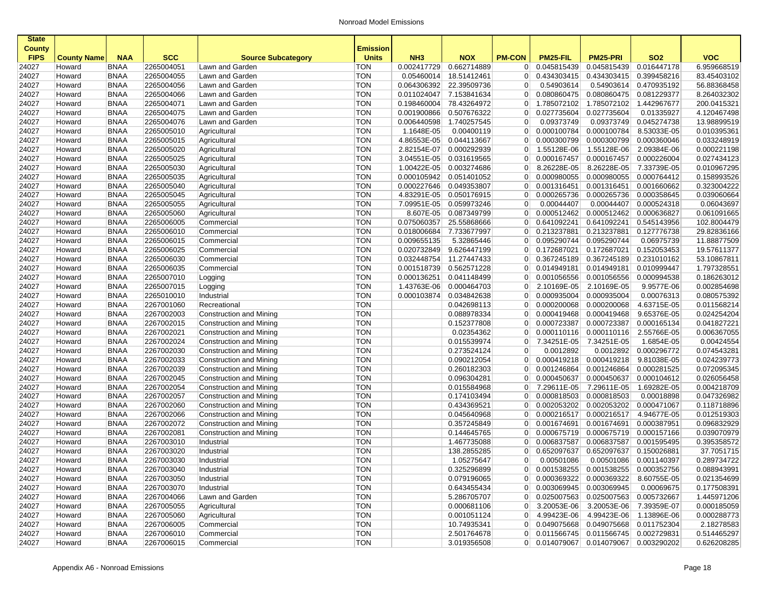| <b>State</b>   |                    |                            |                          |                              |                          |                            |                            |                                  |                           |                                       |                            |                            |
|----------------|--------------------|----------------------------|--------------------------|------------------------------|--------------------------|----------------------------|----------------------------|----------------------------------|---------------------------|---------------------------------------|----------------------------|----------------------------|
| <b>County</b>  |                    |                            |                          |                              | Emission                 |                            |                            |                                  |                           |                                       |                            |                            |
| <b>FIPS</b>    | <b>County Name</b> | <b>NAA</b>                 | <b>SCC</b>               | <b>Source Subcategory</b>    | <b>Units</b>             | NH <sub>3</sub>            | <b>NOX</b>                 | <b>PM-CON</b>                    | <b>PM25-FIL</b>           | <b>PM25-PRI</b>                       | <b>SO2</b>                 | <b>VOC</b>                 |
| 24027          | Howard             | <b>BNAA</b>                | 2265004051               | Lawn and Garden              | <b>TON</b>               | 0.002417729                | 0.662714889                | $\overline{0}$                   | 0.045815439               | 0.045815439                           | 0.016447178                | 6.959668519                |
| 24027          | Howard             | <b>BNAA</b>                | 2265004055               | Lawn and Garden              | <b>TON</b>               | 0.05460014                 | 18.51412461                | $\overline{0}$                   | 0.434303415               | 0.434303415                           | 0.399458216                | 83.45403102                |
| 24027          | Howard             | <b>BNAA</b>                | 2265004056               | Lawn and Garden              | <b>TON</b>               | 0.064306392                | 22.39509736                | $\overline{0}$                   | 0.54903614                | 0.54903614                            | 0.470935192                | 56.88368458                |
| 24027          | Howard             | <b>BNAA</b>                | 2265004066               | Lawn and Garden              | <b>TON</b>               | 0.011024047                | 7.153841634                | $\overline{0}$                   | 0.080860475               | 0.080860475                           | 0.081229377                | 8.264032302                |
| 24027          | Howard             | <b>BNAA</b>                | 2265004071               | Lawn and Garden              | <b>TON</b>               | 0.198460004                | 78.43264972                | $\overline{0}$                   | 1.785072102               | 1.785072102                           | 1.442967677                | 200.0415321                |
| 24027          | Howard             | <b>BNAA</b>                | 2265004075               | Lawn and Garden              | <b>TON</b>               | 0.001900866                | 0.507676322                | $\overline{0}$                   | 0.027735604               | 0.027735604                           | 0.01335927                 | 4.120467498                |
| 24027          | Howard             | <b>BNAA</b>                | 2265004076               | Lawn and Garden              | <b>TON</b>               | 0.006440598                | 1.740257545                | $\overline{0}$                   | 0.09373749                | 0.09373749                            | 0.045274738                | 13.98899519                |
| 24027          | Howard             | <b>BNAA</b>                | 2265005010               | Agricultural                 | <b>TON</b>               | 1.1648E-05                 | 0.00400119                 | $\overline{0}$                   | 0.000100784               | 0.000100784                           | 8.53033E-05                | 0.010395361                |
| 24027          | Howard             | <b>BNAA</b>                | 2265005015               | Agricultural                 | <b>TON</b>               | 4.86553E-05                | 0.044113667                | $\overline{0}$                   | 0.000300799               | 0.000300799                           | 0.000360046                | 0.033248919                |
| 24027          | Howard             | <b>BNAA</b>                | 2265005020               | Agricultural                 | <b>TON</b>               | 2.82154E-07                | 0.000292939                | $\overline{0}$                   | 1.55128E-06               | 1.55128E-06                           | 2.09384E-06                | 0.000221198                |
| 24027          | Howard             | <b>BNAA</b><br><b>BNAA</b> | 2265005025<br>2265005030 | Agricultural<br>Agricultural | <b>TON</b><br><b>TON</b> | 3.04551E-05<br>1.00422E-05 | 0.031619565                | $\overline{0}$                   | 0.000167457               | 0.000167457<br>8.26228E-05            | 0.000226004                | 0.027434123<br>0.010967295 |
| 24027          | Howard             |                            |                          |                              | <b>TON</b>               |                            | 0.003274686                | $\overline{0}$                   | 8.26228E-05               |                                       | 7.33739E-05                |                            |
| 24027          | Howard             | <b>BNAA</b>                | 2265005035<br>2265005040 | Agricultural                 | <b>TON</b>               | 0.000105942                | 0.051401052                | $\overline{0}$                   | 0.000980055               | 0.000980055                           | 0.000764412                | 0.158993526<br>0.323004222 |
| 24027          | Howard             | <b>BNAA</b>                |                          | Agricultural                 | <b>TON</b>               | 0.000227646<br>4.83291E-05 | 0.049353807                | $\overline{0}$<br>$\overline{0}$ | 0.001316451               | 0.001316451                           | 0.001660662                | 0.039060664                |
| 24027          | Howard             | <b>BNAA</b>                | 2265005045<br>2265005055 | Agricultural                 | <b>TON</b>               | 7.09951E-05                | 0.050176915<br>0.059973246 | $\overline{0}$                   | 0.000265736<br>0.00044407 | 0.000265736<br>0.00044407             | 0.000358645<br>0.000524318 | 0.06043697                 |
| 24027          | Howard<br>Howard   | <b>BNAA</b><br><b>BNAA</b> | 2265005060               | Agricultural<br>Agricultural | <b>TON</b>               | 8.607E-05                  | 0.087349799                | $\overline{0}$                   | 0.000512462               | 0.000512462                           | 0.000636827                | 0.061091665                |
| 24027<br>24027 | Howard             | <b>BNAA</b>                | 2265006005               | Commercial                   | <b>TON</b>               | 0.075060357                | 25.55868666                | $\overline{0}$                   | 0.641092241               | 0.641092241                           | 0.545143956                | 102.8004479                |
| 24027          | Howard             | <b>BNAA</b>                | 2265006010               | Commercial                   | <b>TON</b>               | 0.018006684                | 7.733677997                | $\overline{0}$                   | 0.213237881               | 0.213237881                           | 0.127776738                | 29.82836166                |
| 24027          | Howard             | <b>BNAA</b>                | 2265006015               | Commercial                   | <b>TON</b>               | 0.009655135                | 5.32865446                 | $\overline{0}$                   | 0.095290744               | 0.095290744                           | 0.06975739                 | 11.88877509                |
| 24027          | Howard             | <b>BNAA</b>                | 2265006025               | Commercial                   | <b>TON</b>               | 0.020732849                | 9.626447199                | $\overline{0}$                   | 0.172687021               | 0.172687021                           | 0.152053453                | 19.57611377                |
| 24027          | Howard             | <b>BNAA</b>                | 2265006030               | Commercial                   | <b>TON</b>               | 0.032448754                | 11.27447433                | $\overline{0}$                   | 0.367245189               | 0.367245189                           | 0.231010162                | 53.10867811                |
| 24027          | Howard             | <b>BNAA</b>                | 2265006035               | Commercial                   | <b>TON</b>               | 0.001518739                | 0.562571228                | $\overline{0}$                   | 0.014949181               | 0.014949181                           | 0.010999447                | 1.797328551                |
| 24027          | Howard             | <b>BNAA</b>                | 2265007010               | Logging                      | <b>TON</b>               | 0.000136251                | 0.041148499                | $\overline{0}$                   | 0.001056556               | 0.001056556                           | 0.000994538                | 0.186263012                |
| 24027          | Howard             | <b>BNAA</b>                | 2265007015               | Logging                      | <b>TON</b>               | 1.43763E-06                | 0.000464703                | $\overline{0}$                   | 2.10169E-05               | 2.10169E-05                           | 9.9577E-06                 | 0.002854698                |
| 24027          | Howard             | <b>BNAA</b>                | 2265010010               | Industrial                   | <b>TON</b>               | 0.000103874                | 0.034842638                | $\overline{0}$                   | 0.000935004               | 0.000935004                           | 0.00076313                 | 0.080575392                |
| 24027          | Howard             | <b>BNAA</b>                | 2267001060               | Recreational                 | <b>TON</b>               |                            | 0.042698113                | $\overline{0}$                   | 0.000200068               | 0.000200068                           | 4.63715E-05                | 0.011568214                |
| 24027          | Howard             | <b>BNAA</b>                | 2267002003               | Construction and Mining      | <b>TON</b>               |                            | 0.088978334                | $\overline{0}$                   | 0.000419468               | 0.000419468                           | 9.65376E-05                | 0.024254204                |
| 24027          | Howard             | <b>BNAA</b>                | 2267002015               | Construction and Mining      | <b>TON</b>               |                            | 0.152377808                | $\overline{0}$                   | 0.000723387               | 0.000723387                           | 0.000165134                | 0.041827221                |
| 24027          | Howard             | <b>BNAA</b>                | 2267002021               | Construction and Mining      | <b>TON</b>               |                            | 0.02354362                 | 0 <sup>1</sup>                   | 0.000110116               | 0.000110116                           | 2.55766E-05                | 0.006367055                |
| 24027          | Howard             | <b>BNAA</b>                | 2267002024               | Construction and Mining      | <b>TON</b>               |                            | 0.015539974                | $\overline{0}$                   | 7.34251E-05               | 7.34251E-05                           | 1.6854E-05                 | 0.00424554                 |
| 24027          | Howard             | <b>BNAA</b>                | 2267002030               | Construction and Mining      | <b>TON</b>               |                            | 0.273524124                | $\overline{0}$                   | 0.0012892                 | 0.0012892                             | 0.000296772                | 0.074543281                |
| 24027          | Howard             | <b>BNAA</b>                | 2267002033               | Construction and Mining      | <b>TON</b>               |                            | 0.090212054                | $\overline{0}$                   | 0.000419218               | 0.000419218                           | 9.81038E-05                | 0.024239773                |
| 24027          | Howard             | <b>BNAA</b>                | 2267002039               | Construction and Mining      | <b>TON</b>               |                            | 0.260182303                | $\overline{0}$                   | 0.001246864               | 0.001246864                           | 0.000281525                | 0.072095345                |
| 24027          | Howard             | <b>BNAA</b>                | 2267002045               | Construction and Mining      | <b>TON</b>               |                            | 0.096304281                | $\overline{0}$                   | 0.000450637               | 0.000450637                           | 0.000104612                | 0.026056458                |
| 24027          | Howard             | <b>BNAA</b>                | 2267002054               | Construction and Mining      | <b>TON</b>               |                            | 0.015584968                | $\overline{0}$                   | 7.29611E-05               | 7.29611E-05                           | 1.69282E-05                | 0.004218709                |
| 24027          | Howard             | <b>BNAA</b>                | 2267002057               | Construction and Mining      | <b>TON</b>               |                            | 0.174103494                | $\overline{0}$                   | 0.000818503               | 0.000818503                           | 0.00018898                 | 0.047326982                |
| 24027          | Howard             | <b>BNAA</b>                | 2267002060               | Construction and Mining      | <b>TON</b>               |                            | 0.434369521                | $\overline{0}$                   | 0.002053202               | 0.002053202                           | 0.000471067                | 0.118718896                |
| 24027          | Howard             | <b>BNAA</b>                | 2267002066               | Construction and Mining      | <b>TON</b>               |                            | 0.045640968                | $\overline{0}$                   | 0.000216517               | 0.000216517                           | 4.94677E-05                | 0.012519303                |
| 24027          | Howard             | <b>BNAA</b>                | 2267002072               | Construction and Mining      | <b>TON</b>               |                            | 0.357245849                | $\overline{0}$                   | 0.001674691               | 0.001674691                           | 0.000387951                | 0.096832929                |
| 24027          | Howard             | <b>BNAA</b>                | 2267002081               | Construction and Mining      | <b>TON</b>               |                            | 0.144645765                | $\overline{0}$                   | 0.000675719               | 0.000675719                           | 0.000157166                | 0.039070979                |
| 24027          | Howard             | <b>BNAA</b>                | 2267003010               | Industrial                   | <b>TON</b>               |                            | 1.467735088                | $\overline{0}$                   | 0.006837587               | 0.006837587                           | 0.001595495                | 0.395358572                |
| 24027          | Howard             | <b>BNAA</b>                | 2267003020               | Industrial                   | <b>TON</b>               |                            | 138.2855285                | 0 <sup>1</sup>                   | 0.652097637               | 0.652097637                           | 0.150026881                | 37.7051715                 |
| 24027          | Howard             | <b>BNAA</b>                | 2267003030               | Industrial                   | <b>TON</b>               |                            | 1.05275647                 | $\overline{0}$                   | 0.00501086                | 0.00501086                            | 0.001140397                | 0.289734722                |
| 24027          | Howard             | BNAA                       | 2267003040               | Industrial                   | TON                      |                            | 0.325296899                |                                  | $0$ 0.001538255           | 0.001538255 0.000352756               |                            | 0.088943991                |
| 24027          | Howard             | <b>BNAA</b>                | 2267003050               | Industrial                   | <b>TON</b>               |                            | 0.079196065                |                                  | 0 0.000369322             | 0.000369322 8.60755E-05               |                            | 0.021354699                |
| 24027          | Howard             | <b>BNAA</b>                | 2267003070               | Industrial                   | TON                      |                            | 0.643455434                |                                  | 0 0.003069945             | 0.003069945                           | 0.00069675                 | 0.177508391                |
| 24027          | Howard             | <b>BNAA</b>                | 2267004066               | Lawn and Garden              | TON                      |                            | 5.286705707                |                                  | $0$ 0.025007563           | 0.025007563 0.005732667               |                            | 1.445971206                |
| 24027          | Howard             | <b>BNAA</b>                | 2267005055               | Agricultural                 | <b>TON</b>               |                            | 0.000681106                |                                  | 0 3.20053E-06             | 3.20053E-06                           | 7.39359E-07                | 0.000185059                |
| 24027          | Howard             | <b>BNAA</b>                | 2267005060               | Agricultural                 | <b>TON</b>               |                            | 0.001051124                | 0                                | 4.99423E-06               | 4.99423E-06                           | 1.13896E-06                | 0.000288773                |
| 24027          | Howard             | <b>BNAA</b>                | 2267006005               | Commercial                   | <b>TON</b>               |                            | 10.74935341                |                                  |                           | 0 0.049075668 0.049075668 0.011752304 |                            | 2.18278583                 |
| 24027          | Howard             | <b>BNAA</b>                | 2267006010               | Commercial                   | <b>TON</b>               |                            | 2.501764678                |                                  |                           | 0 0.011566745 0.011566745 0.002729831 |                            | 0.514465297                |
| 24027          | Howard             | <b>BNAA</b>                | 2267006015               | Commercial                   | <b>TON</b>               |                            | 3.019356508                |                                  |                           | 0 0.014079067 0.014079067 0.003290202 |                            | 0.626208285                |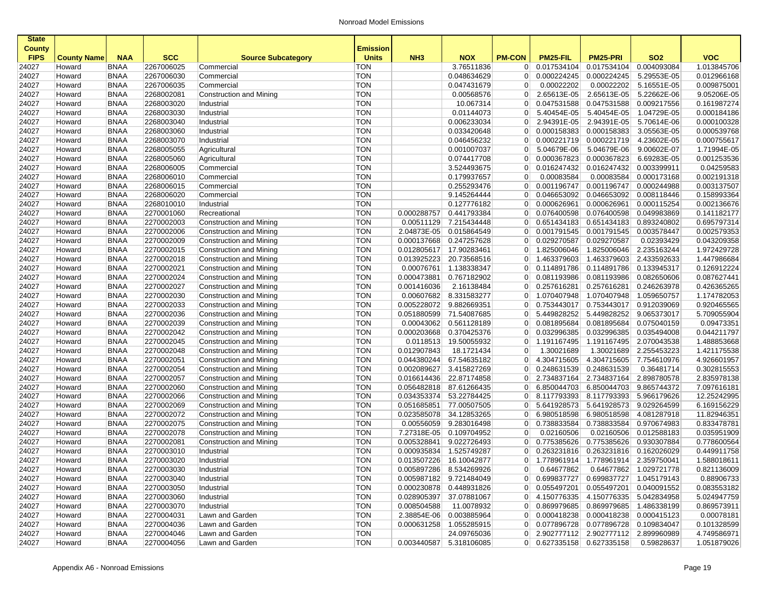| <b>State</b>  |                    |             |            |                                |                 |                         |             |                |                                       |                                         |                        |             |
|---------------|--------------------|-------------|------------|--------------------------------|-----------------|-------------------------|-------------|----------------|---------------------------------------|-----------------------------------------|------------------------|-------------|
| <b>County</b> |                    |             |            |                                | <b>Emission</b> |                         |             |                |                                       |                                         |                        |             |
| <b>FIPS</b>   | <b>County Name</b> | <b>NAA</b>  | <b>SCC</b> | <b>Source Subcategory</b>      | <b>Units</b>    | NH <sub>3</sub>         | <b>NOX</b>  | <b>PM-CON</b>  | PM25-FIL                              | <b>PM25-PRI</b>                         | <b>SO2</b>             | <b>VOC</b>  |
| 24027         | Howard             | <b>BNAA</b> | 2267006025 | Commercial                     | <b>TON</b>      |                         | 3.76511836  | $\overline{0}$ | 0.017534104                           | 0.017534104                             | 0.004093084            | 1.013845706 |
| 24027         | Howard             | <b>BNAA</b> | 2267006030 | Commercial                     | <b>TON</b>      |                         | 0.048634629 | $\overline{0}$ | 0.000224245                           | 0.000224245                             | 5.29553E-05            | 0.012966168 |
| 24027         | Howard             | <b>BNAA</b> | 2267006035 | Commercial                     | <b>TON</b>      |                         | 0.047431679 | 0              | 0.00022202                            | 0.00022202                              | 5.16551E-05            | 0.009875001 |
| 24027         | Howard             | <b>BNAA</b> | 2268002081 | Construction and Mining        | <b>TON</b>      |                         | 0.00568576  | $\overline{0}$ | 2.65613E-05                           | 2.65613E-05                             | 5.22662E-06            | 9.05206E-05 |
| 24027         | Howard             | <b>BNAA</b> | 2268003020 | Industrial                     | <b>TON</b>      |                         | 10.067314   | 0              | 0.047531588                           | 0.047531588                             | 0.009217556            | 0.161987274 |
| 24027         | Howard             | <b>BNAA</b> | 2268003030 | Industrial                     | <b>TON</b>      |                         | 0.01144073  | $\overline{0}$ | 5.40454E-05                           | 5.40454E-05                             | 1.04729E-05            | 0.000184186 |
| 24027         | Howard             | <b>BNAA</b> | 2268003040 | Industrial                     | <b>TON</b>      |                         | 0.006233034 | $\overline{0}$ | 2.94391E-05                           | 2.94391E-05                             | 5.70614E-06            | 0.000100328 |
| 24027         | Howard             | <b>BNAA</b> | 2268003060 | Industrial                     | <b>TON</b>      |                         | 0.033420648 | $\overline{0}$ | 0.000158383                           | 0.000158383                             | 3.05563E-05            | 0.000539768 |
| 24027         | Howard             | <b>BNAA</b> | 2268003070 | Industrial                     | <b>TON</b>      |                         | 0.046456232 | $\overline{0}$ | 0.000221719                           | 0.000221719                             | 4.23602E-05            | 0.000755617 |
| 24027         | Howard             | <b>BNAA</b> | 2268005055 | Agricultural                   | <b>TON</b>      |                         | 0.001007037 | $\overline{0}$ | 5.04679E-06                           | 5.04679E-06                             | 9.00602E-07            | 1.71994E-05 |
| 24027         | Howard             | <b>BNAA</b> | 2268005060 | Agricultural                   | <b>TON</b>      |                         | 0.074417708 | $\overline{0}$ | 0.000367823                           | 0.000367823                             | 6.69283E-05            | 0.001253536 |
| 24027         | Howard             | <b>BNAA</b> | 2268006005 | Commercial                     | <b>TON</b>      |                         | 3.524493675 | $\overline{0}$ | 0.016247432                           | 0.016247432                             | 0.003399911            | 0.04259583  |
| 24027         | Howard             | <b>BNAA</b> | 2268006010 | Commercial                     | <b>TON</b>      |                         | 0.179937657 | 0              | 0.00083584                            | 0.00083584                              | 0.000173168            | 0.002191318 |
| 24027         | Howard             | <b>BNAA</b> | 2268006015 | Commercial                     | <b>TON</b>      |                         | 0.255293476 | $\overline{0}$ | 0.001196747                           | 0.001196747                             | 0.000244988            | 0.003137507 |
| 24027         | Howard             | <b>BNAA</b> | 2268006020 | Commercial                     | <b>TON</b>      |                         | 9.145264444 | $\overline{0}$ | 0.046653092                           | 0.046653092                             | 0.008118446            | 0.158993364 |
| 24027         | Howard             | <b>BNAA</b> | 2268010010 | Industrial                     | <b>TON</b>      |                         | 0.127776182 | $\overline{0}$ | 0.000626961                           | 0.000626961                             | 0.000115254            | 0.002136676 |
| 24027         | Howard             | <b>BNAA</b> | 2270001060 | Recreational                   | <b>TON</b>      | 0.000288757             | 0.441793384 | 0              | 0.076400598                           | 0.076400598                             | 0.049983869            | 0.141182177 |
| 24027         | Howard             | <b>BNAA</b> | 2270002003 | Construction and Mining        | <b>TON</b>      | 0.00511129              | 7.215434448 | $\overline{0}$ | 0.651434183                           | 0.651434183                             | 0.893240802            | 0.695797314 |
| 24027         | Howard             | <b>BNAA</b> | 2270002006 | Construction and Mining        | <b>TON</b>      | 2.04873E-05             | 0.015864549 | $\overline{0}$ | 0.001791545                           | 0.001791545                             | 0.003578447            | 0.002579353 |
| 24027         | Howard             | <b>BNAA</b> | 2270002009 | Construction and Mining        | <b>TON</b>      | 0.000137668             | 0.247257628 | $\overline{0}$ | 0.029270587                           | 0.029270587                             | 0.02393429             | 0.043209358 |
| 24027         | Howard             | <b>BNAA</b> | 2270002015 | Construction and Mining        | <b>TON</b>      | 0.012805617             | 17.90283461 | $\overline{0}$ | 1.825006046                           | 1.825006046                             | 2.235163244            | 1.972429728 |
| 24027         | Howard             | <b>BNAA</b> | 2270002018 | Construction and Mining        | <b>TON</b>      | 0.013925223             | 20.73568516 | $\overline{0}$ | 1.463379603                           | 1.463379603                             | 2.433592633            | 1.447986684 |
| 24027         | Howard             | <b>BNAA</b> | 2270002021 | Construction and Mining        | <b>TON</b>      | 0.00076761              | 1.138338347 | $\overline{0}$ | 0.114891786                           | 0.114891786                             | 0.133945317            | 0.126912224 |
| 24027         | Howard             | <b>BNAA</b> | 2270002024 | Construction and Mining        | <b>TON</b>      | 0.000473881             | 0.767182902 | $\overline{0}$ | 0.081193986                           | 0.081193986                             | 0.082650606            | 0.087627441 |
| 24027         | Howard             | <b>BNAA</b> | 2270002027 | Construction and Mining        | <b>TON</b>      | 0.001416036             | 2.16138484  | $\overline{0}$ | 0.257616281                           | 0.257616281                             | 0.246263978            | 0.426365265 |
| 24027         | Howard             | <b>BNAA</b> | 2270002030 | Construction and Mining        | <b>TON</b>      | 0.00607682              | 8.331583277 | 0              | 1.070407948                           | 1.070407948                             | 1.059650757            | 1.174782053 |
| 24027         | Howard             | <b>BNAA</b> | 2270002033 | Construction and Mining        | <b>TON</b>      | 0.005228072             | 9.882669351 | $\overline{0}$ | 0.753443017                           | 0.753443017                             | 0.912039069            | 0.920465565 |
| 24027         | Howard             | <b>BNAA</b> | 2270002036 | Construction and Mining        | <b>TON</b>      | 0.051880599             | 71.54087685 | $\overline{0}$ | 5.449828252                           | 5.449828252                             | 9.065373017            | 5.709055904 |
| 24027         | Howard             | <b>BNAA</b> | 2270002039 | Construction and Mining        | <b>TON</b>      | 0.00043062              | 0.561128189 | $\overline{0}$ | 0.081895684                           | 0.081895684                             | 0.075040159            | 0.09473351  |
| 24027         | Howard             | <b>BNAA</b> | 2270002042 | Construction and Mining        | <b>TON</b>      | 0.000203668             | 0.370425376 | $\overline{0}$ | 0.032996385                           | 0.032996385                             | 0.035494008            | 0.044211797 |
| 24027         | Howard             | <b>BNAA</b> | 2270002045 | <b>Construction and Mining</b> | <b>TON</b>      | 0.0118513               | 19.50055932 | $\overline{0}$ | 1.191167495                           | 1.191167495                             | 2.070043538            | 1.488853668 |
| 24027         | Howard             | <b>BNAA</b> | 2270002048 | Construction and Mining        | <b>TON</b>      | 0.012907843             | 18.1721434  | 0              | 1.30021689                            | 1.30021689                              | 2.255453223            | 1.421175538 |
| 24027         | Howard             | <b>BNAA</b> | 2270002051 | Construction and Mining        | <b>TON</b>      | 0.044380244             | 67.54635182 | $\overline{0}$ | 4.304715605                           | 4.304715605                             | 7.754610976            | 4.926601957 |
| 24027         | Howard             | <b>BNAA</b> | 2270002054 | Construction and Mining        | <b>TON</b>      | 0.002089627             | 3.415827269 | $\overline{0}$ | 0.248631539                           | 0.248631539                             | 0.36481714             | 0.302815553 |
| 24027         | Howard             | <b>BNAA</b> | 2270002057 | Construction and Mining        | <b>TON</b>      | 0.016614436             | 22.87174858 | $\overline{0}$ | 2.734837164                           | 2.734837164                             | 2.898780578            | 2.835978138 |
| 24027         | Howard             | <b>BNAA</b> | 2270002060 | Construction and Mining        | <b>TON</b>      | 0.056482818             | 87.61266435 | 0              | 6.850044703                           | 6.850044703                             | 9.865744372            | 7.097616181 |
| 24027         | Howard             | <b>BNAA</b> | 2270002066 | Construction and Mining        | <b>TON</b>      | 0.034353374             | 53.22784425 | 0              | 8.117793393                           | 8.117793393 5.966179626                 |                        | 12.25242995 |
| 24027         | Howard             | <b>BNAA</b> | 2270002069 | Construction and Mining        | <b>TON</b>      | 0.051685851             | 77.00507505 | $\overline{0}$ | 5.641928573                           | 5.641928573                             | 9.029264599            | 6.169156229 |
| 24027         | Howard             | <b>BNAA</b> | 2270002072 | Construction and Mining        | <b>TON</b>      | 0.023585078             | 34.12853265 | 0              | 6.980518598                           | 6.980518598                             | 4.081287918            | 11.82946351 |
| 24027         | Howard             | <b>BNAA</b> | 2270002075 | Construction and Mining        | <b>TON</b>      | 0.00556059              | 9.283016498 | $\overline{0}$ | 0.738833584                           | 0.738833584                             | 0.970674983            | 0.833478781 |
| 24027         | Howard             | <b>BNAA</b> | 2270002078 | Construction and Mining        | <b>TON</b>      | 7.27318E-05             | 0.109704952 | 0              | 0.02160506                            | 0.02160506                              | 0.012588183            | 0.035951909 |
| 24027         | Howard             | <b>BNAA</b> | 2270002081 | Construction and Mining        | <b>TON</b>      | 0.005328841             | 9.022726493 | $\overline{0}$ | 0.775385626                           | 0.775385626                             | 0.930307884            | 0.778600564 |
| 24027         | Howard             | <b>BNAA</b> | 2270003010 | Industrial                     | <b>TON</b>      | 0.000935834             | 1.525749287 | $\overline{0}$ | 0.263231816                           | 0.263231816                             | 0.162026029            | 0.449911758 |
| 24027         | Howard             | <b>BNAA</b> | 2270003020 | Industrial                     | <b>TON</b>      | 0.013507226             | 16.10042877 | $\Omega$       |                                       | 1.778961914 1.778961914 2.359750041     |                        | 1.588018611 |
| 24027         | Howard             | BNAA        | 2270003030 | Industrial                     | $\top$ on       | 0.005897286 8.534269926 |             | $\sigma$       | 0.64677862                            |                                         | 0.64677862 1.029721778 | 0.821136009 |
| 24027         | Howard             | <b>BNAA</b> | 2270003040 | Industrial                     | <b>TON</b>      | 0.005987182 9.721484049 |             | 0 <sup>1</sup> |                                       | 0.699837727   0.699837727   1.045179143 |                        | 0.88906733  |
| 24027         | Howard             | <b>BNAA</b> | 2270003050 | Industrial                     | <b>TON</b>      | 0.000230878 0.448931826 |             |                | $0$ 0.055497201                       | 0.055497201 0.040091552                 |                        | 0.083553182 |
| 24027         | Howard             | <b>BNAA</b> | 2270003060 | Industrial                     | <b>TON</b>      | 0.028905397             | 37.07881067 |                | 0 4.150776335                         | 4.150776335 5.042834958                 |                        | 5.024947759 |
| 24027         | Howard             | <b>BNAA</b> | 2270003070 | Industrial                     | <b>TON</b>      | 0.008504588             | 11.0078932  |                | 0 0.869979685                         | 0.869979685 1.486338199                 |                        | 0.869573911 |
| 24027         | Howard             | <b>BNAA</b> | 2270004031 | Lawn and Garden                | <b>TON</b>      | 2.38854E-06             | 0.003885964 |                | 0 0.000418238                         | 0.000418238 0.000415123                 |                        | 0.00078181  |
| 24027         | Howard             | <b>BNAA</b> | 2270004036 | Lawn and Garden                | <b>TON</b>      | 0.000631258             | 1.055285915 |                | 0 0.077896728 0.077896728 0.109834047 |                                         |                        | 0.101328599 |
| 24027         | Howard             | <b>BNAA</b> | 2270004046 | Lawn and Garden                | <b>TON</b>      |                         | 24.09765036 |                | 0 2.902777112 2.902777112 2.899960989 |                                         |                        | 4.749586971 |
| 24027         | Howard             | BNAA        | 2270004056 | Lawn and Garden                | <b>TON</b>      | 0.003440587 5.318106085 |             |                | 0 0.627335158 0.627335158 0.59828637  |                                         |                        | 1.051879026 |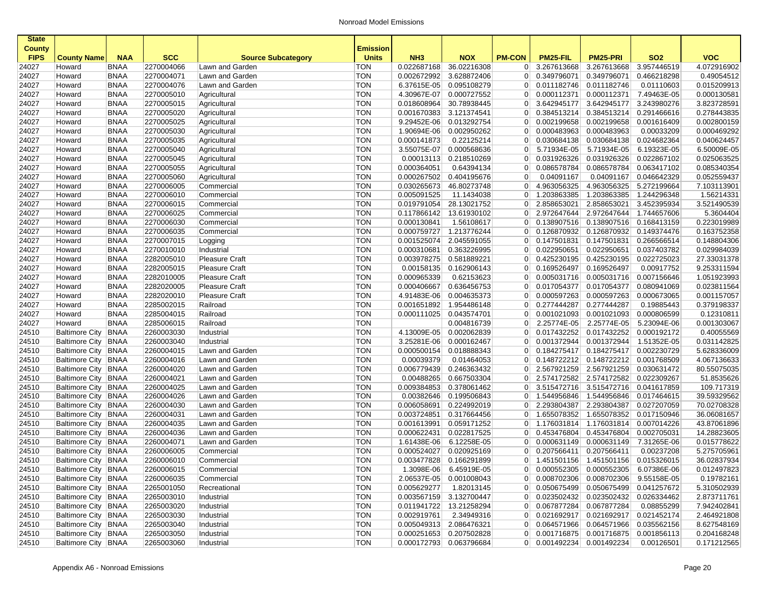| <b>State</b>                 |                       |             |            |                           |                                 |                 |                         |                |               |                                       |             |             |
|------------------------------|-----------------------|-------------|------------|---------------------------|---------------------------------|-----------------|-------------------------|----------------|---------------|---------------------------------------|-------------|-------------|
| <b>County</b><br><b>FIPS</b> | <b>County Name</b>    | <b>NAA</b>  | <b>SCC</b> | <b>Source Subcategory</b> | <b>Emission</b><br><b>Units</b> | NH <sub>3</sub> | <b>NOX</b>              | <b>PM-CON</b>  | PM25-FIL      | <b>PM25-PRI</b>                       | <b>SO2</b>  | <b>VOC</b>  |
| 24027                        | Howard                | <b>BNAA</b> | 2270004066 | Lawn and Garden           | TON                             | 0.022687168     | 36.02216308             | $\overline{0}$ | 3.267613668   | 3.267613668                           | 3.957446519 | 4.072916902 |
| 24027                        | Howard                | <b>BNAA</b> | 2270004071 | Lawn and Garden           | <b>TON</b>                      | 0.002672992     | 3.628872406             | 0 <sup>1</sup> | 0.349796071   | 0.349796071                           | 0.466218298 | 0.49054512  |
| 24027                        | Howard                | <b>BNAA</b> | 2270004076 | Lawn and Garden           | <b>TON</b>                      | 6.37615E-05     | 0.095108279             | $\overline{0}$ | 0.011182746   | 0.011182746                           | 0.01110603  | 0.015209913 |
| 24027                        | Howard                | <b>BNAA</b> | 2270005010 | Agricultural              | <b>TON</b>                      | 4.30967E-07     | 0.000727552             |                | 0 0.000112371 | 0.000112371                           | 7.49463E-05 | 0.000130581 |
| 24027                        | Howard                | <b>BNAA</b> | 2270005015 | Agricultural              | <b>TON</b>                      | 0.018608964     | 30.78938445             | 0              | 3.642945177   | 3.642945177                           | 3.243980276 | 3.823728591 |
| 24027                        | Howard                | <b>BNAA</b> | 2270005020 | Agricultural              | <b>TON</b>                      | 0.001670383     | 3.121374541             | $\overline{0}$ | 0.384513214   | 0.384513214                           | 0.291466616 | 0.278443835 |
| 24027                        | Howard                | <b>BNAA</b> | 2270005025 | Agricultural              | <b>TON</b>                      | 9.29452E-06     | 0.013292754             | $\overline{0}$ | 0.002199658   | 0.002199658                           | 0.001616409 | 0.002800159 |
| 24027                        | Howard                | <b>BNAA</b> | 2270005030 | Agricultural              | <b>TON</b>                      | 1.90694E-06     | 0.002950262             | $\overline{0}$ | 0.000483963   | 0.000483963                           | 0.00033209  | 0.000469292 |
| 24027                        | Howard                | <b>BNAA</b> | 2270005035 | Agricultural              | <b>TON</b>                      | 0.000141873     | 0.22125214              | 0 <sup>1</sup> | 0.030684138   | 0.030684138                           | 0.024682364 | 0.040624457 |
| 24027                        | Howard                | <b>BNAA</b> | 2270005040 | Agricultural              | <b>TON</b>                      | 3.55075E-07     | 0.000568636             | 0              | 5.71934E-05   | 5.71934E-05                           | 6.19323E-05 | 6.50009E-05 |
| 24027                        | Howard                | <b>BNAA</b> | 2270005045 | Agricultural              | <b>TON</b>                      | 0.00013113      | 0.218510269             | $\overline{0}$ | 0.031926326   | 0.031926326                           | 0.022867102 | 0.025063525 |
| 24027                        | Howard                | <b>BNAA</b> | 2270005055 | Agricultural              | <b>TON</b>                      | 0.000364051     | 0.64394134              | $\overline{0}$ | 0.086578784   | 0.086578784                           | 0.063417102 | 0.085340354 |
| 24027                        | Howard                | <b>BNAA</b> | 2270005060 | Agricultural              | <b>TON</b>                      | 0.000267502     | 0.404195676             | $\overline{0}$ | 0.04091167    | 0.04091167                            | 0.046642329 | 0.052559437 |
| 24027                        | Howard                | <b>BNAA</b> | 2270006005 | Commercial                | <b>TON</b>                      | 0.030265673     | 46.80273748             | $\overline{0}$ | 4.963056325   | 4.963056325                           | 5.272199664 | 7.103113901 |
| 24027                        | Howard                | <b>BNAA</b> | 2270006010 | Commercial                | <b>TON</b>                      | 0.005091525     | 11.1434038              | $\overline{0}$ | 1.203863385   | 1.203863385                           | 1.244296348 | 1.56214331  |
| 24027                        | Howard                | <b>BNAA</b> | 2270006015 | Commercial                | <b>TON</b>                      | 0.019791054     | 28.13021752             | 0 <sup>1</sup> | 2.858653021   | 2.858653021                           | 3.452395934 | 3.521490539 |
| 24027                        | Howard                | <b>BNAA</b> | 2270006025 | Commercial                | <b>TON</b>                      | 0.117866142     | 13.61930102             | 0              | 2.972647644   | 2.972647644                           | 1.744657606 | 5.3604404   |
| 24027                        | Howard                | <b>BNAA</b> | 2270006030 | Commercial                | <b>TON</b>                      | 0.000130841     | 1.56108617              | $\overline{0}$ | 0.138907516   | 0.138907516                           | 0.168413159 | 0.223019989 |
| 24027                        | Howard                | <b>BNAA</b> | 2270006035 | Commercial                | <b>TON</b>                      | 0.000759727     | 1.213776244             | $\overline{0}$ | 0.126870932   | 0.126870932                           | 0.149374476 | 0.163752358 |
| 24027                        | Howard                | <b>BNAA</b> | 2270007015 | Logging                   | <b>TON</b>                      | 0.001525074     | 2.045591055             | $\overline{0}$ | 0.147501831   | 0.147501831                           | 0.266566514 | 0.148804306 |
| 24027                        | Howard                | <b>BNAA</b> | 2270010010 | Industrial                | <b>TON</b>                      | 0.000310681     | 0.363226995             | 0 <sup>1</sup> | 0.022950651   | 0.022950651                           | 0.037403782 | 0.029984039 |
| 24027                        | Howard                | <b>BNAA</b> | 2282005010 | <b>Pleasure Craft</b>     | <b>TON</b>                      | 0.003978275     | 0.581889221             | $\overline{0}$ | 0.425230195   | 0.425230195                           | 0.022725023 | 27.33031378 |
| 24027                        | Howard                | <b>BNAA</b> | 2282005015 | <b>Pleasure Craft</b>     | <b>TON</b>                      | 0.00158135      | 0.162906143             |                | 0 0.169526497 | 0.169526497                           | 0.00917752  | 9.253311594 |
| 24027                        | Howard                | <b>BNAA</b> | 2282010005 | <b>Pleasure Craft</b>     | <b>TON</b>                      | 0.000965339     | 0.62153623              | 0 <sup>1</sup> | 0.005031716   | 0.005031716                           | 0.007156646 | 1.051923993 |
| 24027                        | Howard                | <b>BNAA</b> | 2282020005 | <b>Pleasure Craft</b>     | <b>TON</b>                      | 0.000406667     | 0.636456753             | $\overline{0}$ | 0.017054377   | 0.017054377                           | 0.080941069 | 0.023811564 |
| 24027                        | Howard                | <b>BNAA</b> | 2282020010 | <b>Pleasure Craft</b>     | <b>TON</b>                      | 4.91483E-06     | 0.004635373             | 0              | 0.000597263   | 0.000597263                           | 0.000673065 | 0.001157057 |
| 24027                        | Howard                | <b>BNAA</b> | 2285002015 | Railroad                  | <b>TON</b>                      | 0.001651892     | 1.954486148             | $\overline{0}$ | 0.277444287   | 0.277444287                           | 0.19885443  | 0.379198337 |
| 24027                        | Howard                | <b>BNAA</b> | 2285004015 | Railroad                  | <b>TON</b>                      | 0.000111025     | 0.043574701             | 0 <sup>1</sup> | 0.001021093   | 0.001021093                           | 0.000806599 | 0.12310811  |
| 24027                        | Howard                | <b>BNAA</b> | 2285006015 | Railroad                  | <b>TON</b>                      |                 | 0.004816739             | $\overline{0}$ | 2.25774E-05   | 2.25774E-05                           | 5.23094E-06 | 0.001303067 |
| 24510                        | <b>Baltimore City</b> | <b>BNAA</b> | 2260003030 | Industrial                | <b>TON</b>                      | 4.13009E-05     | 0.002062839             | $\overline{0}$ | 0.017432252   | 0.017432252                           | 0.000192172 | 0.40055569  |
| 24510                        | <b>Baltimore City</b> | <b>BNAA</b> | 2260003040 | Industrial                | <b>TON</b>                      | 3.25281E-06     | 0.000162467             | $\overline{0}$ | 0.001372944   | 0.001372944                           | 1.51352E-05 | 0.031142825 |
| 24510                        | Baltimore City BNAA   |             | 2260004015 | Lawn and Garden           | <b>TON</b>                      | 0.000500154     | 0.018888343             | $\overline{0}$ | 0.184275417   | 0.184275417                           | 0.002230729 | 5.628336009 |
| 24510                        | Baltimore City   BNAA |             | 2260004016 | Lawn and Garden           | <b>TON</b>                      | 0.00039379      | 0.01464053              | 0 <sup>1</sup> | 0.148722212   | 0.148722212                           | 0.001768509 | 4.067136633 |
| 24510                        | Baltimore City BNAA   |             | 2260004020 | Lawn and Garden           | <b>TON</b>                      | 0.006779439     | 0.246363432             | 0 <sup>1</sup> | 2.567921259   | 2.567921259                           | 0.030631472 | 80.55075035 |
| 24510                        | Baltimore City BNAA   |             | 2260004021 | Lawn and Garden           | <b>TON</b>                      | 0.00488265      | 0.667503304             |                | 0 2.574172582 | 2.574172582                           | 0.022309267 | 51.8535626  |
| 24510                        | Baltimore City BNAA   |             | 2260004025 | Lawn and Garden           | <b>TON</b>                      | 0.009384853     | 0.378061462             | $\overline{0}$ | 3.515472716   | 3.515472716                           | 0.041617859 | 109.717319  |
| 24510                        | Baltimore City BNAA   |             | 2260004026 | Lawn and Garden           | <b>TON</b>                      | 0.00382646      | 0.199506843             | $\overline{0}$ | 1.544956846   | 1.544956846                           | 0.017464615 | 39.59329562 |
| 24510                        | Baltimore City   BNAA |             | 2260004030 | Lawn and Garden           | <b>TON</b>                      | 0.006058691     | 0.224992019             | $\overline{0}$ | 2.293804387   | 2.293804387                           | 0.027207059 | 70.02708328 |
| 24510                        | <b>Baltimore City</b> | <b>BNAA</b> | 2260004031 | Lawn and Garden           | <b>TON</b>                      | 0.003724851     | 0.317664456             | $\overline{0}$ | 1.655078352   | 1.655078352                           | 0.017150946 | 36.06081657 |
| 24510                        | Baltimore City   BNAA |             | 2260004035 | Lawn and Garden           | TON                             | 0.001613991     | 0.059171252             | 0 <sup>1</sup> | 1.176031814   | 1.176031814                           | 0.007014226 | 43.87061896 |
| 24510                        | Baltimore City BNAA   |             | 2260004036 | Lawn and Garden           | <b>TON</b>                      | 0.000622431     | 0.022817525             | 0 <sup>1</sup> | 0.453476804   | 0.453476804                           | 0.002705031 | 14.28823605 |
| 24510                        | <b>Baltimore City</b> | <b>BNAA</b> | 2260004071 | Lawn and Garden           | <b>TON</b>                      | 1.61438E-06     | 6.12258E-05             | $\overline{0}$ | 0.000631149   | 0.000631149                           | 7.31265E-06 | 0.015778622 |
| 24510                        | <b>Baltimore City</b> | <b>BNAA</b> | 2260006005 | Commercial                | <b>TON</b>                      | 0.000524027     | 0.020925169             | 0 <sup>1</sup> | 0.207566411   | 0.207566411                           | 0.00237208  | 5.275705961 |
| 24510                        | Baltimore City BNAA   |             | 2260006010 | Commercial                | <b>TON</b>                      |                 | 0.003477828 0.166291899 |                |               | 0 1.451501156 1.451501156 0.015326015 |             | 36.02837934 |
| 24510                        | Baltimore City   BNAA |             | 2260006015 | Commercial                | TON                             |                 | 1.3098E-06 6.45919E-05  |                |               | $0$ 0.000552305 0.000552305           | 6.07386E-06 | 0.012497823 |
| 24510                        | Baltimore City BNAA   |             | 2260006035 | Commercial                | <b>TON</b>                      |                 | 2.06537E-05 0.001008043 |                |               | 0 0.008702306 0.008702306 9.55158E-05 |             | 0.19782161  |
| 24510                        | Baltimore City   BNAA |             | 2265001050 | Recreational              | TON                             | 0.005629277     | 1.82013145              |                |               | 0 0.050675499 0.050675499 0.041257672 |             | 5.310502939 |
| 24510                        | Baltimore City BNAA   |             | 2265003010 | Industrial                | <b>TON</b>                      |                 | 0.003567159 3.132700447 |                |               | 0 0.023502432 0.023502432 0.026334462 |             | 2.873711761 |
| 24510                        | Baltimore City BNAA   |             | 2265003020 | Industrial                | <b>TON</b>                      |                 | 0.011941722 13.21258294 |                |               | 0 0.067877284 0.067877284             | 0.08855299  | 7.942402841 |
| 24510                        | Baltimore City BNAA   |             | 2265003030 | Industrial                | <b>TON</b>                      | 0.002919761     | 2.34949316              |                |               | 0 0.021692917 0.021692917 0.021452174 |             | 2.464921808 |
| 24510                        | Baltimore City BNAA   |             | 2265003040 | Industrial                | <b>TON</b>                      |                 | 0.005049313 2.086476321 |                |               | 0 0.064571966 0.064571966 0.035562156 |             | 8.627548169 |
| 24510                        | Baltimore City BNAA   |             | 2265003050 | Industrial                | <b>TON</b>                      |                 | 0.000251653 0.207502828 |                |               | 0 0.001716875 0.001716875 0.001856113 |             | 0.204168248 |
| 24510                        | Baltimore City BNAA   |             | 2265003060 | Industrial                | <b>TON</b>                      |                 | 0.000172793 0.063796684 |                |               | $0$ 0.001492234 0.001492234           | 0.00126501  | 0.171212565 |
|                              |                       |             |            |                           |                                 |                 |                         |                |               |                                       |             |             |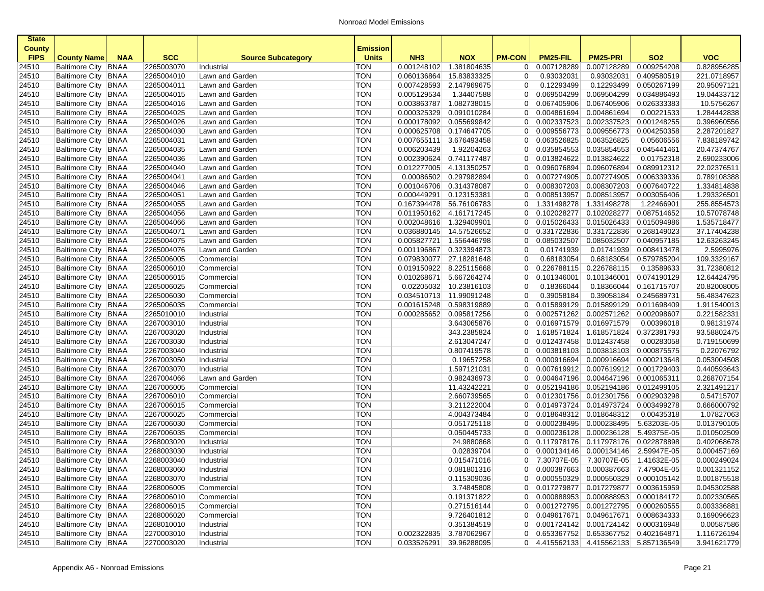| <b>State</b>                 |                                              |             |                          |                           |                                 |                         |                            |                      |                                                 |                            |                           |                           |
|------------------------------|----------------------------------------------|-------------|--------------------------|---------------------------|---------------------------------|-------------------------|----------------------------|----------------------|-------------------------------------------------|----------------------------|---------------------------|---------------------------|
| <b>County</b><br><b>FIPS</b> | <b>County Name</b>                           | <b>NAA</b>  | <b>SCC</b>               | <b>Source Subcategory</b> | <b>Emission</b><br><b>Units</b> | NH <sub>3</sub>         | <b>NOX</b>                 | <b>PM-CON</b>        | PM25-FIL                                        | <b>PM25-PRI</b>            | <b>SO2</b>                | <b>VOC</b>                |
| 24510                        | Baltimore City   BNAA                        |             | 2265003070               | Industrial                | TON                             | 0.001248102             | 1.381804635                | $\overline{0}$       | 0.007128289                                     | 0.007128289                | 0.009254208               | 0.828956285               |
| 24510                        | Baltimore City   BNAA                        |             | 2265004010               | Lawn and Garden           | TON                             | 0.060136864             | 15.83833325                | $\overline{0}$       | 0.93032031                                      | 0.93032031                 | 0.409580519               | 221.0718957               |
| 24510                        | Baltimore City BNAA                          |             | 2265004011               | Lawn and Garden           | <b>TON</b>                      |                         | 0.007428593 2.147969675    | $\overline{0}$       | 0.12293499                                      | 0.12293499                 | 0.050267199               | 20.95097121               |
| 24510                        | Baltimore City BNAA                          |             | 2265004015               | Lawn and Garden           | <b>TON</b>                      | 0.005129534             | 1.34407588                 | 0 <sup>1</sup>       | 0.069504299                                     | 0.069504299                | 0.034886493               | 19.04433712               |
| 24510                        | Baltimore City   BNAA                        |             | 2265004016               | Lawn and Garden           | <b>TON</b>                      | 0.003863787             | 1.082738015                | 0                    | 0.067405906                                     | 0.067405906                | 0.026333383               | 10.5756267                |
| 24510                        | Baltimore City   BNAA                        |             | 2265004025               | Lawn and Garden           | <b>TON</b>                      | 0.000325329             | 0.091010284                | 0 <sup>1</sup>       | 0.004861694                                     | 0.004861694                | 0.00221533                | 1.284442838               |
| 24510                        | Baltimore City   BNAA                        |             | 2265004026               | Lawn and Garden           | TON                             |                         | 0.000178092 0.055699842    | $\overline{0}$       | 0.002337523                                     | 0.002337523                | 0.001248255               | 0.396960556               |
| 24510                        | Baltimore City BNAA                          |             | 2265004030               | Lawn and Garden           | TON                             | 0.000625708             | 0.174647705                | $\overline{0}$       | 0.009556773                                     | 0.009556773                | 0.004250358               | 2.287201827               |
| 24510                        | Baltimore City BNAA                          |             | 2265004031               | Lawn and Garden           | <b>TON</b>                      |                         | 0.007655111 3.676493458    |                      | $0$ 0.063526825                                 | 0.063526825                | 0.05606556                | 7.838189742               |
| 24510                        | Baltimore City BNAA                          |             | 2265004035               | Lawn and Garden           | <b>TON</b>                      | 0.006203439             | 1.92204263                 | $\overline{0}$       | 0.035854553                                     | 0.035854553                | 0.045441461               | 20.47374767               |
| 24510                        | Baltimore City BNAA                          |             | 2265004036               | Lawn and Garden           | <b>TON</b>                      | 0.002390624 0.741177487 |                            | 0 <sup>1</sup>       | 0.013824622                                     | 0.013824622                | 0.01752318                | 2.690233006               |
| 24510                        | Baltimore City BNAA                          |             | 2265004040               | Lawn and Garden           | <b>TON</b>                      |                         | 0.012277005 4.131350257    | 0                    | 0.096076894                                     | 0.096076894                | 0.089912312               | 22.02376511               |
| 24510                        | Baltimore City   BNAA                        |             | 2265004041               | Lawn and Garden           | <b>TON</b>                      |                         | 0.00086502 0.297982894     | 0 <sup>1</sup>       | 0.007274905                                     | 0.007274905                | 0.006339336               | 0.789108388               |
| 24510                        | Baltimore City   BNAA                        |             | 2265004046               | Lawn and Garden           | <b>TON</b>                      |                         | 0.001046706 0.314378087    |                      | $0$ 0.008307203                                 | 0.008307203                | 0.007640722               | 1.334814838               |
| 24510                        | Baltimore City   BNAA                        |             | 2265004051               | Lawn and Garden           | <b>TON</b>                      | 0.000449291             | 0.123153381                | 0 <sup>1</sup>       | 0.008513957                                     | 0.008513957                | 0.003056406               | 1.293326501               |
| 24510                        | Baltimore City   BNAA                        |             | 2265004055               | Lawn and Garden           | <b>TON</b>                      |                         | 0.167394478 56.76106783    |                      | 0 1.331498278                                   | 1.331498278                | 1.22466901                | 255.8554573               |
| 24510                        | Baltimore City BNAA                          |             | 2265004056               | Lawn and Garden           | <b>TON</b>                      |                         | 0.011950162 4.161717245    | 0                    | 0.102028277                                     | 0.102028277                | 0.087514652               | 10.57078748               |
| 24510                        | Baltimore City BNAA                          |             | 2265004066               | Lawn and Garden           | <b>TON</b>                      | 0.002048616 1.329409901 |                            | $\overline{0}$       | 0.015026433                                     | 0.015026433                | 0.015094986               | 1.535718477               |
| 24510                        | Baltimore City   BNAA                        |             | 2265004071               | Lawn and Garden           | <b>TON</b>                      |                         | 0.036880145 14.57526652    | 0 <sup>1</sup>       | 0.331722836                                     | 0.331722836                | 0.268149023               | 37.17404238               |
| 24510                        | Baltimore City BNAA                          |             | 2265004075               | Lawn and Garden           | <b>TON</b>                      |                         | 0.005827721 1.556446798    | $\overline{0}$       | 0.085032507                                     | 0.085032507                | 0.040957185               | 12.63263245               |
| 24510                        | Baltimore City   BNAA                        |             | 2265004076               | Lawn and Garden           | <b>TON</b>                      |                         | 0.001196867 0.323394873    | $\overline{0}$       | 0.01741939                                      | 0.01741939                 | 0.008413478               | 2.5995976                 |
| 24510                        | Baltimore City   BNAA                        |             | 2265006005               | Commercial                | <b>TON</b>                      | 0.079830077             | 27.18281648                | $\overline{0}$       | 0.68183054                                      | 0.68183054                 | 0.579785204               | 109.3329167               |
| 24510                        | Baltimore City   BNAA                        |             | 2265006010               | Commercial                | <b>TON</b>                      |                         | 0.019150922 8.225115668    | 0 <sup>1</sup>       | 0.226788115                                     | 0.226788115                | 0.13589633                | 31.72380812               |
| 24510                        | Baltimore City BNAA                          |             | 2265006015               | Commercial                | <b>TON</b>                      | 0.010268671             | 5.667264274                | 0                    | 0.101346001                                     | 0.101346001                | 0.074190129               | 12.64424795               |
| 24510                        | Baltimore City   BNAA                        |             | 2265006025               | Commercial                | <b>TON</b>                      | 0.02205032              | 10.23816103                | $\overline{0}$       | 0.18366044                                      | 0.18366044                 | 0.161715707               | 20.82008005               |
| 24510                        | Baltimore City   BNAA                        |             | 2265006030               | Commercial                | TON                             |                         | 0.034510713 11.99091248    | $\overline{0}$       | 0.39058184                                      | 0.39058184                 | 0.245689731               | 56.48347623               |
| 24510                        | Baltimore City BNAA                          |             | 2265006035               | Commercial                | <b>TON</b>                      | 0.001615248             | 0.598319889                | 0                    | 0.015899129                                     | 0.015899129                | 0.011698409               | 1.911540013               |
| 24510                        | Baltimore City   BNAA                        |             | 2265010010               | Industrial                | <b>TON</b>                      | 0.000285652             | 0.095817256                |                      | $0$ 0.002571262                                 | 0.002571262                | 0.002098607               | 0.221582331               |
| 24510                        | Baltimore City   BNAA                        |             | 2267003010<br>2267003020 | Industrial                | <b>TON</b><br><b>TON</b>        |                         | 3.643065876<br>343.2385824 | $\overline{0}$       | 0.016971579<br>1.618571824                      | 0.016971579<br>1.618571824 | 0.00396018<br>0.372381793 | 0.98131974<br>93.58802475 |
| 24510                        | Baltimore City BNAA                          |             |                          | Industrial                | <b>TON</b>                      |                         |                            | 0 <sup>1</sup>       |                                                 | 0.012437458                |                           | 0.719150699               |
| 24510<br>24510               | Baltimore City   BNAA<br>Baltimore City BNAA |             | 2267003030<br>2267003040 | Industrial<br>Industrial  | <b>TON</b>                      |                         | 2.613047247<br>0.807419578 | 0 <br>$\overline{0}$ | 0.012437458<br>0.003818103                      | 0.003818103                | 0.00283058<br>0.000875575 | 0.22076792                |
|                              | Baltimore City   BNAA                        |             | 2267003050               | Industrial                | TON                             |                         | 0.19657258                 |                      | 0 0.000916694                                   | 0.000916694                | 0.000213648               | 0.053004508               |
| 24510<br>24510               | Baltimore City BNAA                          |             | 2267003070               | Industrial                | <b>TON</b>                      |                         | 1.597121031                | 0 <sup>1</sup>       | 0.007619912                                     | 0.007619912                | 0.001729403               | 0.440593643               |
| 24510                        | Baltimore City   BNAA                        |             | 2267004066               | Lawn and Garden           | <b>TON</b>                      |                         | 0.982436973                | 0 <sup>1</sup>       | 0.004647196                                     | 0.004647196                | 0.001065311               | 0.268707154               |
| 24510                        | Baltimore City BNAA                          |             | 2267006005               | Commercial                | <b>TON</b>                      |                         | 11.43242221                | 0                    | 0.052194186                                     | 0.052194186                | 0.012499105               | 2.321491217               |
| 24510                        | Baltimore City BNAA                          |             | 2267006010               | Commercial                | <b>TON</b>                      |                         | 2.660739565                | 0                    | 0.012301756                                     | 0.012301756                | 0.002903298               | 0.54715707                |
| 24510                        | Baltimore City   BNAA                        |             | 2267006015               | Commercial                | <b>TON</b>                      |                         | 3.211222004                | 0 <sup>1</sup>       | 0.014973724                                     | 0.014973724                | 0.003499278               | 0.666000792               |
| 24510                        | Baltimore City   BNAA                        |             | 2267006025               | Commercial                | <b>TON</b>                      |                         | 4.004373484                | $\overline{0}$       | 0.018648312                                     | 0.018648312                | 0.00435318                | 1.07827063                |
| 24510                        | Baltimore City BNAA                          |             | 2267006030               | Commercial                | <b>TON</b>                      |                         | 0.051725118                |                      | 0 0.000238495                                   | 0.000238495                | 5.63203E-05               | 0.013790105               |
| 24510                        | Baltimore City   BNAA                        |             | 2267006035               | Commercial                | <b>TON</b>                      |                         | 0.050445733                |                      | $0$ 0.000236128                                 | 0.000236128                | 5.49375E-05               | 0.010502509               |
| 24510                        | Baltimore City BNAA                          |             | 2268003020               | Industrial                | <b>TON</b>                      |                         | 24.9880868                 | 0 <sup>1</sup>       | 0.117978176                                     | 0.117978176                | 0.022878898               | 0.402068678               |
| 24510                        | <b>Baltimore City</b>                        | <b>BNAA</b> | 2268003030               | Industrial                | <b>TON</b>                      |                         | 0.02839704                 | $\overline{0}$       | 0.000134146                                     | 0.000134146                | 2.59947E-05               | 0.000457169               |
| 24510                        | Baltimore City   BNAA                        |             | 2268003040               | Industrial                | TON                             |                         | 0.015471016                |                      | 0 7.30707E-05                                   |                            | 7.30707E-05 1.41632E-05   | 0.000249024               |
| 24510                        | Baltimore City BNAA                          |             | 2268003060               | Industrial                | TON                             |                         | 0.081801316                |                      | 0 0.000387663 0.000387663 7.47904E-05           |                            |                           | 0.001321152               |
| 24510                        | Baltimore City BNAA                          |             | 2268003070               | Industrial                | <b>TON</b>                      |                         | 0.115309036                |                      | $\boxed{0}$ 0.000550329 0.000550329 0.000105142 |                            |                           | 0.001875518               |
| 24510                        | Baltimore City   BNAA                        |             | 2268006005               | Commercial                | <b>TON</b>                      |                         | 3.74845808                 |                      | 0 0.017279877 0.017279877 0.003615959           |                            |                           | 0.045302588               |
| 24510                        | Baltimore City BNAA                          |             | 2268006010               | Commercial                | <b>TON</b>                      |                         | 0.191371822                |                      | $\boxed{0}$ 0.000888953 0.000888953 0.000184172 |                            |                           | 0.002330565               |
| 24510                        | Baltimore City BNAA                          |             | 2268006015               | Commercial                | <b>TON</b>                      |                         | 0.271516144                |                      | 0 0.001272795 0.001272795 0.000260555           |                            |                           | 0.003336881               |
| 24510                        | Baltimore City BNAA                          |             | 2268006020               | Commercial                | <b>TON</b>                      |                         | 9.726401812                |                      | 0 0.049617671 0.049617671 0.008634333           |                            |                           | 0.169096623               |
| 24510                        | Baltimore City   BNAA                        |             | 2268010010               | Industrial                | <b>TON</b>                      |                         | 0.351384519                |                      | 0 0.001724142 0.001724142 0.000316948           |                            |                           | 0.00587586                |
| 24510                        | Baltimore City   BNAA                        |             | 2270003010               | Industrial                | <b>TON</b>                      |                         | 0.002322835 3.787062967    |                      | 0 0.653367752 0.653367752 0.402164871           |                            |                           | 1.116726194               |
| 24510                        | Baltimore City BNAA                          |             | 2270003020               | Industrial                | <b>TON</b>                      |                         | 0.033526291 39.96288095    |                      | 0 4.415562133 4.415562133 5.857136549           |                            |                           | 3.941621779               |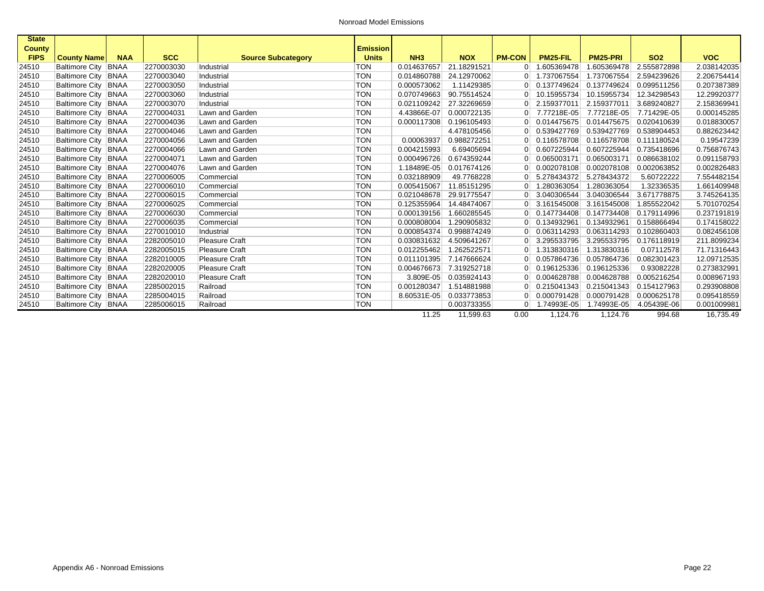| <b>State</b>  |                       |             |            |                           |                 |                 |             |                |             |                       |             |             |
|---------------|-----------------------|-------------|------------|---------------------------|-----------------|-----------------|-------------|----------------|-------------|-----------------------|-------------|-------------|
| <b>County</b> |                       |             |            |                           | <b>Emission</b> |                 |             |                |             |                       |             |             |
| <b>FIPS</b>   | <b>County Name</b>    | <b>NAA</b>  | <b>SCC</b> | <b>Source Subcategory</b> | <b>Units</b>    | NH <sub>3</sub> | <b>NOX</b>  | <b>PM-CON</b>  | PM25-FIL    | PM25-PRI              | <b>SO2</b>  | <b>VOC</b>  |
| 24510         | <b>Baltimore City</b> | <b>BNAA</b> | 2270003030 | Industrial                | <b>TON</b>      | 0.014637657     | 21.18291521 | $\overline{0}$ | 1.605369478 | 1.605369478           | 2.555872898 | 2.038142035 |
| 24510         | <b>Baltimore City</b> | <b>BNAA</b> | 2270003040 | Industrial                | <b>TON</b>      | 0.014860788     | 24.12970062 | 01             | 1.737067554 | 1.737067554           | 2.594239626 | 2.206754414 |
| 24510         | <b>Baltimore City</b> | <b>BNAA</b> | 2270003050 | Industrial                | <b>TON</b>      | 0.000573062     | 1.11429385  | 0              | 0.137749624 | 0.137749624           | 0.099511256 | 0.207387389 |
| 24510         | <b>Baltimore City</b> | <b>BNAA</b> | 2270003060 | Industrial                | <b>TON</b>      | 0.070749663     | 90.75514524 |                | 10.15955734 | 10.15955734           | 12.34298543 | 12.29920377 |
| 24510         | <b>Baltimore City</b> | <b>BNAA</b> | 2270003070 | Industrial                | <b>TON</b>      | 0.021109242     | 27.32269659 |                | 2.159377011 | 2.159377011           | 3.689240827 | 2.158369941 |
| 24510         | <b>Baltimore City</b> | <b>BNAA</b> | 2270004031 | Lawn and Garden           | <b>TON</b>      | 4.43866E-07     | 0.000722135 | $\overline{0}$ | 7.77218E-05 | 7.77218E-05           | 7.71429E-05 | 0.000145285 |
| 24510         | <b>Baltimore City</b> | <b>BNAA</b> | 2270004036 | Lawn and Garden           | <b>TON</b>      | 0.000117308     | 0.196105493 | 0              | 0.014475675 | 0.014475675           | 0.020410639 | 0.018830057 |
| 24510         | Baltimore City   BNAA |             | 2270004046 | Lawn and Garden           | <b>TON</b>      |                 | 4.478105456 | 0              | 0.539427769 | 0.539427769           | 0.538904453 | 0.882623442 |
| 24510         | <b>Baltimore City</b> | <b>BNAA</b> | 2270004056 | Lawn and Garden           | <b>TON</b>      | 0.00063937      | 0.988272251 |                | 0.116578708 | 0.116578708           | 0.111180524 | 0.19547239  |
| 24510         | <b>Baltimore City</b> | <b>BNAA</b> | 2270004066 | Lawn and Garden           | <b>TON</b>      | 0.004215993     | 6.69405694  | 0              | 0.607225944 | 0.607225944           | 0.735418696 | 0.756876743 |
| 24510         | <b>Baltimore City</b> | <b>BNAA</b> | 2270004071 | Lawn and Garden           | <b>TON</b>      | 0.000496726     | 0.674359244 | $\overline{0}$ | 0.065003171 | 0.065003171           | 0.086638102 | 0.091158793 |
| 24510         | <b>Baltimore City</b> | <b>BNAA</b> | 2270004076 | Lawn and Garden           | <b>TON</b>      | 1.18489E-05     | 0.017674126 | 0              | 0.002078108 | 0.002078108           | 0.002063852 | 0.002826483 |
| 24510         | Baltimore City BNAA   |             | 2270006005 | Commercial                | <b>TON</b>      | 0.032188909     | 49.7768228  | 0              | 5.278434372 | 5.278434372           | 5.60722222  | 7.554482154 |
| 24510         | Baltimore City BNAA   |             | 2270006010 | Commercial                | <b>TON</b>      | 0.005415067     | 11.85151295 |                | 1.280363054 | 1.280363054           | 1.32336535  | 1.661409948 |
| 24510         | <b>Baltimore City</b> | <b>BNAA</b> | 2270006015 | Commercial                | <b>TON</b>      | 0.021048678     | 29.91775547 | 0              | 3.040306544 | 3.040306544           | 3.671778875 | 3.745264135 |
| 24510         | <b>Baltimore City</b> | <b>BNAA</b> | 2270006025 | Commercial                | <b>TON</b>      | 0.125355964     | 14.48474067 | $\overline{0}$ | 3.161545008 | 3.161545008           | 1.855522042 | 5.701070254 |
| 24510         | <b>Baltimore City</b> | <b>BNAA</b> | 2270006030 | Commercial                | <b>TON</b>      | 0.000139156     | 1.660285545 | 0              | 0.147734408 | 0.147734408           | 0.179114996 | 0.237191819 |
| 24510         | Baltimore City   BNAA |             | 2270006035 | Commercial                | <b>TON</b>      | 0.000808004     | 1.290905832 | 0              | 0.134932961 | 0.134932961           | 0.158866494 | 0.174158022 |
| 24510         | <b>Baltimore City</b> | BNAA        | 2270010010 | Industrial                | <b>TON</b>      | 0.000854374     | 0.998874249 |                | 0.063114293 | 0.063114293           | 0.102860403 | 0.082456108 |
| 24510         | <b>Baltimore City</b> | <b>BNAA</b> | 2282005010 | <b>Pleasure Craft</b>     | <b>TON</b>      | 0.030831632     | 4.509641267 | 0              | 3.295533795 | 3.295533795           | 0.176118919 | 211.8099234 |
| 24510         | <b>Baltimore City</b> | <b>BNAA</b> | 2282005015 | <b>Pleasure Craft</b>     | <b>TON</b>      | 0.012255462     | 1.262522571 | 0 <sup>1</sup> | 1.313830316 | 1.313830316           | 0.07112578  | 71.71316443 |
| 24510         | <b>Baltimore City</b> | <b>BNAA</b> | 2282010005 | <b>Pleasure Craft</b>     | <b>TON</b>      | 0.011101395     | 7.147666624 | 0              | 0.057864736 | 0.057864736           | 0.082301423 | 12.09712535 |
| 24510         | Baltimore City BNAA   |             | 2282020005 | <b>Pleasure Craft</b>     | <b>TON</b>      | 0.004676673     | 7.319252718 | 0              | 0.196125336 | 0.196125336           | 0.93082228  | 0.273832991 |
| 24510         | <b>Baltimore City</b> | <b>BNAA</b> | 2282020010 | <b>Pleasure Craft</b>     | <b>TON</b>      | 3.809E-05       | 0.035924143 | 0              | 0.004628788 | 0.004628788           | 0.005216254 | 0.008967193 |
| 24510         | Baltimore City BNAA   |             | 2285002015 | Railroad                  | <b>TON</b>      | 0.001280347     | 1.514881988 | 0              | 0.215041343 | 0.215041343           | 0.154127963 | 0.293908808 |
| 24510         | <b>Baltimore City</b> | <b>BNAA</b> | 2285004015 | Railroad                  | <b>TON</b>      | 8.60531E-05     | 0.033773853 | 0              | 0.000791428 | 0.000791428           | 0.000625178 | 0.095418559 |
| 24510         | Baltimore City BNAA   |             | 2285006015 | Railroad                  | <b>TON</b>      |                 | 0.003733355 | 01             | 1.74993E-05 | 1.74993E-05           | 4.05439E-06 | 0.001009981 |
|               |                       |             |            |                           |                 | 11.25           | 11,599.63   | 0.00           | 1,124.76    | $\overline{1,124.76}$ | 994.68      | 16,735.49   |